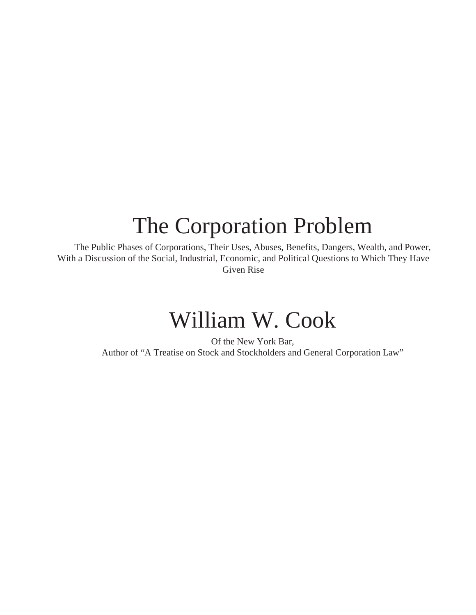# The Corporation Problem

The Public Phases of Corporations, Their Uses, Abuses, Benefits, Dangers, Wealth, and Power, With a Discussion of the Social, Industrial, Economic, and Political Questions to Which They Have Given Rise

## William W. Cook

Of the New York Bar, Author of "A Treatise on Stock and Stockholders and General Corporation Law"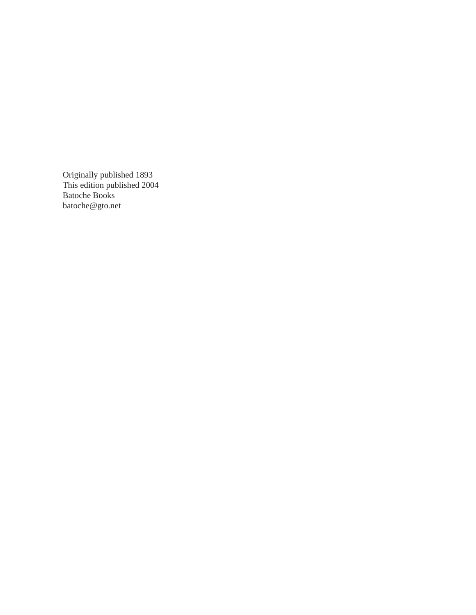Originally published 1893 This edition published 2004 Batoche Books batoche@gto.net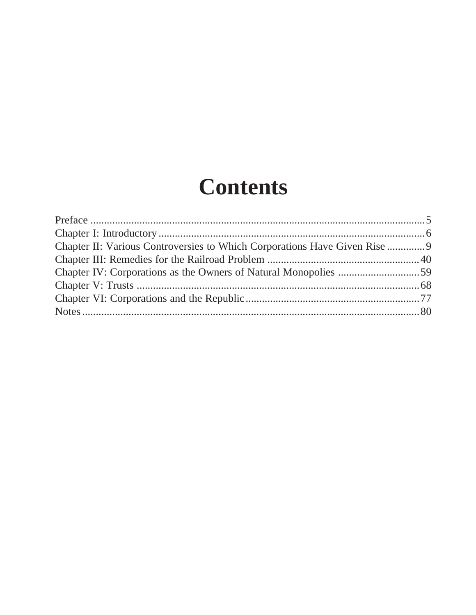# **Contents**

| Chapter II: Various Controversies to Which Corporations Have Given Rise  9 |
|----------------------------------------------------------------------------|
|                                                                            |
|                                                                            |
|                                                                            |
|                                                                            |
|                                                                            |
|                                                                            |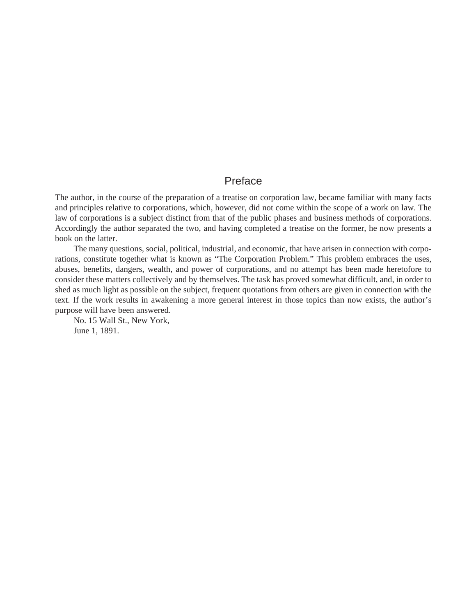## Preface

<span id="page-4-0"></span>The author, in the course of the preparation of a treatise on corporation law, became familiar with many facts and principles relative to corporations, which, however, did not come within the scope of a work on law. The law of corporations is a subject distinct from that of the public phases and business methods of corporations. Accordingly the author separated the two, and having completed a treatise on the former, he now presents a book on the latter.

The many questions, social, political, industrial, and economic, that have arisen in connection with corporations, constitute together what is known as "The Corporation Problem." This problem embraces the uses, abuses, benefits, dangers, wealth, and power of corporations, and no attempt has been made heretofore to consider these matters collectively and by themselves. The task has proved somewhat difficult, and, in order to shed as much light as possible on the subject, frequent quotations from others are given in connection with the text. If the work results in awakening a more general interest in those topics than now exists, the author's purpose will have been answered.

No. 15 Wall St., New York, June 1, 1891.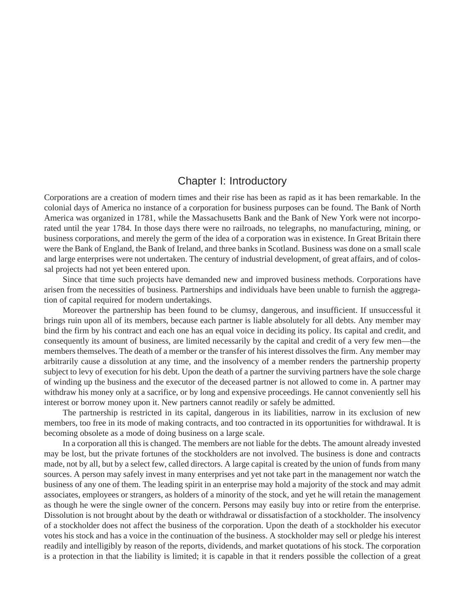## Chapter I: Introductory

<span id="page-5-0"></span>Corporations are a creation of modern times and their rise has been as rapid as it has been remarkable. In the colonial days of America no instance of a corporation for business purposes can be found. The Bank of North America was organized in 1781, while the Massachusetts Bank and the Bank of New York were not incorporated until the year 1784. In those days there were no railroads, no telegraphs, no manufacturing, mining, or business corporations, and merely the germ of the idea of a corporation was in existence. In Great Britain there were the Bank of England, the Bank of Ireland, and three banks in Scotland. Business was done on a small scale and large enterprises were not undertaken. The century of industrial development, of great affairs, and of colossal projects had not yet been entered upon.

Since that time such projects have demanded new and improved business methods. Corporations have arisen from the necessities of business. Partnerships and individuals have been unable to furnish the aggregation of capital required for modern undertakings.

Moreover the partnership has been found to be clumsy, dangerous, and insufficient. If unsuccessful it brings ruin upon all of its members, because each partner is liable absolutely for all debts. Any member may bind the firm by his contract and each one has an equal voice in deciding its policy. Its capital and credit, and consequently its amount of business, are limited necessarily by the capital and credit of a very few men—the members themselves. The death of a member or the transfer of his interest dissolves the firm. Any member may arbitrarily cause a dissolution at any time, and the insolvency of a member renders the partnership property subject to levy of execution for his debt. Upon the death of a partner the surviving partners have the sole charge of winding up the business and the executor of the deceased partner is not allowed to come in. A partner may withdraw his money only at a sacrifice, or by long and expensive proceedings. He cannot conveniently sell his interest or borrow money upon it. New partners cannot readily or safely be admitted.

The partnership is restricted in its capital, dangerous in its liabilities, narrow in its exclusion of new members, too free in its mode of making contracts, and too contracted in its opportunities for withdrawal. It is becoming obsolete as a mode of doing business on a large scale.

In a corporation all this is changed. The members are not liable for the debts. The amount already invested may be lost, but the private fortunes of the stockholders are not involved. The business is done and contracts made, not by all, but by a select few, called directors. A large capital is created by the union of funds from many sources. A person may safely invest in many enterprises and yet not take part in the management nor watch the business of any one of them. The leading spirit in an enterprise may hold a majority of the stock and may admit associates, employees or strangers, as holders of a minority of the stock, and yet he will retain the management as though he were the single owner of the concern. Persons may easily buy into or retire from the enterprise. Dissolution is not brought about by the death or withdrawal or dissatisfaction of a stockholder. The insolvency of a stockholder does not affect the business of the corporation. Upon the death of a stockholder his executor votes his stock and has a voice in the continuation of the business. A stockholder may sell or pledge his interest readily and intelligibly by reason of the reports, dividends, and market quotations of his stock. The corporation is a protection in that the liability is limited; it is capable in that it renders possible the collection of a great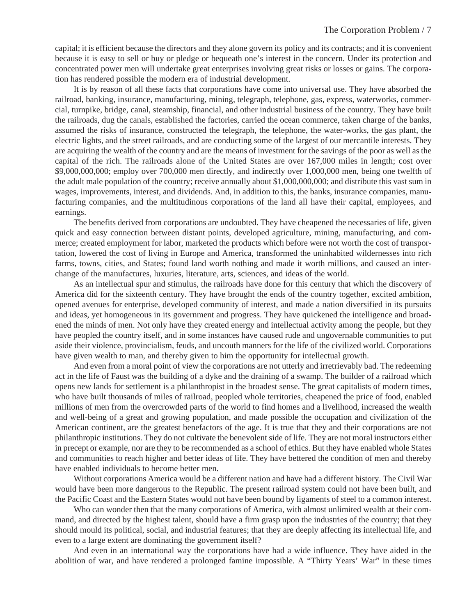capital; it is efficient because the directors and they alone govern its policy and its contracts; and it is convenient because it is easy to sell or buy or pledge or bequeath one's interest in the concern. Under its protection and concentrated power men will undertake great enterprises involving great risks or losses or gains. The corporation has rendered possible the modern era of industrial development.

It is by reason of all these facts that corporations have come into universal use. They have absorbed the railroad, banking, insurance, manufacturing, mining, telegraph, telephone, gas, express, waterworks, commercial, turnpike, bridge, canal, steamship, financial, and other industrial business of the country. They have built the railroads, dug the canals, established the factories, carried the ocean commerce, taken charge of the banks, assumed the risks of insurance, constructed the telegraph, the telephone, the water-works, the gas plant, the electric lights, and the street railroads, and are conducting some of the largest of our mercantile interests. They are acquiring the wealth of the country and are the means of investment for the savings of the poor as well as the capital of the rich. The railroads alone of the United States are over 167,000 miles in length; cost over \$9,000,000,000; employ over 700,000 men directly, and indirectly over 1,000,000 men, being one twelfth of the adult male population of the country; receive annually about \$1,000,000,000; and distribute this vast sum in wages, improvements, interest, and dividends. And, in addition to this, the banks, insurance companies, manufacturing companies, and the multitudinous corporations of the land all have their capital, employees, and earnings.

The benefits derived from corporations are undoubted. They have cheapened the necessaries of life, given quick and easy connection between distant points, developed agriculture, mining, manufacturing, and commerce; created employment for labor, marketed the products which before were not worth the cost of transportation, lowered the cost of living in Europe and America, transformed the uninhabited wildernesses into rich farms, towns, cities, and States; found land worth nothing and made it worth millions, and caused an interchange of the manufactures, luxuries, literature, arts, sciences, and ideas of the world.

As an intellectual spur and stimulus, the railroads have done for this century that which the discovery of America did for the sixteenth century. They have brought the ends of the country together, excited ambition, opened avenues for enterprise, developed community of interest, and made a nation diversified in its pursuits and ideas, yet homogeneous in its government and progress. They have quickened the intelligence and broadened the minds of men. Not only have they created energy and intellectual activity among the people, but they have peopled the country itself, and in some instances have caused rude and ungovernable communities to put aside their violence, provincialism, feuds, and uncouth manners for the life of the civilized world. Corporations have given wealth to man, and thereby given to him the opportunity for intellectual growth.

And even from a moral point of view the corporations are not utterly and irretrievably bad. The redeeming act in the life of Faust was the building of a dyke and the draining of a swamp. The builder of a railroad which opens new lands for settlement is a philanthropist in the broadest sense. The great capitalists of modern times, who have built thousands of miles of railroad, peopled whole territories, cheapened the price of food, enabled millions of men from the overcrowded parts of the world to find homes and a livelihood, increased the wealth and well-being of a great and growing population, and made possible the occupation and civilization of the American continent, are the greatest benefactors of the age. It is true that they and their corporations are not philanthropic institutions. They do not cultivate the benevolent side of life. They are not moral instructors either in precept or example, nor are they to be recommended as a school of ethics. But they have enabled whole States and communities to reach higher and better ideas of life. They have bettered the condition of men and thereby have enabled individuals to become better men.

Without corporations America would be a different nation and have had a different history. The Civil War would have been more dangerous to the Republic. The present railroad system could not have been built, and the Pacific Coast and the Eastern States would not have been bound by ligaments of steel to a common interest.

Who can wonder then that the many corporations of America, with almost unlimited wealth at their command, and directed by the highest talent, should have a firm grasp upon the industries of the country; that they should mould its political, social, and industrial features; that they are deeply affecting its intellectual life, and even to a large extent are dominating the government itself?

And even in an international way the corporations have had a wide influence. They have aided in the abolition of war, and have rendered a prolonged famine impossible. A "Thirty Years' War" in these times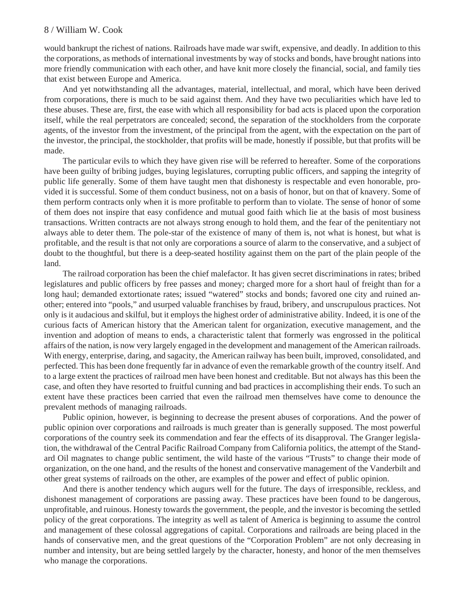would bankrupt the richest of nations. Railroads have made war swift, expensive, and deadly. In addition to this the corporations, as methods of international investments by way of stocks and bonds, have brought nations into more friendly communication with each other, and have knit more closely the financial, social, and family ties that exist between Europe and America.

And yet notwithstanding all the advantages, material, intellectual, and moral, which have been derived from corporations, there is much to be said against them. And they have two peculiarities which have led to these abuses. These are, first, the ease with which all responsibility for bad acts is placed upon the corporation itself, while the real perpetrators are concealed; second, the separation of the stockholders from the corporate agents, of the investor from the investment, of the principal from the agent, with the expectation on the part of the investor, the principal, the stockholder, that profits will be made, honestly if possible, but that profits will be made.

The particular evils to which they have given rise will be referred to hereafter. Some of the corporations have been guilty of bribing judges, buying legislatures, corrupting public officers, and sapping the integrity of public life generally. Some of them have taught men that dishonesty is respectable and even honorable, provided it is successful. Some of them conduct business, not on a basis of honor, but on that of knavery. Some of them perform contracts only when it is more profitable to perform than to violate. The sense of honor of some of them does not inspire that easy confidence and mutual good faith which lie at the basis of most business transactions. Written contracts are not always strong enough to hold them, and the fear of the penitentiary not always able to deter them. The pole-star of the existence of many of them is, not what is honest, but what is profitable, and the result is that not only are corporations a source of alarm to the conservative, and a subject of doubt to the thoughtful, but there is a deep-seated hostility against them on the part of the plain people of the land.

The railroad corporation has been the chief malefactor. It has given secret discriminations in rates; bribed legislatures and public officers by free passes and money; charged more for a short haul of freight than for a long haul; demanded extortionate rates; issued "watered" stocks and bonds; favored one city and ruined another; entered into "pools," and usurped valuable franchises by fraud, bribery, and unscrupulous practices. Not only is it audacious and skilful, but it employs the highest order of administrative ability. Indeed, it is one of the curious facts of American history that the American talent for organization, executive management, and the invention and adoption of means to ends, a characteristic talent that formerly was engrossed in the political affairs of the nation, is now very largely engaged in the development and management of the American railroads. With energy, enterprise, daring, and sagacity, the American railway has been built, improved, consolidated, and perfected. This has been done frequently far in advance of even the remarkable growth of the country itself. And to a large extent the practices of railroad men have been honest and creditable. But not always has this been the case, and often they have resorted to fruitful cunning and bad practices in accomplishing their ends. To such an extent have these practices been carried that even the railroad men themselves have come to denounce the prevalent methods of managing railroads.

Public opinion, however, is beginning to decrease the present abuses of corporations. And the power of public opinion over corporations and railroads is much greater than is generally supposed. The most powerful corporations of the country seek its commendation and fear the effects of its disapproval. The Granger legislation, the withdrawal of the Central Pacific Railroad Company from California politics, the attempt of the Standard Oil magnates to change public sentiment, the wild haste of the various "Trusts" to change their mode of organization, on the one hand, and the results of the honest and conservative management of the Vanderbilt and other great systems of railroads on the other, are examples of the power and effect of public opinion.

And there is another tendency which augurs well for the future. The days of irresponsible, reckless, and dishonest management of corporations are passing away. These practices have been found to be dangerous, unprofitable, and ruinous. Honesty towards the government, the people, and the investor is becoming the settled policy of the great corporations. The integrity as well as talent of America is beginning to assume the control and management of these colossal aggregations of capital. Corporations and railroads are being placed in the hands of conservative men, and the great questions of the "Corporation Problem" are not only decreasing in number and intensity, but are being settled largely by the character, honesty, and honor of the men themselves who manage the corporations.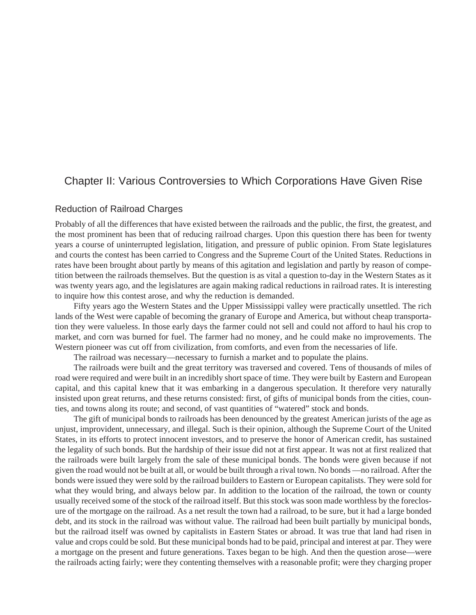## <span id="page-8-0"></span>Chapter II: Various Controversies to Which Corporations Have Given Rise

#### Reduction of Railroad Charges

Probably of all the differences that have existed between the railroads and the public, the first, the greatest, and the most prominent has been that of reducing railroad charges. Upon this question there has been for twenty years a course of uninterrupted legislation, litigation, and pressure of public opinion. From State legislatures and courts the contest has been carried to Congress and the Supreme Court of the United States. Reductions in rates have been brought about partly by means of this agitation and legislation and partly by reason of competition between the railroads themselves. But the question is as vital a question to-day in the Western States as it was twenty years ago, and the legislatures are again making radical reductions in railroad rates. It is interesting to inquire how this contest arose, and why the reduction is demanded.

Fifty years ago the Western States and the Upper Mississippi valley were practically unsettled. The rich lands of the West were capable of becoming the granary of Europe and America, but without cheap transportation they were valueless. In those early days the farmer could not sell and could not afford to haul his crop to market, and corn was burned for fuel. The farmer had no money, and he could make no improvements. The Western pioneer was cut off from civilization, from comforts, and even from the necessaries of life.

The railroad was necessary—necessary to furnish a market and to populate the plains.

The railroads were built and the great territory was traversed and covered. Tens of thousands of miles of road were required and were built in an incredibly short space of time. They were built by Eastern and European capital, and this capital knew that it was embarking in a dangerous speculation. It therefore very naturally insisted upon great returns, and these returns consisted: first, of gifts of municipal bonds from the cities, counties, and towns along its route; and second, of vast quantities of "watered" stock and bonds.

The gift of municipal bonds to railroads has been denounced by the greatest American jurists of the age as unjust, improvident, unnecessary, and illegal. Such is their opinion, although the Supreme Court of the United States, in its efforts to protect innocent investors, and to preserve the honor of American credit, has sustained the legality of such bonds. But the hardship of their issue did not at first appear. It was not at first realized that the railroads were built largely from the sale of these municipal bonds. The bonds were given because if not given the road would not be built at all, or would be built through a rival town. No bonds —no railroad. After the bonds were issued they were sold by the railroad builders to Eastern or European capitalists. They were sold for what they would bring, and always below par. In addition to the location of the railroad, the town or county usually received some of the stock of the railroad itself. But this stock was soon made worthless by the foreclosure of the mortgage on the railroad. As a net result the town had a railroad, to be sure, but it had a large bonded debt, and its stock in the railroad was without value. The railroad had been built partially by municipal bonds, but the railroad itself was owned by capitalists in Eastern States or abroad. It was true that land had risen in value and crops could be sold. But these municipal bonds had to be paid, principal and interest at par. They were a mortgage on the present and future generations. Taxes began to be high. And then the question arose—were the railroads acting fairly; were they contenting themselves with a reasonable profit; were they charging proper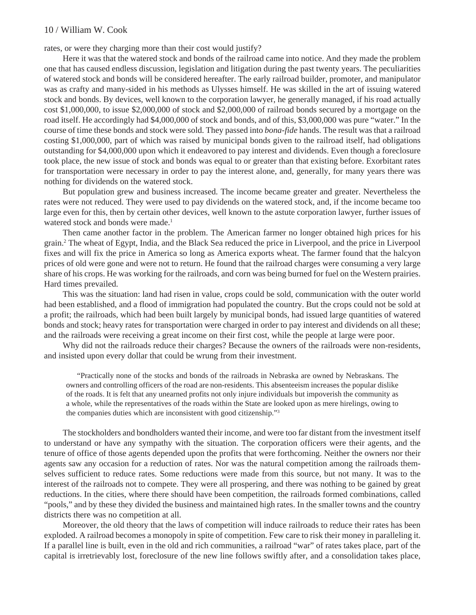rates, or were they charging more than their cost would justify?

Here it was that the watered stock and bonds of the railroad came into notice. And they made the problem one that has caused endless discussion, legislation and litigation during the past twenty years. The peculiarities of watered stock and bonds will be considered hereafter. The early railroad builder, promoter, and manipulator was as crafty and many-sided in his methods as Ulysses himself. He was skilled in the art of issuing watered stock and bonds. By devices, well known to the corporation lawyer, he generally managed, if his road actually cost \$1,000,000, to issue \$2,000,000 of stock and \$2,000,000 of railroad bonds secured by a mortgage on the road itself. He accordingly had \$4,000,000 of stock and bonds, and of this, \$3,000,000 was pure "water." In the course of time these bonds and stock were sold. They passed into *bona-fide* hands. The result was that a railroad costing \$1,000,000, part of which was raised by municipal bonds given to the railroad itself, had obligations outstanding for \$4,000,000 upon which it endeavored to pay interest and dividends. Even though a foreclosure took place, the new issue of stock and bonds was equal to or greater than that existing before. Exorbitant rates for transportation were necessary in order to pay the interest alone, and, generally, for many years there was nothing for dividends on the watered stock.

But population grew and business increased. The income became greater and greater. Nevertheless the rates were not reduced. They were used to pay dividends on the watered stock, and, if the income became too large even for this, then by certain other devices, well known to the astute corporation lawyer, further issues of watered stock and bonds were made.<sup>1</sup>

Then came another factor in the problem. The American farmer no longer obtained high prices for his grain.2 The wheat of Egypt, India, and the Black Sea reduced the price in Liverpool, and the price in Liverpool fixes and will fix the price in America so long as America exports wheat. The farmer found that the halcyon prices of old were gone and were not to return. He found that the railroad charges were consuming a very large share of his crops. He was working for the railroads, and corn was being burned for fuel on the Western prairies. Hard times prevailed.

This was the situation: land had risen in value, crops could be sold, communication with the outer world had been established, and a flood of immigration had populated the country. But the crops could not be sold at a profit; the railroads, which had been built largely by municipal bonds, had issued large quantities of watered bonds and stock; heavy rates for transportation were charged in order to pay interest and dividends on all these; and the railroads were receiving a great income on their first cost, while the people at large were poor.

Why did not the railroads reduce their charges? Because the owners of the railroads were non-residents, and insisted upon every dollar that could be wrung from their investment.

"Practically none of the stocks and bonds of the railroads in Nebraska are owned by Nebraskans. The owners and controlling officers of the road are non-residents. This absenteeism increases the popular dislike of the roads. It is felt that any unearned profits not only injure individuals but impoverish the community as a whole, while the representatives of the roads within the State are looked upon as mere hirelings, owing to the companies duties which are inconsistent with good citizenship."3

The stockholders and bondholders wanted their income, and were too far distant from the investment itself to understand or have any sympathy with the situation. The corporation officers were their agents, and the tenure of office of those agents depended upon the profits that were forthcoming. Neither the owners nor their agents saw any occasion for a reduction of rates. Nor was the natural competition among the railroads themselves sufficient to reduce rates. Some reductions were made from this source, but not many. It was to the interest of the railroads not to compete. They were all prospering, and there was nothing to be gained by great reductions. In the cities, where there should have been competition, the railroads formed combinations, called "pools," and by these they divided the business and maintained high rates. In the smaller towns and the country districts there was no competition at all.

Moreover, the old theory that the laws of competition will induce railroads to reduce their rates has been exploded. A railroad becomes a monopoly in spite of competition. Few care to risk their money in paralleling it. If a parallel line is built, even in the old and rich communities, a railroad "war" of rates takes place, part of the capital is irretrievably lost, foreclosure of the new line follows swiftly after, and a consolidation takes place,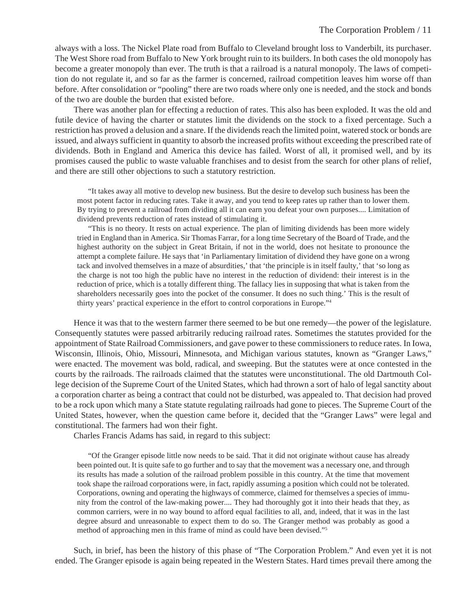always with a loss. The Nickel Plate road from Buffalo to Cleveland brought loss to Vanderbilt, its purchaser. The West Shore road from Buffalo to New York brought ruin to its builders. In both cases the old monopoly has become a greater monopoly than ever. The truth is that a railroad is a natural monopoly. The laws of competition do not regulate it, and so far as the farmer is concerned, railroad competition leaves him worse off than before. After consolidation or "pooling" there are two roads where only one is needed, and the stock and bonds of the two are double the burden that existed before.

There was another plan for effecting a reduction of rates. This also has been exploded. It was the old and futile device of having the charter or statutes limit the dividends on the stock to a fixed percentage. Such a restriction has proved a delusion and a snare. If the dividends reach the limited point, watered stock or bonds are issued, and always sufficient in quantity to absorb the increased profits without exceeding the prescribed rate of dividends. Both in England and America this device has failed. Worst of all, it promised well, and by its promises caused the public to waste valuable franchises and to desist from the search for other plans of relief, and there are still other objections to such a statutory restriction.

"It takes away all motive to develop new business. But the desire to develop such business has been the most potent factor in reducing rates. Take it away, and you tend to keep rates up rather than to lower them. By trying to prevent a railroad from dividing all it can earn you defeat your own purposes.... Limitation of dividend prevents reduction of rates instead of stimulating it.

"This is no theory. It rests on actual experience. The plan of limiting dividends has been more widely tried in England than in America. Sir Thomas Farrar, for a long time Secretary of the Board of Trade, and the highest authority on the subject in Great Britain, if not in the world, does not hesitate to pronounce the attempt a complete failure. He says that 'in Parliamentary limitation of dividend they have gone on a wrong tack and involved themselves in a maze of absurdities,' that 'the principle is in itself faulty,' that 'so long as the charge is not too high the public have no interest in the reduction of dividend: their interest is in the reduction of price, which is a totally different thing. The fallacy lies in supposing that what is taken from the shareholders necessarily goes into the pocket of the consumer. It does no such thing.' This is the result of thirty years' practical experience in the effort to control corporations in Europe."4

Hence it was that to the western farmer there seemed to be but one remedy—the power of the legislature. Consequently statutes were passed arbitrarily reducing railroad rates. Sometimes the statutes provided for the appointment of State Railroad Commissioners, and gave power to these commissioners to reduce rates. In Iowa, Wisconsin, Illinois, Ohio, Missouri, Minnesota, and Michigan various statutes, known as "Granger Laws," were enacted. The movement was bold, radical, and sweeping. But the statutes were at once contested in the courts by the railroads. The railroads claimed that the statutes were unconstitutional. The old Dartmouth College decision of the Supreme Court of the United States, which had thrown a sort of halo of legal sanctity about a corporation charter as being a contract that could not be disturbed, was appealed to. That decision had proved to be a rock upon which many a State statute regulating railroads had gone to pieces. The Supreme Court of the United States, however, when the question came before it, decided that the "Granger Laws" were legal and constitutional. The farmers had won their fight.

Charles Francis Adams has said, in regard to this subject:

"Of the Granger episode little now needs to be said. That it did not originate without cause has already been pointed out. It is quite safe to go further and to say that the movement was a necessary one, and through its results has made a solution of the railroad problem possible in this country. At the time that movement took shape the railroad corporations were, in fact, rapidly assuming a position which could not be tolerated. Corporations, owning and operating the highways of commerce, claimed for themselves a species of immunity from the control of the law-making power.... They had thoroughly got it into their heads that they, as common carriers, were in no way bound to afford equal facilities to all, and, indeed, that it was in the last degree absurd and unreasonable to expect them to do so. The Granger method was probably as good a method of approaching men in this frame of mind as could have been devised."5

Such, in brief, has been the history of this phase of "The Corporation Problem." And even yet it is not ended. The Granger episode is again being repeated in the Western States. Hard times prevail there among the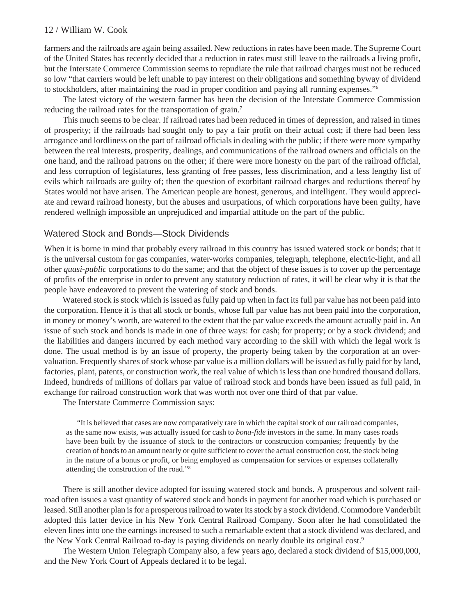farmers and the railroads are again being assailed. New reductions in rates have been made. The Supreme Court of the United States has recently decided that a reduction in rates must still leave to the railroads a living profit, but the Interstate Commerce Commission seems to repudiate the rule that railroad charges must not be reduced so low "that carriers would be left unable to pay interest on their obligations and something byway of dividend to stockholders, after maintaining the road in proper condition and paying all running expenses."6

The latest victory of the western farmer has been the decision of the Interstate Commerce Commission reducing the railroad rates for the transportation of grain.<sup>7</sup>

This much seems to be clear. If railroad rates had been reduced in times of depression, and raised in times of prosperity; if the railroads had sought only to pay a fair profit on their actual cost; if there had been less arrogance and lordliness on the part of railroad officials in dealing with the public; if there were more sympathy between the real interests, prosperity, dealings, and communications of the railroad owners and officials on the one hand, and the railroad patrons on the other; if there were more honesty on the part of the railroad official, and less corruption of legislatures, less granting of free passes, less discrimination, and a less lengthy list of evils which railroads are guilty of; then the question of exorbitant railroad charges and reductions thereof by States would not have arisen. The American people are honest, generous, and intelligent. They would appreciate and reward railroad honesty, but the abuses and usurpations, of which corporations have been guilty, have rendered wellnigh impossible an unprejudiced and impartial attitude on the part of the public.

#### Watered Stock and Bonds—Stock Dividends

When it is borne in mind that probably every railroad in this country has issued watered stock or bonds; that it is the universal custom for gas companies, water-works companies, telegraph, telephone, electric-light, and all other *quasi-public* corporations to do the same; and that the object of these issues is to cover up the percentage of profits of the enterprise in order to prevent any statutory reduction of rates, it will be clear why it is that the people have endeavored to prevent the watering of stock and bonds.

Watered stock is stock which is issued as fully paid up when in fact its full par value has not been paid into the corporation. Hence it is that all stock or bonds, whose full par value has not been paid into the corporation, in money or money's worth, are watered to the extent that the par value exceeds the amount actually paid in. An issue of such stock and bonds is made in one of three ways: for cash; for property; or by a stock dividend; and the liabilities and dangers incurred by each method vary according to the skill with which the legal work is done. The usual method is by an issue of property, the property being taken by the corporation at an overvaluation. Frequently shares of stock whose par value is a million dollars will be issued as fully paid for by land, factories, plant, patents, or construction work, the real value of which is less than one hundred thousand dollars. Indeed, hundreds of millions of dollars par value of railroad stock and bonds have been issued as full paid, in exchange for railroad construction work that was worth not over one third of that par value.

The Interstate Commerce Commission says:

"It is believed that cases are now comparatively rare in which the capital stock of our railroad companies, as the same now exists, was actually issued for cash to *bona-fide* investors in the same. In many cases roads have been built by the issuance of stock to the contractors or construction companies; frequently by the creation of bonds to an amount nearly or quite sufficient to cover the actual construction cost, the stock being in the nature of a bonus or profit, or being employed as compensation for services or expenses collaterally attending the construction of the road."8

There is still another device adopted for issuing watered stock and bonds. A prosperous and solvent railroad often issues a vast quantity of watered stock and bonds in payment for another road which is purchased or leased. Still another plan is for a prosperous railroad to water its stock by a stock dividend. Commodore Vanderbilt adopted this latter device in his New York Central Railroad Company. Soon after he had consolidated the eleven lines into one the earnings increased to such a remarkable extent that a stock dividend was declared, and the New York Central Railroad to-day is paying dividends on nearly double its original cost.<sup>9</sup>

The Western Union Telegraph Company also, a few years ago, declared a stock dividend of \$15,000,000, and the New York Court of Appeals declared it to be legal.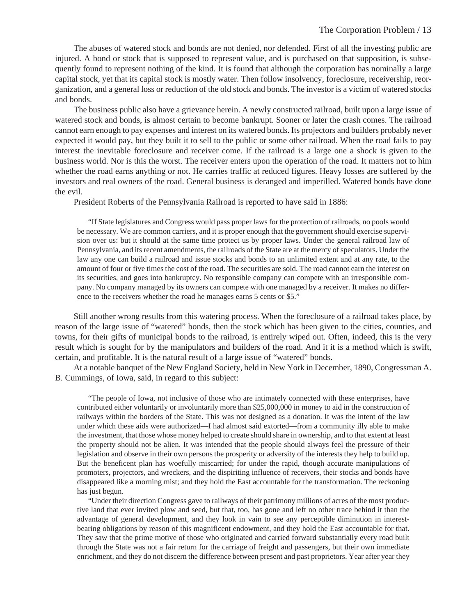The abuses of watered stock and bonds are not denied, nor defended. First of all the investing public are injured. A bond or stock that is supposed to represent value, and is purchased on that supposition, is subsequently found to represent nothing of the kind. It is found that although the corporation has nominally a large capital stock, yet that its capital stock is mostly water. Then follow insolvency, foreclosure, receivership, reorganization, and a general loss or reduction of the old stock and bonds. The investor is a victim of watered stocks and bonds.

The business public also have a grievance herein. A newly constructed railroad, built upon a large issue of watered stock and bonds, is almost certain to become bankrupt. Sooner or later the crash comes. The railroad cannot earn enough to pay expenses and interest on its watered bonds. Its projectors and builders probably never expected it would pay, but they built it to sell to the public or some other railroad. When the road fails to pay interest the inevitable foreclosure and receiver come. If the railroad is a large one a shock is given to the business world. Nor is this the worst. The receiver enters upon the operation of the road. It matters not to him whether the road earns anything or not. He carries traffic at reduced figures. Heavy losses are suffered by the investors and real owners of the road. General business is deranged and imperilled. Watered bonds have done the evil.

President Roberts of the Pennsylvania Railroad is reported to have said in 1886:

"If State legislatures and Congress would pass proper laws for the protection of railroads, no pools would be necessary. We are common carriers, and it is proper enough that the government should exercise supervision over us: but it should at the same time protect us by proper laws. Under the general railroad law of Pennsylvania, and its recent amendments, the railroads of the State are at the mercy of speculators. Under the law any one can build a railroad and issue stocks and bonds to an unlimited extent and at any rate, to the amount of four or five times the cost of the road. The securities are sold. The road cannot earn the interest on its securities, and goes into bankruptcy. No responsible company can compete with an irresponsible company. No company managed by its owners can compete with one managed by a receiver. It makes no difference to the receivers whether the road he manages earns 5 cents or \$5."

Still another wrong results from this watering process. When the foreclosure of a railroad takes place, by reason of the large issue of "watered" bonds, then the stock which has been given to the cities, counties, and towns, for their gifts of municipal bonds to the railroad, is entirely wiped out. Often, indeed, this is the very result which is sought for by the manipulators and builders of the road. And it it is a method which is swift, certain, and profitable. It is the natural result of a large issue of "watered" bonds.

At a notable banquet of the New England Society, held in New York in December, 1890, Congressman A. B. Cummings, of Iowa, said, in regard to this subject:

"The people of Iowa, not inclusive of those who are intimately connected with these enterprises, have contributed either voluntarily or involuntarily more than \$25,000,000 in money to aid in the construction of railways within the borders of the State. This was not designed as a donation. It was the intent of the law under which these aids were authorized—I had almost said extorted—from a community illy able to make the investment, that those whose money helped to create should share in ownership, and to that extent at least the property should not be alien. It was intended that the people should always feel the pressure of their legislation and observe in their own persons the prosperity or adversity of the interests they help to build up. But the beneficent plan has woefully miscarried; for under the rapid, though accurate manipulations of promoters, projectors, and wreckers, and the dispiriting influence of receivers, their stocks and bonds have disappeared like a morning mist; and they hold the East accountable for the transformation. The reckoning has just begun.

"Under their direction Congress gave to railways of their patrimony millions of acres of the most productive land that ever invited plow and seed, but that, too, has gone and left no other trace behind it than the advantage of general development, and they look in vain to see any perceptible diminution in interestbearing obligations by reason of this magnificent endowment, and they hold the East accountable for that. They saw that the prime motive of those who originated and carried forward substantially every road built through the State was not a fair return for the carriage of freight and passengers, but their own immediate enrichment, and they do not discern the difference between present and past proprietors. Year after year they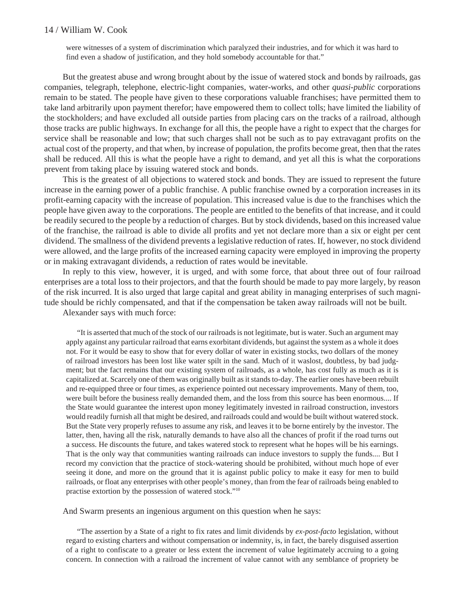were witnesses of a system of discrimination which paralyzed their industries, and for which it was hard to find even a shadow of justification, and they hold somebody accountable for that."

But the greatest abuse and wrong brought about by the issue of watered stock and bonds by railroads, gas companies, telegraph, telephone, electric-light companies, water-works, and other *quasi-public* corporations remain to be stated. The people have given to these corporations valuable franchises; have permitted them to take land arbitrarily upon payment therefor; have empowered them to collect tolls; have limited the liability of the stockholders; and have excluded all outside parties from placing cars on the tracks of a railroad, although those tracks are public highways. In exchange for all this, the people have a right to expect that the charges for service shall be reasonable and low; that such charges shall not be such as to pay extravagant profits on the actual cost of the property, and that when, by increase of population, the profits become great, then that the rates shall be reduced. All this is what the people have a right to demand, and yet all this is what the corporations prevent from taking place by issuing watered stock and bonds.

This is the greatest of all objections to watered stock and bonds. They are issued to represent the future increase in the earning power of a public franchise. A public franchise owned by a corporation increases in its profit-earning capacity with the increase of population. This increased value is due to the franchises which the people have given away to the corporations. The people are entitled to the benefits of that increase, and it could be readily secured to the people by a reduction of charges. But by stock dividends, based on this increased value of the franchise, the railroad is able to divide all profits and yet not declare more than a six or eight per cent dividend. The smallness of the dividend prevents a legislative reduction of rates. If, however, no stock dividend were allowed, and the large profits of the increased earning capacity were employed in improving the property or in making extravagant dividends, a reduction of rates would be inevitable.

In reply to this view, however, it is urged, and with some force, that about three out of four railroad enterprises are a total loss to their projectors, and that the fourth should be made to pay more largely, by reason of the risk incurred. It is also urged that large capital and great ability in managing enterprises of such magnitude should be richly compensated, and that if the compensation be taken away railroads will not be built.

Alexander says with much force:

"It is asserted that much of the stock of our railroads is not legitimate, but is water. Such an argument may apply against any particular railroad that earns exorbitant dividends, but against the system as a whole it does not. For it would be easy to show that for every dollar of water in existing stocks, two dollars of the money of railroad investors has been lost like water spilt in the sand. Much of it waslost, doubtless, by bad judgment; but the fact remains that our existing system of railroads, as a whole, has cost fully as much as it is capitalized at. Scarcely one of them was originally built as it stands to-day. The earlier ones have been rebuilt and re-equipped three or four times, as experience pointed out necessary improvements. Many of them, too, were built before the business really demanded them, and the loss from this source has been enormous.... If the State would guarantee the interest upon money legitimately invested in railroad construction, investors would readily furnish all that might be desired, and railroads could and would be built without watered stock. But the State very properly refuses to assume any risk, and leaves it to be borne entirely by the investor. The latter, then, having all the risk, naturally demands to have also all the chances of profit if the road turns out a success. He discounts the future, and takes watered stock to represent what he hopes will be his earnings. That is the only way that communities wanting railroads can induce investors to supply the funds.... But I record my conviction that the practice of stock-watering should be prohibited, without much hope of ever seeing it done, and more on the ground that it is against public policy to make it easy for men to build railroads, or float any enterprises with other people's money, than from the fear of railroads being enabled to practise extortion by the possession of watered stock."10

And Swarm presents an ingenious argument on this question when he says:

"The assertion by a State of a right to fix rates and limit dividends by *ex-post-facto* legislation, without regard to existing charters and without compensation or indemnity, is, in fact, the barely disguised assertion of a right to confiscate to a greater or less extent the increment of value legitimately accruing to a going concern. In connection with a railroad the increment of value cannot with any semblance of propriety be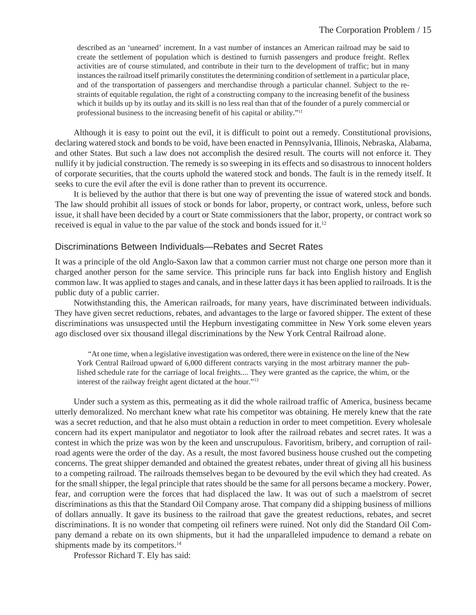described as an 'unearned' increment. In a vast number of instances an American railroad may be said to create the settlement of population which is destined to furnish passengers and produce freight. Reflex activities are of course stimulated, and contribute in their turn to the development of traffic; but in many instances the railroad itself primarily constitutes the determining condition of settlement in a particular place, and of the transportation of passengers and merchandise through a particular channel. Subject to the restraints of equitable regulation, the right of a constructing company to the increasing benefit of the business which it builds up by its outlay and its skill is no less real than that of the founder of a purely commercial or professional business to the increasing benefit of his capital or ability."11

Although it is easy to point out the evil, it is difficult to point out a remedy. Constitutional provisions, declaring watered stock and bonds to be void, have been enacted in Pennsylvania, Illinois, Nebraska, Alabama, and other States. But such a law does not accomplish the desired result. The courts will not enforce it. They nullify it by judicial construction. The remedy is so sweeping in its effects and so disastrous to innocent holders of corporate securities, that the courts uphold the watered stock and bonds. The fault is in the remedy itself. It seeks to cure the evil after the evil is done rather than to prevent its occurrence.

It is believed by the author that there is but one way of preventing the issue of watered stock and bonds. The law should prohibit all issues of stock or bonds for labor, property, or contract work, unless, before such issue, it shall have been decided by a court or State commissioners that the labor, property, or contract work so received is equal in value to the par value of the stock and bonds issued for it.12

#### Discriminations Between Individuals—Rebates and Secret Rates

It was a principle of the old Anglo-Saxon law that a common carrier must not charge one person more than it charged another person for the same service. This principle runs far back into English history and English common law. It was applied to stages and canals, and in these latter days it has been applied to railroads. It is the public duty of a public carrier.

Notwithstanding this, the American railroads, for many years, have discriminated between individuals. They have given secret reductions, rebates, and advantages to the large or favored shipper. The extent of these discriminations was unsuspected until the Hepburn investigating committee in New York some eleven years ago disclosed over six thousand illegal discriminations by the New York Central Railroad alone.

"At one time, when a legislative investigation was ordered, there were in existence on the line of the New York Central Railroad upward of 6,000 different contracts varying in the most arbitrary manner the published schedule rate for the carriage of local freights.... They were granted as the caprice, the whim, or the interest of the railway freight agent dictated at the hour."13

Under such a system as this, permeating as it did the whole railroad traffic of America, business became utterly demoralized. No merchant knew what rate his competitor was obtaining. He merely knew that the rate was a secret reduction, and that he also must obtain a reduction in order to meet competition. Every wholesale concern had its expert manipulator and negotiator to look after the railroad rebates and secret rates. It was a contest in which the prize was won by the keen and unscrupulous. Favoritism, bribery, and corruption of railroad agents were the order of the day. As a result, the most favored business house crushed out the competing concerns. The great shipper demanded and obtained the greatest rebates, under threat of giving all his business to a competing railroad. The railroads themselves began to be devoured by the evil which they had created. As for the small shipper, the legal principle that rates should be the same for all persons became a mockery. Power, fear, and corruption were the forces that had displaced the law. It was out of such a maelstrom of secret discriminations as this that the Standard Oil Company arose. That company did a shipping business of millions of dollars annually. It gave its business to the railroad that gave the greatest reductions, rebates, and secret discriminations. It is no wonder that competing oil refiners were ruined. Not only did the Standard Oil Company demand a rebate on its own shipments, but it had the unparalleled impudence to demand a rebate on shipments made by its competitors.<sup>14</sup>

Professor Richard T. Ely has said: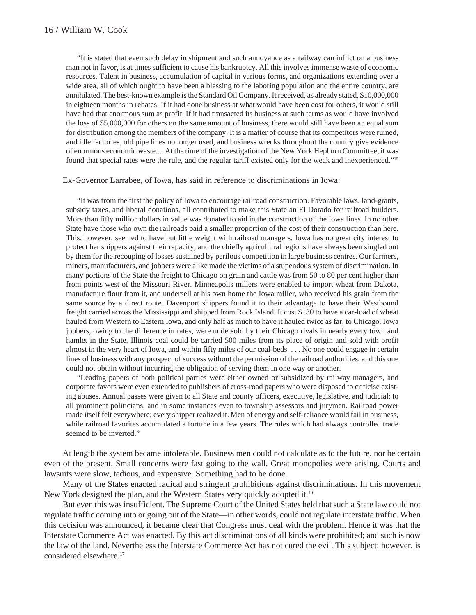"It is stated that even such delay in shipment and such annoyance as a railway can inflict on a business man not in favor, is at times sufficient to cause his bankruptcy. All this involves immense waste of economic resources. Talent in business, accumulation of capital in various forms, and organizations extending over a wide area, all of which ought to have been a blessing to the laboring population and the entire country, are annihilated. The best-known example is the Standard Oil Company. It received, as already stated, \$10,000,000 in eighteen months in rebates. If it had done business at what would have been cost for others, it would still have had that enormous sum as profit. If it had transacted its business at such terms as would have involved the loss of \$5,000,000 for others on the same amount of business, there would still have been an equal sum for distribution among the members of the company. It is a matter of course that its competitors were ruined, and idle factories, old pipe lines no longer used, and business wrecks throughout the country give evidence of enormous economic waste.... At the time of the investigation of the New York Hepburn Committee, it was found that special rates were the rule, and the regular tariff existed only for the weak and inexperienced."15

Ex-Governor Larrabee, of Iowa, has said in reference to discriminations in Iowa:

"It was from the first the policy of Iowa to encourage railroad construction. Favorable laws, land-grants, subsidy taxes, and liberal donations, all contributed to make this State an El Dorado for railroad builders. More than fifty million dollars in value was donated to aid in the construction of the Iowa lines. In no other State have those who own the railroads paid a smaller proportion of the cost of their construction than here. This, however, seemed to have but little weight with railroad managers. Iowa has no great city interest to protect her shippers against their rapacity, and the chiefly agricultural regions have always been singled out by them for the recouping of losses sustained by perilous competition in large business centres. Our farmers, miners, manufacturers, and jobbers were alike made the victims of a stupendous system of discrimination. In many portions of the State the freight to Chicago on grain and cattle was from 50 to 80 per cent higher than from points west of the Missouri River. Minneapolis millers were enabled to import wheat from Dakota, manufacture flour from it, and undersell at his own home the Iowa miller, who received his grain from the same source by a direct route. Davenport shippers found it to their advantage to have their Westbound freight carried across the Mississippi and shipped from Rock Island. It cost \$130 to have a car-load of wheat hauled from Western to Eastern Iowa, and only half as much to have it hauled twice as far, to Chicago. Iowa jobbers, owing to the difference in rates, were undersold by their Chicago rivals in nearly every town and hamlet in the State. Illinois coal could be carried 500 miles from its place of origin and sold with profit almost in the very heart of Iowa, and within fifty miles of our coal-beds. . . . No one could engage in certain lines of business with any prospect of success without the permission of the railroad authorities, and this one could not obtain without incurring the obligation of serving them in one way or another.

"Leading papers of both political parties were either owned or subsidized by railway managers, and corporate favors were even extended to publishers of cross-road papers who were disposed to criticise existing abuses. Annual passes were given to all State and county officers, executive, legislative, and judicial; to all prominent politicians; and in some instances even to township assessors and jurymen. Railroad power made itself felt everywhere; every shipper realized it. Men of energy and self-reliance would fail in business, while railroad favorites accumulated a fortune in a few years. The rules which had always controlled trade seemed to be inverted."

At length the system became intolerable. Business men could not calculate as to the future, nor be certain even of the present. Small concerns were fast going to the wall. Great monopolies were arising. Courts and lawsuits were slow, tedious, and expensive. Something had to be done.

Many of the States enacted radical and stringent prohibitions against discriminations. In this movement New York designed the plan, and the Western States very quickly adopted it.<sup>16</sup>

But even this was insufficient. The Supreme Court of the United States held that such a State law could not regulate traffic coming into or going out of the State—in other words, could not regulate interstate traffic. When this decision was announced, it became clear that Congress must deal with the problem. Hence it was that the Interstate Commerce Act was enacted. By this act discriminations of all kinds were prohibited; and such is now the law of the land. Nevertheless the Interstate Commerce Act has not cured the evil. This subject; however, is considered elsewhere.17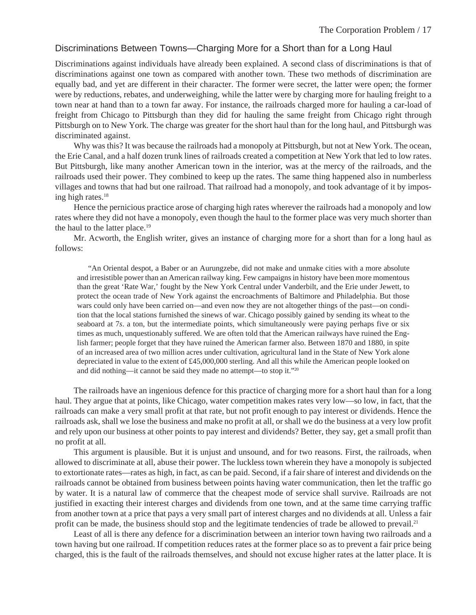## Discriminations Between Towns—Charging More for a Short than for a Long Haul

Discriminations against individuals have already been explained. A second class of discriminations is that of discriminations against one town as compared with another town. These two methods of discrimination are equally bad, and yet are different in their character. The former were secret, the latter were open; the former were by reductions, rebates, and underweighing, while the latter were by charging more for hauling freight to a town near at hand than to a town far away. For instance, the railroads charged more for hauling a car-load of freight from Chicago to Pittsburgh than they did for hauling the same freight from Chicago right through Pittsburgh on to New York. The charge was greater for the short haul than for the long haul, and Pittsburgh was discriminated against.

Why was this? It was because the railroads had a monopoly at Pittsburgh, but not at New York. The ocean, the Erie Canal, and a half dozen trunk lines of railroads created a competition at New York that led to low rates. But Pittsburgh, like many another American town in the interior, was at the mercy of the railroads, and the railroads used their power. They combined to keep up the rates. The same thing happened also in numberless villages and towns that had but one railroad. That railroad had a monopoly, and took advantage of it by imposing high rates. $18$ 

Hence the pernicious practice arose of charging high rates wherever the railroads had a monopoly and low rates where they did not have a monopoly, even though the haul to the former place was very much shorter than the haul to the latter place.<sup>19</sup>

Mr. Acworth, the English writer, gives an instance of charging more for a short than for a long haul as follows:

"An Oriental despot, a Baber or an Aurungzebe, did not make and unmake cities with a more absolute and irresistible power than an American railway king. Few campaigns in history have been more momentous than the great 'Rate War,' fought by the New York Central under Vanderbilt, and the Erie under Jewett, to protect the ocean trade of New York against the encroachments of Baltimore and Philadelphia. But those wars could only have been carried on—and even now they are not altogether things of the past—on condition that the local stations furnished the sinews of war. Chicago possibly gained by sending its wheat to the seaboard at 7*s*. a ton, but the intermediate points, which simultaneously were paying perhaps five or six times as much, unquestionably suffered. We are often told that the American railways have ruined the English farmer; people forget that they have ruined the American farmer also. Between 1870 and 1880, in spite of an increased area of two million acres under cultivation, agricultural land in the State of New York alone depreciated in value to the extent of £45,000,000 sterling. And all this while the American people looked on and did nothing—it cannot be said they made no attempt—to stop it."20

The railroads have an ingenious defence for this practice of charging more for a short haul than for a long haul. They argue that at points, like Chicago, water competition makes rates very low—so low, in fact, that the railroads can make a very small profit at that rate, but not profit enough to pay interest or dividends. Hence the railroads ask, shall we lose the business and make no profit at all, or shall we do the business at a very low profit and rely upon our business at other points to pay interest and dividends? Better, they say, get a small profit than no profit at all.

This argument is plausible. But it is unjust and unsound, and for two reasons. First, the railroads, when allowed to discriminate at all, abuse their power. The luckless town wherein they have a monopoly is subjected to extortionate rates—rates as high, in fact, as can be paid. Second, if a fair share of interest and dividends on the railroads cannot be obtained from business between points having water communication, then let the traffic go by water. It is a natural law of commerce that the cheapest mode of service shall survive. Railroads are not justified in exacting their interest charges and dividends from one town, and at the same time carrying traffic from another town at a price that pays a very small part of interest charges and no dividends at all. Unless a fair profit can be made, the business should stop and the legitimate tendencies of trade be allowed to prevail.<sup>21</sup>

Least of all is there any defence for a discrimination between an interior town having two railroads and a town having but one railroad. If competition reduces rates at the former place so as to prevent a fair price being charged, this is the fault of the railroads themselves, and should not excuse higher rates at the latter place. It is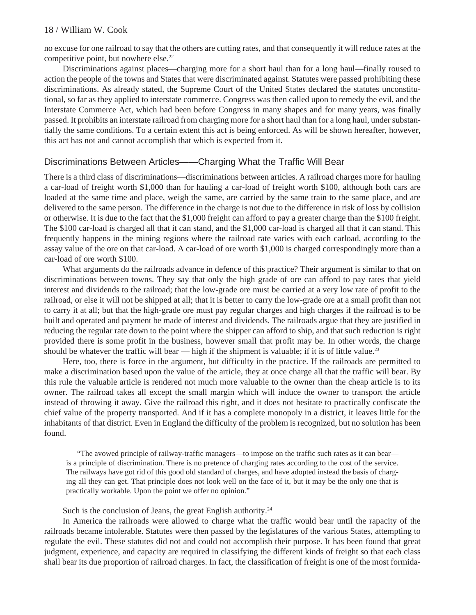no excuse for one railroad to say that the others are cutting rates, and that consequently it will reduce rates at the competitive point, but nowhere else.<sup>22</sup>

Discriminations against places—charging more for a short haul than for a long haul—finally roused to action the people of the towns and States that were discriminated against. Statutes were passed prohibiting these discriminations. As already stated, the Supreme Court of the United States declared the statutes unconstitutional, so far as they applied to interstate commerce. Congress was then called upon to remedy the evil, and the Interstate Commerce Act, which had been before Congress in many shapes and for many years, was finally passed. It prohibits an interstate railroad from charging more for a short haul than for a long haul, under substantially the same conditions. To a certain extent this act is being enforced. As will be shown hereafter, however, this act has not and cannot accomplish that which is expected from it.

## Discriminations Between Articles——Charging What the Traffic Will Bear

There is a third class of discriminations—discriminations between articles. A railroad charges more for hauling a car-load of freight worth \$1,000 than for hauling a car-load of freight worth \$100, although both cars are loaded at the same time and place, weigh the same, are carried by the same train to the same place, and are delivered to the same person. The difference in the charge is not due to the difference in risk of loss by collision or otherwise. It is due to the fact that the \$1,000 freight can afford to pay a greater charge than the \$100 freight. The \$100 car-load is charged all that it can stand, and the \$1,000 car-load is charged all that it can stand. This frequently happens in the mining regions where the railroad rate varies with each carload, according to the assay value of the ore on that car-load. A car-load of ore worth \$1,000 is charged correspondingly more than a car-load of ore worth \$100.

What arguments do the railroads advance in defence of this practice? Their argument is similar to that on discriminations between towns. They say that only the high grade of ore can afford to pay rates that yield interest and dividends to the railroad; that the low-grade ore must be carried at a very low rate of profit to the railroad, or else it will not be shipped at all; that it is better to carry the low-grade ore at a small profit than not to carry it at all; but that the high-grade ore must pay regular charges and high charges if the railroad is to be built and operated and payment be made of interest and dividends. The railroads argue that they are justified in reducing the regular rate down to the point where the shipper can afford to ship, and that such reduction is right provided there is some profit in the business, however small that profit may be. In other words, the charge should be whatever the traffic will bear — high if the shipment is valuable; if it is of little value.<sup>23</sup>

Here, too, there is force in the argument, but difficulty in the practice. If the railroads are permitted to make a discrimination based upon the value of the article, they at once charge all that the traffic will bear. By this rule the valuable article is rendered not much more valuable to the owner than the cheap article is to its owner. The railroad takes all except the small margin which will induce the owner to transport the article instead of throwing it away. Give the railroad this right, and it does not hesitate to practically confiscate the chief value of the property transported. And if it has a complete monopoly in a district, it leaves little for the inhabitants of that district. Even in England the difficulty of the problem is recognized, but no solution has been found.

"The avowed principle of railway-traffic managers—to impose on the traffic such rates as it can bear is a principle of discrimination. There is no pretence of charging rates according to the cost of the service. The railways have got rid of this good old standard of charges, and have adopted instead the basis of charging all they can get. That principle does not look well on the face of it, but it may be the only one that is practically workable. Upon the point we offer no opinion."

Such is the conclusion of Jeans, the great English authority.<sup>24</sup>

In America the railroads were allowed to charge what the traffic would bear until the rapacity of the railroads became intolerable. Statutes were then passed by the legislatures of the various States, attempting to regulate the evil. These statutes did not and could not accomplish their purpose. It has been found that great judgment, experience, and capacity are required in classifying the different kinds of freight so that each class shall bear its due proportion of railroad charges. In fact, the classification of freight is one of the most formida-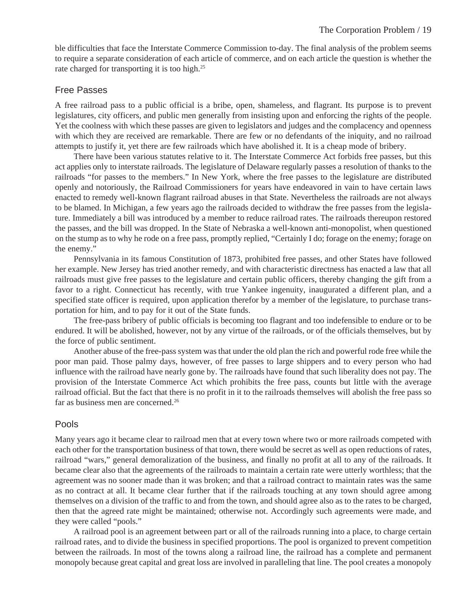ble difficulties that face the Interstate Commerce Commission to-day. The final analysis of the problem seems to require a separate consideration of each article of commerce, and on each article the question is whether the rate charged for transporting it is too high.25

## Free Passes

A free railroad pass to a public official is a bribe, open, shameless, and flagrant. Its purpose is to prevent legislatures, city officers, and public men generally from insisting upon and enforcing the rights of the people. Yet the coolness with which these passes are given to legislators and judges and the complacency and openness with which they are received are remarkable. There are few or no defendants of the iniquity, and no railroad attempts to justify it, yet there are few railroads which have abolished it. It is a cheap mode of bribery.

There have been various statutes relative to it. The Interstate Commerce Act forbids free passes, but this act applies only to interstate railroads. The legislature of Delaware regularly passes a resolution of thanks to the railroads "for passes to the members." In New York, where the free passes to the legislature are distributed openly and notoriously, the Railroad Commissioners for years have endeavored in vain to have certain laws enacted to remedy well-known flagrant railroad abuses in that State. Nevertheless the railroads are not always to be blamed. In Michigan, a few years ago the railroads decided to withdraw the free passes from the legislature. Immediately a bill was introduced by a member to reduce railroad rates. The railroads thereupon restored the passes, and the bill was dropped. In the State of Nebraska a well-known anti-monopolist, when questioned on the stump as to why he rode on a free pass, promptly replied, "Certainly I do; forage on the enemy; forage on the enemy."

Pennsylvania in its famous Constitution of 1873, prohibited free passes, and other States have followed her example. New Jersey has tried another remedy, and with characteristic directness has enacted a law that all railroads must give free passes to the legislature and certain public officers, thereby changing the gift from a favor to a right. Connecticut has recently, with true Yankee ingenuity, inaugurated a different plan, and a specified state officer is required, upon application therefor by a member of the legislature, to purchase transportation for him, and to pay for it out of the State funds.

The free-pass bribery of public officials is becoming too flagrant and too indefensible to endure or to be endured. It will be abolished, however, not by any virtue of the railroads, or of the officials themselves, but by the force of public sentiment.

Another abuse of the free-pass system was that under the old plan the rich and powerful rode free while the poor man paid. Those palmy days, however, of free passes to large shippers and to every person who had influence with the railroad have nearly gone by. The railroads have found that such liberality does not pay. The provision of the Interstate Commerce Act which prohibits the free pass, counts but little with the average railroad official. But the fact that there is no profit in it to the railroads themselves will abolish the free pass so far as business men are concerned.<sup>26</sup>

## Pools

Many years ago it became clear to railroad men that at every town where two or more railroads competed with each other for the transportation business of that town, there would be secret as well as open reductions of rates, railroad "wars," general demoralization of the business, and finally no profit at all to any of the railroads. It became clear also that the agreements of the railroads to maintain a certain rate were utterly worthless; that the agreement was no sooner made than it was broken; and that a railroad contract to maintain rates was the same as no contract at all. It became clear further that if the railroads touching at any town should agree among themselves on a division of the traffic to and from the town, and should agree also as to the rates to be charged, then that the agreed rate might be maintained; otherwise not. Accordingly such agreements were made, and they were called "pools."

A railroad pool is an agreement between part or all of the railroads running into a place, to charge certain railroad rates, and to divide the business in specified proportions. The pool is organized to prevent competition between the railroads. In most of the towns along a railroad line, the railroad has a complete and permanent monopoly because great capital and great loss are involved in paralleling that line. The pool creates a monopoly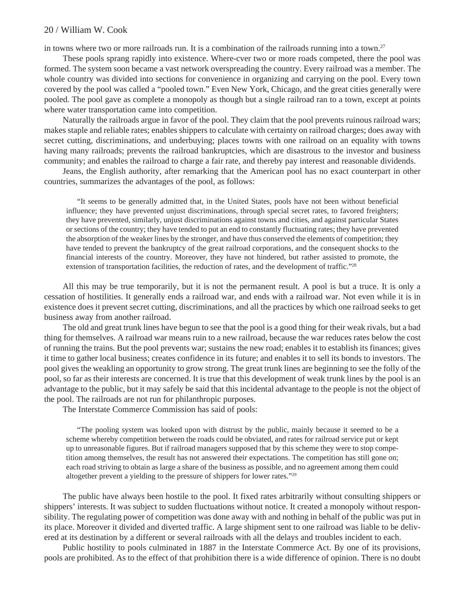in towns where two or more railroads run. It is a combination of the railroads running into a town.<sup>27</sup>

These pools sprang rapidly into existence. Where-cver two or more roads competed, there the pool was formed. The system soon became a vast network overspreading the country. Every railroad was a member. The whole country was divided into sections for convenience in organizing and carrying on the pool. Every town covered by the pool was called a "pooled town." Even New York, Chicago, and the great cities generally were pooled. The pool gave as complete a monopoly as though but a single railroad ran to a town, except at points where water transportation came into competition.

Naturally the railroads argue in favor of the pool. They claim that the pool prevents ruinous railroad wars; makes staple and reliable rates; enables shippers to calculate with certainty on railroad charges; does away with secret cutting, discriminations, and underbuying; places towns with one railroad on an equality with towns having many railroads; prevents the railroad bankruptcies, which are disastrous to the investor and business community; and enables the railroad to charge a fair rate, and thereby pay interest and reasonable dividends.

Jeans, the English authority, after remarking that the American pool has no exact counterpart in other countries, summarizes the advantages of the pool, as follows:

"It seems to be generally admitted that, in the United States, pools have not been without beneficial influence; they have prevented unjust discriminations, through special secret rates, to favored freighters; they have prevented, similarly, unjust discriminations against towns and cities, and against particular States or sections of the country; they have tended to put an end to constantly fluctuating rates; they have prevented the absorption of the weaker lines by the stronger, and have thus conserved the elements of competition; they have tended to prevent the bankruptcy of the great railroad corporations, and the consequent shocks to the financial interests of the country. Moreover, they have not hindered, but rather assisted to promote, the extension of transportation facilities, the reduction of rates, and the development of traffic."28

All this may be true temporarily, but it is not the permanent result. A pool is but a truce. It is only a cessation of hostilities. It generally ends a railroad war, and ends with a railroad war. Not even while it is in existence does it prevent secret cutting, discriminations, and all the practices by which one railroad seeks to get business away from another railroad.

The old and great trunk lines have begun to see that the pool is a good thing for their weak rivals, but a bad thing for themselves. A railroad war means ruin to a new railroad, because the war reduces rates below the cost of running the trains. But the pool prevents war; sustains the new road; enables it to establish its finances; gives it time to gather local business; creates confidence in its future; and enables it to sell its bonds to investors. The pool gives the weakling an opportunity to grow strong. The great trunk lines are beginning to see the folly of the pool, so far as their interests are concerned. It is true that this development of weak trunk lines by the pool is an advantage to the public, but it may safely be said that this incidental advantage to the people is not the object of the pool. The railroads are not run for philanthropic purposes.

The Interstate Commerce Commission has said of pools:

"The pooling system was looked upon with distrust by the public, mainly because it seemed to be a scheme whereby competition between the roads could be obviated, and rates for railroad service put or kept up to unreasonable figures. But if railroad managers supposed that by this scheme they were to stop competition among themselves, the result has not answered their expectations. The competition has still gone on; each road striving to obtain as large a share of the business as possible, and no agreement among them could altogether prevent a yielding to the pressure of shippers for lower rates."29

The public have always been hostile to the pool. It fixed rates arbitrarily without consulting shippers or shippers' interests. It was subject to sudden fluctuations without notice. It created a monopoly without responsibility. The regulating power of competition was done away with and nothing in behalf of the public was put in its place. Moreover it divided and diverted traffic. A large shipment sent to one railroad was liable to be delivered at its destination by a different or several railroads with all the delays and troubles incident to each.

Public hostility to pools culminated in 1887 in the Interstate Commerce Act. By one of its provisions, pools are prohibited. As to the effect of that prohibition there is a wide difference of opinion. There is no doubt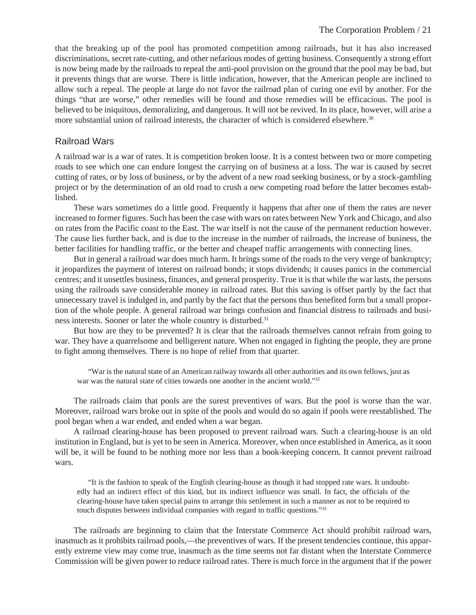that the breaking up of the pool has promoted competition among railroads, but it has also increased discriminations, secret rate-cutting, and other nefarious modes of getting business. Consequently a strong effort is now being made by the railroads to repeal the anti-pool provision on the ground that the pool may be bad, but it prevents things that are worse. There is little indication, however, that the American people are inclined to allow such a repeal. The people at large do not favor the railroad plan of curing one evil by another. For the things "that are worse," other remedies will be found and those remedies will be efficacious. The pool is believed to be iniquitous, demoralizing, and dangerous. It will not be revived. In its place, however, will arise a more substantial union of railroad interests, the character of which is considered elsewhere.<sup>30</sup>

## Railroad Wars

A railroad war is a war of rates. It is competition broken loose. It is a contest between two or more competing roads to see which one can endure longest the carrying on of business at a loss. The war is caused by secret cutting of rates, or by loss of business, or by the advent of a new road seeking business, or by a stock-gambling project or by the determination of an old road to crush a new competing road before the latter becomes established.

These wars sometimes do a little good. Frequently it happens that after one of them the rates are never increased to former figures. Such has been the case with wars on rates between New York and Chicago, and also on rates from the Pacific coast to the East. The war itself is not the cause of the permanent reduction however. The cause lies further back, and is due to the increase in the number of railroads, the increase of business, the better facilities for handling traffic, or the better and cheapef traffic arrangements with connecting lines.

But in general a railroad war does much harm. It brings some of the roads to the very verge of bankruptcy; it jeopardizes the payment of interest on railroad bonds; it stops dividends; it causes panics in the commercial centres; and it unsettles business, finances, and general prosperity. True it is that while the war lasts, the persons using the railroads save considerable money in railroad rates. But this saving is offset partly by the fact that unnecessary travel is indulged in, and partly by the fact that the persons thus benefited form but a small proportion of the whole people. A general railroad war brings confusion and financial distress to railroads and business interests. Sooner or later the whole country is disturbed.<sup>31</sup>

But how are they to be prevented? It is clear that the railroads themselves cannot refrain from going to war. They have a quarrelsome and belligerent nature. When not engaged in fighting the people, they are prone to fight among themselves. There is no hope of relief from that quarter.

"War is the natural state of an American railway towards all other authorities and its own fellows, just as war was the natural state of cities towards one another in the ancient world."<sup>32</sup>

The railroads claim that pools are the surest preventives of wars. But the pool is worse than the war. Moreover, railroad wars broke out in spite of the pools and would do so again if pools were reestablished. The pool began when a war ended, and ended when a war began.

A railroad clearing-house has been proposed to prevent railroad wars. Such a clearing-house is an old institution in England, but is yet to be seen in America. Moreover, when once established in America, as it soon will be, it will be found to be nothing more nor less than a book-keeping concern. It cannot prevent railroad wars.

"It is the fashion to speak of the English clearing-house as though it had stopped rate wars. It undoubtedly had an indirect effect of this kind, but its indirect influence was small. In fact, the officials of the clearing-house have taken special pains to arrange this settlement in such a manner as not to be required to touch disputes between individual companies with regard to traffic questions."33

The railroads are beginning to claim that the Interstate Commerce Act should prohibit railroad wars, inasmuch as it prohibits railroad pools,—the preventives of wars. If the present tendencies continue, this apparently extreme view may come true, inasmuch as the time seems not far distant when the Interstate Commerce Commission will be given power to reduce railroad rates. There is much force in the argument that if the power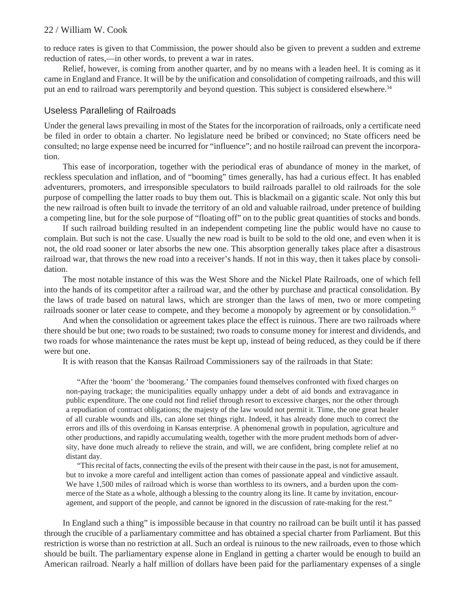to reduce rates is given to that Commission, the power should also be given to prevent a sudden and extreme reduction of rates,—in other words, to prevent a war in rates.

Relief, however, is coming from another quarter, and by no means with a leaden heel. It is coming as it came in England and France. It will be by the unification and consolidation of competing railroads, and this will put an end to railroad wars peremptorily and beyond question. This subject is considered elsewhere.<sup>34</sup>

## Useless Paralleling of Railroads

Under the general laws prevailing in most of the States for the incorporation of railroads, only a certificate need be filed in order to obtain a charter. No legislature need be bribed or convinced; no State officers need be consulted; no large expense need be incurred for "influence"; and no hostile railroad can prevent the incorporation.

This ease of incorporation, together with the periodical eras of abundance of money in the market, of reckless speculation and inflation, and of "booming" times generally, has had a curious effect. It has enabled adventurers, promoters, and irresponsible speculators to build railroads parallel to old railroads for the sole purpose of compelling the latter roads to buy them out. This is blackmail on a gigantic scale. Not only this but the new railroad is often built to invade the territory of an old and valuable railroad, under pretence of building a competing line, but for the sole purpose of "floating off" on to the public great quantities of stocks and bonds.

If such railroad building resulted in an independent competing line the public would have no cause to complain. But such is not the case. Usually the new road is built to be sold to the old one, and even when it is not, the old road sooner or later absorbs the new one. This absorption generally takes place after a disastrous railroad war, that throws the new road into a receiver's hands. If not in this way, then it takes place by consolidation.

The most notable instance of this was the West Shore and the Nickel Plate Railroads, one of which fell into the hands of its competitor after a railroad war, and the other by purchase and practical consolidation. By the laws of trade based on natural laws, which are stronger than the laws of men, two or more competing railroads sooner or later cease to compete, and they become a monopoly by agreement or by consolidation.<sup>35</sup>

And when the consolidation or agreement takes place the effect is ruinous. There are two railroads where there should be but one; two roads to be sustained; two roads to consume money for interest and dividends, and two roads for whose maintenance the rates must be kept up, instead of being reduced, as they could be if there were but one.

It is with reason that the Kansas Railroad Commissioners say of the railroads in that State:

"After the 'boom' the 'boomerang.' The companies found themselves confronted with fixed charges on non-paying trackage; the municipalities equally unhappy under a debt of aid bonds and extravagance in public expenditure. The one could not find relief through resort to excessive charges, nor the other through a repudiation of contract obligations; the majesty of the law would not permit it. Time, the one great healer of all curable wounds and ills, can alone set things right. Indeed, it has already done much to correct the errors and ills of this overdoing in Kansas enterprise. A phenomenal growth in population, agriculture and other productions, and rapidly accumulating wealth, together with the more prudent methods born of adversity, have done much already to relieve the strain, and will, we are confident, bring complete relief at no distant day.

"This recital of facts, connecting the evils of the present with their cause in the past, is not for amusement, but to invoke a more careful and intelligent action than comes of passionate appeal and vindictive assault. We have 1,500 miles of railroad which is worse than worthless to its owners, and a burden upon the commerce of the State as a whole, although a blessing to the country along its line. It came by invitation, encouragement, and support of the people, and cannot be ignored in the discussion of rate-making for the rest."

In England such a thing" is impossible because in that country no railroad can be built until it has passed through the crucible of a parliamentary committee and has obtained a special charter from Parliament. But this restriction is worse than no restriction at all. Such an ordeal is ruinous to the new railroads, even to those which should be built. The parliamentary expense alone in England in getting a charter would be enough to build an American railroad. Nearly a half million of dollars have been paid for the parliamentary expenses of a single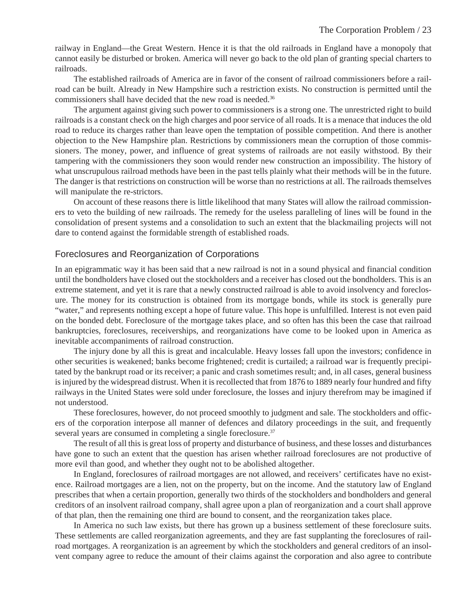railway in England—the Great Western. Hence it is that the old railroads in England have a monopoly that cannot easily be disturbed or broken. America will never go back to the old plan of granting special charters to railroads.

The established railroads of America are in favor of the consent of railroad commissioners before a railroad can be built. Already in New Hampshire such a restriction exists. No construction is permitted until the commissioners shall have decided that the new road is needed.<sup>36</sup>

The argument against giving such power to commissioners is a strong one. The unrestricted right to build railroads is a constant check on the high charges and poor service of all roads. It is a menace that induces the old road to reduce its charges rather than leave open the temptation of possible competition. And there is another objection to the New Hampshire plan. Restrictions by commissioners mean the corruption of those commissioners. The money, power, and influence of great systems of railroads are not easily withstood. By their tampering with the commissioners they soon would render new construction an impossibility. The history of what unscrupulous railroad methods have been in the past tells plainly what their methods will be in the future. The danger is that restrictions on construction will be worse than no restrictions at all. The railroads themselves will manipulate the re-strictors.

On account of these reasons there is little likelihood that many States will allow the railroad commissioners to veto the building of new railroads. The remedy for the useless paralleling of lines will be found in the consolidation of present systems and a consolidation to such an extent that the blackmailing projects will not dare to contend against the formidable strength of established roads.

## Foreclosures and Reorganization of Corporations

In an epigrammatic way it has been said that a new railroad is not in a sound physical and financial condition until the bondholders have closed out the stockholders and a receiver has closed out the bondholders. This is an extreme statement, and yet it is rare that a newly constructed railroad is able to avoid insolvency and foreclosure. The money for its construction is obtained from its mortgage bonds, while its stock is generally pure "water," and represents nothing except a hope of future value. This hope is unfulfilled. Interest is not even paid on the bonded debt. Foreclosure of the mortgage takes place, and so often has this been the case that railroad bankruptcies, foreclosures, receiverships, and reorganizations have come to be looked upon in America as inevitable accompaniments of railroad construction.

The injury done by all this is great and incalculable. Heavy losses fall upon the investors; confidence in other securities is weakened; banks become frightened; credit is curtailed; a railroad war is frequently precipitated by the bankrupt road or its receiver; a panic and crash sometimes result; and, in all cases, general business is injured by the widespread distrust. When it is recollected that from 1876 to 1889 nearly four hundred and fifty railways in the United States were sold under foreclosure, the losses and injury therefrom may be imagined if not understood.

These foreclosures, however, do not proceed smoothly to judgment and sale. The stockholders and officers of the corporation interpose all manner of defences and dilatory proceedings in the suit, and frequently several years are consumed in completing a single foreclosure.<sup>37</sup>

The result of all this is great loss of property and disturbance of business, and these losses and disturbances have gone to such an extent that the question has arisen whether railroad foreclosures are not productive of more evil than good, and whether they ought not to be abolished altogether.

In England, foreclosures of railroad mortgages are not allowed, and receivers' certificates have no existence. Railroad mortgages are a lien, not on the property, but on the income. And the statutory law of England prescribes that when a certain proportion, generally two thirds of the stockholders and bondholders and general creditors of an insolvent railroad company, shall agree upon a plan of reorganization and a court shall approve of that plan, then the remaining one third are bound to consent, and the reorganization takes place.

In America no such law exists, but there has grown up a business settlement of these foreclosure suits. These settlements are called reorganization agreements, and they are fast supplanting the foreclosures of railroad mortgages. A reorganization is an agreement by which the stockholders and general creditors of an insolvent company agree to reduce the amount of their claims against the corporation and also agree to contribute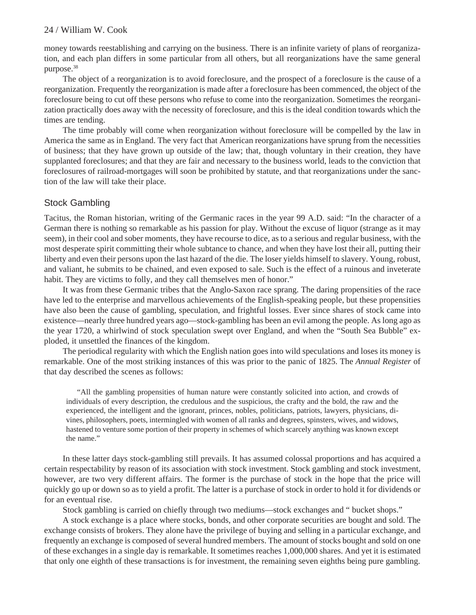money towards reestablishing and carrying on the business. There is an infinite variety of plans of reorganization, and each plan differs in some particular from all others, but all reorganizations have the same general purpose.38

The object of a reorganization is to avoid foreclosure, and the prospect of a foreclosure is the cause of a reorganization. Frequently the reorganization is made after a foreclosure has been commenced, the object of the foreclosure being to cut off these persons who refuse to come into the reorganization. Sometimes the reorganization practically does away with the necessity of foreclosure, and this is the ideal condition towards which the times are tending.

The time probably will come when reorganization without foreclosure will be compelled by the law in America the same as in England. The very fact that American reorganizations have sprung from the necessities of business; that they have grown up outside of the law; that, though voluntary in their creation, they have supplanted foreclosures; and that they are fair and necessary to the business world, leads to the conviction that foreclosures of railroad-mortgages will soon be prohibited by statute, and that reorganizations under the sanction of the law will take their place.

#### Stock Gambling

Tacitus, the Roman historian, writing of the Germanic races in the year 99 A.D. said: "In the character of a German there is nothing so remarkable as his passion for play. Without the excuse of liquor (strange as it may seem), in their cool and sober moments, they have recourse to dice, as to a serious and regular business, with the most desperate spirit committing their whole subtance to chance, and when they have lost their all, putting their liberty and even their persons upon the last hazard of the die. The loser yields himself to slavery. Young, robust, and valiant, he submits to be chained, and even exposed to sale. Such is the effect of a ruinous and inveterate habit. They are victims to folly, and they call themselves men of honor."

It was from these Germanic tribes that the Anglo-Saxon race sprang. The daring propensities of the race have led to the enterprise and marvellous achievements of the English-speaking people, but these propensities have also been the cause of gambling, speculation, and frightful losses. Ever since shares of stock came into existence—nearly three hundred years ago—stock-gambling has been an evil among the people. As long ago as the year 1720, a whirlwind of stock speculation swept over England, and when the "South Sea Bubble" exploded, it unsettled the finances of the kingdom.

The periodical regularity with which the English nation goes into wild speculations and loses its money is remarkable. One of the most striking instances of this was prior to the panic of 1825. The *Annual Register* of that day described the scenes as follows:

"All the gambling propensities of human nature were constantly solicited into action, and crowds of individuals of every description, the credulous and the suspicious, the crafty and the bold, the raw and the experienced, the intelligent and the ignorant, princes, nobles, politicians, patriots, lawyers, physicians, divines, philosophers, poets, intermingled with women of all ranks and degrees, spinsters, wives, and widows, hastened to venture some portion of their property in schemes of which scarcely anything was known except the name."

In these latter days stock-gambling still prevails. It has assumed colossal proportions and has acquired a certain respectability by reason of its association with stock investment. Stock gambling and stock investment, however, are two very different affairs. The former is the purchase of stock in the hope that the price will quickly go up or down so as to yield a profit. The latter is a purchase of stock in order to hold it for dividends or for an eventual rise.

Stock gambling is carried on chiefly through two mediums—stock exchanges and " bucket shops."

A stock exchange is a place where stocks, bonds, and other corporate securities are bought and sold. The exchange consists of brokers. They alone have the privilege of buying and selling in a particular exchange, and frequently an exchange is composed of several hundred members. The amount of stocks bought and sold on one of these exchanges in a single day is remarkable. It sometimes reaches 1,000,000 shares. And yet it is estimated that only one eighth of these transactions is for investment, the remaining seven eighths being pure gambling.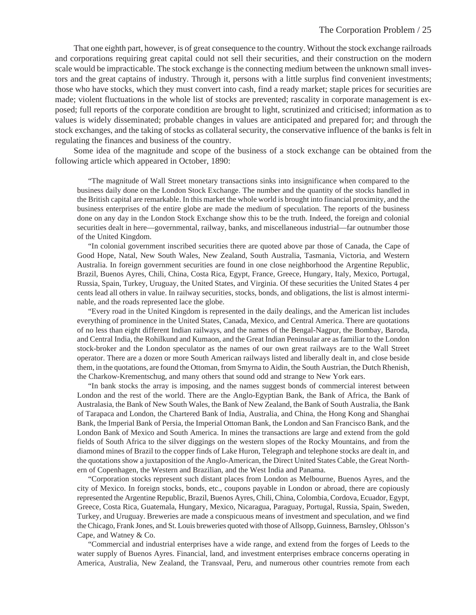That one eighth part, however, is of great consequence to the country. Without the stock exchange railroads and corporations requiring great capital could not sell their securities, and their construction on the modern scale would be impracticable. The stock exchange is the connecting medium between the unknown small investors and the great captains of industry. Through it, persons with a little surplus find convenient investments; those who have stocks, which they must convert into cash, find a ready market; staple prices for securities are made; violent fluctuations in the whole list of stocks are prevented; rascality in corporate management is exposed; full reports of the corporate condition are brought to light, scrutinized and criticised; information as to values is widely disseminated; probable changes in values are anticipated and prepared for; and through the stock exchanges, and the taking of stocks as collateral security, the conservative influence of the banks is felt in regulating the finances and business of the country.

Some idea of the magnitude and scope of the business of a stock exchange can be obtained from the following article which appeared in October, 1890:

"The magnitude of Wall Street monetary transactions sinks into insignificance when compared to the business daily done on the London Stock Exchange. The number and the quantity of the stocks handled in the British capital are remarkable. In this market the whole world is brought into financial proximity, and the business enterprises of the entire globe are made the medium of speculation. The reports of the business done on any day in the London Stock Exchange show this to be the truth. Indeed, the foreign and colonial securities dealt in here—governmental, railway, banks, and miscellaneous industrial—far outnumber those of the United Kingdom.

"In colonial government inscribed securities there are quoted above par those of Canada, the Cape of Good Hope, Natal, New South Wales, New Zealand, South Australia, Tasmania, Victoria, and Western Australia. In foreign government securities are found in one close neighborhood the Argentine Republic, Brazil, Buenos Ayres, Chili, China, Costa Rica, Egypt, France, Greece, Hungary, Italy, Mexico, Portugal, Russia, Spain, Turkey, Uruguay, the United States, and Virginia. Of these securities the United States 4 per cents lead all others in value. In railway securities, stocks, bonds, and obligations, the list is almost interminable, and the roads represented lace the globe.

"Every road in the United Kingdom is represented in the daily dealings, and the American list includes everything of prominence in the United States, Canada, Mexico, and Central America. There are quotations of no less than eight different Indian railways, and the names of the Bengal-Nagpur, the Bombay, Baroda, and Central India, the Rohilkund and Kumaon, and the Great Indian Peninsular are as familiar to the London stock-broker and the London speculator as the names of our own great railways are to the Wall Street operator. There are a dozen or more South American railways listed and liberally dealt in, and close beside them, in the quotations, are found the Ottoman, from Smyrna to Aidin, the South Austrian, the Dutch Rhenish, the Charkow-Krementschug, and many others that sound odd and strange to New York ears.

"In bank stocks the array is imposing, and the names suggest bonds of commercial interest between London and the rest of the world. There are the Anglo-Egyptian Bank, the Bank of Africa, the Bank of Australasia, the Bank of New South Wales, the Bank of New Zealand, the Bank of South Australia, the Bank of Tarapaca and London, the Chartered Bank of India, Australia, and China, the Hong Kong and Shanghai Bank, the Imperial Bank of Persia, the Imperial Ottoman Bank, the London and San Francisco Bank, and the London Bank of Mexico and South America. In mines the transactions are large and extend from the gold fields of South Africa to the silver diggings on the western slopes of the Rocky Mountains, and from the diamond mines of Brazil to the copper finds of Lake Huron, Telegraph and telephone stocks are dealt in, and the quotations show a juxtaposition of the Anglo-American, the Direct United States Cable, the Great Northern of Copenhagen, the Western and Brazilian, and the West India and Panama.

"Corporation stocks represent such distant places from London as Melbourne, Buenos Ayres, and the city of Mexico. In foreign stocks, bonds, etc., coupons payable in London or abroad, there are copiously represented the Argentine Republic, Brazil, Buenos Ayres, Chili, China, Colombia, Cordova, Ecuador, Egypt, Greece, Costa Rica, Guatemala, Hungary, Mexico, Nicaragua, Paraguay, Portugal, Russia, Spain, Sweden, Turkey, and Uruguay. Breweries are made a conspicuous means of investment and speculation, and we find the Chicago, Frank Jones, and St. Louis breweries quoted with those of Allsopp, Guinness, Barnsley, Ohlsson's Cape, and Watney & Co.

"Commercial and industrial enterprises have a wide range, and extend from the forges of Leeds to the water supply of Buenos Ayres. Financial, land, and investment enterprises embrace concerns operating in America, Australia, New Zealand, the Transvaal, Peru, and numerous other countries remote from each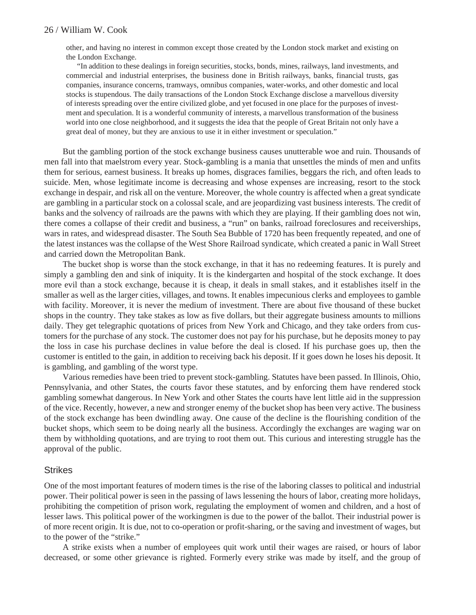other, and having no interest in common except those created by the London stock market and existing on the London Exchange.

"In addition to these dealings in foreign securities, stocks, bonds, mines, railways, land investments, and commercial and industrial enterprises, the business done in British railways, banks, financial trusts, gas companies, insurance concerns, tramways, omnibus companies, water-works, and other domestic and local stocks is stupendous. The daily transactions of the London Stock Exchange disclose a marvellous diversity of interests spreading over the entire civilized globe, and yet focused in one place for the purposes of investment and speculation. It is a wonderful community of interests, a marvellous transformation of the business world into one close neighborhood, and it suggests the idea that the people of Great Britain not only have a great deal of money, but they are anxious to use it in either investment or speculation."

But the gambling portion of the stock exchange business causes unutterable woe and ruin. Thousands of men fall into that maelstrom every year. Stock-gambling is a mania that unsettles the minds of men and unfits them for serious, earnest business. It breaks up homes, disgraces families, beggars the rich, and often leads to suicide. Men, whose legitimate income is decreasing and whose expenses are increasing, resort to the stock exchange in despair, and risk all on the venture. Moreover, the whole country is affected when a great syndicate are gambling in a particular stock on a colossal scale, and are jeopardizing vast business interests. The credit of banks and the solvency of railroads are the pawns with which they are playing. If their gambling does not win, there comes a collapse of their credit and business, a "run" on banks, railroad foreclosures and receiverships, wars in rates, and widespread disaster. The South Sea Bubble of 1720 has been frequently repeated, and one of the latest instances was the collapse of the West Shore Railroad syndicate, which created a panic in Wall Street and carried down the Metropolitan Bank.

The bucket shop is worse than the stock exchange, in that it has no redeeming features. It is purely and simply a gambling den and sink of iniquity. It is the kindergarten and hospital of the stock exchange. It does more evil than a stock exchange, because it is cheap, it deals in small stakes, and it establishes itself in the smaller as well as the larger cities, villages, and towns. It enables impecunious clerks and employees to gamble with facility. Moreover, it is never the medium of investment. There are about five thousand of these bucket shops in the country. They take stakes as low as five dollars, but their aggregate business amounts to millions daily. They get telegraphic quotations of prices from New York and Chicago, and they take orders from customers for the purchase of any stock. The customer does not pay for his purchase, but he deposits money to pay the loss in case his purchase declines in value before the deal is closed. If his purchase goes up, then the customer is entitled to the gain, in addition to receiving back his deposit. If it goes down he loses his deposit. It is gambling, and gambling of the worst type.

Various remedies have been tried to prevent stock-gambling. Statutes have been passed. In Illinois, Ohio, Pennsylvania, and other States, the courts favor these statutes, and by enforcing them have rendered stock gambling somewhat dangerous. In New York and other States the courts have lent little aid in the suppression of the vice. Recently, however, a new and stronger enemy of the bucket shop has been very active. The business of the stock exchange has been dwindling away. One cause of the decline is the flourishing condition of the bucket shops, which seem to be doing nearly all the business. Accordingly the exchanges are waging war on them by withholding quotations, and are trying to root them out. This curious and interesting struggle has the approval of the public.

#### **Strikes**

One of the most important features of modern times is the rise of the laboring classes to political and industrial power. Their political power is seen in the passing of laws lessening the hours of labor, creating more holidays, prohibiting the competition of prison work, regulating the employment of women and children, and a host of lesser laws. This political power of the workingmen is due to the power of the ballot. Their industrial power is of more recent origin. It is due, not to co-operation or profit-sharing, or the saving and investment of wages, but to the power of the "strike."

A strike exists when a number of employees quit work until their wages are raised, or hours of labor decreased, or some other grievance is righted. Formerly every strike was made by itself, and the group of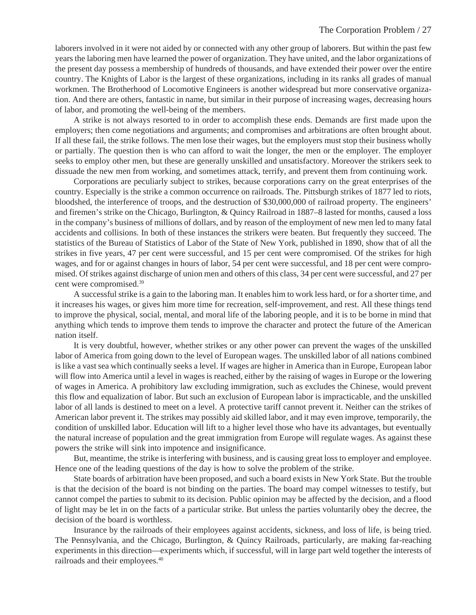laborers involved in it were not aided by or connected with any other group of laborers. But within the past few years the laboring men have learned the power of organization. They have united, and the labor organizations of the present day possess a membership of hundreds of thousands, and have extended their power over the entire country. The Knights of Labor is the largest of these organizations, including in its ranks all grades of manual workmen. The Brotherhood of Locomotive Engineers is another widespread but more conservative organization. And there are others, fantastic in name, but similar in their purpose of increasing wages, decreasing hours of labor, and promoting the well-being of the members.

A strike is not always resorted to in order to accomplish these ends. Demands are first made upon the employers; then come negotiations and arguments; and compromises and arbitrations are often brought about. If all these fail, the strike follows. The men lose their wages, but the employers must stop their business wholly or partially. The question then is who can afford to wait the longer, the men or the employer. The employer seeks to employ other men, but these are generally unskilled and unsatisfactory. Moreover the strikers seek to dissuade the new men from working, and sometimes attack, terrify, and prevent them from continuing work.

Corporations are peculiarly subject to strikes, because corporations carry on the great enterprises of the country. Especially is the strike a common occurrence on railroads. The. Pittsburgh strikes of 1877 led to riots, bloodshed, the interference of troops, and the destruction of \$30,000,000 of railroad property. The engineers' and firemen's strike on the Chicago, Burlington, & Quincy Railroad in 1887–8 lasted for months, caused a loss in the company's business of millions of dollars, and by reason of the employment of new men led to many fatal accidents and collisions. In both of these instances the strikers were beaten. But frequently they succeed. The statistics of the Bureau of Statistics of Labor of the State of New York, published in 1890, show that of all the strikes in five years, 47 per cent were successful, and 15 per cent were compromised. Of the strikes for high wages, and for or against changes in hours of labor, 54 per cent were successful, and 18 per cent were compromised. Of strikes against discharge of union men and others of this class, 34 per cent were successful, and 27 per cent were compromised.39

A successful strike is a gain to the laboring man. It enables him to work less hard, or for a shorter time, and it increases his wages, or gives him more time for recreation, self-improvement, and rest. All these things tend to improve the physical, social, mental, and moral life of the laboring people, and it is to be borne in mind that anything which tends to improve them tends to improve the character and protect the future of the American nation itself.

It is very doubtful, however, whether strikes or any other power can prevent the wages of the unskilled labor of America from going down to the level of European wages. The unskilled labor of all nations combined is like a vast sea which continually seeks a level. If wages are higher in America than in Europe, European labor will flow into America until a level in wages is reached, either by the raising of wages in Europe or the lowering of wages in America. A prohibitory law excluding immigration, such as excludes the Chinese, would prevent this flow and equalization of labor. But such an exclusion of European labor is impracticable, and the unskilled labor of all lands is destined to meet on a level. A protective tariff cannot prevent it. Neither can the strikes of American labor prevent it. The strikes may possibly aid skilled labor, and it may even improve, temporarily, the condition of unskilled labor. Education will lift to a higher level those who have its advantages, but eventually the natural increase of population and the great immigration from Europe will regulate wages. As against these powers the strike will sink into impotence and insignificance.

But, meantime, the strike is interfering with business, and is causing great loss to employer and employee. Hence one of the leading questions of the day is how to solve the problem of the strike.

State boards of arbitration have been proposed, and such a board exists in New York State. But the trouble is that the decision of the board is not binding on the parties. The board may compel witnesses to testify, but cannot compel the parties to submit to its decision. Public opinion may be affected by the decision, and a flood of light may be let in on the facts of a particular strike. But unless the parties voluntarily obey the decree, the decision of the board is worthless.

Insurance by the railroads of their employees against accidents, sickness, and loss of life, is being tried. The Pennsylvania, and the Chicago, Burlington, & Quincy Railroads, particularly, are making far-reaching experiments in this direction—experiments which, if successful, will in large part weld together the interests of railroads and their employees.<sup>40</sup>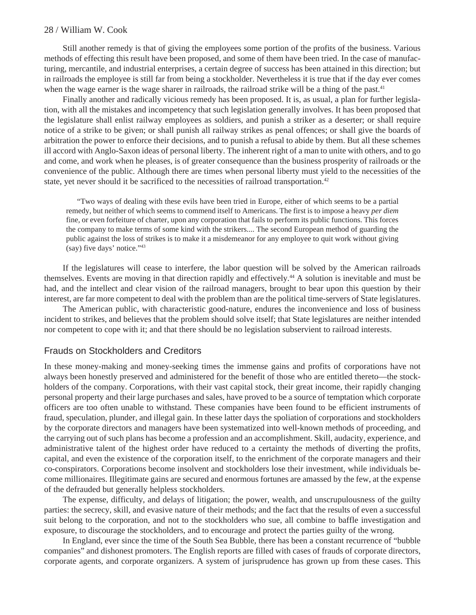Still another remedy is that of giving the employees some portion of the profits of the business. Various methods of effecting this result have been proposed, and some of them have been tried. In the case of manufacturing, mercantile, and industrial enterprises, a certain degree of success has been attained in this direction; but in railroads the employee is still far from being a stockholder. Nevertheless it is true that if the day ever comes when the wage earner is the wage sharer in railroads, the railroad strike will be a thing of the past.<sup>41</sup>

Finally another and radically vicious remedy has been proposed. It is, as usual, a plan for further legislation, with all the mistakes and incompetency that such legislation generally involves. It has been proposed that the legislature shall enlist railway employees as soldiers, and punish a striker as a deserter; or shall require notice of a strike to be given; or shall punish all railway strikes as penal offences; or shall give the boards of arbitration the power to enforce their decisions, and to punish a refusal to abide by them. But all these schemes ill accord with Anglo-Saxon ideas of personal liberty. The inherent right of a man to unite with others, and to go and come, and work when he pleases, is of greater consequence than the business prosperity of railroads or the convenience of the public. Although there are times when personal liberty must yield to the necessities of the state, yet never should it be sacrificed to the necessities of railroad transportation.<sup>42</sup>

"Two ways of dealing with these evils have been tried in Europe, either of which seems to be a partial remedy, but neither of which seems to commend itself to Americans. The first is to impose a heavy *per diem* fine, or even forfeiture of charter, upon any corporation that fails to perform its public functions. This forces the company to make terms of some kind with the strikers.... The second European method of guarding the public against the loss of strikes is to make it a misdemeanor for any employee to quit work without giving (say) five days' notice."43

If the legislatures will cease to interfere, the labor question will be solved by the American railroads themselves. Events are moving in that direction rapidly and effectively.44 A solution is inevitable and must be had, and the intellect and clear vision of the railroad managers, brought to bear upon this question by their interest, are far more competent to deal with the problem than are the political time-servers of State legislatures.

The American public, with characteristic good-nature, endures the inconvenience and loss of business incident to strikes, and believes that the problem should solve itself; that State legislatures are neither intended nor competent to cope with it; and that there should be no legislation subservient to railroad interests.

#### Frauds on Stockholders and Creditors

In these money-making and money-seeking times the immense gains and profits of corporations have not always been honestly preserved and administered for the benefit of those who are entitled thereto—the stockholders of the company. Corporations, with their vast capital stock, their great income, their rapidly changing personal property and their large purchases and sales, have proved to be a source of temptation which corporate officers are too often unable to withstand. These companies have been found to be efficient instruments of fraud, speculation, plunder, and illegal gain. In these latter days the spoliation of corporations and stockholders by the corporate directors and managers have been systematized into well-known methods of proceeding, and the carrying out of such plans has become a profession and an accomplishment. Skill, audacity, experience, and administrative talent of the highest order have reduced to a certainty the methods of diverting the profits, capital, and even the existence of the corporation itself, to the enrichment of the corporate managers and their co-conspirators. Corporations become insolvent and stockholders lose their investment, while individuals become millionaires. Illegitimate gains are secured and enormous fortunes are amassed by the few, at the expense of the defrauded but generally helpless stockholders.

The expense, difficulty, and delays of litigation; the power, wealth, and unscrupulousness of the guilty parties: the secrecy, skill, and evasive nature of their methods; and the fact that the results of even a successful suit belong to the corporation, and not to the stockholders who sue, all combine to baffle investigation and exposure, to discourage the stockholders, and to encourage and protect the parties guilty of the wrong.

In England, ever since the time of the South Sea Bubble, there has been a constant recurrence of "bubble companies" and dishonest promoters. The English reports are filled with cases of frauds of corporate directors, corporate agents, and corporate organizers. A system of jurisprudence has grown up from these cases. This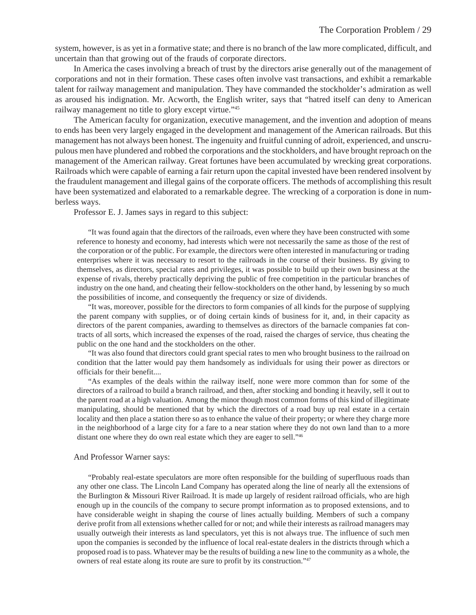system, however, is as yet in a formative state; and there is no branch of the law more complicated, difficult, and uncertain than that growing out of the frauds of corporate directors.

In America the cases involving a breach of trust by the directors arise generally out of the management of corporations and not in their formation. These cases often involve vast transactions, and exhibit a remarkable talent for railway management and manipulation. They have commanded the stockholder's admiration as well as aroused his indignation. Mr. Acworth, the English writer, says that "hatred itself can deny to American railway management no title to glory except virtue."45

The American faculty for organization, executive management, and the invention and adoption of means to ends has been very largely engaged in the development and management of the American railroads. But this management has not always been honest. The ingenuity and fruitful cunning of adroit, experienced, and unscrupulous men have plundered and robbed the corporations and the stockholders, and have brought reproach on the management of the American railway. Great fortunes have been accumulated by wrecking great corporations. Railroads which were capable of earning a fair return upon the capital invested have been rendered insolvent by the fraudulent management and illegal gains of the corporate officers. The methods of accomplishing this result have been systematized and elaborated to a remarkable degree. The wrecking of a corporation is done in numberless ways.

Professor E. J. James says in regard to this subject:

"It was found again that the directors of the railroads, even where they have been constructed with some reference to honesty and economy, had interests which were not necessarily the same as those of the rest of the corporation or of the public. For example, the directors were often interested in manufacturing or trading enterprises where it was necessary to resort to the railroads in the course of their business. By giving to themselves, as directors, special rates and privileges, it was possible to build up their own business at the expense of rivals, thereby practically depriving the public of free competition in the particular branches of industry on the one hand, and cheating their fellow-stockholders on the other hand, by lessening by so much the possibilities of income, and consequently the frequency or size of dividends.

"It was, moreover, possible for the directors to form companies of all kinds for the purpose of supplying the parent company with supplies, or of doing certain kinds of business for it, and, in their capacity as directors of the parent companies, awarding to themselves as directors of the barnacle companies fat contracts of all sorts, which increased the expenses of the road, raised the charges of service, thus cheating the public on the one hand and the stockholders on the other.

"It was also found that directors could grant special rates to men who brought business to the railroad on condition that the latter would pay them handsomely as individuals for using their power as directors or officials for their benefit....

"As examples of the deals within the railway itself, none were more common than for some of the directors of a railroad to build a branch railroad, and then, after stocking and bonding it heavily, sell it out to the parent road at a high valuation. Among the minor though most common forms of this kind of illegitimate manipulating, should be mentioned that by which the directors of a road buy up real estate in a certain locality and then place a station there so as to enhance the value of their property; or where they charge more in the neighborhood of a large city for a fare to a near station where they do not own land than to a more distant one where they do own real estate which they are eager to sell."46

#### And Professor Warner says:

"Probably real-estate speculators are more often responsible for the building of superfluous roads than any other one class. The Lincoln Land Company has operated along the line of nearly all the extensions of the Burlington & Missouri River Railroad. It is made up largely of resident railroad officials, who are high enough up in the councils of the company to secure prompt information as to proposed extensions, and to have considerable weight in shaping the course of lines actually building. Members of such a company derive profit from all extensions whether called for or not; and while their interests as railroad managers may usually outweigh their interests as land speculators, yet this is not always true. The influence of such men upon the companies is seconded by the influence of local real-estate dealers in the districts through which a proposed road is to pass. Whatever may be the results of building a new line to the community as a whole, the owners of real estate along its route are sure to profit by its construction."47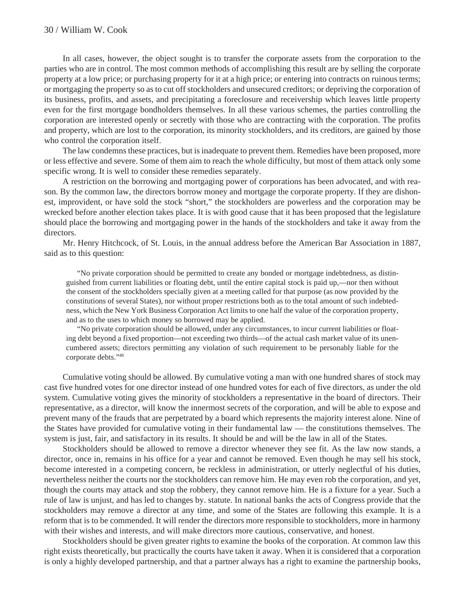In all cases, however, the object sought is to transfer the corporate assets from the corporation to the parties who are in control. The most common methods of accomplishing this result are by selling the corporate property at a low price; or purchasing property for it at a high price; or entering into contracts on ruinous terms; or mortgaging the property so as to cut off stockholders and unsecured creditors; or depriving the corporation of its business, profits, and assets, and precipitating a foreclosure and receivership which leaves little property even for the first mortgage bondholders themselves. In all these various schemes, the parties controlling the corporation are interested openly or secretly with those who are contracting with the corporation. The profits and property, which are lost to the corporation, its minority stockholders, and its creditors, are gained by those who control the corporation itself.

The law condemns these practices, but is inadequate to prevent them. Remedies have been proposed, more or less effective and severe. Some of them aim to reach the whole difficulty, but most of them attack only some specific wrong. It is well to consider these remedies separately.

A restriction on the borrowing and mortgaging power of corporations has been advocated, and with reason. By the common law, the directors borrow money and mortgage the corporate property. If they are dishonest, improvident, or have sold the stock "short," the stockholders are powerless and the corporation may be wrecked before another election takes place. It is with good cause that it has been proposed that the legislature should place the borrowing and mortgaging power in the hands of the stockholders and take it away from the directors.

Mr. Henry Hitchcock, of St. Louis, in the annual address before the American Bar Association in 1887, said as to this question:

"No private corporation should be permitted to create any bonded or mortgage indebtedness, as distinguished from current liabilities or floating debt, until the entire capital stock is paid up,—nor then without the consent of the stockholders specially given at a meeting called for that purpose (as now provided by the constitutions of several States), nor without proper restrictions both as to the total amount of such indebtedness, which the New York Business Corporation Act limits to one half the value of the corporation property, and as to the uses to which money so borrowed may be applied.

"No private corporation should be allowed, under any circumstances, to incur current liabilities or floating debt beyond a fixed proportion—not exceeding two thirds—of the actual cash market value of its unencumbered assets; directors permitting any violation of such requirement to be personably liable for the corporate debts."48

Cumulative voting should be allowed. By cumulative voting a man with one hundred shares of stock may cast five hundred votes for one director instead of one hundred votes for each of five directors, as under the old system. Cumulative voting gives the minority of stockholders a representative in the board of directors. Their representative, as a director, will know the innermost secrets of the corporation, and will be able to expose and prevent many of the frauds that are perpetrated by a board which represents the majority interest alone. Nine of the States have provided for cumulative voting in their fundamental law — the constitutions themselves. The system is just, fair, and satisfactory in its results. It should be and will be the law in all of the States.

Stockholders should be allowed to remove a director whenever they see fit. As the law now stands, a director, once in, remains in his office for a year and cannot be removed. Even though he may sell his stock, become interested in a competing concern, be reckless in administration, or utterly neglectful of his duties, nevertheless neither the courts nor the stockholders can remove him. He may even rob the corporation, and yet, though the courts may attack and stop the robbery, they cannot remove him. He is a fixture for a year. Such a rule of law is unjust, and has led to changes by. statute. In national banks the acts of Congress provide that the stockholders may remove a director at any time, and some of the States are following this example. It is a reform that is to be commended. It will render the directors more responsible to stockholders, more in harmony with their wishes and interests, and will make directors more cautious, conservative, and honest.

Stockholders should be given greater rights to examine the books of the corporation. At common law this right exists theoretically, but practically the courts have taken it away. When it is considered that a corporation is only a highly developed partnership, and that a partner always has a right to examine the partnership books,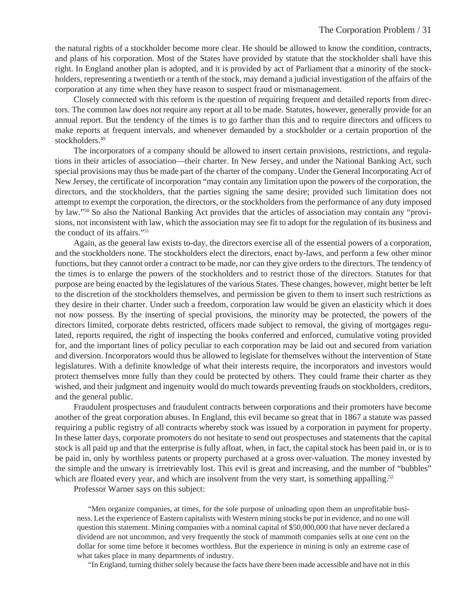the natural rights of a stockholder become more clear. He should be allowed to know the condition, contracts, and plans of his corporation. Most of the States have provided by statute that the stockholder shall have this right. In England another plan is adopted, and it is provided by act of Parliament that a minority of the stockholders, representing a twentieth or a tenth of the stock, may demand a judicial investigation of the affairs of the corporation at any time when they have reason to suspect fraud or mismanagement.

Closely connected with this reform is the question of requiring frequent and detailed reports from directors. The common law does not require any report at all to be made. Statutes, however, generally provide for an annual report. But the tendency of the times is to go farther than this and to require directors and officers to make reports at frequent intervals, and whenever demanded by a stockholder or a certain proportion of the stockholders.<sup>49</sup>

The incorporators of a company should be allowed to insert certain provisions, restrictions, and regulations in their articles of association—their charter. In New Jersey, and under the National Banking Act, such special provisions may thus be made part of the charter of the company. Under the General Incorporating Act of New Jersey, the certificate of incorporation "may contain any limitation upon the powers of the corporation, the directors, and the stockholders, that the parties signing the same desire; provided such limitation does not attempt to exempt the corporation, the directors, or the stockholders from the performance of any duty imposed by law."50 So also the National Banking Act provides that the articles of association may contain any "provisions, not inconsistent with law, which the association may see fit to adopt for the regulation of its business and the conduct of its affairs."51

Again, as the general law exists to-day, the directors exercise all of the essential powers of a corporation, and the stockholders none. The stockholders elect the directors, enact by-laws, and perform a few other minor functions, but they cannot order a contract to be made, nor can they give orders to the directors. The tendency of the times is to enlarge the powers of the stockholders and to restrict those of the directors. Statutes for that purpose are being enacted by the legislatures of the various States. These changes, however, might better be left to the discretion of the stockholders themselves, and permission be given to them to insert such restrictions as they desire in their charter. Under such a freedom, corporation law would be given an elasticity which it does not now possess. By the inserting of special provisions, the minority may be protected, the powers of the directors limited, corporate debts restricted, officers made subject to removal, the giving of mortgages regulated, reports required, the right of inspecting the books conferred and enforced, cumulative voting provided for, and the important lines of policy peculiar to each corporation may be laid out and secured from variation and diversion. Incorporators would thus be allowed to legislate for themselves without the intervention of State legislatures. With a definite knowledge of what their interests require, the incorporators and investors would protect themselves more fully than they could be protected by others. They could frame their charter as they wished, and their judgment and ingenuity would do much towards preventing frauds on stockholders, creditors, and the general public.

Fraudulent prospectuses and fraudulent contracts between corporations and their promoters have become another of the great corporation abuses. In England, this evil became so great that in 1867 a statute was passed requiring a public registry of all contracts whereby stock was issued by a corporation in payment for property. In these latter days, corporate promoters do not hesitate to send out prospectuses and statements that the capital stock is all paid up and that the enterprise is fully afloat, when, in fact, the capital stock has been paid in, or is to be paid in, only by worthless patents or property purchased at a gross over-valuation. The money invested by the simple and the unwary is irretrievably lost. This evil is great and increasing, and the number of "bubbles" which are floated every year, and which are insolvent from the very start, is something appalling.<sup>52</sup>

Professor Warner says on this subject:

"Men organize companies, at times, for the sole purpose of unloading upon them an unprofitable business. Let the experience of Eastern capitalists with Western mining stocks be put in evidence, and no one will question this statement. Mining companies with a nominal capital of \$50,000,000 that have never declared a dividend are not uncommon, and very frequently the stock of mammoth companies sells at one cent on the dollar for some time before it becomes worthless. But the experience in mining is only an extreme case of what takes place in many departments of industry.

"In England, turning thither solely because the facts have there been made accessible and have not in this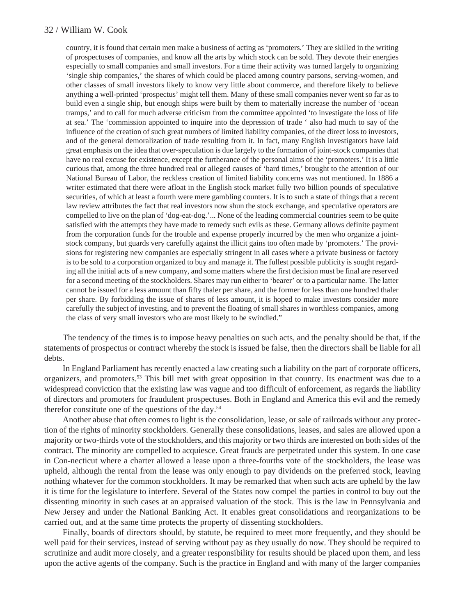country, it is found that certain men make a business of acting as 'promoters.' They are skilled in the writing of prospectuses of companies, and know all the arts by which stock can be sold. They devote their energies especially to small companies and small investors. For a time their activity was turned largely to organizing 'single ship companies,' the shares of which could be placed among country parsons, serving-women, and other classes of small investors likely to know very little about commerce, and therefore likely to believe anything a well-printed 'prospectus' might tell them. Many of these small companies never went so far as to build even a single ship, but enough ships were built by them to materially increase the number of 'ocean tramps,' and to call for much adverse criticism from the committee appointed 'to investigate the loss of life at sea.' The 'commission appointed to inquire into the depression of trade ' also had much to say of the influence of the creation of such great numbers of limited liability companies, of the direct loss to investors, and of the general demoralization of trade resulting from it. In fact, many English investigators have laid great emphasis on the idea that over-speculation is due largely to the formation of joint-stock companies that have no real excuse for existence, except the furtherance of the personal aims of the 'promoters.' It is a little curious that, among the three hundred real or alleged causes of 'hard times,' brought to the attention of our National Bureau of Labor, the reckless creation of limited liability concerns was not mentioned. In 1886 a writer estimated that there were afloat in the English stock market fully two billion pounds of speculative securities, of which at least a fourth were mere gambling counters. It is to such a state of things that a recent law review attributes the fact that real investors now shun the stock exchange, and speculative operators are compelled to live on the plan of 'dog-eat-dog.'... None of the leading commercial countries seem to be quite satisfied with the attempts they have made to remedy such evils as these. Germany allows definite payment from the corporation funds for the trouble and expense properly incurred by the men who organize a jointstock company, but guards very carefully against the illicit gains too often made by 'promoters.' The provisions for registering new companies are especially stringent in all cases where a private business or factory is to be sold to a corporation organized to buy and manage it. The fullest possible publicity is sought regarding all the initial acts of a new company, and some matters where the first decision must be final are reserved for a second meeting of the stockholders. Shares may run either to 'bearer' or to a particular name. The latter cannot be issued for a less amount than fifty thaler per share, and the former for less than one hundred thaler per share. By forbidding the issue of shares of less amount, it is hoped to make investors consider more carefully the subject of investing, and to prevent the floating of small shares in worthless companies, among the class of very small investors who are most likely to be swindled."

The tendency of the times is to impose heavy penalties on such acts, and the penalty should be that, if the statements of prospectus or contract whereby the stock is issued be false, then the directors shall be liable for all debts.

In England Parliament has recently enacted a law creating such a liability on the part of corporate officers, organizers, and promoters.53 This bill met with great opposition in that country. Its enactment was due to a widespread conviction that the existing law was vague and too difficult of enforcement, as regards the liability of directors and promoters for fraudulent prospectuses. Both in England and America this evil and the remedy therefor constitute one of the questions of the day.54

Another abuse that often comes to light is the consolidation, lease, or sale of railroads without any protection of the rights of minority stockholders. Generally these consolidations, leases, and sales are allowed upon a majority or two-thirds vote of the stockholders, and this majority or two thirds are interested on both sides of the contract. The minority are compelled to acquiesce. Great frauds are perpetrated under this system. In one case in Con-necticut where a charter allowed a lease upon a three-fourths vote of the stockholders, the lease was upheld, although the rental from the lease was only enough to pay dividends on the preferred stock, leaving nothing whatever for the common stockholders. It may be remarked that when such acts are upheld by the law it is time for the legislature to interfere. Several of the States now compel the parties in control to buy out the dissenting minority in such cases at an appraised valuation of the stock. This is the law in Pennsylvania and New Jersey and under the National Banking Act. It enables great consolidations and reorganizations to be carried out, and at the same time protects the property of dissenting stockholders.

Finally, boards of directors should, by statute, be required to meet more frequently, and they should be well paid for their services, instead of serving without pay as they usually do now. They should be required to scrutinize and audit more closely, and a greater responsibility for results should be placed upon them, and less upon the active agents of the company. Such is the practice in England and with many of the larger companies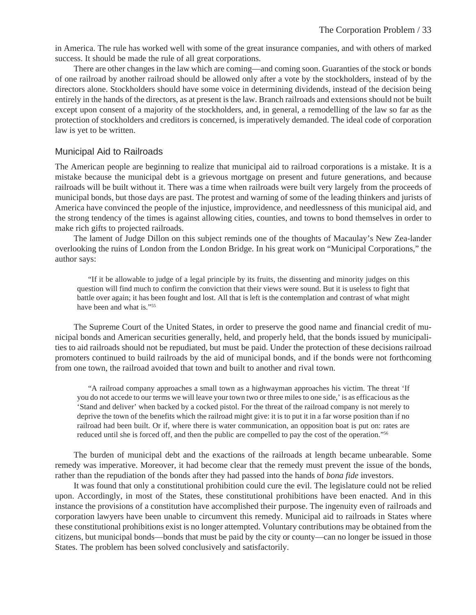in America. The rule has worked well with some of the great insurance companies, and with others of marked success. It should be made the rule of all great corporations.

There are other changes in the law which are coming—and coming soon. Guaranties of the stock or bonds of one railroad by another railroad should be allowed only after a vote by the stockholders, instead of by the directors alone. Stockholders should have some voice in determining dividends, instead of the decision being entirely in the hands of the directors, as at present is the law. Branch railroads and extensions should not be built except upon consent of a majority of the stockholders, and, in general, a remodelling of the law so far as the protection of stockholders and creditors is concerned, is imperatively demanded. The ideal code of corporation law is yet to be written.

## Municipal Aid to Railroads

The American people are beginning to realize that municipal aid to railroad corporations is a mistake. It is a mistake because the municipal debt is a grievous mortgage on present and future generations, and because railroads will be built without it. There was a time when railroads were built very largely from the proceeds of municipal bonds, but those days are past. The protest and warning of some of the leading thinkers and jurists of America have convinced the people of the injustice, improvidence, and needlessness of this municipal aid, and the strong tendency of the times is against allowing cities, counties, and towns to bond themselves in order to make rich gifts to projected railroads.

The lament of Judge Dillon on this subject reminds one of the thoughts of Macaulay's New Zea-lander overlooking the ruins of London from the London Bridge. In his great work on "Municipal Corporations," the author says:

"If it be allowable to judge of a legal principle by its fruits, the dissenting and minority judges on this question will find much to confirm the conviction that their views were sound. But it is useless to fight that battle over again; it has been fought and lost. All that is left is the contemplation and contrast of what might have been and what is."<sup>55</sup>

The Supreme Court of the United States, in order to preserve the good name and financial credit of municipal bonds and American securities generally, held, and properly held, that the bonds issued by municipalities to aid railroads should not be repudiated, but must be paid. Under the protection of these decisions railroad promoters continued to build railroads by the aid of municipal bonds, and if the bonds were not forthcoming from one town, the railroad avoided that town and built to another and rival town.

"A railroad company approaches a small town as a highwayman approaches his victim. The threat 'If you do not accede to our terms we will leave your town two or three miles to one side,' is as efficacious as the 'Stand and deliver' when backed by a cocked pistol. For the threat of the railroad company is not merely to deprive the town of the benefits which the railroad might give: it is to put it in a far worse position than if no railroad had been built. Or if, where there is water communication, an opposition boat is put on: rates are reduced until she is forced off, and then the public are compelled to pay the cost of the operation."56

The burden of municipal debt and the exactions of the railroads at length became unbearable. Some remedy was imperative. Moreover, it had become clear that the remedy must prevent the issue of the bonds, rather than the repudiation of the bonds after they had passed into the hands of *bona fide* investors.

It was found that only a constitutional prohibition could cure the evil. The legislature could not be relied upon. Accordingly, in most of the States, these constitutional prohibitions have been enacted. And in this instance the provisions of a constitution have accomplished their purpose. The ingenuity even of railroads and corporation lawyers have been unable to circumvent this remedy. Municipal aid to railroads in States where these constitutional prohibitions exist is no longer attempted. Voluntary contributions may be obtained from the citizens, but municipal bonds—bonds that must be paid by the city or county—can no longer be issued in those States. The problem has been solved conclusively and satisfactorily.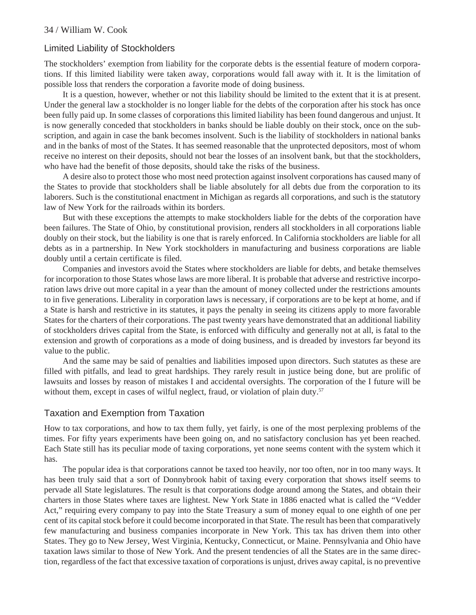## Limited Liability of Stockholders

The stockholders' exemption from liability for the corporate debts is the essential feature of modern corporations. If this limited liability were taken away, corporations would fall away with it. It is the limitation of possible loss that renders the corporation a favorite mode of doing business.

It is a question, however, whether or not this liability should be limited to the extent that it is at present. Under the general law a stockholder is no longer liable for the debts of the corporation after his stock has once been fully paid up. In some classes of corporations this limited liability has been found dangerous and unjust. It is now generally conceded that stockholders in banks should be liable doubly on their stock, once on the subscription, and again in case the bank becomes insolvent. Such is the liability of stockholders in national banks and in the banks of most of the States. It has seemed reasonable that the unprotected depositors, most of whom receive no interest on their deposits, should not bear the losses of an insolvent bank, but that the stockholders, who have had the benefit of those deposits, should take the risks of the business.

A desire also to protect those who most need protection against insolvent corporations has caused many of the States to provide that stockholders shall be liable absolutely for all debts due from the corporation to its laborers. Such is the constitutional enactment in Michigan as regards all corporations, and such is the statutory law of New York for the railroads within its borders.

But with these exceptions the attempts to make stockholders liable for the debts of the corporation have been failures. The State of Ohio, by constitutional provision, renders all stockholders in all corporations liable doubly on their stock, but the liability is one that is rarely enforced. In California stockholders are liable for all debts as in a partnership. In New York stockholders in manufacturing and business corporations are liable doubly until a certain certificate is filed.

Companies and investors avoid the States where stockholders are liable for debts, and betake themselves for incorporation to those States whose laws are more liberal. It is probable that adverse and restrictive incorporation laws drive out more capital in a year than the amount of money collected under the restrictions amounts to in five generations. Liberality in corporation laws is necessary, if corporations are to be kept at home, and if a State is harsh and restrictive in its statutes, it pays the penalty in seeing its citizens apply to more favorable States for the charters of their corporations. The past twenty years have demonstrated that an additional liability of stockholders drives capital from the State, is enforced with difficulty and generally not at all, is fatal to the extension and growth of corporations as a mode of doing business, and is dreaded by investors far beyond its value to the public.

And the same may be said of penalties and liabilities imposed upon directors. Such statutes as these are filled with pitfalls, and lead to great hardships. They rarely result in justice being done, but are prolific of lawsuits and losses by reason of mistakes I and accidental oversights. The corporation of the I future will be without them, except in cases of wilful neglect, fraud, or violation of plain duty.<sup>57</sup>

## Taxation and Exemption from Taxation

How to tax corporations, and how to tax them fully, yet fairly, is one of the most perplexing problems of the times. For fifty years experiments have been going on, and no satisfactory conclusion has yet been reached. Each State still has its peculiar mode of taxing corporations, yet none seems content with the system which it has.

The popular idea is that corporations cannot be taxed too heavily, nor too often, nor in too many ways. It has been truly said that a sort of Donnybrook habit of taxing every corporation that shows itself seems to pervade all State legislatures. The result is that corporations dodge around among the States, and obtain their charters in those States where taxes are lightest. New York State in 1886 enacted what is called the "Vedder Act," requiring every company to pay into the State Treasury a sum of money equal to one eighth of one per cent of its capital stock before it could become incorporated in that State. The result has been that comparatively few manufacturing and business companies incorporate in New York. This tax has driven them into other States. They go to New Jersey, West Virginia, Kentucky, Connecticut, or Maine. Pennsylvania and Ohio have taxation laws similar to those of New York. And the present tendencies of all the States are in the same direction, regardless of the fact that excessive taxation of corporations is unjust, drives away capital, is no preventive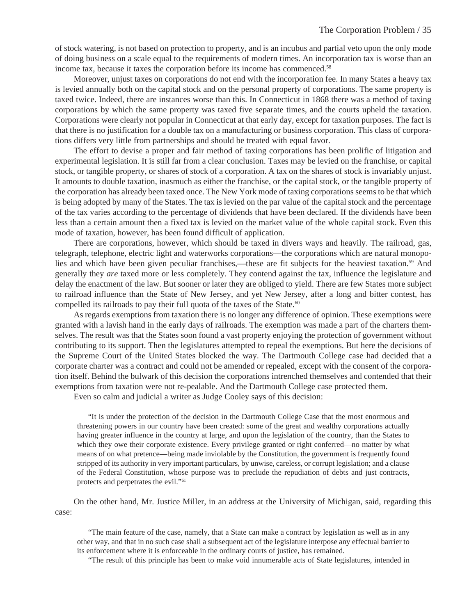of stock watering, is not based on protection to property, and is an incubus and partial veto upon the only mode of doing business on a scale equal to the requirements of modern times. An incorporation tax is worse than an income tax, because it taxes the corporation before its income has commenced.58

Moreover, unjust taxes on corporations do not end with the incorporation fee. In many States a heavy tax is levied annually both on the capital stock and on the personal property of corporations. The same property is taxed twice. Indeed, there are instances worse than this. In Connecticut in 1868 there was a method of taxing corporations by which the same property was taxed five separate times, and the courts upheld the taxation. Corporations were clearly not popular in Connecticut at that early day, except for taxation purposes. The fact is that there is no justification for a double tax on a manufacturing or business corporation. This class of corporations differs very little from partnerships and should be treated with equal favor.

The effort to devise a proper and fair method of taxing corporations has been prolific of litigation and experimental legislation. It is still far from a clear conclusion. Taxes may be levied on the franchise, or capital stock, or tangible property, or shares of stock of a corporation. A tax on the shares of stock is invariably unjust. It amounts to double taxation, inasmuch as either the franchise, or the capital stock, or the tangible property of the corporation has already been taxed once. The New York mode of taxing corporations seems to be that which is being adopted by many of the States. The tax is levied on the par value of the capital stock and the percentage of the tax varies according to the percentage of dividends that have been declared. If the dividends have been less than a certain amount then a fixed tax is levied on the market value of the whole capital stock. Even this mode of taxation, however, has been found difficult of application.

There are corporations, however, which should be taxed in divers ways and heavily. The railroad, gas, telegraph, telephone, electric light and waterworks corporations—the corporations which are natural monopolies and which have been given peculiar franchises,—these are fit subjects for the heaviest taxation.<sup>59</sup> And generally they *are* taxed more or less completely. They contend against the tax, influence the legislature and delay the enactment of the law. But sooner or later they are obliged to yield. There are few States more subject to railroad influence than the State of New Jersey, and yet New Jersey, after a long and bitter contest, has compelled its railroads to pay their full quota of the taxes of the State.<sup>60</sup>

As regards exemptions from taxation there is no longer any difference of opinion. These exemptions were granted with a lavish hand in the early days of railroads. The exemption was made a part of the charters themselves. The result was that the States soon found a vast property enjoying the protection of government without contributing to its support. Then the legislatures attempted to repeal the exemptions. But here the decisions of the Supreme Court of the United States blocked the way. The Dartmouth College case had decided that a corporate charter was a contract and could not be amended or repealed, except with the consent of the corporation itself. Behind the bulwark of this decision the corporations intrenched themselves and contended that their exemptions from taxation were not re-pealable. And the Dartmouth College case protected them.

Even so calm and judicial a writer as Judge Cooley says of this decision:

"It is under the protection of the decision in the Dartmouth College Case that the most enormous and threatening powers in our country have been created: some of the great and wealthy corporations actually having greater influence in the country at large, and upon the legislation of the country, than the States to which they owe their corporate existence. Every privilege granted or right conferred—no matter by what means of on what pretence—being made inviolable by the Constitution, the government is frequently found stripped of its authority in very important particulars, by unwise, careless, or corrupt legislation; and a clause of the Federal Constitution, whose purpose was to preclude the repudiation of debts and just contracts, protects and perpetrates the evil."61

On the other hand, Mr. Justice Miller, in an address at the University of Michigan, said, regarding this case:

"The main feature of the case, namely, that a State can make a contract by legislation as well as in any other way, and that in no such case shall a subsequent act of the legislature interpose any effectual barrier to its enforcement where it is enforceable in the ordinary courts of justice, has remained.

"The result of this principle has been to make void innumerable acts of State legislatures, intended in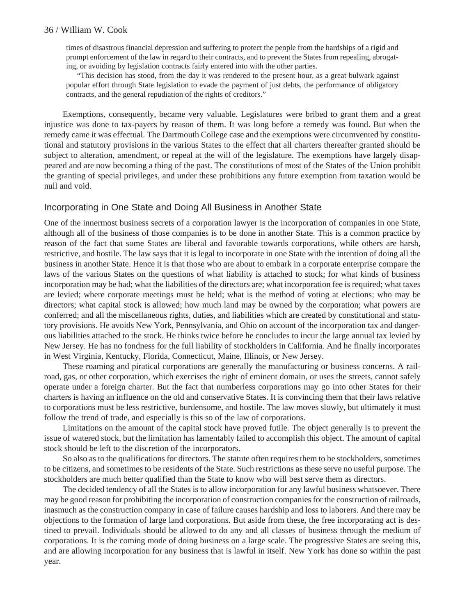times of disastrous financial depression and suffering to protect the people from the hardships of a rigid and prompt enforcement of the law in regard to their contracts, and to prevent the States from repealing, abrogating, or avoiding by legislation contracts fairly entered into with the other parties.

"This decision has stood, from the day it was rendered to the present hour, as a great bulwark against popular effort through State legislation to evade the payment of just debts, the performance of obligatory contracts, and the general repudiation of the rights of creditors."

Exemptions, consequently, became very valuable. Legislatures were bribed to grant them and a great injustice was done to tax-payers by reason of them. It was long before a remedy was found. But when the remedy came it was effectual. The Dartmouth College case and the exemptions were circumvented by constitutional and statutory provisions in the various States to the effect that all charters thereafter granted should be subject to alteration, amendment, or repeal at the will of the legislature. The exemptions have largely disappeared and are now becoming a thing of the past. The constitutions of most of the States of the Union prohibit the granting of special privileges, and under these prohibitions any future exemption from taxation would be null and void.

## Incorporating in One State and Doing All Business in Another State

One of the innermost business secrets of a corporation lawyer is the incorporation of companies in one State, although all of the business of those companies is to be done in another State. This is a common practice by reason of the fact that some States are liberal and favorable towards corporations, while others are harsh, restrictive, and hostile. The law says that it is legal to incorporate in one State with the intention of doing all the business in another State. Hence it is that those who are about to embark in a corporate enterprise compare the laws of the various States on the questions of what liability is attached to stock; for what kinds of business incorporation may be had; what the liabilities of the directors are; what incorporation fee is required; what taxes are levied; where corporate meetings must be held; what is the method of voting at elections; who may be directors; what capital stock is allowed; how much land may be owned by the corporation; what powers are conferred; and all the miscellaneous rights, duties, and liabilities which are created by constitutional and statutory provisions. He avoids New York, Pennsylvania, and Ohio on account of the incorporation tax and dangerous liabilities attached to the stock. He thinks twice before he concludes to incur the large annual tax levied by New Jersey. He has no fondness for the full liability of stockholders in California. And he finally incorporates in West Virginia, Kentucky, Florida, Connecticut, Maine, Illinois, or New Jersey.

These roaming and piratical corporations are generally the manufacturing or business concerns. A railroad, gas, or other corporation, which exercises the right of eminent domain, or uses the streets, cannot safely operate under a foreign charter. But the fact that numberless corporations may go into other States for their charters is having an influence on the old and conservative States. It is convincing them that their laws relative to corporations must be less restrictive, burdensome, and hostile. The law moves slowly, but ultimately it must follow the trend of trade, and especially is this so of the law of corporations.

Limitations on the amount of the capital stock have proved futile. The object generally is to prevent the issue of watered stock, but the limitation has lamentably failed to accomplish this object. The amount of capital stock should be left to the discretion of the incorporators.

So also as to the qualifications for directors. The statute often requires them to be stockholders, sometimes to be citizens, and sometimes to be residents of the State. Such restrictions as these serve no useful purpose. The stockholders are much better qualified than the State to know who will best serve them as directors.

The decided tendency of all the States is to allow incorporation for any lawful business whatsoever. There may be good reason for prohibiting the incorporation of construction companies for the construction of railroads, inasmuch as the construction company in case of failure causes hardship and loss to laborers. And there may be objections to the formation of large land corporations. But aside from these, the free incorporating act is destined to prevail. Individuals should be allowed to do any and all classes of business through the medium of corporations. It is the coming mode of doing business on a large scale. The progressive States are seeing this, and are allowing incorporation for any business that is lawful in itself. New York has done so within the past year.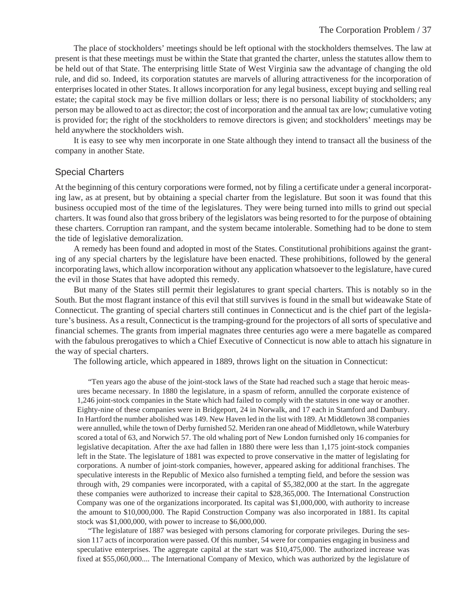The place of stockholders' meetings should be left optional with the stockholders themselves. The law at present is that these meetings must be within the State that granted the charter, unless the statutes allow them to be held out of that State. The enterprising little State of West Virginia saw the advantage of changing the old rule, and did so. Indeed, its corporation statutes are marvels of alluring attractiveness for the incorporation of enterprises located in other States. It allows incorporation for any legal business, except buying and selling real estate; the capital stock may be five million dollars or less; there is no personal liability of stockholders; any person may be allowed to act as director; the cost of incorporation and the annual tax are low; cumulative voting is provided for; the right of the stockholders to remove directors is given; and stockholders' meetings may be held anywhere the stockholders wish.

It is easy to see why men incorporate in one State although they intend to transact all the business of the company in another State.

## Special Charters

At the beginning of this century corporations were formed, not by filing a certificate under a general incorporating law, as at present, but by obtaining a special charter from the legislature. But soon it was found that this business occupied most of the time of the legislatures. They were being turned into mills to grind out special charters. It was found also that gross bribery of the legislators was being resorted to for the purpose of obtaining these charters. Corruption ran rampant, and the system became intolerable. Something had to be done to stem the tide of legislative demoralization.

A remedy has been found and adopted in most of the States. Constitutional prohibitions against the granting of any special charters by the legislature have been enacted. These prohibitions, followed by the general incorporating laws, which allow incorporation without any application whatsoever to the legislature, have cured the evil in those States that have adopted this remedy.

But many of the States still permit their legislatures to grant special charters. This is notably so in the South. But the most flagrant instance of this evil that still survives is found in the small but wideawake State of Connecticut. The granting of special charters still continues in Connecticut and is the chief part of the legislature's business. As a result, Connecticut is the tramping-ground for the projectors of all sorts of speculative and financial schemes. The grants from imperial magnates three centuries ago were a mere bagatelle as compared with the fabulous prerogatives to which a Chief Executive of Connecticut is now able to attach his signature in the way of special charters.

The following article, which appeared in 1889, throws light on the situation in Connecticut:

"Ten years ago the abuse of the joint-stock laws of the State had reached such a stage that heroic measures became necessary. In 1880 the legislature, in a spasm of reform, annulled the corporate existence of 1,246 joint-stock companies in the State which had failed to comply with the statutes in one way or another. Eighty-nine of these companies were in Bridgeport, 24 in Norwalk, and 17 each in Stamford and Danbury. In Hartford the number abolished was 149. New Haven led in the list with 189. At Middletown 38 companies were annulled, while the town of Derby furnished 52. Meriden ran one ahead of Middletown, while Waterbury scored a total of 63, and Norwich 57. The old whaling port of New London furnished only 16 companies for legislative decapitation. After the axe had fallen in 1880 there were less than 1,175 joint-stock companies left in the State. The legislature of 1881 was expected to prove conservative in the matter of legislating for corporations. A number of joint-stork companies, however, appeared asking for additional franchises. The speculative interests in the Republic of Mexico also furnished a tempting field, and before the session was through with, 29 companies were incorporated, with a capital of \$5,382,000 at the start. In the aggregate these companies were authorized to increase their capital to \$28,365,000. The International Construction Company was one of the organizations incorporated. Its capital was \$1,000,000, with authority to increase the amount to \$10,000,000. The Rapid Construction Company was also incorporated in 1881. Its capital stock was \$1,000,000, with power to increase to \$6,000,000.

"The legislature of 1887 was besieged with persons clamoring for corporate privileges. During the session 117 acts of incorporation were passed. Of this number, 54 were for companies engaging in business and speculative enterprises. The aggregate capital at the start was \$10,475,000. The authorized increase was fixed at \$55,060,000.... The International Company of Mexico, which was authorized by the legislature of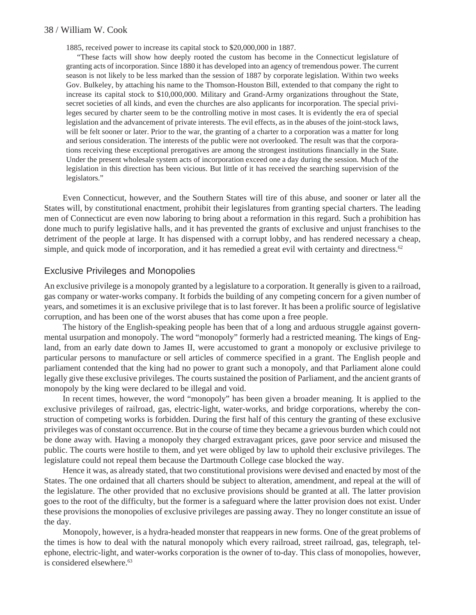1885, received power to increase its capital stock to \$20,000,000 in 1887.

"These facts will show how deeply rooted the custom has become in the Connecticut legislature of granting acts of incorporation. Since 1880 it has developed into an agency of tremendous power. The current season is not likely to be less marked than the session of 1887 by corporate legislation. Within two weeks Gov. Bulkeley, by attaching his name to the Thomson-Houston Bill, extended to that company the right to increase its capital stock to \$10,000,000. Military and Grand-Army organizations throughout the State, secret societies of all kinds, and even the churches are also applicants for incorporation. The special privileges secured by charter seem to be the controlling motive in most cases. It is evidently the era of special legislation and the advancement of private interests. The evil effects, as in the abuses of the joint-stock laws, will be felt sooner or later. Prior to the war, the granting of a charter to a corporation was a matter for long and serious consideration. The interests of the public were not overlooked. The result was that the corporations receiving these exceptional prerogatives are among the strongest institutions financially in the State. Under the present wholesale system acts of incorporation exceed one a day during the session. Much of the legislation in this direction has been vicious. But little of it has received the searching supervision of the legislators."

Even Connecticut, however, and the Southern States will tire of this abuse, and sooner or later all the States will, by constitutional enactment, prohibit their legislatures from granting special charters. The leading men of Connecticut are even now laboring to bring about a reformation in this regard. Such a prohibition has done much to purify legislative halls, and it has prevented the grants of exclusive and unjust franchises to the detriment of the people at large. It has dispensed with a corrupt lobby, and has rendered necessary a cheap, simple, and quick mode of incorporation, and it has remedied a great evil with certainty and directness. $62$ 

## Exclusive Privileges and Monopolies

An exclusive privilege is a monopoly granted by a legislature to a corporation. It generally is given to a railroad, gas company or water-works company. It forbids the building of any competing concern for a given number of years, and sometimes it is an exclusive privilege that is to last forever. It has been a prolific source of legislative corruption, and has been one of the worst abuses that has come upon a free people.

The history of the English-speaking people has been that of a long and arduous struggle against governmental usurpation and monopoly. The word "monopoly" formerly had a restricted meaning. The kings of England, from an early date down to James II, were accustomed to grant a monopoly or exclusive privilege to particular persons to manufacture or sell articles of commerce specified in a grant. The English people and parliament contended that the king had no power to grant such a monopoly, and that Parliament alone could legally give these exclusive privileges. The courts sustained the position of Parliament, and the ancient grants of monopoly by the king were declared to be illegal and void.

In recent times, however, the word "monopoly" has been given a broader meaning. It is applied to the exclusive privileges of railroad, gas, electric-light, water-works, and bridge corporations, whereby the construction of competing works is forbidden. During the first half of this century the granting of these exclusive privileges was of constant occurrence. But in the course of time they became a grievous burden which could not be done away with. Having a monopoly they charged extravagant prices, gave poor service and misused the public. The courts were hostile to them, and yet were obliged by law to uphold their exclusive privileges. The legislature could not repeal them because the Dartmouth College case blocked the way.

Hence it was, as already stated, that two constitutional provisions were devised and enacted by most of the States. The one ordained that all charters should be subject to alteration, amendment, and repeal at the will of the legislature. The other provided that no exclusive provisions should be granted at all. The latter provision goes to the root of the difficulty, but the former is a safeguard where the latter provision does not exist. Under these provisions the monopolies of exclusive privileges are passing away. They no longer constitute an issue of the day.

Monopoly, however, is a hydra-headed monster that reappears in new forms. One of the great problems of the times is how to deal with the natural monopoly which every railroad, street railroad, gas, telegraph, telephone, electric-light, and water-works corporation is the owner of to-day. This class of monopolies, however, is considered elsewhere.<sup>63</sup>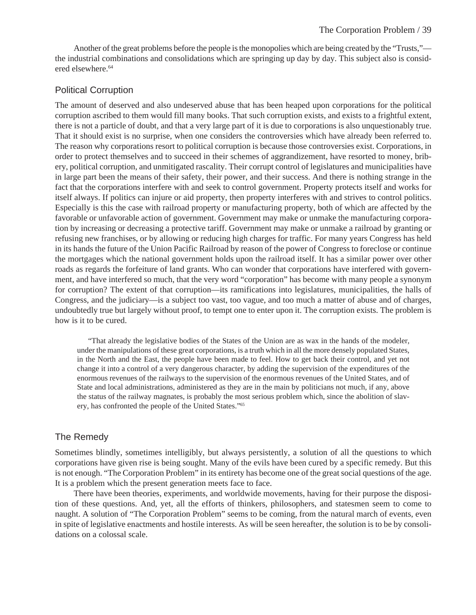Another of the great problems before the people is the monopolies which are being created by the "Trusts," the industrial combinations and consolidations which are springing up day by day. This subject also is considered elsewhere.<sup>64</sup>

# Political Corruption

The amount of deserved and also undeserved abuse that has been heaped upon corporations for the political corruption ascribed to them would fill many books. That such corruption exists, and exists to a frightful extent, there is not a particle of doubt, and that a very large part of it is due to corporations is also unquestionably true. That it should exist is no surprise, when one considers the controversies which have already been referred to. The reason why corporations resort to political corruption is because those controversies exist. Corporations, in order to protect themselves and to succeed in their schemes of aggrandizement, have resorted to money, bribery, political corruption, and unmitigated rascality. Their corrupt control of legislatures and municipalities have in large part been the means of their safety, their power, and their success. And there is nothing strange in the fact that the corporations interfere with and seek to control government. Property protects itself and works for itself always. If politics can injure or aid property, then property interferes with and strives to control politics. Especially is this the case with railroad property or manufacturing property, both of which are affected by the favorable or unfavorable action of government. Government may make or unmake the manufacturing corporation by increasing or decreasing a protective tariff. Government may make or unmake a railroad by granting or refusing new franchises, or by allowing or reducing high charges for traffic. For many years Congress has held in its hands the future of the Union Pacific Railroad by reason of the power of Congress to foreclose or continue the mortgages which the national government holds upon the railroad itself. It has a similar power over other roads as regards the forfeiture of land grants. Who can wonder that corporations have interfered with government, and have interfered so much, that the very word "corporation" has become with many people a synonym for corruption? The extent of that corruption—its ramifications into legislatures, municipalities, the halls of Congress, and the judiciary—is a subject too vast, too vague, and too much a matter of abuse and of charges, undoubtedly true but largely without proof, to tempt one to enter upon it. The corruption exists. The problem is how is it to be cured.

"That already the legislative bodies of the States of the Union are as wax in the hands of the modeler, under the manipulations of these great corporations, is a truth which in all the more densely populated States, in the North and the East, the people have been made to feel. How to get back their control, and yet not change it into a control of a very dangerous character, by adding the supervision of the expenditures of the enormous revenues of the railways to the supervision of the enormous revenues of the United States, and of State and local administrations, administered as they are in the main by politicians not much, if any, above the status of the railway magnates, is probably the most serious problem which, since the abolition of slavery, has confronted the people of the United States."65

# The Remedy

Sometimes blindly, sometimes intelligibly, but always persistently, a solution of all the questions to which corporations have given rise is being sought. Many of the evils have been cured by a specific remedy. But this is not enough. "The Corporation Problem" in its entirety has become one of the great social questions of the age. It is a problem which the present generation meets face to face.

There have been theories, experiments, and worldwide movements, having for their purpose the disposition of these questions. And, yet, all the efforts of thinkers, philosophers, and statesmen seem to come to naught. A solution of "The Corporation Problem" seems to be coming, from the natural march of events, even in spite of legislative enactments and hostile interests. As will be seen hereafter, the solution is to be by consolidations on a colossal scale.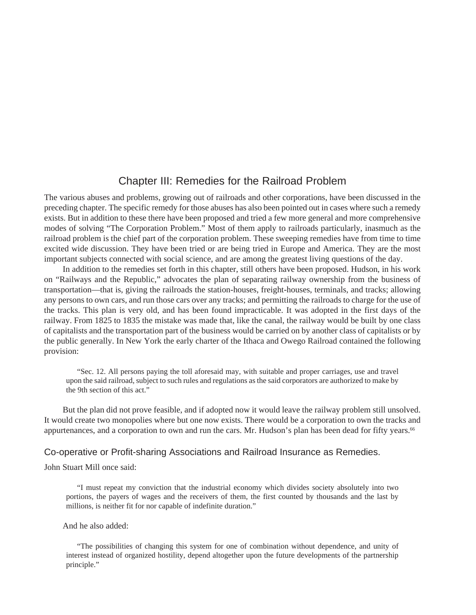# Chapter III: Remedies for the Railroad Problem

The various abuses and problems, growing out of railroads and other corporations, have been discussed in the preceding chapter. The specific remedy for those abuses has also been pointed out in cases where such a remedy exists. But in addition to these there have been proposed and tried a few more general and more comprehensive modes of solving "The Corporation Problem." Most of them apply to railroads particularly, inasmuch as the railroad problem is the chief part of the corporation problem. These sweeping remedies have from time to time excited wide discussion. They have been tried or are being tried in Europe and America. They are the most important subjects connected with social science, and are among the greatest living questions of the day.

In addition to the remedies set forth in this chapter, still others have been proposed. Hudson, in his work on "Railways and the Republic," advocates the plan of separating railway ownership from the business of transportation—that is, giving the railroads the station-houses, freight-houses, terminals, and tracks; allowing any persons to own cars, and run those cars over any tracks; and permitting the railroads to charge for the use of the tracks. This plan is very old, and has been found impracticable. It was adopted in the first days of the railway. From 1825 to 1835 the mistake was made that, like the canal, the railway would be built by one class of capitalists and the transportation part of the business would be carried on by another class of capitalists or by the public generally. In New York the early charter of the Ithaca and Owego Railroad contained the following provision:

"Sec. 12. All persons paying the toll aforesaid may, with suitable and proper carriages, use and travel upon the said railroad, subject to such rules and regulations as the said corporators are authorized to make by the 9th section of this act."

But the plan did not prove feasible, and if adopted now it would leave the railway problem still unsolved. It would create two monopolies where but one now exists. There would be a corporation to own the tracks and appurtenances, and a corporation to own and run the cars. Mr. Hudson's plan has been dead for fifty years.<sup>66</sup>

## Co-operative or Profit-sharing Associations and Railroad Insurance as Remedies.

### John Stuart Mill once said:

"I must repeat my conviction that the industrial economy which divides society absolutely into two portions, the payers of wages and the receivers of them, the first counted by thousands and the last by millions, is neither fit for nor capable of indefinite duration."

### And he also added:

"The possibilities of changing this system for one of combination without dependence, and unity of interest instead of organized hostility, depend altogether upon the future developments of the partnership principle."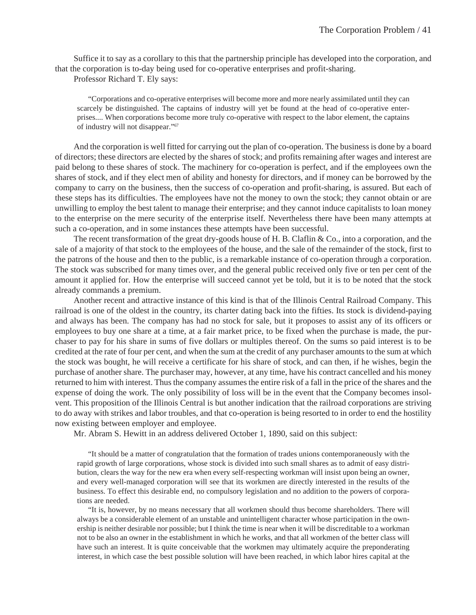Suffice it to say as a corollary to this that the partnership principle has developed into the corporation, and that the corporation is to-day being used for co-operative enterprises and profit-sharing.

Professor Richard T. Ely says:

"Corporations and co-operative enterprises will become more and more nearly assimilated until they can scarcely be distinguished. The captains of industry will yet be found at the head of co-operative enterprises.... When corporations become more truly co-operative with respect to the labor element, the captains of industry will not disappear."67

And the corporation is well fitted for carrying out the plan of co-operation. The business is done by a board of directors; these directors are elected by the shares of stock; and profits remaining after wages and interest are paid belong to these shares of stock. The machinery for co-operation is perfect, and if the employees own the shares of stock, and if they elect men of ability and honesty for directors, and if money can be borrowed by the company to carry on the business, then the success of co-operation and profit-sharing, is assured. But each of these steps has its difficulties. The employees have not the money to own the stock; they cannot obtain or are unwilling to employ the best talent to manage their enterprise; and they cannot induce capitalists to loan money to the enterprise on the mere security of the enterprise itself. Nevertheless there have been many attempts at such a co-operation, and in some instances these attempts have been successful.

The recent transformation of the great dry-goods house of H. B. Claflin & Co., into a corporation, and the sale of a majority of that stock to the employees of the house, and the sale of the remainder of the stock, first to the patrons of the house and then to the public, is a remarkable instance of co-operation through a corporation. The stock was subscribed for many times over, and the general public received only five or ten per cent of the amount it applied for. How the enterprise will succeed cannot yet be told, but it is to be noted that the stock already commands a premium.

Another recent and attractive instance of this kind is that of the Illinois Central Railroad Company. This railroad is one of the oldest in the country, its charter dating back into the fifties. Its stock is dividend-paying and always has been. The company has had no stock for sale, but it proposes to assist any of its officers or employees to buy one share at a time, at a fair market price, to be fixed when the purchase is made, the purchaser to pay for his share in sums of five dollars or multiples thereof. On the sums so paid interest is to be credited at the rate of four per cent, and when the sum at the credit of any purchaser amounts to the sum at which the stock was bought, he will receive a certificate for his share of stock, and can then, if he wishes, begin the purchase of another share. The purchaser may, however, at any time, have his contract cancelled and his money returned to him with interest. Thus the company assumes the entire risk of a fall in the price of the shares and the expense of doing the work. The only possibility of loss will be in the event that the Company becomes insolvent. This proposition of the Illinois Central is but another indication that the railroad corporations are striving to do away with strikes and labor troubles, and that co-operation is being resorted to in order to end the hostility now existing between employer and employee.

Mr. Abram S. Hewitt in an address delivered October 1, 1890, said on this subject:

"It should be a matter of congratulation that the formation of trades unions contemporaneously with the rapid growth of large corporations, whose stock is divided into such small shares as to admit of easy distribution, clears the way for the new era when every self-respecting workman will insist upon being an owner, and every well-managed corporation will see that its workmen are directly interested in the results of the business. To effect this desirable end, no compulsory legislation and no addition to the powers of corporations are needed.

"It is, however, by no means necessary that all workmen should thus become shareholders. There will always be a considerable element of an unstable and unintelligent character whose participation in the ownership is neither desirable nor possible; but I think the time is near when it will be discreditable to a workman not to be also an owner in the establishment in which he works, and that all workmen of the better class will have such an interest. It is quite conceivable that the workmen may ultimately acquire the preponderating interest, in which case the best possible solution will have been reached, in which labor hires capital at the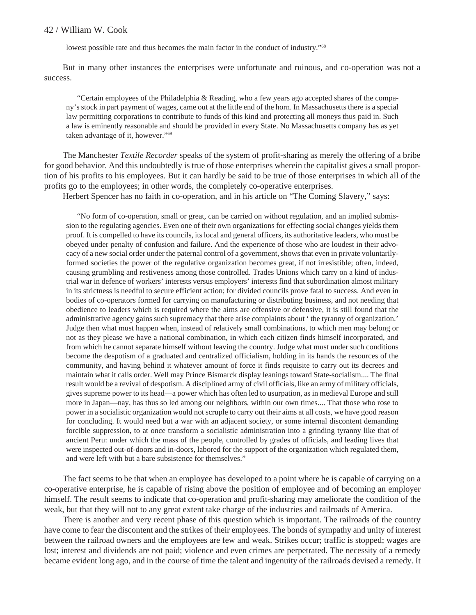lowest possible rate and thus becomes the main factor in the conduct of industry."68

But in many other instances the enterprises were unfortunate and ruinous, and co-operation was not a success.

"Certain employees of the Philadelphia & Reading, who a few years ago accepted shares of the company's stock in part payment of wages, came out at the little end of the horn. In Massachusetts there is a special law permitting corporations to contribute to funds of this kind and protecting all moneys thus paid in. Such a law is eminently reasonable and should be provided in every State. No Massachusetts company has as yet taken advantage of it, however."69

The Manchester *Textile Recorder* speaks of the system of profit-sharing as merely the offering of a bribe for good behavior. And this undoubtedly is true of those enterprises wherein the capitalist gives a small proportion of his profits to his employees. But it can hardly be said to be true of those enterprises in which all of the profits go to the employees; in other words, the completely co-operative enterprises.

Herbert Spencer has no faith in co-operation, and in his article on "The Coming Slavery," says:

"No form of co-operation, small or great, can be carried on without regulation, and an implied submission to the regulating agencies. Even one of their own organizations for effecting social changes yields them proof. It is compelled to have its councils, its local and general officers, its authoritative leaders, who must be obeyed under penalty of confusion and failure. And the experience of those who are loudest in their advocacy of a new social order under the paternal control of a government, shows that even in private voluntarilyformed societies the power of the regulative organization becomes great, if not irresistible; often, indeed, causing grumbling and restiveness among those controlled. Trades Unions which carry on a kind of industrial war in defence of workers' interests versus employers' interests find that subordination almost military in its strictness is needful to secure efficient action; for divided councils prove fatal to success. And even in bodies of co-operators formed for carrying on manufacturing or distributing business, and not needing that obedience to leaders which is required where the aims are offensive or defensive, it is still found that the administrative agency gains such supremacy that there arise complaints about ' the tyranny of organization.' Judge then what must happen when, instead of relatively small combinations, to which men may belong or not as they please we have a national combination, in which each citizen finds himself incorporated, and from which he cannot separate himself without leaving the country. Judge what must under such conditions become the despotism of a graduated and centralized officialism, holding in its hands the resources of the community, and having behind it whatever amount of force it finds requisite to carry out its decrees and maintain what it calls order. Well may Prince Bismarck display leanings toward State-socialism.... The final result would be a revival of despotism. A disciplined army of civil officials, like an army of military officials, gives supreme power to its head—a power which has often led to usurpation, as in medieval Europe and still more in Japan—nay, has thus so led among our neighbors, within our own times.... That those who rose to power in a socialistic organization would not scruple to carry out their aims at all costs, we have good reason for concluding. It would need but a war with an adjacent society, or some internal discontent demanding forcible suppression, to at once transform a socialistic administration into a grinding tyranny like that of ancient Peru: under which the mass of the people, controlled by grades of officials, and leading lives that were inspected out-of-doors and in-doors, labored for the support of the organization which regulated them, and were left with but a bare subsistence for themselves."

The fact seems to be that when an employee has developed to a point where he is capable of carrying on a co-operative enterprise, he is capable of rising above the position of employee and of becoming an employer himself. The result seems to indicate that co-operation and profit-sharing may ameliorate the condition of the weak, but that they will not to any great extent take charge of the industries and railroads of America.

There is another and very recent phase of this question which is important. The railroads of the country have come to fear the discontent and the strikes of their employees. The bonds of sympathy and unity of interest between the railroad owners and the employees are few and weak. Strikes occur; traffic is stopped; wages are lost; interest and dividends are not paid; violence and even crimes are perpetrated. The necessity of a remedy became evident long ago, and in the course of time the talent and ingenuity of the railroads devised a remedy. It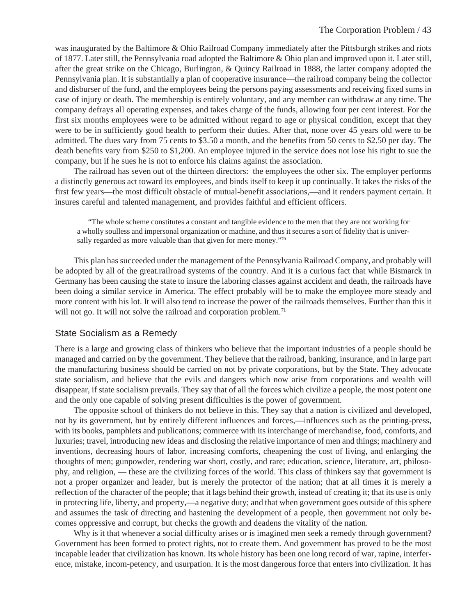was inaugurated by the Baltimore & Ohio Railroad Company immediately after the Pittsburgh strikes and riots of 1877. Later still, the Pennsylvania road adopted the Baltimore & Ohio plan and improved upon it. Later still, after the great strike on the Chicago, Burlington, & Quincy Railroad in 1888, the latter company adopted the Pennsylvania plan. It is substantially a plan of cooperative insurance—the railroad company being the collector and disburser of the fund, and the employees being the persons paying assessments and receiving fixed sums in case of injury or death. The membership is entirely voluntary, and any member can withdraw at any time. The company defrays all operating expenses, and takes charge of the funds, allowing four per cent interest. For the first six months employees were to be admitted without regard to age or physical condition, except that they were to be in sufficiently good health to perform their duties. After that, none over 45 years old were to be admitted. The dues vary from 75 cents to \$3.50 a month, and the benefits from 50 cents to \$2.50 per day. The death benefits vary from \$250 to \$1,200. An employee injured in the service does not lose his right to sue the company, but if he sues he is not to enforce his claims against the association.

The railroad has seven out of the thirteen directors: the employees the other six. The employer performs a distinctly generous act toward its employees, and binds itself to keep it up continually. It takes the risks of the first few years—the most difficult obstacle of mutual-benefit associations,—and it renders payment certain. It insures careful and talented management, and provides faithful and efficient officers.

"The whole scheme constitutes a constant and tangible evidence to the men that they are not working for a wholly soulless and impersonal organization or machine, and thus it secures a sort of fidelity that is universally regarded as more valuable than that given for mere money."70

This plan has succeeded under the management of the Pennsylvania Railroad Company, and probably will be adopted by all of the great.railroad systems of the country. And it is a curious fact that while Bismarck in Germany has been causing the state to insure the laboring classes against accident and death, the railroads have been doing a similar service in America. The effect probably will be to make the employee more steady and more content with his lot. It will also tend to increase the power of the railroads themselves. Further than this it will not go. It will not solve the railroad and corporation problem.<sup>71</sup>

## State Socialism as a Remedy

There is a large and growing class of thinkers who believe that the important industries of a people should be managed and carried on by the government. They believe that the railroad, banking, insurance, and in large part the manufacturing business should be carried on not by private corporations, but by the State. They advocate state socialism, and believe that the evils and dangers which now arise from corporations and wealth will disappear, if state socialism prevails. They say that of all the forces which civilize a people, the most potent one and the only one capable of solving present difficulties is the power of government.

The opposite school of thinkers do not believe in this. They say that a nation is civilized and developed, not by its government, but by entirely different influences and forces,—influences such as the printing-press, with its books, pamphlets and publications; commerce with its interchange of merchandise, food, comforts, and luxuries; travel, introducing new ideas and disclosing the relative importance of men and things; machinery and inventions, decreasing hours of labor, increasing comforts, cheapening the cost of living, and enlarging the thoughts of men; gunpowder, rendering war short, costly, and rare; education, science, literature, art, philosophy, and religion, — these are the civilizing forces of the world. This class of thinkers say that government is not a proper organizer and leader, but is merely the protector of the nation; that at all times it is merely a reflection of the character of the people; that it lags behind their growth, instead of creating it; that its use is only in protecting life, liberty, and property,—a negative duty; and that when government goes outside of this sphere and assumes the task of directing and hastening the development of a people, then government not only becomes oppressive and corrupt, but checks the growth and deadens the vitality of the nation.

Why is it that whenever a social difficulty arises or is imagined men seek a remedy through government? Government has been formed to protect rights, not to create them. And government has proved to be the most incapable leader that civilization has known. Its whole history has been one long record of war, rapine, interference, mistake, incom-petency, and usurpation. It is the most dangerous force that enters into civilization. It has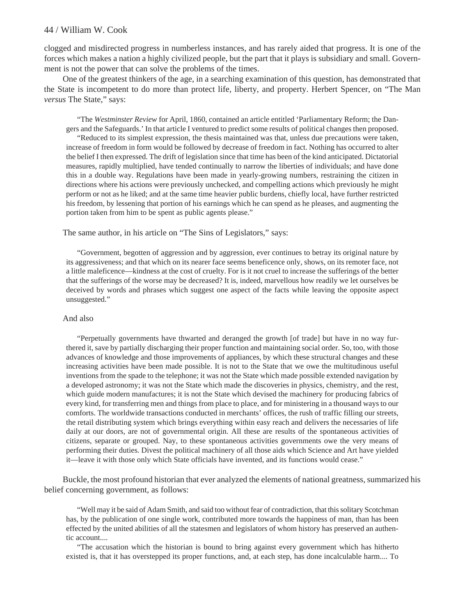clogged and misdirected progress in numberless instances, and has rarely aided that progress. It is one of the forces which makes a nation a highly civilized people, but the part that it plays is subsidiary and small. Government is not the power that can solve the problems of the times.

One of the greatest thinkers of the age, in a searching examination of this question, has demonstrated that the State is incompetent to do more than protect life, liberty, and property. Herbert Spencer, on "The Man *versus* The State," says:

"The *Westminster Review* for April, 1860, contained an article entitled 'Parliamentary Reform; the Dangers and the Safeguards.' In that article I ventured to predict some results of political changes then proposed. "Reduced to its simplest expression, the thesis maintained was that, unless due precautions were taken, increase of freedom in form would be followed by decrease of freedom in fact. Nothing has occurred to alter the belief I then expressed. The drift of legislation since that time has been of the kind anticipated. Dictatorial measures, rapidly multiplied, have tended continually to narrow the liberties of individuals; and have done this in a double way. Regulations have been made in yearly-growing numbers, restraining the citizen in directions where his actions were previously unchecked, and compelling actions which previously he might perform or not as he liked; and at the same time heavier public burdens, chiefly local, have further restricted his freedom, by lessening that portion of his earnings which he can spend as he pleases, and augmenting the portion taken from him to be spent as public agents please."

The same author, in his article on "The Sins of Legislators," says:

"Government, begotten of aggression and by aggression, ever continues to betray its original nature by its aggressiveness; and that which on its nearer face seems beneficence only, shows, on its remoter face, not a little maleficence—kindness at the cost of cruelty. For is it not cruel to increase the sufferings of the better that the sufferings of the worse may be decreased? It is, indeed, marvellous how readily we let ourselves be deceived by words and phrases which suggest one aspect of the facts while leaving the opposite aspect unsuggested."

#### And also

"Perpetually governments have thwarted and deranged the growth [of trade] but have in no way furthered it, save by partially discharging their proper function and maintaining social order. So, too, with those advances of knowledge and those improvements of appliances, by which these structural changes and these increasing activities have been made possible. It is not to the State that we owe the multitudinous useful inventions from the spade to the telephone; it was not the State which made possible extended navigation by a developed astronomy; it was not the State which made the discoveries in physics, chemistry, and the rest, which guide modern manufactures; it is not the State which devised the machinery for producing fabrics of every kind, for transferring men and things from place to place, and for ministering in a thousand ways to our comforts. The worldwide transactions conducted in merchants' offices, the rush of traffic filling our streets, the retail distributing system which brings everything within easy reach and delivers the necessaries of life daily at our doors, are not of governmental origin. All these are results of the spontaneous activities of citizens, separate or grouped. Nay, to these spontaneous activities governments owe the very means of performing their duties. Divest the political machinery of all those aids which Science and Art have yielded it—leave it with those only which State officials have invented, and its functions would cease."

Buckle, the most profound historian that ever analyzed the elements of national greatness, summarized his belief concerning government, as follows:

"Well may it be said of Adam Smith, and said too without fear of contradiction, that this solitary Scotchman has, by the publication of one single work, contributed more towards the happiness of man, than has been effected by the united abilities of all the statesmen and legislators of whom history has preserved an authentic account....

"The accusation which the historian is bound to bring against every government which has hitherto existed is, that it has overstepped its proper functions, and, at each step, has done incalculable harm.... To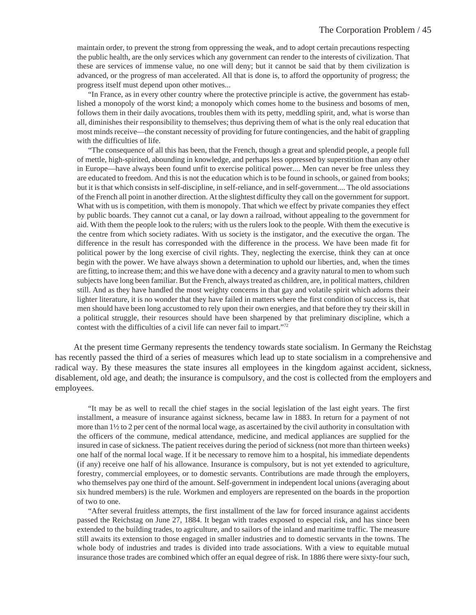maintain order, to prevent the strong from oppressing the weak, and to adopt certain precautions respecting the public health, are the only services which any government can render to the interests of civilization. That these are services of immense value, no one will deny; but it cannot be said that by them civilization is advanced, or the progress of man accelerated. All that is done is, to afford the opportunity of progress; the progress itself must depend upon other motives...

"In France, as in every other country where the protective principle is active, the government has established a monopoly of the worst kind; a monopoly which comes home to the business and bosoms of men, follows them in their daily avocations, troubles them with its petty, meddling spirit, and, what is worse than all, diminishes their responsibility to themselves; thus depriving them of what is the only real education that most minds receive—the constant necessity of providing for future contingencies, and the habit of grappling with the difficulties of life.

"The consequence of all this has been, that the French, though a great and splendid people, a people full of mettle, high-spirited, abounding in knowledge, and perhaps less oppressed by superstition than any other in Europe—have always been found unfit to exercise political power.... Men can never be free unless they are educated to freedom. And this is not the education which is to be found in schools, or gained from books; but it is that which consists in self-discipline, in self-reliance, and in self-government.... The old associations of the French all point in another direction. At the slightest difficulty they call on the government for support. What with us is competition, with them is monopoly. That which we effect by private companies they effect by public boards. They cannot cut a canal, or lay down a railroad, without appealing to the government for aid. With them the people look to the rulers; with us the rulers look to the people. With them the executive is the centre from which society radiates. With us society is the instigator, and the executive the organ. The difference in the result has corresponded with the difference in the process. We have been made fit for political power by the long exercise of civil rights. They, neglecting the exercise, think they can at once begin with the power. We have always shown a determination to uphold our liberties, and, when the times are fitting, to increase them; and this we have done with a decency and a gravity natural to men to whom such subjects have long been familiar. But the French, always treated as children, are, in political matters, children still. And as they have handled the most weighty concerns in that gay and volatile spirit which adorns their lighter literature, it is no wonder that they have failed in matters where the first condition of success is, that men should have been long accustomed to rely upon their own energies, and that before they try their skill in a political struggle, their resources should have been sharpened by that preliminary discipline, which a contest with the difficulties of a civil life can never fail to impart."72

At the present time Germany represents the tendency towards state socialism. In Germany the Reichstag has recently passed the third of a series of measures which lead up to state socialism in a comprehensive and radical way. By these measures the state insures all employees in the kingdom against accident, sickness, disablement, old age, and death; the insurance is compulsory, and the cost is collected from the employers and employees.

"It may be as well to recall the chief stages in the social legislation of the last eight years. The first installment, a measure of insurance against sickness, became law in 1883. In return for a payment of not more than 1½ to 2 per cent of the normal local wage, as ascertained by the civil authority in consultation with the officers of the commune, medical attendance, medicine, and medical appliances are supplied for the insured in case of sickness. The patient receives during the period of sickness (not more than thirteen weeks) one half of the normal local wage. If it be necessary to remove him to a hospital, his immediate dependents (if any) receive one half of his allowance. Insurance is compulsory, but is not yet extended to agriculture, forestry, commercial employees, or to domestic servants. Contributions are made through the employers, who themselves pay one third of the amount. Self-government in independent local unions (averaging about six hundred members) is the rule. Workmen and employers are represented on the boards in the proportion of two to one.

"After several fruitless attempts, the first installment of the law for forced insurance against accidents passed the Reichstag on June 27, 1884. It began with trades exposed to especial risk, and has since been extended to the building trades, to agriculture, and to sailors of the inland and maritime traffic. The measure still awaits its extension to those engaged in smaller industries and to domestic servants in the towns. The whole body of industries and trades is divided into trade associations. With a view to equitable mutual insurance those trades are combined which offer an equal degree of risk. In 1886 there were sixty-four such,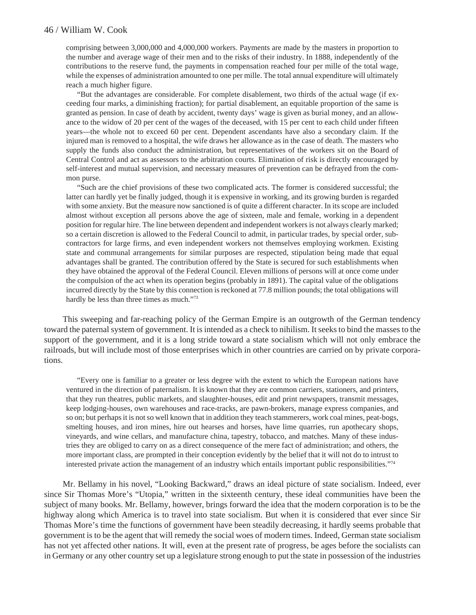comprising between 3,000,000 and 4,000,000 workers. Payments are made by the masters in proportion to the number and average wage of their men and to the risks of their industry. In 1888, independently of the contributions to the reserve fund, the payments in compensation reached four per mille of the total wage, while the expenses of administration amounted to one per mille. The total annual expenditure will ultimately reach a much higher figure.

"But the advantages are considerable. For complete disablement, two thirds of the actual wage (if exceeding four marks, a diminishing fraction); for partial disablement, an equitable proportion of the same is granted as pension. In case of death by accident, twenty days' wage is given as burial money, and an allowance to the widow of 20 per cent of the wages of the deceased, with 15 per cent to each child under fifteen years—the whole not to exceed 60 per cent. Dependent ascendants have also a secondary claim. If the injured man is removed to a hospital, the wife draws her allowance as in the case of death. The masters who supply the funds also conduct the administration, but representatives of the workers sit on the Board of Central Control and act as assessors to the arbitration courts. Elimination of risk is directly encouraged by self-interest and mutual supervision, and necessary measures of prevention can be defrayed from the common purse.

"Such are the chief provisions of these two complicated acts. The former is considered successful; the latter can hardly yet be finally judged, though it is expensive in working, and its growing burden is regarded with some anxiety. But the measure now sanctioned is of quite a different character. In its scope are included almost without exception all persons above the age of sixteen, male and female, working in a dependent position for regular hire. The line between dependent and independent workers is not always clearly marked; so a certain discretion is allowed to the Federal Council to admit, in particular trades, by special order, subcontractors for large firms, and even independent workers not themselves employing workmen. Existing state and communal arrangements for similar purposes are respected, stipulation being made that equal advantages shall be granted. The contribution offered by the State is secured for such establishments when they have obtained the approval of the Federal Council. Eleven millions of persons will at once come under the compulsion of the act when its operation begins (probably in 1891). The capital value of the obligations incurred directly by the State by this connection is reckoned at 77.8 million pounds; the total obligations will hardly be less than three times as much."73

This sweeping and far-reaching policy of the German Empire is an outgrowth of the German tendency toward the paternal system of government. It is intended as a check to nihilism. It seeks to bind the masses to the support of the government, and it is a long stride toward a state socialism which will not only embrace the railroads, but will include most of those enterprises which in other countries are carried on by private corporations.

"Every one is familiar to a greater or less degree with the extent to which the European nations have ventured in the direction of paternalism. It is known that they are common carriers, stationers, and printers, that they run theatres, public markets, and slaughter-houses, edit and print newspapers, transmit messages, keep lodging-houses, own warehouses and race-tracks, are pawn-brokers, manage express companies, and so on; but perhaps it is not so well known that in addition they teach stammerers, work coal mines, peat-bogs, smelting houses, and iron mines, hire out hearses and horses, have lime quarries, run apothecary shops, vineyards, and wine cellars, and manufacture china, tapestry, tobacco, and matches. Many of these industries they are obliged to carry on as a direct consequence of the mere fact of administration; and others, the more important class, are prompted in their conception evidently by the belief that it will not do to intrust to interested private action the management of an industry which entails important public responsibilities."74

Mr. Bellamy in his novel, "Looking Backward," draws an ideal picture of state socialism. Indeed, ever since Sir Thomas More's "Utopia," written in the sixteenth century, these ideal communities have been the subject of many books. Mr. Bellamy, however, brings forward the idea that the modern corporation is to be the highway along which America is to travel into state socialism. But when it is considered that ever since Sir Thomas More's time the functions of government have been steadily decreasing, it hardly seems probable that government is to be the agent that will remedy the social woes of modern times. Indeed, German state socialism has not yet affected other nations. It will, even at the present rate of progress, be ages before the socialists can in Germany or any other country set up a legislature strong enough to put the state in possession of the industries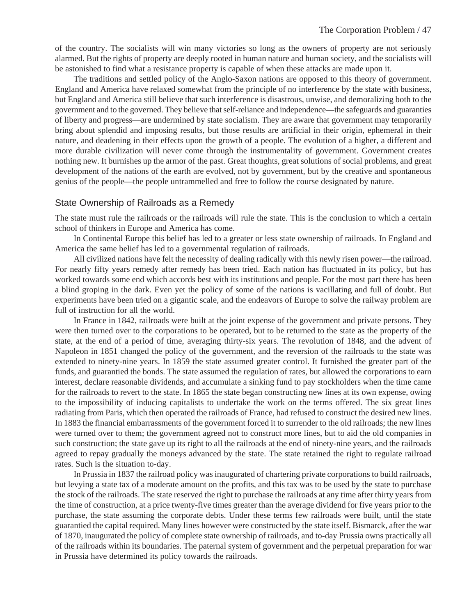of the country. The socialists will win many victories so long as the owners of property are not seriously alarmed. But the rights of property are deeply rooted in human nature and human society, and the socialists will be astonished to find what a resistance property is capable of when these attacks are made upon it.

The traditions and settled policy of the Anglo-Saxon nations are opposed to this theory of government. England and America have relaxed somewhat from the principle of no interference by the state with business, but England and America still believe that such interference is disastrous, unwise, and demoralizing both to the government and to the governed. They believe that self-reliance and independence—the safeguards and guaranties of liberty and progress—are undermined by state socialism. They are aware that government may temporarily bring about splendid and imposing results, but those results are artificial in their origin, ephemeral in their nature, and deadening in their effects upon the growth of a people. The evolution of a higher, a different and more durable civilization will never come through the instrumentality of government. Government creates nothing new. It burnishes up the armor of the past. Great thoughts, great solutions of social problems, and great development of the nations of the earth are evolved, not by government, but by the creative and spontaneous genius of the people—the people untrammelled and free to follow the course designated by nature.

### State Ownership of Railroads as a Remedy

The state must rule the railroads or the railroads will rule the state. This is the conclusion to which a certain school of thinkers in Europe and America has come.

In Continental Europe this belief has led to a greater or less state ownership of railroads. In England and America the same belief has led to a governmental regulation of railroads.

All civilized nations have felt the necessity of dealing radically with this newly risen power—the railroad. For nearly fifty years remedy after remedy has been tried. Each nation has fluctuated in its policy, but has worked towards some end which accords best with its institutions and people. For the most part there has been a blind groping in the dark. Even yet the policy of some of the nations is vacillating and full of doubt. But experiments have been tried on a gigantic scale, and the endeavors of Europe to solve the railway problem are full of instruction for all the world.

In France in 1842, railroads were built at the joint expense of the government and private persons. They were then turned over to the corporations to be operated, but to be returned to the state as the property of the state, at the end of a period of time, averaging thirty-six years. The revolution of 1848, and the advent of Napoleon in 1851 changed the policy of the government, and the reversion of the railroads to the state was extended to ninety-nine years. In 1859 the state assumed greater control. It furnished the greater part of the funds, and guarantied the bonds. The state assumed the regulation of rates, but allowed the corporations to earn interest, declare reasonable dividends, and accumulate a sinking fund to pay stockholders when the time came for the railroads to revert to the state. In 1865 the state began constructing new lines at its own expense, owing to the impossibility of inducing capitalists to undertake the work on the terms offered. The six great lines radiating from Paris, which then operated the railroads of France, had refused to construct the desired new lines. In 1883 the financial embarrassments of the government forced it to surrender to the old railroads; the new lines were turned over to them; the government agreed not to construct more lines, but to aid the old companies in such construction; the state gave up its right to all the railroads at the end of ninety-nine years, and the railroads agreed to repay gradually the moneys advanced by the state. The state retained the right to regulate railroad rates. Such is the situation to-day.

In Prussia in 1837 the railroad policy was inaugurated of chartering private corporations to build railroads, but levying a state tax of a moderate amount on the profits, and this tax was to be used by the state to purchase the stock of the railroads. The state reserved the right to purchase the railroads at any time after thirty years from the time of construction, at a price twenty-five times greater than the average dividend for five years prior to the purchase, the state assuming the corporate debts. Under these terms few railroads were built, until the state guarantied the capital required. Many lines however were constructed by the state itself. Bismarck, after the war of 1870, inaugurated the policy of complete state ownership of railroads, and to-day Prussia owns practically all of the railroads within its boundaries. The paternal system of government and the perpetual preparation for war in Prussia have determined its policy towards the railroads.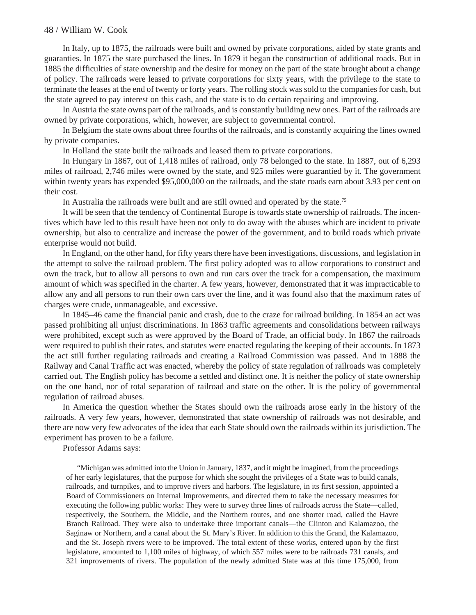In Italy, up to 1875, the railroads were built and owned by private corporations, aided by state grants and guaranties. In 1875 the state purchased the lines. In 1879 it began the construction of additional roads. But in 1885 the difficulties of state ownership and the desire for money on the part of the state brought about a change of policy. The railroads were leased to private corporations for sixty years, with the privilege to the state to terminate the leases at the end of twenty or forty years. The rolling stock was sold to the companies for cash, but the state agreed to pay interest on this cash, and the state is to do certain repairing and improving.

In Austria the state owns part of the railroads, and is constantly building new ones. Part of the railroads are owned by private corporations, which, however, are subject to governmental control.

In Belgium the state owns about three fourths of the railroads, and is constantly acquiring the lines owned by private companies.

In Holland the state built the railroads and leased them to private corporations.

In Hungary in 1867, out of 1,418 miles of railroad, only 78 belonged to the state. In 1887, out of 6,293 miles of railroad, 2,746 miles were owned by the state, and 925 miles were guarantied by it. The government within twenty years has expended \$95,000,000 on the railroads, and the state roads earn about 3.93 per cent on their cost.

In Australia the railroads were built and are still owned and operated by the state.<sup>75</sup>

It will be seen that the tendency of Continental Europe is towards state ownership of railroads. The incentives which have led to this result have been not only to do away with the abuses which are incident to private ownership, but also to centralize and increase the power of the government, and to build roads which private enterprise would not build.

In England, on the other hand, for fifty years there have been investigations, discussions, and legislation in the attempt to solve the railroad problem. The first policy adopted was to allow corporations to construct and own the track, but to allow all persons to own and run cars over the track for a compensation, the maximum amount of which was specified in the charter. A few years, however, demonstrated that it was impracticable to allow any and all persons to run their own cars over the line, and it was found also that the maximum rates of charges were crude, unmanageable, and excessive.

In 1845–46 came the financial panic and crash, due to the craze for railroad building. In 1854 an act was passed prohibiting all unjust discriminations. In 1863 traffic agreements and consolidations between railways were prohibited, except such as were approved by the Board of Trade, an official body. In 1867 the railroads were required to publish their rates, and statutes were enacted regulating the keeping of their accounts. In 1873 the act still further regulating railroads and creating a Railroad Commission was passed. And in 1888 the Railway and Canal Traffic act was enacted, whereby the policy of state regulation of railroads was completely carried out. The English policy has become a settled and distinct one. It is neither the policy of state ownership on the one hand, nor of total separation of railroad and state on the other. It is the policy of governmental regulation of railroad abuses.

In America the question whether the States should own the railroads arose early in the history of the railroads. A very few years, however, demonstrated that state ownership of railroads was not desirable, and there are now very few advocates of the idea that each State should own the railroads within its jurisdiction. The experiment has proven to be a failure.

Professor Adams says:

"Michigan was admitted into the Union in January, 1837, and it might be imagined, from the proceedings of her early legislatures, that the purpose for which she sought the privileges of a State was to build canals, railroads, and turnpikes, and to improve rivers and harbors. The legislature, in its first session, appointed a Board of Commissioners on Internal Improvements, and directed them to take the necessary measures for executing the following public works: They were to survey three lines of railroads across the State—called, respectively, the Southern, the Middle, and the Northern routes, and one shorter road, called the Havre Branch Railroad. They were also to undertake three important canals—the Clinton and Kalamazoo, the Saginaw or Northern, and a canal about the St. Mary's River. In addition to this the Grand, the Kalamazoo, and the St. Joseph rivers were to be improved. The total extent of these works, entered upon by the first legislature, amounted to 1,100 miles of highway, of which 557 miles were to be railroads 731 canals, and 321 improvements of rivers. The population of the newly admitted State was at this time 175,000, from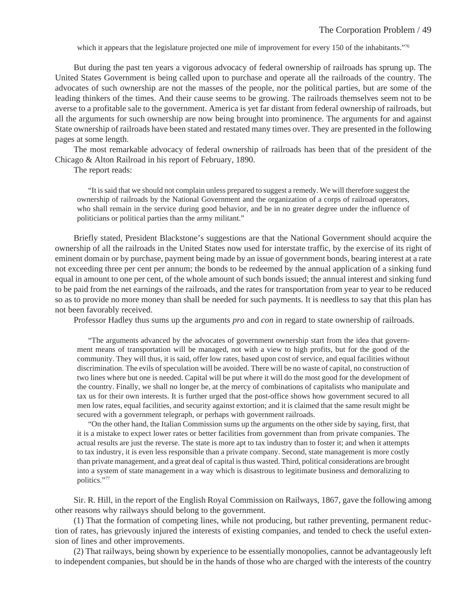which it appears that the legislature projected one mile of improvement for every 150 of the inhabitants."76

But during the past ten years a vigorous advocacy of federal ownership of railroads has sprung up. The United States Government is being called upon to purchase and operate all the railroads of the country. The advocates of such ownership are not the masses of the people, nor the political parties, but are some of the leading thinkers of the times. And their cause seems to be growing. The railroads themselves seem not to be averse to a profitable sale to the government. America is yet far distant from federal ownership of railroads, but all the arguments for such ownership are now being brought into prominence. The arguments for and against State ownership of railroads have been stated and restated many times over. They are presented in the following pages at some length.

The most remarkable advocacy of federal ownership of railroads has been that of the president of the Chicago & Alton Railroad in his report of February, 1890.

The report reads:

"It is said that we should not complain unless prepared to suggest a remedy. We will therefore suggest the ownership of railroads by the National Government and the organization of a corps of railroad operators, who shall remain in the service during good behavior, and be in no greater degree under the influence of politicians or political parties than the army militant."

Briefly stated, President Blackstone's suggestions are that the National Government should acquire the ownership of all the railroads in the United States now used for interstate traffic, by the exercise of its right of eminent domain or by purchase, payment being made by an issue of government bonds, bearing interest at a rate not exceeding three per cent per annum; the bonds to be redeemed by the annual application of a sinking fund equal in amount to one per cent, of the whole amount of such bonds issued; the annual interest and sinking fund to be paid from the net earnings of the railroads, and the rates for transportation from year to year to be reduced so as to provide no more money than shall be needed for such payments. It is needless to say that this plan has not been favorably received.

Professor Hadley thus sums up the arguments *pro* and *con* in regard to state ownership of railroads.

"The arguments advanced by the advocates of government ownership start from the idea that government means of transportation will be managed, not with a view to high profits, but for the good of the community. They will thus, it is said, offer low rates, based upon cost of service, and equal facilities without discrimination. The evils of speculation will be avoided. There will be no waste of capital, no construction of two lines where but one is needed. Capital will be put where it will do the most good for the development of the country. Finally, we shall no longer be, at the mercy of combinations of capitalists who manipulate and tax us for their own interests. It is further urged that the post-office shows how government secured to all men low rates, equal facilities, and security against extortion; and it is claimed that the same result might be secured with a government telegraph, or perhaps with government railroads.

"On the other hand, the Italian Commission sums up the arguments on the other side by saying, first, that it is a mistake to expect lower rates or better facilities from government than from private companies. The actual results are just the reverse. The state is more apt to tax industry than to foster it; and when it attempts to tax industry, it is even less responsible than a private company. Second, state management is more costly than private management, and a great deal of capital is thus wasted. Third, political considerations are brought into a system of state management in a way which is disastrous to legitimate business and demoralizing to politics."77

Sir. R. Hill, in the report of the English Royal Commission on Railways, 1867, gave the following among other reasons why railways should belong to the government.

(1) That the formation of competing lines, while not producing, but rather preventing, permanent reduction of rates, has grievously injured the interests of existing companies, and tended to check the useful extension of lines and other improvements.

(2) That railways, being shown by experience to be essentially monopolies, cannot be advantageously left to independent companies, but should be in the hands of those who are charged with the interests of the country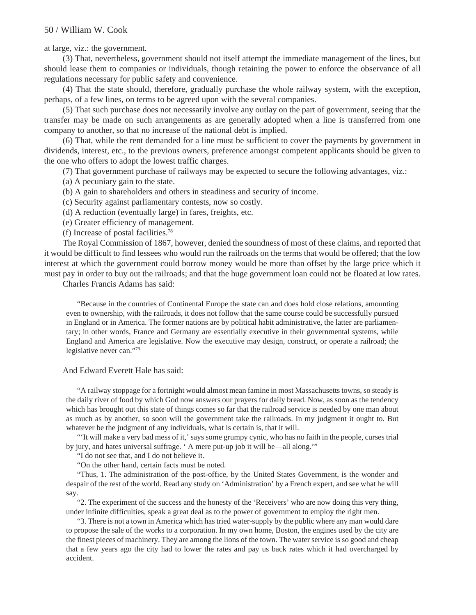at large, viz.: the government.

(3) That, nevertheless, government should not itself attempt the immediate management of the lines, but should lease them to companies or individuals, though retaining the power to enforce the observance of all regulations necessary for public safety and convenience.

(4) That the state should, therefore, gradually purchase the whole railway system, with the exception, perhaps, of a few lines, on terms to be agreed upon with the several companies.

(5) That such purchase does not necessarily involve any outlay on the part of government, seeing that the transfer may be made on such arrangements as are generally adopted when a line is transferred from one company to another, so that no increase of the national debt is implied.

(6) That, while the rent demanded for a line must be sufficient to cover the payments by government in dividends, interest, etc., to the previous owners, preference amongst competent applicants should be given to the one who offers to adopt the lowest traffic charges.

(7) That government purchase of railways may be expected to secure the following advantages, viz.:

- (a) A pecuniary gain to the state.
- (b) A gain to shareholders and others in steadiness and security of income.
- (c) Security against parliamentary contests, now so costly.
- (d) A reduction (eventually large) in fares, freights, etc.
- (e) Greater efficiency of management.
- (f) Increase of postal facilities.78

The Royal Commission of 1867, however, denied the soundness of most of these claims, and reported that it would be difficult to find lessees who would run the railroads on the terms that would be offered; that the low interest at which the government could borrow money would be more than offset by the large price which it must pay in order to buy out the railroads; and that the huge government loan could not be floated at low rates.

Charles Francis Adams has said:

"Because in the countries of Continental Europe the state can and does hold close relations, amounting even to ownership, with the railroads, it does not follow that the same course could be successfully pursued in England or in America. The former nations are by political habit administrative, the latter are parliamentary; in other words, France and Germany are essentially executive in their governmental systems, while England and America are legislative. Now the executive may design, construct, or operate a railroad; the legislative never can."79

#### And Edward Everett Hale has said:

"A railway stoppage for a fortnight would almost mean famine in most Massachusetts towns, so steady is the daily river of food by which God now answers our prayers for daily bread. Now, as soon as the tendency which has brought out this state of things comes so far that the railroad service is needed by one man about as much as by another, so soon will the government take the railroads. In my judgment it ought to. But whatever be the judgment of any individuals, what is certain is, that it will.

"'It will make a very bad mess of it,' says some grumpy cynic, who has no faith in the people, curses trial by jury, and hates universal suffrage. ' A mere put-up job it will be—all along.'"

"I do not see that, and I do not believe it.

"On the other hand, certain facts must be noted.

"Thus, 1. The administration of the post-office, by the United States Government, is the wonder and despair of the rest of the world. Read any study on 'Administration' by a French expert, and see what he will say.

"2. The experiment of the success and the honesty of the 'Receivers' who are now doing this very thing, under infinite difficulties, speak a great deal as to the power of government to employ the right men.

"3. There is not a town in America which has tried water-supply by the public where any man would dare to propose the sale of the works to a corporation. In my own home, Boston, the engines used by the city are the finest pieces of machinery. They are among the lions of the town. The water service is so good and cheap that a few years ago the city had to lower the rates and pay us back rates which it had overcharged by accident.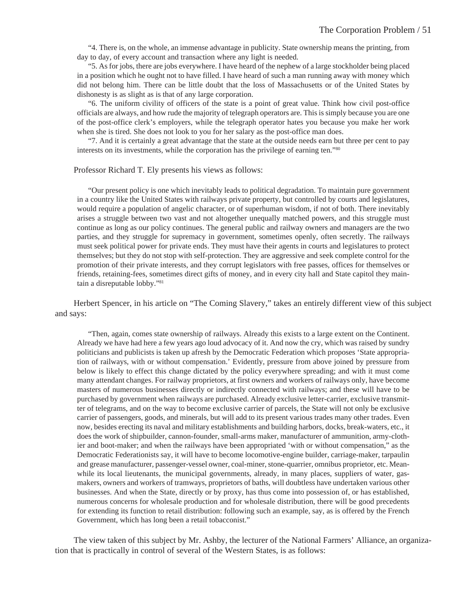"4. There is, on the whole, an immense advantage in publicity. State ownership means the printing, from day to day, of every account and transaction where any light is needed.

"5. As for jobs, there are jobs everywhere. I have heard of the nephew of a large stockholder being placed in a position which he ought not to have filled. I have heard of such a man running away with money which did not belong him. There can be little doubt that the loss of Massachusetts or of the United States by dishonesty is as slight as is that of any large corporation.

"6. The uniform civility of officers of the state is a point of great value. Think how civil post-office officials are always, and how rude the majority of telegraph operators are. This is simply because you are one of the post-office clerk's employers, while the telegraph operator hates you because you make her work when she is tired. She does not look to you for her salary as the post-office man does.

"7. And it is certainly a great advantage that the state at the outside needs earn but three per cent to pay interests on its investments, while the corporation has the privilege of earning ten."80

#### Professor Richard T. Ely presents his views as follows:

"Our present policy is one which inevitably leads to political degradation. To maintain pure government in a country like the United States with railways private property, but controlled by courts and legislatures, would require a population of angelic character, or of superhuman wisdom, if not of both. There inevitably arises a struggle between two vast and not altogether unequally matched powers, and this struggle must continue as long as our policy continues. The general public and railway owners and managers are the two parties, and they struggle for supremacy in government, sometimes openly, often secretly. The railways must seek political power for private ends. They must have their agents in courts and legislatures to protect themselves; but they do not stop with self-protection. They are aggressive and seek complete control for the promotion of their private interests, and they corrupt legislators with free passes, offices for themselves or friends, retaining-fees, sometimes direct gifts of money, and in every city hall and State capitol they maintain a disreputable lobby."81

Herbert Spencer, in his article on "The Coming Slavery," takes an entirely different view of this subject and says:

"Then, again, comes state ownership of railways. Already this exists to a large extent on the Continent. Already we have had here a few years ago loud advocacy of it. And now the cry, which was raised by sundry politicians and publicists is taken up afresh by the Democratic Federation which proposes 'State appropriation of railways, with or without compensation.' Evidently, pressure from above joined by pressure from below is likely to effect this change dictated by the policy everywhere spreading; and with it must come many attendant changes. For railway proprietors, at first owners and workers of railways only, have become masters of numerous businesses directly or indirectly connected with railways; and these will have to be purchased by government when railways are purchased. Already exclusive letter-carrier, exclusive transmitter of telegrams, and on the way to become exclusive carrier of parcels, the State will not only be exclusive carrier of passengers, goods, and minerals, but will add to its present various trades many other trades. Even now, besides erecting its naval and military establishments and building harbors, docks, break-waters, etc., it does the work of shipbuilder, cannon-founder, small-arms maker, manufacturer of ammunition, army-clothier and boot-maker; and when the railways have been appropriated 'with or without compensation," as the Democratic Federationists say, it will have to become locomotive-engine builder, carriage-maker, tarpaulin and grease manufacturer, passenger-vessel owner, coal-miner, stone-quarrier, omnibus proprietor, etc. Meanwhile its local lieutenants, the municipal governments, already, in many places, suppliers of water, gasmakers, owners and workers of tramways, proprietors of baths, will doubtless have undertaken various other businesses. And when the State, directly or by proxy, has thus come into possession of, or has established, numerous concerns for wholesale production and for wholesale distribution, there will be good precedents for extending its function to retail distribution: following such an example, say, as is offered by the French Government, which has long been a retail tobacconist."

The view taken of this subject by Mr. Ashby, the lecturer of the National Farmers' Alliance, an organization that is practically in control of several of the Western States, is as follows: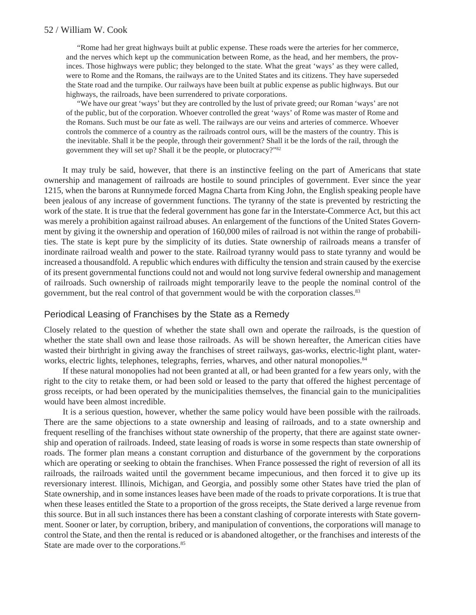"Rome had her great highways built at public expense. These roads were the arteries for her commerce, and the nerves which kept up the communication between Rome, as the head, and her members, the provinces. Those highways were public; they belonged to the state. What the great 'ways' as they were called, were to Rome and the Romans, the railways are to the United States and its citizens. They have superseded the State road and the turnpike. Our railways have been built at public expense as public highways. But our highways, the railroads, have been surrendered to private corporations.

"We have our great 'ways' but they are controlled by the lust of private greed; our Roman 'ways' are not of the public, but of the corporation. Whoever controlled the great 'ways' of Rome was master of Rome and the Romans. Such must be our fate as well. The railways are our veins and arteries of commerce. Whoever controls the commerce of a country as the railroads control ours, will be the masters of the country. This is the inevitable. Shall it be the people, through their government? Shall it be the lords of the rail, through the government they will set up? Shall it be the people, or plutocracy?"82

It may truly be said, however, that there is an instinctive feeling on the part of Americans that state ownership and management of railroads are hostile to sound principles of government. Ever since the year 1215, when the barons at Runnymede forced Magna Charta from King John, the English speaking people have been jealous of any increase of government functions. The tyranny of the state is prevented by restricting the work of the state. It is true that the federal government has gone far in the Interstate-Commerce Act, but this act was merely a prohibition against railroad abuses. An enlargement of the functions of the United States Government by giving it the ownership and operation of 160,000 miles of railroad is not within the range of probabilities. The state is kept pure by the simplicity of its duties. State ownership of railroads means a transfer of inordinate railroad wealth and power to the state. Railroad tyranny would pass to state tyranny and would be increased a thousandfold. A republic which endures with difficulty the tension and strain caused by the exercise of its present governmental functions could not and would not long survive federal ownership and management of railroads. Such ownership of railroads might temporarily leave to the people the nominal control of the government, but the real control of that government would be with the corporation classes.<sup>83</sup>

## Periodical Leasing of Franchises by the State as a Remedy

Closely related to the question of whether the state shall own and operate the railroads, is the question of whether the state shall own and lease those railroads. As will be shown hereafter, the American cities have wasted their birthright in giving away the franchises of street railways, gas-works, electric-light plant, waterworks, electric lights, telephones, telegraphs, ferries, wharves, and other natural monopolies.<sup>84</sup>

If these natural monopolies had not been granted at all, or had been granted for a few years only, with the right to the city to retake them, or had been sold or leased to the party that offered the highest percentage of gross receipts, or had been operated by the municipalities themselves, the financial gain to the municipalities would have been almost incredible.

It is a serious question, however, whether the same policy would have been possible with the railroads. There are the same objections to a state ownership and leasing of railroads, and to a state ownership and frequent reselling of the franchises without state ownership of the property, that there are against state ownership and operation of railroads. Indeed, state leasing of roads is worse in some respects than state ownership of roads. The former plan means a constant corruption and disturbance of the government by the corporations which are operating or seeking to obtain the franchises. When France possessed the right of reversion of all its railroads, the railroads waited until the government became impecunious, and then forced it to give up its reversionary interest. Illinois, Michigan, and Georgia, and possibly some other States have tried the plan of State ownership, and in some instances leases have been made of the roads to private corporations. It is true that when these leases entitled the State to a proportion of the gross receipts, the State derived a large revenue from this source. But in all such instances there has been a constant clashing of corporate interests with State government. Sooner or later, by corruption, bribery, and manipulation of conventions, the corporations will manage to control the State, and then the rental is reduced or is abandoned altogether, or the franchises and interests of the State are made over to the corporations.<sup>85</sup>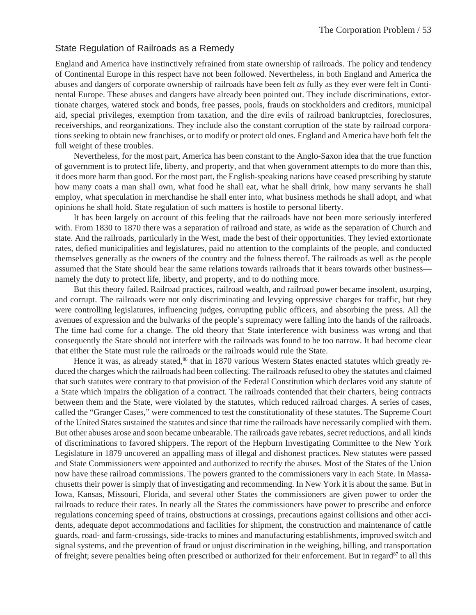## State Regulation of Railroads as a Remedy

England and America have instinctively refrained from state ownership of railroads. The policy and tendency of Continental Europe in this respect have not been followed. Nevertheless, in both England and America the abuses and dangers of corporate ownership of railroads have been felt *as* fully as they ever were felt in Continental Europe. These abuses and dangers have already been pointed out. They include discriminations, extortionate charges, watered stock and bonds, free passes, pools, frauds on stockholders and creditors, municipal aid, special privileges, exemption from taxation, and the dire evils of railroad bankruptcies, foreclosures, receiverships, and reorganizations. They include also the constant corruption of the state by railroad corporations seeking to obtain new franchises, or to modify or protect old ones. England and America have both felt the full weight of these troubles.

Nevertheless, for the most part, America has been constant to the Anglo-Saxon idea that the true function of government is to protect life, liberty, and property, and that when government attempts to do more than this, it does more harm than good. For the most part, the English-speaking nations have ceased prescribing by statute how many coats a man shall own, what food he shall eat, what he shall drink, how many servants he shall employ, what speculation in merchandise he shall enter into, what business methods he shall adopt, and what opinions he shall hold. State regulation of such matters is hostile to personal liberty.

It has been largely on account of this feeling that the railroads have not been more seriously interfered with. From 1830 to 1870 there was a separation of railroad and state, as wide as the separation of Church and state. And the railroads, particularly in the West, made the best of their opportunities. They levied extortionate rates, defied municipalities and legislatures, paid no attention to the complaints of the people, and conducted themselves generally as the owners of the country and the fulness thereof. The railroads as well as the people assumed that the State should bear the same relations towards railroads that it bears towards other business namely the duty to protect life, liberty, and property, and to do nothing more.

But this theory failed. Railroad practices, railroad wealth, and railroad power became insolent, usurping, and corrupt. The railroads were not only discriminating and levying oppressive charges for traffic, but they were controlling legislatures, influencing judges, corrupting public officers, and absorbing the press. All the avenues of expression and the bulwarks of the people's supremacy were falling into the hands of the railroads. The time had come for a change. The old theory that State interference with business was wrong and that consequently the State should not interfere with the railroads was found to be too narrow. It had become clear that either the State must rule the railroads or the railroads would rule the State.

Hence it was, as already stated,<sup>86</sup> that in 1870 various Western States enacted statutes which greatly reduced the charges which the railroads had been collecting. The railroads refused to obey the statutes and claimed that such statutes were contrary to that provision of the Federal Constitution which declares void any statute of a State which impairs the obligation of a contract. The railroads contended that their charters, being contracts between them and the State, were violated by the statutes, which reduced railroad charges. A series of cases, called the "Granger Cases," were commenced to test the constitutionality of these statutes. The Supreme Court of the United States sustained the statutes and since that time the railroads have necessarily complied with them. But other abuses arose and soon became unbearable. The railroads gave rebates, secret reductions, and all kinds of discriminations to favored shippers. The report of the Hepburn Investigating Committee to the New York Legislature in 1879 uncovered an appalling mass of illegal and dishonest practices. New statutes were passed and State Commissioners were appointed and authorized to rectify the abuses. Most of the States of the Union now have these railroad commissions. The powers granted to the commissioners vary in each State. In Massachusetts their power is simply that of investigating and recommending. In New York it is about the same. But in Iowa, Kansas, Missouri, Florida, and several other States the commissioners are given power to order the railroads to reduce their rates. In nearly all the States the commissioners have power to prescribe and enforce regulations concerning speed of trains, obstructions at crossings, precautions against collisions and other accidents, adequate depot accommodations and facilities for shipment, the construction and maintenance of cattle guards, road- and farm-crossings, side-tracks to mines and manufacturing establishments, improved switch and signal systems, and the prevention of fraud or unjust discrimination in the weighing, billing, and transportation of freight; severe penalties being often prescribed or authorized for their enforcement. But in regard<sup>87</sup> to all this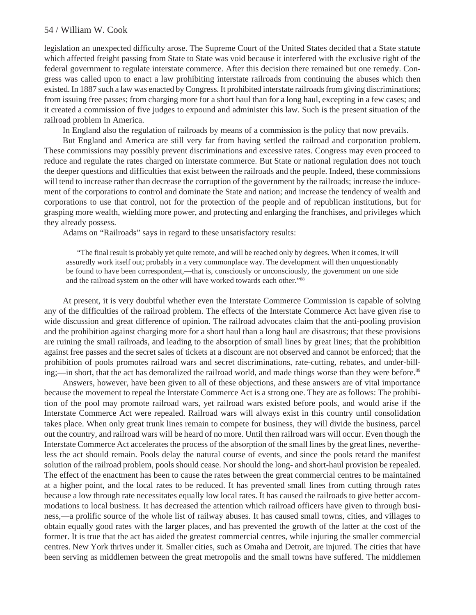legislation an unexpected difficulty arose. The Supreme Court of the United States decided that a State statute which affected freight passing from State to State was void because it interfered with the exclusive right of the federal government to regulate interstate commerce. After this decision there remained but one remedy. Congress was called upon to enact a law prohibiting interstate railroads from continuing the abuses which then existed. In 1887 such a law was enacted by Congress. It prohibited interstate railroads from giving discriminations; from issuing free passes; from charging more for a short haul than for a long haul, excepting in a few cases; and it created a commission of five judges to expound and administer this law. Such is the present situation of the railroad problem in America.

In England also the regulation of railroads by means of a commission is the policy that now prevails.

But England and America are still very far from having settled the railroad and corporation problem. These commissions may possibly prevent discriminations and excessive rates. Congress may even proceed to reduce and regulate the rates charged on interstate commerce. But State or national regulation does not touch the deeper questions and difficulties that exist between the railroads and the people. Indeed, these commissions will tend to increase rather than decrease the corruption of the government by the railroads; increase the inducement of the corporations to control and dominate the State and nation; and increase the tendency of wealth and corporations to use that control, not for the protection of the people and of republican institutions, but for grasping more wealth, wielding more power, and protecting and enlarging the franchises, and privileges which they already possess.

Adams on "Railroads" says in regard to these unsatisfactory results:

"The final result is probably yet quite remote, and will be reached only by degrees. When it comes, it will assuredly work itself out; probably in a very commonplace way. The development will then unquestionably be found to have been correspondent,—that is, consciously or unconsciously, the government on one side and the railroad system on the other will have worked towards each other."88

At present, it is very doubtful whether even the Interstate Commerce Commission is capable of solving any of the difficulties of the railroad problem. The effects of the Interstate Commerce Act have given rise to wide discussion and great difference of opinion. The railroad advocates claim that the anti-pooling provision and the prohibition against charging more for a short haul than a long haul are disastrous; that these provisions are ruining the small railroads, and leading to the absorption of small lines by great lines; that the prohibition against free passes and the secret sales of tickets at a discount are not observed and cannot be enforced; that the prohibition of pools promotes railroad wars and secret discriminations, rate-cutting, rebates, and under-billing;—in short, that the act has demoralized the railroad world, and made things worse than they were before.<sup>89</sup>

Answers, however, have been given to all of these objections, and these answers are of vital importance because the movement to repeal the Interstate Commerce Act is a strong one. They are as follows: The prohibition of the pool may promote railroad wars, yet railroad wars existed before pools, and would arise if the Interstate Commerce Act were repealed. Railroad wars will always exist in this country until consolidation takes place. When only great trunk lines remain to compete for business, they will divide the business, parcel out the country, and railroad wars will be heard of no more. Until then railroad wars will occur. Even though the Interstate Commerce Act accelerates the process of the absorption of the small lines by the great lines, nevertheless the act should remain. Pools delay the natural course of events, and since the pools retard the manifest solution of the railroad problem, pools should cease. Nor should the long- and short-haul provision be repealed. The effect of the enactment has been to cause the rates between the great commercial centres to be maintained at a higher point, and the local rates to be reduced. It has prevented small lines from cutting through rates because a low through rate necessitates equally low local rates. It has caused the railroads to give better accommodations to local business. It has decreased the attention which railroad officers have given to through business,—a prolific source of the whole list of railway abuses. It has caused small towns, cities, and villages to obtain equally good rates with the larger places, and has prevented the growth of the latter at the cost of the former. It is true that the act has aided the greatest commercial centres, while injuring the smaller commercial centres. New York thrives under it. Smaller cities, such as Omaha and Detroit, are injured. The cities that have been serving as middlemen between the great metropolis and the small towns have suffered. The middlemen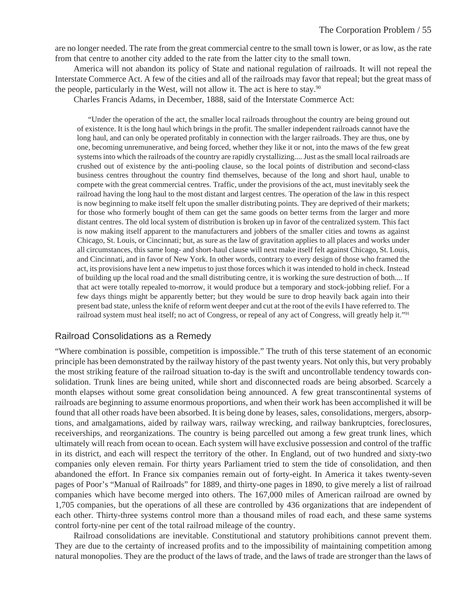are no longer needed. The rate from the great commercial centre to the small town is lower, or as low, as the rate from that centre to another city added to the rate from the latter city to the small town.

America will not abandon its policy of State and national regulation of railroads. It will not repeal the Interstate Commerce Act. A few of the cities and all of the railroads may favor that repeal; but the great mass of the people, particularly in the West, will not allow it. The act is here to stay.<sup>90</sup>

Charles Francis Adams, in December, 1888, said of the Interstate Commerce Act:

"Under the operation of the act, the smaller local railroads throughout the country are being ground out of existence. It is the long haul which brings in the profit. The smaller independent railroads cannot have the long haul, and can only be operated profitably in connection with the larger railroads. They are thus, one by one, becoming unremunerative, and being forced, whether they like it or not, into the maws of the few great systems into which the railroads of the country are rapidly crystallizing.... Just as the small local railroads are crushed out of existence by the anti-pooling clause, so the local points of distribution and second-class business centres throughout the country find themselves, because of the long and short haul, unable to compete with the great commercial centres. Traffic, under the provisions of the act, must inevitably seek the railroad having the long haul to the most distant and largest centres. The operation of the law in this respect is now beginning to make itself felt upon the smaller distributing points. They are deprived of their markets; for those who formerly bought of them can get the same goods on better terms from the larger and more distant centres. The old local system of distribution is broken up in favor of the centralized system. This fact is now making itself apparent to the manufacturers and jobbers of the smaller cities and towns as against Chicago, St. Louis, or Cincinnati; but, as sure as the law of gravitation applies to all places and works under all circumstances, this same long- and short-haul clause will next make itself felt against Chicago, St. Louis, and Cincinnati, and in favor of New York. In other words, contrary to every design of those who framed the act, its provisions have lent a new impetus to just those forces which it was intended to hold in check. Instead of building up the local road and the small distributing centre, it is working the sure destruction of both.... If that act were totally repealed to-morrow, it would produce but a temporary and stock-jobbing relief. For a few days things might be apparently better; but they would be sure to drop heavily back again into their present bad state, unless the knife of reform went deeper and cut at the root of the evils I have referred to. The railroad system must heal itself; no act of Congress, or repeal of any act of Congress, will greatly help it."91

## Railroad Consolidations as a Remedy

"Where combination is possible, competition is impossible." The truth of this terse statement of an economic principle has been demonstrated by the railway history of the past twenty years. Not only this, but very probably the most striking feature of the railroad situation to-day is the swift and uncontrollable tendency towards consolidation. Trunk lines are being united, while short and disconnected roads are being absorbed. Scarcely a month elapses without some great consolidation being announced. A few great transcontinental systems of railroads are beginning to assume enormous proportions, and when their work has been accomplished it will be found that all other roads have been absorbed. It is being done by leases, sales, consolidations, mergers, absorptions, and amalgamations, aided by railway wars, railway wrecking, and railway bankruptcies, foreclosures, receiverships, and reorganizations. The country is being parcelled out among a few great trunk lines, which ultimately will reach from ocean to ocean. Each system will have exclusive possession and control of the traffic in its district, and each will respect the territory of the other. In England, out of two hundred and sixty-two companies only eleven remain. For thirty years Parliament tried to stem the tide of consolidation, and then abandoned the effort. In France six companies remain out of forty-eight. In America it takes twenty-seven pages of Poor's "Manual of Railroads" for 1889, and thirty-one pages in 1890, to give merely a list of railroad companies which have become merged into others. The 167,000 miles of American railroad are owned by 1,705 companies, but the operations of all these are controlled by 436 organizations that are independent of each other. Thirty-three systems control more than a thousand miles of road each, and these same systems control forty-nine per cent of the total railroad mileage of the country.

Railroad consolidations are inevitable. Constitutional and statutory prohibitions cannot prevent them. They are due to the certainty of increased profits and to the impossibility of maintaining competition among natural monopolies. They are the product of the laws of trade, and the laws of trade are stronger than the laws of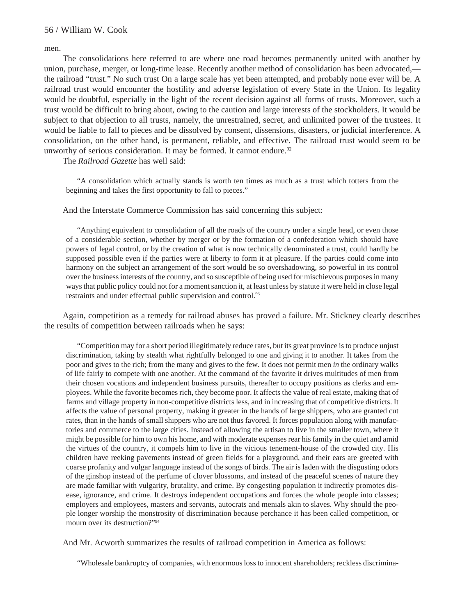men.

The consolidations here referred to are where one road becomes permanently united with another by union, purchase, merger, or long-time lease. Recently another method of consolidation has been advocated, the railroad "trust." No such trust On a large scale has yet been attempted, and probably none ever will be. A railroad trust would encounter the hostility and adverse legislation of every State in the Union. Its legality would be doubtful, especially in the light of the recent decision against all forms of trusts. Moreover, such a trust would be difficult to bring about, owing to the caution and large interests of the stockholders. It would be subject to that objection to all trusts, namely, the unrestrained, secret, and unlimited power of the trustees. It would be liable to fall to pieces and be dissolved by consent, dissensions, disasters, or judicial interference. A consolidation, on the other hand, is permanent, reliable, and effective. The railroad trust would seem to be unworthy of serious consideration. It may be formed. It cannot endure.  $92$ 

The *Railroad Gazette* has well said:

"A consolidation which actually stands is worth ten times as much as a trust which totters from the beginning and takes the first opportunity to fall to pieces."

And the Interstate Commerce Commission has said concerning this subject:

"Anything equivalent to consolidation of all the roads of the country under a single head, or even those of a considerable section, whether by merger or by the formation of a confederation which should have powers of legal control, or by the creation of what is now technically denominated a trust, could hardly be supposed possible even if the parties were at liberty to form it at pleasure. If the parties could come into harmony on the subject an arrangement of the sort would be so overshadowing, so powerful in its control over the business interests of the country, and so susceptible of being used for mischievous purposes in many ways that public policy could not for a moment sanction it, at least unless by statute it were held in close legal restraints and under effectual public supervision and control.<sup>93</sup>

Again, competition as a remedy for railroad abuses has proved a failure. Mr. Stickney clearly describes the results of competition between railroads when he says:

"Competition may for a short period illegitimately reduce rates, but its great province is to produce unjust discrimination, taking by stealth what rightfully belonged to one and giving it to another. It takes from the poor and gives to the rich; from the many and gives to the few. It does not permit men *in* the ordinary walks of life fairly to compete with one another. At the command of the favorite it drives multitudes of men from their chosen vocations and independent business pursuits, thereafter to occupy positions as clerks and employees. While the favorite becomes rich, they become poor. It affects the value of real estate, making that of farms and village property in non-competitive districts less, and in increasing that of competitive districts. It affects the value of personal property, making it greater in the hands of large shippers, who are granted cut rates, than in the hands of small shippers who are not thus favored. It forces population along with manufactories and commerce to the large cities. Instead of allowing the artisan to live in the smaller town, where it might be possible for him to own his home, and with moderate expenses rear his family in the quiet and amid the virtues of the country, it compels him to live in the vicious tenement-house of the crowded city. His children have reeking pavements instead of green fields for a playground, and their ears are greeted with coarse profanity and vulgar language instead of the songs of birds. The air is laden with the disgusting odors of the ginshop instead of the perfume of clover blossoms, and instead of the peaceful scenes of nature they are made familiar with vulgarity, brutality, and crime. By congesting population it indirectly promotes disease, ignorance, and crime. It destroys independent occupations and forces the whole people into classes; employers and employees, masters and servants, autocrats and menials akin to slaves. Why should the people longer worship the monstrosity of discrimination because perchance it has been called competition, or mourn over its destruction?"<sup>94</sup>

And Mr. Acworth summarizes the results of railroad competition in America as follows:

"Wholesale bankruptcy of companies, with enormous loss to innocent shareholders; reckless discrimina-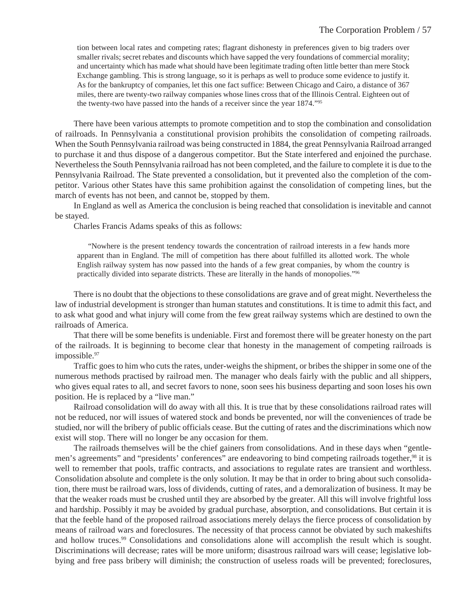tion between local rates and competing rates; flagrant dishonesty in preferences given to big traders over smaller rivals; secret rebates and discounts which have sapped the very foundations of commercial morality; and uncertainty which has made what should have been legitimate trading often little better than mere Stock Exchange gambling. This is strong language, so it is perhaps as well to produce some evidence to justify it. As for the bankruptcy of companies, let this one fact suffice: Between Chicago and Cairo, a distance of 367 miles, there are twenty-two railway companies whose lines cross that of the Illinois Central. Eighteen out of the twenty-two have passed into the hands of a receiver since the year 1874."95

There have been various attempts to promote competition and to stop the combination and consolidation of railroads. In Pennsylvania a constitutional provision prohibits the consolidation of competing railroads. When the South Pennsylvania railroad was being constructed in 1884, the great Pennsylvania Railroad arranged to purchase it and thus dispose of a dangerous competitor. But the State interfered and enjoined the purchase. Nevertheless the South Pennsylvania railroad has not been completed, and the failure to complete it is due to the Pennsylvania Railroad. The State prevented a consolidation, but it prevented also the completion of the competitor. Various other States have this same prohibition against the consolidation of competing lines, but the march of events has not been, and cannot be, stopped by them.

In England as well as America the conclusion is being reached that consolidation is inevitable and cannot be stayed.

Charles Francis Adams speaks of this as follows:

"Nowhere is the present tendency towards the concentration of railroad interests in a few hands more apparent than in England. The mill of competition has there about fulfilled its allotted work. The whole English railway system has now passed into the hands of a few great companies, by whom the country is practically divided into separate districts. These are literally in the hands of monopolies."96

There is no doubt that the objections to these consolidations are grave and of great might. Nevertheless the law of industrial development is stronger than human statutes and constitutions. It is time to admit this fact, and to ask what good and what injury will come from the few great railway systems which are destined to own the railroads of America.

That there will be some benefits is undeniable. First and foremost there will be greater honesty on the part of the railroads. It is beginning to become clear that honesty in the management of competing railroads is impossible.<sup>97</sup>

Traffic goes to him who cuts the rates, under-weighs the shipment, or bribes the shipper in some one of the numerous methods practised by railroad men. The manager who deals fairly with the public and all shippers, who gives equal rates to all, and secret favors to none, soon sees his business departing and soon loses his own position. He is replaced by a "live man."

Railroad consolidation will do away with all this. It is true that by these consolidations railroad rates will not be reduced, nor will issues of watered stock and bonds be prevented, nor will the conveniences of trade be studied, nor will the bribery of public officials cease. But the cutting of rates and the discriminations which now exist will stop. There will no longer be any occasion for them.

The railroads themselves will be the chief gainers from consolidations. And in these days when "gentlemen's agreements" and "presidents' conferences" are endeavoring to bind competing railroads together,<sup>98</sup> it is well to remember that pools, traffic contracts, and associations to regulate rates are transient and worthless. Consolidation absolute and complete is the only solution. It may be that in order to bring about such consolidation, there must be railroad wars, loss of dividends, cutting of rates, and a demoralization of business. It may be that the weaker roads must be crushed until they are absorbed by tbe greater. All this will involve frightful loss and hardship. Possibly it may be avoided by gradual purchase, absorption, and consolidations. But certain it is that the feeble hand of the proposed railroad associations merely delays the fierce process of consolidation by means of railroad wars and foreclosures. The necessity of that process cannot be obviated by such makeshifts and hollow truces.<sup>99</sup> Consolidations and consolidations alone will accomplish the result which is sought. Discriminations will decrease; rates will be more uniform; disastrous railroad wars will cease; legislative lobbying and free pass bribery will diminish; the construction of useless roads will be prevented; foreclosures,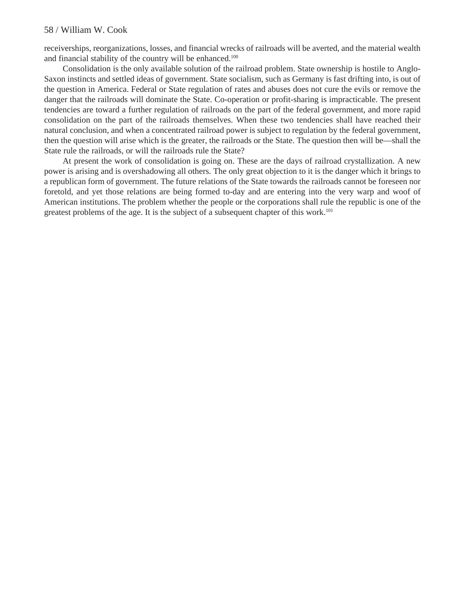receiverships, reorganizations, losses, and financial wrecks of railroads will be averted, and the material wealth and financial stability of the country will be enhanced.<sup>100</sup>

Consolidation is the only available solution of the railroad problem. State ownership is hostile to Anglo-Saxon instincts and settled ideas of government. State socialism, such as Germany is fast drifting into, is out of the question in America. Federal or State regulation of rates and abuses does not cure the evils or remove the danger that the railroads will dominate the State. Co-operation or profit-sharing is impracticable. The present tendencies are toward a further regulation of railroads on the part of the federal government, and more rapid consolidation on the part of the railroads themselves. When these two tendencies shall have reached their natural conclusion, and when a concentrated railroad power is subject to regulation by the federal government, then the question will arise which is the greater, the railroads or the State. The question then will be—shall the State rule the railroads, or will the railroads rule the State?

At present the work of consolidation is going on. These are the days of railroad crystallization. A new power is arising and is overshadowing all others. The only great objection to it is the danger which it brings to a republican form of government. The future relations of the State towards the railroads cannot be foreseen nor foretold, and yet those relations are being formed to-day and are entering into the very warp and woof of American institutions. The problem whether the people or the corporations shall rule the republic is one of the greatest problems of the age. It is the subject of a subsequent chapter of this work.<sup>101</sup>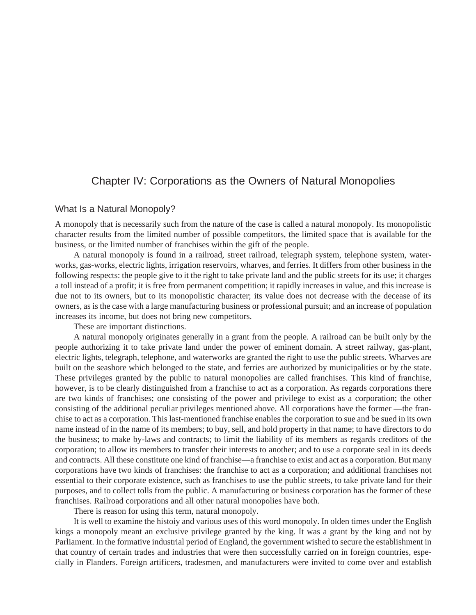# Chapter IV: Corporations as the Owners of Natural Monopolies

### What Is a Natural Monopoly?

A monopoly that is necessarily such from the nature of the case is called a natural monopoly. Its monopolistic character results from the limited number of possible competitors, the limited space that is available for the business, or the limited number of franchises within the gift of the people.

A natural monopoly is found in a railroad, street railroad, telegraph system, telephone system, waterworks, gas-works, electric lights, irrigation reservoirs, wharves, and ferries. It differs from other business in the following respects: the people give to it the right to take private land and the public streets for its use; it charges a toll instead of a profit; it is free from permanent competition; it rapidly increases in value, and this increase is due not to its owners, but to its monopolistic character; its value does not decrease with the decease of its owners, as is the case with a large manufacturing business or professional pursuit; and an increase of population increases its income, but does not bring new competitors.

These are important distinctions.

A natural monopoly originates generally in a grant from the people. A railroad can be built only by the people authorizing it to take private land under the power of eminent domain. A street railway, gas-plant, electric lights, telegraph, telephone, and waterworks are granted the right to use the public streets. Wharves are built on the seashore which belonged to the state, and ferries are authorized by municipalities or by the state. These privileges granted by the public to natural monopolies are called franchises. This kind of franchise, however, is to be clearly distinguished from a franchise to act as a corporation. As regards corporations there are two kinds of franchises; one consisting of the power and privilege to exist as a corporation; the other consisting of the additional peculiar privileges mentioned above. All corporations have the former —the franchise to act as a corporation. This last-mentioned franchise enables the corporation to sue and be sued in its own name instead of in the name of its members; to buy, sell, and hold property in that name; to have directors to do the business; to make by-laws and contracts; to limit the liability of its members as regards creditors of the corporation; to allow its members to transfer their interests to another; and to use a corporate seal in its deeds and contracts. All these constitute one kind of franchise—a franchise to exist and act as a corporation. But many corporations have two kinds of franchises: the franchise to act as a corporation; and additional franchises not essential to their corporate existence, such as franchises to use the public streets, to take private land for their purposes, and to collect tolls from the public. A manufacturing or business corporation has the former of these franchises. Railroad corporations and all other natural monopolies have both.

There is reason for using this term, natural monopoly.

It is well to examine the histoiy and various uses of this word monopoly. In olden times under the English kings a monopoly meant an exclusive privilege granted by the king. It was a grant by the king and not by Parliament. In the formative industrial period of England, the government wished to secure the establishment in that country of certain trades and industries that were then successfully carried on in foreign countries, especially in Flanders. Foreign artificers, tradesmen, and manufacturers were invited to come over and establish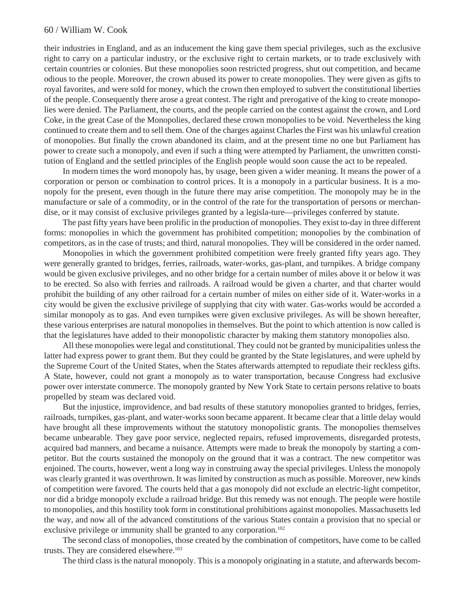their industries in England, and as an inducement the king gave them special privileges, such as the exclusive right to carry on a particular industry, or the exclusive right to certain markets, or to trade exclusively with certain countries or colonies. But these monopolies soon restricted progress, shut out competition, and became odious to the people. Moreover, the crown abused its power to create monopolies. They were given as gifts to royal favorites, and were sold for money, which the crown then employed to subvert the constitutional liberties of the people. Consequently there arose a great contest. The right and prerogative of the king to create monopolies were denied. The Parliament, the courts, and the people carried on the contest against the crown, and Lord Coke, in the great Case of the Monopolies, declared these crown monopolies to be void. Nevertheless the king continued to create them and to sell them. One of the charges against Charles the First was his unlawful creation of monopolies. But finally the crown abandoned its claim, and at the present time no one but Parliament has power to create such a monopoly, and even if such a thing were attempted by Parliament, the unwritten constitution of England and the settled principles of the English people would soon cause the act to be repealed.

In modern times the word monopoly has, by usage, been given a wider meaning. It means the power of a corporation or person or combination to control prices. It is a monopoly in a particular business. It is a monopoly for the present, even though in the future there may arise competition. The monopoly may be in the manufacture or sale of a commodity, or in the control of the rate for the transportation of persons or merchandise, or it may consist of exclusive privileges granted by a legisla-ture—privileges conferred by statute.

The past fifty years have been prolific in the production of monopolies. They exist to-day in three different forms: monopolies in which the government has prohibited competition; monopolies by the combination of competitors, as in the case of trusts; and third, natural monopolies. They will be considered in the order named.

Monopolies in which the government prohibited competition were freely granted fifty years ago. They were generally granted to bridges, ferries, railroads, water-works, gas-plant, and turnpikes. A bridge company would be given exclusive privileges, and no other bridge for a certain number of miles above it or below it was to be erected. So also with ferries and railroads. A railroad would be given a charter, and that charter would prohibit the building of any other railroad for a certain number of miles on either side of it. Water-works in a city would be given the exclusive privilege of supplying that city with water. Gas-works would be accorded a similar monopoly as to gas. And even turnpikes were given exclusive privileges. As will be shown hereafter, these various enterprises are natural monopolies in themselves. But the point to which attention is now called is that the legislatures have added to their monopolistic character by making them statutory monopolies also.

All these monopolies were legal and constitutional. They could not be granted by municipalities unless the latter had express power to grant them. But they could be granted by the State legislatures, and were upheld by the Supreme Court of the United States, when the States afterwards attempted to repudiate their reckless gifts. A State, however, could not grant a monopoly as to water transportation, because Congress had exclusive power over interstate commerce. The monopoly granted by New York State to certain persons relative to boats propelled by steam was declared void.

But the injustice, improvidence, and bad results of these statutory monopolies granted to bridges, ferries, railroads, turnpikes, gas-plant, and water-works soon became apparent. It became clear that a little delay would have brought all these improvements without the statutory monopolistic grants. The monopolies themselves became unbearable. They gave poor service, neglected repairs, refused improvements, disregarded protests, acquired bad manners, and became a nuisance. Attempts were made to break the monopoly by starting a competitor. But the courts sustained the monopoly on the ground that it was a contract. The new competitor was enjoined. The courts, however, went a long way in construing away the special privileges. Unless the monopoly was clearly granted it was overthrown. It was limited by construction as much as possible. Moreover, new kinds of competition were favored. The courts held that a gas monopoly did not exclude an electric-light competitor, nor did a bridge monopoly exclude a railroad bridge. But this remedy was not enough. The people were hostile to monopolies, and this hostility took form in constitutional prohibitions against monopolies. Massachusetts led the way, and now all of the advanced constitutions of the various States contain a provision that no special or exclusive privilege or immunity shall be granted to any corporation.<sup>102</sup>

The second class of monopolies, those created by the combination of competitors, have come to be called trusts. They are considered elsewhere.<sup>103</sup>

The third class is the natural monopoly. This is a monopoly originating in a statute, and afterwards becom-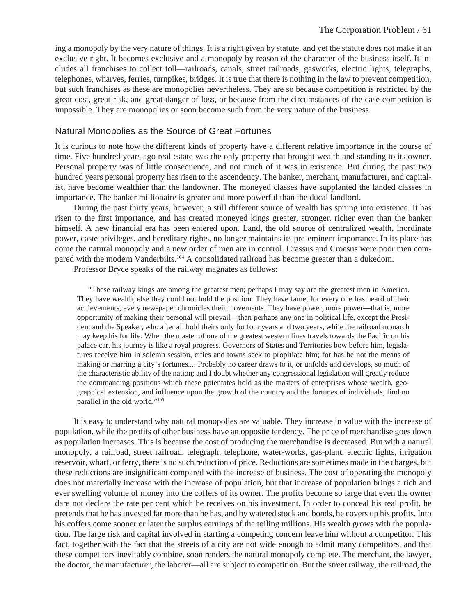ing a monopoly by the very nature of things. It is a right given by statute, and yet the statute does not make it an exclusive right. It becomes exclusive and a monopoly by reason of the character of the business itself. It includes all franchises to collect toll—railroads, canals, street railroads, gasworks, electric lights, telegraphs, telephones, wharves, ferries, turnpikes, bridges. It is true that there is nothing in the law to prevent competition, but such franchises as these are monopolies nevertheless. They are so because competition is restricted by the great cost, great risk, and great danger of loss, or because from the circumstances of the case competition is impossible. They are monopolies or soon become such from the very nature of the business.

## Natural Monopolies as the Source of Great Fortunes

It is curious to note how the different kinds of property have a different relative importance in the course of time. Five hundred years ago real estate was the only property that brought wealth and standing to its owner. Personal property was of little consequence, and not much of it was in existence. But during the past two hundred years personal property has risen to the ascendency. The banker, merchant, manufacturer, and capitalist, have become wealthier than the landowner. The moneyed classes have supplanted the landed classes in importance. The banker millionaire is greater and more powerful than the ducal landlord.

During the past thirty years, however, a still different source of wealth has sprung into existence. It has risen to the first importance, and has created moneyed kings greater, stronger, richer even than the banker himself. A new financial era has been entered upon. Land, the old source of centralized wealth, inordinate power, caste privileges, and hereditary rights, no longer maintains its pre-eminent importance. In its place has come the natural monopoly and a new order of men are in control. Crassus and Croesus were poor men compared with the modern Vanderbilts.104 A consolidated railroad has become greater than a dukedom.

Professor Bryce speaks of the railway magnates as follows:

"These railway kings are among the greatest men; perhaps I may say are the greatest men in America. They have wealth, else they could not hold the position. They have fame, for every one has heard of their achievements, every newspaper chronicles their movements. They have power, more power—that is, more opportunity of making their personal will prevail—than perhaps any one in political life, except the President and the Speaker, who after all hold theirs only for four years and two years, while the railroad monarch may keep his for life. When the master of one of the greatest western lines travels towards the Pacific on his palace car, his journey is like a royal progress. Governors of States and Territories bow before him, legislatures receive him in solemn session, cities and towns seek to propitiate him; for has he not the means of making or marring a city's fortunes.... Probably no career draws to it, or unfolds and develops, so much of the characteristic ability of the nation; and I doubt whether any congressional legislation will greatly reduce the commanding positions which these potentates hold as the masters of enterprises whose wealth, geographical extension, and influence upon the growth of the country and the fortunes of individuals, find no parallel in the old world."105

It is easy to understand why natural monopolies are valuable. They increase in value with the increase of population, while the profits of other business have an opposite tendency. The price of merchandise goes down as population increases. This is because the cost of producing the merchandise is decreased. But with a natural monopoly, a railroad, street railroad, telegraph, telephone, water-works, gas-plant, electric lights, irrigation reservoir, wharf, or ferry, there is no such reduction of price. Reductions are sometimes made in the charges, but these reductions are insignificant compared with the increase of business. The cost of operating the monopoly does not materially increase with the increase of population, but that increase of population brings a rich and ever swelling volume of money into the coffers of its owner. The profits become so large that even the owner dare not declare the rate per cent which he receives on his investment. In order to conceal his real profit, he pretends that he has invested far more than he has, and by watered stock and bonds, he covers up his profits. Into his coffers come sooner or later the surplus earnings of the toiling millions. His wealth grows with the population. The large risk and capital involved in starting a competing concern leave him without a competitor. This fact, together with the fact that the streets of a city are not wide enough to admit many competitors, and that these competitors inevitably combine, soon renders the natural monopoly complete. The merchant, the lawyer, the doctor, the manufacturer, the laborer—all are subject to competition. But the street railway, the railroad, the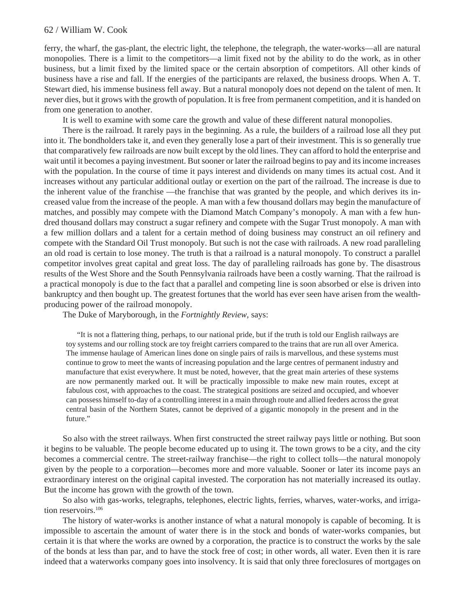ferry, the wharf, the gas-plant, the electric light, the telephone, the telegraph, the water-works—all are natural monopolies. There is a limit to the competitors—a limit fixed not by the ability to do the work, as in other business, but a limit fixed by the limited space or the certain absorption of competitors. All other kinds of business have a rise and fall. If the energies of the participants are relaxed, the business droops. When A. T. Stewart died, his immense business fell away. But a natural monopoly does not depend on the talent of men. It never dies, but it grows with the growth of population. It is free from permanent competition, and it is handed on from one generation to another.

It is well to examine with some care the growth and value of these different natural monopolies.

There is the railroad. It rarely pays in the beginning. As a rule, the builders of a railroad lose all they put into it. The bondholders take it, and even they generally lose a part of their investment. This is so generally true that comparatively few railroads are now built except by the old lines. They can afford to hold the enterprise and wait until it becomes a paying investment. But sooner or later the railroad begins to pay and its income increases with the population. In the course of time it pays interest and dividends on many times its actual cost. And it increases without any particular additional outlay or exertion on the part of the railroad. The increase is due to the inherent value of the franchise —the franchise that was granted by the people, and which derives its increased value from the increase of the people. A man with a few thousand dollars may begin the manufacture of matches, and possibly may compete with the Diamond Match Company's monopoly. A man with a few hundred thousand dollars may construct a sugar refinery and compete with the Sugar Trust monopoly. A man with a few million dollars and a talent for a certain method of doing business may construct an oil refinery and compete with the Standard Oil Trust monopoly. But such is not the case with railroads. A new road paralleling an old road is certain to lose money. The truth is that a railroad is a natural monopoly. To construct a parallel competitor involves great capital and great loss. The day of paralleling railroads has gone by. The disastrous results of the West Shore and the South Pennsylvania railroads have been a costly warning. That the railroad is a practical monopoly is due to the fact that a parallel and competing line is soon absorbed or else is driven into bankruptcy and then bought up. The greatest fortunes that the world has ever seen have arisen from the wealthproducing power of the railroad monopoly.

The Duke of Maryborough, in the *Fortnightly Review,* says:

"It is not a flattering thing, perhaps, to our national pride, but if the truth is told our English railways are toy systems and our rolling stock are toy freight carriers compared to the trains that are run all over America. The immense haulage of American lines done on single pairs of rails is marvellous, and these systems must continue to grow to meet the wants of increasing population and the large centres of permanent industry and manufacture that exist everywhere. It must be noted, however, that the great main arteries of these systems are now permanently marked out. It will be practically impossible to make new main routes, except at fabulous cost, with approaches to the coast. The strategical positions are seized and occupied, and whoever can possess himself to-day of a controlling interest in a main through route and allied feeders across the great central basin of the Northern States, cannot be deprived of a gigantic monopoly in the present and in the future."

So also with the street railways. When first constructed the street railway pays little or nothing. But soon it begins to be valuable. The people become educated up to using it. The town grows to be a city, and the city becomes a commercial centre. The street-railway franchise—the right to collect tolls—the natural monopoly given by the people to a corporation—becomes more and more valuable. Sooner or later its income pays an extraordinary interest on the original capital invested. The corporation has not materially increased its outlay. But the income has grown with the growth of the town.

So also with gas-works, telegraphs, telephones, electric lights, ferries, wharves, water-works, and irrigation reservoirs.<sup>106</sup>

The history of water-works is another instance of what a natural monopoly is capable of becoming. It is impossible to ascertain the amount of water there is in the stock and bonds of water-works companies, but certain it is that where the works are owned by a corporation, the practice is to construct the works by the sale of the bonds at less than par, and to have the stock free of cost; in other words, all water. Even then it is rare indeed that a waterworks company goes into insolvency. It is said that only three foreclosures of mortgages on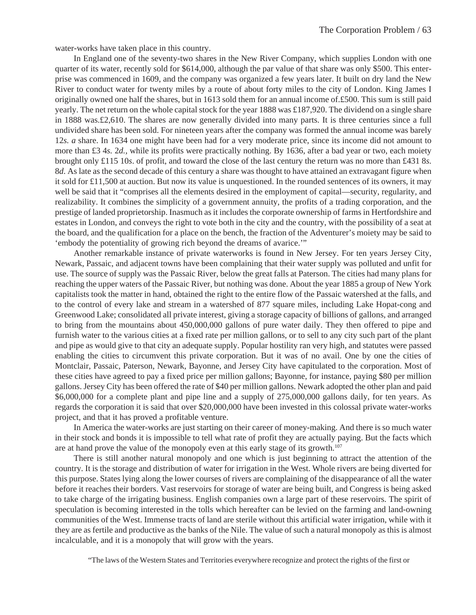water-works have taken place in this country.

In England one of the seventy-two shares in the New River Company, which supplies London with one quarter of its water, recently sold for \$614,000, although the par value of that share was only \$500. This enterprise was commenced in 1609, and the company was organized a few years later. It built on dry land the New River to conduct water for twenty miles by a route of about forty miles to the city of London. King James I originally owned one half the shares, but in 1613 sold them for an annual income of.£500. This sum is still paid yearly. The net return on the whole capital stock for the year 1888 was £187,920. The dividend on a single share in 1888 was.£2,610. The shares are now generally divided into many parts. It is three centuries since a full undivided share has been sold. For nineteen years after the company was formed the annual income was barely 12*s. a* share. In 1634 one might have been had for a very moderate price, since its income did not amount to more than £3 4*s.* 2*d.,* while its profits were practically nothing. By 1636, after a bad year or two, each moiety brought only £115 10*s*. of profit, and toward the close of the last century the return was no more than £431 8*s.* 8*d*. As late as the second decade of this century a share was thought to have attained an extravagant figure when it sold for £11,500 at auction. But now its value is unquestioned. In the rounded sentences of its owners, it may well be said that it "comprises all the elements desired in the employment of capital—security, regularity, and realizability. It combines the simplicity of a government annuity, the profits of a trading corporation, and the prestige of landed proprietorship. Inasmuch as it includes the corporate ownership of farms in Hertfordshire and estates in London, and conveys the right to vote both in the city and the country, with the possibility of a seat at the board, and the qualification for a place on the bench, the fraction of the Adventurer's moiety may be said to 'embody the potentiality of growing rich beyond the dreams of avarice.'"

Another remarkable instance of private waterworks is found in New Jersey. For ten years Jersey City, Newark, Passaic, and adjacent towns have been complaining that their water supply was polluted and unfit for use. The source of supply was the Passaic River, below the great falls at Paterson. The cities had many plans for reaching the upper waters of the Passaic River, but nothing was done. About the year 1885 a group of New York capitalists took the matter in hand, obtained the right to the entire flow of the Passaic watershed at the falls, and to the control of every lake and stream in a watershed of 877 square miles, including Lake Hopat-cong and Greenwood Lake; consolidated all private interest, giving a storage capacity of billions of gallons, and arranged to bring from the mountains about 450,000,000 gallons of pure water daily. They then offered to pipe and furnish water to the various cities at a fixed rate per million gallons, or to sell to any city such part of the plant and pipe as would give to that city an adequate supply. Popular hostility ran very high, and statutes were passed enabling the cities to circumvent this private corporation. But it was of no avail. One by one the cities of Montclair, Passaic, Paterson, Newark, Bayonne, and Jersey City have capitulated to the corporation. Most of these cities have agreed to pay a fixed price per million gallons; Bayonne, for instance, paying \$80 per million gallons. Jersey City has been offered the rate of \$40 per million gallons. Newark adopted the other plan and paid \$6,000,000 for a complete plant and pipe line and a supply of 275,000,000 gallons daily, for ten years. As regards the corporation it is said that over \$20,000,000 have been invested in this colossal private water-works project, and that it has proved a profitable venture.

In America the water-works are just starting on their career of money-making. And there is so much water in their stock and bonds it is impossible to tell what rate of profit they are actually paying. But the facts which are at hand prove the value of the monopoly even at this early stage of its growth.<sup>107</sup>

There is still another natural monopoly and one which is just beginning to attract the attention of the country. It is the storage and distribution of water for irrigation in the West. Whole rivers are being diverted for this purpose. States lying along the lower courses of rivers are complaining of the disappearance of all the water before it reaches their borders. Vast reservoirs for storage of water are being built, and Congress is being asked to take charge of the irrigating business. English companies own a large part of these reservoirs. The spirit of speculation is becoming interested in the tolls which hereafter can be levied on the farming and land-owning communities of the West. Immense tracts of land are sterile without this artificial water irrigation, while with it they are as fertile and productive as the banks of the Nile. The value of such a natural monopoly as this is almost incalculable, and it is a monopoly that will grow with the years.

"The laws of the Western States and Territories everywhere recognize and protect the rights of the first or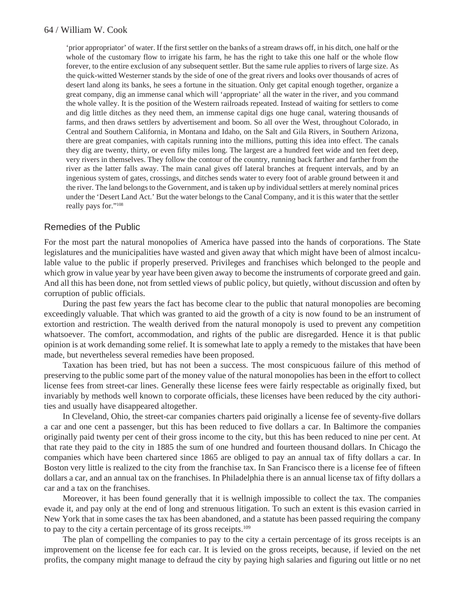'prior appropriator' of water. If the first settler on the banks of a stream draws off, in his ditch, one half or the whole of the customary flow to irrigate his farm, he has the right to take this one half or the whole flow forever, to the entire exclusion of any subsequent settler. But the same rule applies to rivers of large size. As the quick-witted Westerner stands by the side of one of the great rivers and looks over thousands of acres of desert land along its banks, he sees a fortune in the situation. Only get capital enough together, organize a great company, dig an immense canal which will 'appropriate' all the water in the river, and you command the whole valley. It is the position of the Western railroads repeated. Instead of waiting for settlers to come and dig little ditches as they need them, an immense capital digs one huge canal, watering thousands of farms, and then draws settlers by advertisement and boom. So all over the West, throughout Colorado, in Central and Southern California, in Montana and Idaho, on the Salt and Gila Rivers, in Southern Arizona, there are great companies, with capitals running into the millions, putting this idea into effect. The canals they dig are twenty, thirty, or even fifty miles long. The largest are a hundred feet wide and ten feet deep, very rivers in themselves. They follow the contour of the country, running back farther and farther from the river as the latter falls away. The main canal gives off lateral branches at frequent intervals, and by an ingenious system of gates, crossings, and ditches sends water to every foot of arable ground between it and the river. The land belongs to the Government, and is taken up by individual settlers at merely nominal prices under the 'Desert Land Act.' But the water belongs to the Canal Company, and it is this water that the settler really pays for."108

## Remedies of the Public

For the most part the natural monopolies of America have passed into the hands of corporations. The State legislatures and the municipalities have wasted and given away that which might have been of almost incalculable value to the public if properly preserved. Privileges and franchises which belonged to the people and which grow in value year by year have been given away to become the instruments of corporate greed and gain. And all this has been done, not from settled views of public policy, but quietly, without discussion and often by corruption of public officials.

During the past few years the fact has become clear to the public that natural monopolies are becoming exceedingly valuable. That which was granted to aid the growth of a city is now found to be an instrument of extortion and restriction. The wealth derived from the natural monopoly is used to prevent any competition whatsoever. The comfort, accommodation, and rights of the public are disregarded. Hence it is that public opinion is at work demanding some relief. It is somewhat late to apply a remedy to the mistakes that have been made, but nevertheless several remedies have been proposed.

Taxation has been tried, but has not been a success. The most conspicuous failure of this method of preserving to the public some part of the money value of the natural monopolies has been in the effort to collect license fees from street-car lines. Generally these license fees were fairly respectable as originally fixed, but invariably by methods well known to corporate officials, these licenses have been reduced by the city authorities and usually have disappeared altogether.

In Cleveland, Ohio, the street-car companies charters paid originally a license fee of seventy-five dollars a car and one cent a passenger, but this has been reduced to five dollars a car. In Baltimore the companies originally paid twenty per cent of their gross income to the city, but this has been reduced to nine per cent. At that rate they paid to the city in 1885 the sum of one hundred and fourteen thousand dollars. In Chicago the companies which have been chartered since 1865 are obliged to pay an annual tax of fifty dollars a car. In Boston very little is realized to the city from the franchise tax. In San Francisco there is a license fee of fifteen dollars a car, and an annual tax on the franchises. In Philadelphia there is an annual license tax of fifty dollars a car and a tax on the franchises.

Moreover, it has been found generally that it is wellnigh impossible to collect the tax. The companies evade it, and pay only at the end of long and strenuous litigation. To such an extent is this evasion carried in New York that in some cases the tax has been abandoned, and a statute has been passed requiring the company to pay to the city a certain percentage of its gross receipts.<sup>109</sup>

The plan of compelling the companies to pay to the city a certain percentage of its gross receipts is an improvement on the license fee for each car. It is levied on the gross receipts, because, if levied on the net profits, the company might manage to defraud the city by paying high salaries and figuring out little or no net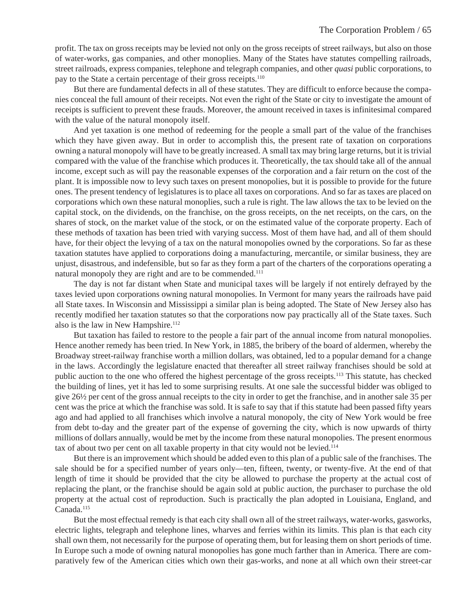profit. The tax on gross receipts may be levied not only on the gross receipts of street railways, but also on those of water-works, gas companies, and other monoplies. Many of the States have statutes compelling railroads, street railroads, express companies, telephone and telegraph companies, and other *quasi* public corporations, to pay to the State a certain percentage of their gross receipts.<sup>110</sup>

But there are fundamental defects in all of these statutes. They are difficult to enforce because the companies conceal the full amount of their receipts. Not even the right of the State or city to investigate the amount of receipts is sufficient to prevent these frauds. Moreover, the amount received in taxes is infinitesimal compared with the value of the natural monopoly itself.

And yet taxation is one method of redeeming for the people a small part of the value of the franchises which they have given away. But in order to accomplish this, the present rate of taxation on corporations owning a natural monopoly will have to be greatly increased. A small tax may bring large returns, but it is trivial compared with the value of the franchise which produces it. Theoretically, the tax should take all of the annual income, except such as will pay the reasonable expenses of the corporation and a fair return on the cost of the plant. It is impossible now to levy such taxes on present monopolies, but it is possible to provide for the future ones. The present tendency of legislatures is to place all taxes on corporations. And so far as taxes are placed on corporations which own these natural monoplies, such a rule is right. The law allows the tax to be levied on the capital stock, on the dividends, on the franchise, on the gross receipts, on the net receipts, on the cars, on the shares of stock, on the market value of the stock, or on the estimated value of the corporate property. Each of these methods of taxation has been tried with varying success. Most of them have had, and all of them should have, for their object the levying of a tax on the natural monopolies owned by the corporations. So far as these taxation statutes have applied to corporations doing a manufacturing, mercantile, or similar business, they are unjust, disastrous, and indefensible, but so far as they form a part of the charters of the corporations operating a natural monopoly they are right and are to be commended.<sup>111</sup>

The day is not far distant when State and municipal taxes will be largely if not entirely defrayed by the taxes levied upon corporations owning natural monopolies. In Vermont for many years the railroads have paid all State taxes. In Wisconsin and Mississippi a similar plan is being adopted. The State of New Jersey also has recently modified her taxation statutes so that the corporations now pay practically all of the State taxes. Such also is the law in New Hampshire.<sup>112</sup>

But taxation has failed to restore to the people a fair part of the annual income from natural monopolies. Hence another remedy has been tried. In New York, in 1885, the bribery of the board of aldermen, whereby the Broadway street-railway franchise worth a million dollars, was obtained, led to a popular demand for a change in the laws. Accordingly the legislature enacted that thereafter all street railway franchises should be sold at public auction to the one who offered the highest percentage of the gross receipts.113 This statute, has checked the building of lines, yet it has led to some surprising results. At one sale the successful bidder was obliged to give 26½ per cent of the gross annual receipts to the city in order to get the franchise, and in another sale 35 per cent was the price at which the franchise was sold. It is safe to say that if this statute had been passed fifty years ago and had applied to all franchises which involve a natural monopoly, the city of New York would be free from debt to-day and the greater part of the expense of governing the city, which is now upwards of thirty millions of dollars annually, would be met by the income from these natural monopolies. The present enormous tax of about two per cent on all taxable property in that city would not be levied.<sup>114</sup>

But there is an improvement which should be added even to this plan of a public sale of the franchises. The sale should be for a specified number of years only—ten, fifteen, twenty, or twenty-five. At the end of that length of time it should be provided that the city be allowed to purchase the property at the actual cost of replacing the plant, or the franchise should be again sold at public auction, the purchaser to purchase the old property at the actual cost of reproduction. Such is practically the plan adopted in Louisiana, England, and Canada.<sup>115</sup>

But the most effectual remedy is that each city shall own all of the street railways, water-works, gasworks, electric lights, telegraph and telephone lines, wharves and ferries within its limits. This plan is that each city shall own them, not necessarily for the purpose of operating them, but for leasing them on short periods of time. In Europe such a mode of owning natural monopolies has gone much farther than in America. There are comparatively few of the American cities which own their gas-works, and none at all which own their street-car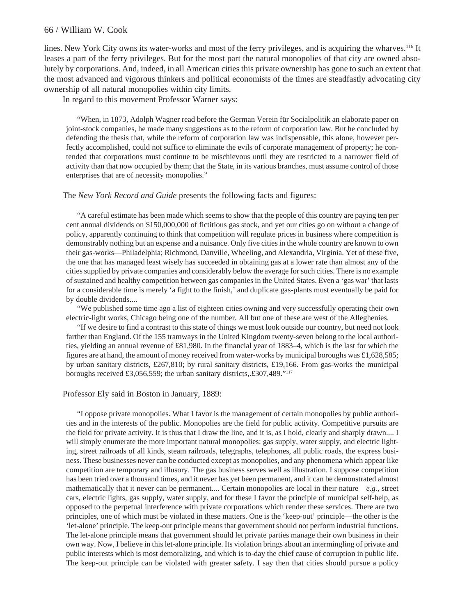lines. New York City owns its water-works and most of the ferry privileges, and is acquiring the wharves.<sup>116</sup> It leases a part of the ferry privileges. But for the most part the natural monopolies of that city are owned absolutely by corporations. And, indeed, in all American cities this private ownership has gone to such an extent that the most advanced and vigorous thinkers and political economists of the times are steadfastly advocating city ownership of all natural monopolies within city limits.

In regard to this movement Professor Warner says:

"When, in 1873, Adolph Wagner read before the German Verein für Socialpolitik an elaborate paper on joint-stock companies, he made many suggestions as to the reform of corporation law. But he concluded by defending the thesis that, while the reform of corporation law was indispensable, this alone, however perfectly accomplished, could not suffice to eliminate the evils of corporate management of property; he contended that corporations must continue to be mischievous until they are restricted to a narrower field of activity than that now occupied by them; that the State, in its various branches, must assume control of those enterprises that are of necessity monopolies."

#### The *New York Record and Guide* presents the following facts and figures:

"A careful estimate has been made which seems to show that the people of this country are paying ten per cent annual dividends on \$150,000,000 of fictitious gas stock, and yet our cities go on without a change of policy, apparently continuing to think that competition will regulate prices in business where competition is demonstrably nothing but an expense and a nuisance. Only five cities in the whole country are known to own their gas-works—Philadelphia; Richmond, Danville, Wheeling, and Alexandria, Virginia. Yet of these five, the one that has managed least wisely has succeeded in obtaining gas at a lower rate than almost any of the cities supplied by private companies and considerably below the average for such cities. There is no example of sustained and healthy competition between gas companies in the United States. Even a 'gas war' that lasts for a considerable time is merely 'a fight to the finish,' and duplicate gas-plants must eventually be paid for by double dividends....

"We published some time ago a list of eighteen cities owning and very successfully operating their own electric-light works, Chicago being one of the number. All but one of these are west of the Alleghenies.

"If we desire to find a contrast to this state of things we must look outside our country, but need not look farther than England. Of the 155 tramways in the United Kingdom twenty-seven belong to the local authorities, yielding an annual revenue of £81,980. In the financial year of 1883–4, which is the last for which the figures are at hand, the amount of money received from water-works by municipal boroughs was £1,628,585; by urban sanitary districts, £267,810; by rural sanitary districts, £19,166. From gas-works the municipal boroughs received £3,056,559; the urban sanitary districts,.£307,489."117

#### Professor Ely said in Boston in January, 1889:

"I oppose private monopolies. What I favor is the management of certain monopolies by public authorities and in the interests of the public. Monopolies are the field for public activity. Competitive pursuits are the field for private activity. It is thus that I draw the line, and it is, as I hold, clearly and sharply drawn.... I will simply enumerate the more important natural monopolies: gas supply, water supply, and electric lighting, street railroads of all kinds, steam railroads, telegraphs, telephones, all public roads, the express business. These businesses never can be conducted except as monopolies, and any phenomena which appear like competition are temporary and illusory. The gas business serves well as illustration. I suppose competition has been tried over a thousand times, and it never has yet been permanent, and it can be demonstrated almost mathematically that it never can be permanent.... Certain monopolies are local in their nature—*e.g.,* street cars, electric lights, gas supply, water supply, and for these I favor the principle of municipal self-help, as opposed to the perpetual interference with private corporations which render these services. There are two principles, one of which must be violated in these matters. One is the 'keep-out' principle—the other is the 'let-alone' principle. The keep-out principle means that government should not perform industrial functions. The let-alone principle means that government should let private parties manage their own business in their own way. Now, I believe in this let-alone principle. Its violation brings about an intermingling of private and public interests which is most demoralizing, and which is to-day the chief cause of corruption in public life. The keep-out principle can be violated with greater safety. I say then that cities should pursue a policy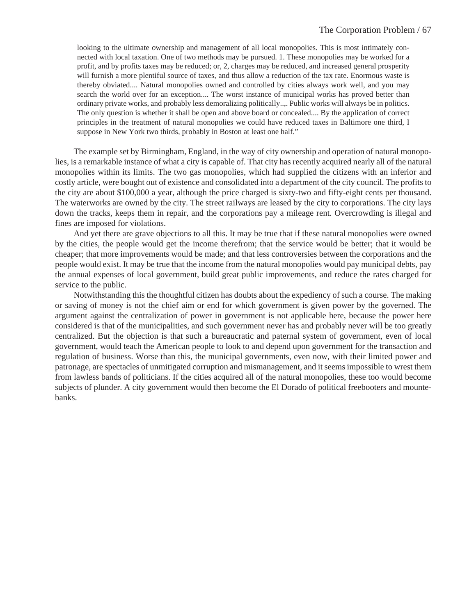looking to the ultimate ownership and management of all local monopolies. This is most intimately connected with local taxation. One of two methods may be pursued. 1. These monopolies may be worked for a profit, and by profits taxes may be reduced; or, 2, charges may be reduced, and increased general prosperity will furnish a more plentiful source of taxes, and thus allow a reduction of the tax rate. Enormous waste is thereby obviated.... Natural monopolies owned and controlled by cities always work well, and you may search the world over for an exception.... The worst instance of municipal works has proved better than ordinary private works, and probably less demoralizing politically..,. Public works will always be in politics. The only question is whether it shall be open and above board or concealed.... By the application of correct principles in the treatment of natural monopolies we could have reduced taxes in Baltimore one third, I suppose in New York two thirds, probably in Boston at least one half."

The example set by Birmingham, England, in the way of city ownership and operation of natural monopolies, is a remarkable instance of what a city is capable of. That city has recently acquired nearly all of the natural monopolies within its limits. The two gas monopolies, which had supplied the citizens with an inferior and costly article, were bought out of existence and consolidated into a department of the city council. The profits to the city are about \$100,000 a year, although the price charged is sixty-two and fifty-eight cents per thousand. The waterworks are owned by the city. The street railways are leased by the city to corporations. The city lays down the tracks, keeps them in repair, and the corporations pay a mileage rent. Overcrowding is illegal and fines are imposed for violations.

And yet there are grave objections to all this. It may be true that if these natural monopolies were owned by the cities, the people would get the income therefrom; that the service would be better; that it would be cheaper; that more improvements would be made; and that less controversies between the corporations and the people would exist. It may be true that the income from the natural monopolies would pay municipal debts, pay the annual expenses of local government, build great public improvements, and reduce the rates charged for service to the public.

Notwithstanding this the thoughtful citizen has doubts about the expediency of such a course. The making or saving of money is not the chief aim or end for which government is given power by the governed. The argument against the centralization of power in government is not applicable here, because the power here considered is that of the municipalities, and such government never has and probably never will be too greatly centralized. But the objection is that such a bureaucratic and paternal system of government, even of local government, would teach the American people to look to and depend upon government for the transaction and regulation of business. Worse than this, the municipal governments, even now, with their limited power and patronage, are spectacles of unmitigated corruption and mismanagement, and it seems impossible to wrest them from lawless bands of politicians. If the cities acquired all of the natural monopolies, these too would become subjects of plunder. A city government would then become the El Dorado of political freebooters and mountebanks.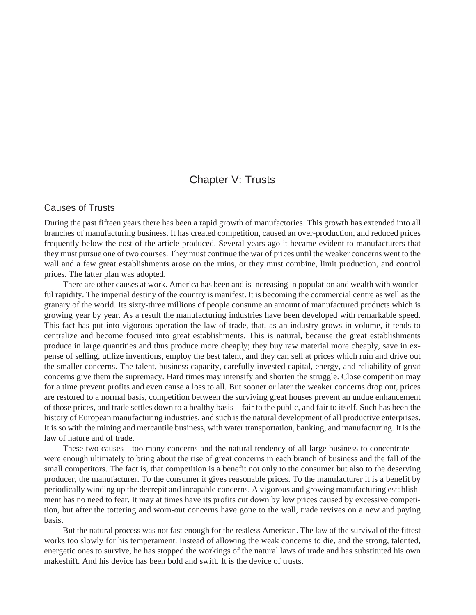# Chapter V: Trusts

### Causes of Trusts

During the past fifteen years there has been a rapid growth of manufactories. This growth has extended into all branches of manufacturing business. It has created competition, caused an over-production, and reduced prices frequently below the cost of the article produced. Several years ago it became evident to manufacturers that they must pursue one of two courses. They must continue the war of prices until the weaker concerns went to the wall and a few great establishments arose on the ruins, or they must combine, limit production, and control prices. The latter plan was adopted.

There are other causes at work. America has been and is increasing in population and wealth with wonderful rapidity. The imperial destiny of the country is manifest. It is becoming the commercial centre as well as the granary of the world. Its sixty-three millions of people consume an amount of manufactured products which is growing year by year. As a result the manufacturing industries have been developed with remarkable speed. This fact has put into vigorous operation the law of trade, that, as an industry grows in volume, it tends to centralize and become focused into great establishments. This is natural, because the great establishments produce in large quantities and thus produce more cheaply; they buy raw material more cheaply, save in expense of selling, utilize inventions, employ the best talent, and they can sell at prices which ruin and drive out the smaller concerns. The talent, business capacity, carefully invested capital, energy, and reliability of great concerns give them the supremacy. Hard times may intensify and shorten the struggle. Close competition may for a time prevent profits and even cause a loss to all. But sooner or later the weaker concerns drop out, prices are restored to a normal basis, competition between the surviving great houses prevent an undue enhancement of those prices, and trade settles down to a healthy basis—fair to the public, and fair to itself. Such has been the history of European manufacturing industries, and such is the natural development of all productive enterprises. It is so with the mining and mercantile business, with water transportation, banking, and manufacturing. It is the law of nature and of trade.

These two causes—too many concerns and the natural tendency of all large business to concentrate were enough ultimately to bring about the rise of great concerns in each branch of business and the fall of the small competitors. The fact is, that competition is a benefit not only to the consumer but also to the deserving producer, the manufacturer. To the consumer it gives reasonable prices. To the manufacturer it is a benefit by periodically winding up the decrepit and incapable concerns. A vigorous and growing manufacturing establishment has no need to fear. It may at times have its profits cut down by low prices caused by excessive competition, but after the tottering and worn-out concerns have gone to the wall, trade revives on a new and paying basis.

But the natural process was not fast enough for the restless American. The law of the survival of the fittest works too slowly for his temperament. Instead of allowing the weak concerns to die, and the strong, talented, energetic ones to survive, he has stopped the workings of the natural laws of trade and has substituted his own makeshift. And his device has been bold and swift. It is the device of trusts.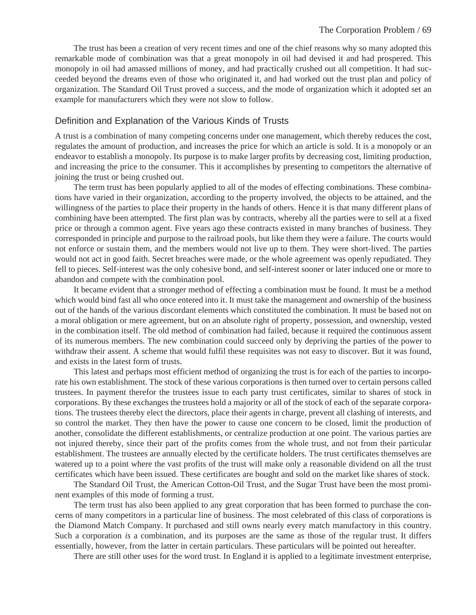The trust has been a creation of very recent times and one of the chief reasons why so many adopted this remarkable mode of combination was that a great monopoly in oil had devised it and had prospered. This monopoly in oil had amassed millions of money, and had practically crushed out all competition. It had succeeded beyond the dreams even of those who originated it, and had worked out the trust plan and policy of organization. The Standard Oil Trust proved a success, and the mode of organization which it adopted set an example for manufacturers which they were not slow to follow.

## Definition and Explanation of the Various Kinds of Trusts

A trust is a combination of many competing concerns under one management, which thereby reduces the cost, regulates the amount of production, and increases the price for which an article is sold. It is a monopoly or an endeavor to establish a monopoly. Its purpose is to make larger profits by decreasing cost, limiting production, and increasing the price to the consumer. This it accomplishes by presenting to competitors the alternative of joining the trust or being crushed out.

The term trust has been popularly applied to all of the modes of effecting combinations. These combinations have varied in their organization, according to the property involved, the objects to be attained, and the willingness of the parties to place their property in the hands of others. Hence it is that many different plans of combining have been attempted. The first plan was by contracts, whereby all the parties were to sell at a fixed price or through a common agent. Five years ago these contracts existed in many branches of business. They corresponded in principle and purpose to the railroad pools, but like them they were a failure. The courts would not enforce or sustain them, and the members would not live up to them. They were short-lived. The parties would not act in good faith. Secret breaches were made, or the whole agreement was openly repudiated. They fell to pieces. Self-interest was the only cohesive bond, and self-interest sooner or later induced one or more to abandon and compete with the combination pool.

It became evident that a stronger method of effecting a combination must be found. It must be a method which would bind fast all who once entered into it. It must take the management and ownership of the business out of the hands of the various discordant elements which constituted the combination. It must be based not on a moral obligation or mere agreement, but on an absolute right of property, possession, and ownership, vested in the combination itself. The old method of combination had failed, because it required the continuous assent of its numerous members. The new combination could succeed only by depriving the parties of the power to withdraw their assent. A scheme that would fulfil these requisites was not easy to discover. But it was found, and exists in the latest form of trusts.

This latest and perhaps most efficient method of organizing the trust is for each of the parties to incorporate his own establishment. The stock of these various corporations is then turned over to certain persons called trustees. In payment therefor the trustees issue to each party trust certificates, similar to shares of stock in corporations. By these exchanges the trustees hold a majority or all of the stock of each of the separate corporations. The trustees thereby elect the directors, place their agents in charge, prevent all clashing of interests, and so control the market. They then have the power to cause one concern to be closed, limit the production of another, consolidate the different establishments, or centralize production at one point. The various parties are not injured thereby, since their part of the profits comes from the whole trust, and not from their particular establishment. The trustees are annually elected by the certificate holders. The trust certificates themselves are watered up to a point where the vast profits of the trust will make only a reasonable dividend on all the trust certificates which have been issued. These certificates are bought and sold on the market like shares of stock.

The Standard Oil Trust, the American Cotton-Oil Trust, and the Sugar Trust have been the most prominent examples of this mode of forming a trust.

The term trust has also been applied to any great corporation that has been formed to purchase the concerns of many competitors in a particular line of business. The most celebrated of this class of corporations is the Diamond Match Company. It purchased and still owns nearly every match manufactory in this country. Such a corporation *is* a combination, and its purposes are the same as those of the regular trust. It differs essentially, however, from the latter in certain particulars. These particulars will be pointed out hereafter.

There are still other uses for the word trust. In England it is applied to a legitimate investment enterprise,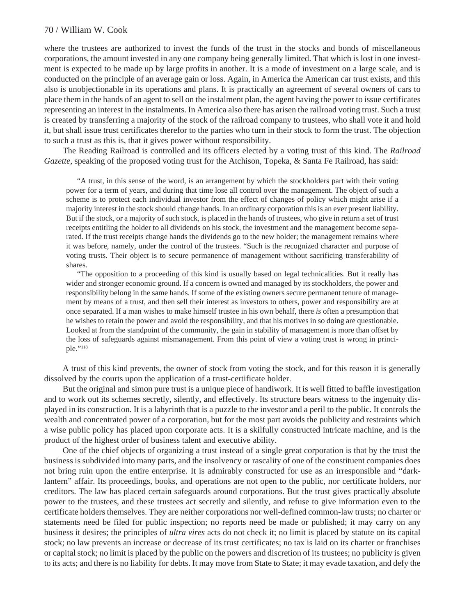where the trustees are authorized to invest the funds of the trust in the stocks and bonds of miscellaneous corporations, the amount invested in any one company being generally limited. That which is lost in one investment is expected to be made up by large profits in another. It is a mode of investment on a large scale, and is conducted on the principle of an average gain or loss. Again, in America the American car trust exists, and this also is unobjectionable in its operations and plans. It is practically an agreement of several owners of cars to place them in the hands of an agent to sell on the instalment plan, the agent having the power to issue certificates representing an interest in the instalments. In America also there has arisen the railroad voting trust. Such a trust is created by transferring a majority of the stock of the railroad company to trustees, who shall vote it and hold it, but shall issue trust certificates therefor to the parties who turn in their stock to form the trust. The objection to such a trust as this is, that it gives power without responsibility.

The Reading Railroad is controlled and its officers elected by a voting trust of this kind. The *Railroad Gazette,* speaking of the proposed voting trust for the Atchison, Topeka, & Santa Fe Railroad, has said:

"A trust, in this sense of the word, is an arrangement by which the stockholders part with their voting power for a term of years, and during that time lose all control over the management. The object of such a scheme is to protect each individual investor from the effect of changes of policy which might arise if a majority interest in the stock should change hands. In an ordinary corporation this is an ever present liability. But if the stock, or a majority of such stock, is placed in the hands of trustees, who give in return a set of trust receipts entitling the holder to all dividends on his stock, the investment and the management become separated. If the trust receipts change hands the dividends go to the new holder; the management remains where it was before, namely, under the control of the trustees. "Such is the recognized character and purpose of voting trusts. Their object is to secure permanence of management without sacrificing transferability of shares.

"The opposition to a proceeding of this kind is usually based on legal technicalities. But it really has wider and stronger economic ground. If a concern is owned and managed by its stockholders, the power and responsibility belong in the same hands. If some of the existing owners secure permanent tenure of management by means of a trust, and then sell their interest as investors to others, power and responsibility are at once separated. If a man wishes to make himself trustee in his own behalf, there *is* often a presumption that he wishes to retain the power and avoid the responsibility, and that his motives in so doing are questionable. Looked at from the standpoint of the community, the gain in stability of management is more than offset by the loss of safeguards against mismanagement. From this point of view a voting trust is wrong in principle."118

A trust of this kind prevents, the owner of stock from voting the stock, and for this reason it is generally dissolved by the courts upon the application of a trust-certificate holder.

But the original and simon pure trust is a unique piece of handiwork. It is well fitted to baffle investigation and to work out its schemes secretly, silently, and effectively. Its structure bears witness to the ingenuity displayed in its construction. It is a labyrinth that is a puzzle to the investor and a peril to the public. It controls the wealth and concentrated power of a corporation, but for the most part avoids the publicity and restraints which a wise public policy has placed upon corporate acts. It is a skilfully constructed intricate machine, and is the product of the highest order of business talent and executive ability.

One of the chief objects of organizing a trust instead of a single great corporation is that by the trust the business is subdivided into many parts, and the insolvency or rascality of one of the constituent companies does not bring ruin upon the entire enterprise. It is admirably constructed for use as an irresponsible and "darklantern" affair. Its proceedings, books, and operations are not open to the public, nor certificate holders, nor creditors. The law has placed certain safeguards around corporations. But the trust gives practically absolute power to the trustees, and these trustees act secretly and silently, and refuse to give information even to the certificate holders themselves. They are neither corporations nor well-defined common-law trusts; no charter or statements need be filed for public inspection; no reports need be made or published; it may carry on any business it desires; the principles of *ultra vires* acts do not check it; no limit is placed by statute on its capital stock; no law prevents an increase or decrease of its trust certificates; no tax is laid on its charter or franchises or capital stock; no limit is placed by the public on the powers and discretion of its trustees; no publicity is given to its acts; and there is no liability for debts. It may move from State to State; it may evade taxation, and defy the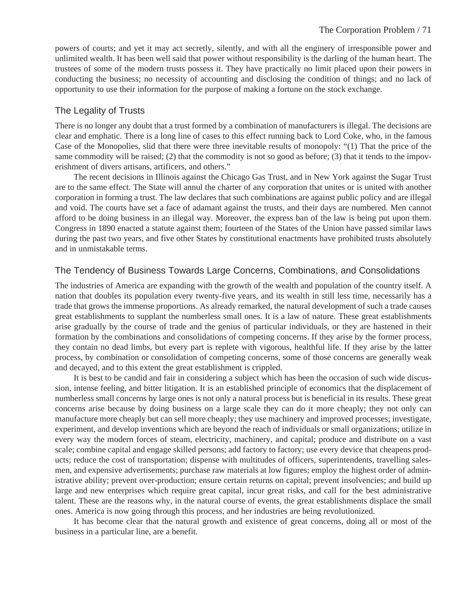powers of courts; and yet it may act secretly, silently, and with all the enginery of irresponsible power and unlimited wealth. It has been well said that power without responsibility is the darling of the human heart. The trustees of some of the modern trusts possess it. They have practically no limit placed upon their powers in conducting the business; no necessity of accounting and disclosing the condition of things; and no lack of opportunity to use their information for the purpose of making a fortune on the stock exchange.

## The Legality of Trusts

There is no longer any doubt that a trust formed by a combination of manufacturers is illegal. The decisions are clear and emphatic. There is a long line of cases to this effect running back to Lord Coke, who, in the famous Case of the Monopolies, slid that there were three inevitable results of monopoly: "(1) That the price of the same commodity will be raised; (2) that the commodity is not so good as before; (3) that it tends to the impoverishment of divers artisans, artificers, and others."

The recent decisions in Illinois against the Chicago Gas Trust, and in New York against the Sugar Trust are to the same effect. The State will annul the charter of any corporation that unites or is united with another corporation in forming a trust. The law declares that such combinations are against public policy and are illegal and void. The courts have set a face of adamant against the trusts, and their days are numbered. Men cannot afford to be doing business in an illegal way. Moreover, the express ban of the law is being put upon them. Congress in 1890 enacted a statute against them; fourteen of the States of the Union have passed similar laws during the past two years, and five other States by constitutional enactments have prohibited trusts absolutely and in unmistakable terms.

## The Tendency of Business Towards Large Concerns, Combinations, and Consolidations

The industries of America are expanding with the growth of the wealth and population of the country itself. A nation that doubles its population every twenty-five years, and its wealth in still less time, necessarily has a trade that grows the immense proportions. As already remarked, the natural development of such a trade causes great establishments to supplant the numberless small ones. It is a law of nature. These great establishments arise gradually by the course of trade and the genius of particular individuals, or they are hastened in their formation by the combinations and consolidations of competing concerns. If they arise by the former process, they contain no dead limbs, but every part is replete with vigorous, healthful life. If they arise by the latter process, by combination or consolidation of competing concerns, some of those concerns are generally weak and decayed, and to this extent the great establishment is crippled.

It is best to be candid and fair in considering a subject which has been the occasion of such wide discussion, intense feeling, and bitter litigation. It is an established principle of economics that the displacement of numberless small concerns by large ones is not only a natural process but is beneficial in its results. These great concerns arise because by doing business on a large scale they can do it more cheaply; they not only can manufacture more cheaply but can sell more cheaply; they use machinery and improved processes; investigate, experiment, and develop inventions which are beyond the reach of individuals or small organizations; utilize in every way the modern forces of steam, electricity, machinery, and capital; produce and distribute on a vast scale; combine capital and engage skilled persons; add factory to factory; use every device that cheapens products; reduce the cost of transportation; dispense with multitudes of officers, superintendents, travelling salesmen, and expensive advertisements; purchase raw materials at low figures; employ the highest order of administrative ability; prevent over-production; ensure certain returns on capital; prevent insolvencies; and build up large and new enterprises which require great capital, incur great risks, and call for the best administrative talent. These are the reasons why, in the natural course of events, the great establishments displace the small ones. America is now going through this process, and her industries are being revolutionized.

It has become clear that the natural growth and existence of great concerns, doing all or most of the business in a particular line, are a benefit.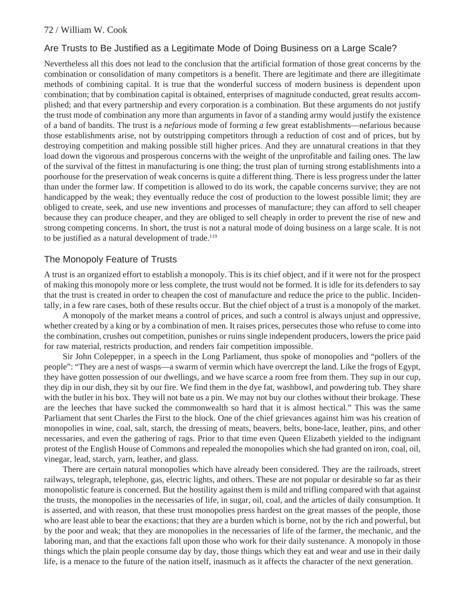## Are Trusts to Be Justified as a Legitimate Mode of Doing Business on a Large Scale?

Nevertheless all this does not lead to the conclusion that the artificial formation of those great concerns by the combination or consolidation of many competitors is a benefit. There are legitimate and there are illegitimate methods of combining capital. It is true that the wonderful success of modern business is dependent upon combination; that by combination capital is obtained, enterprises of magnitude conducted, great results accomplished; and that every partnership and every corporation is a combination. But these arguments do not justify the trust mode of combination any more than arguments in favor of a standing army would justify the existence of a band of bandits. The trust is a *nefarious* mode of forming *a* few great establishments—nefarious because those establishments arise, not by outstripping competitors through a reduction of cost and of prices, but by destroying competition and making possible still higher prices. And they are unnatural creations in that they load down the vigorous and prosperous concerns with the weight of the unprofitable and failing ones. The law of the survival of the fittest in manufacturing is one thing; the trust plan of turning strong establishments into a poorhouse for the preservation of weak concerns is quite a different thing. There is less progress under the latter than under the former law. If competition is allowed to do its work, the capable concerns survive; they are not handicapped by the weak; they eventually reduce the cost of production to the lowest possible limit; they are obliged to create, seek, and use new inventions and processes of manufacture; they can afford to sell cheaper because they can produce cheaper, and they are obliged to sell cheaply in order to prevent the rise of new and strong competing concerns. In short, the trust is not a natural mode of doing business on a large scale. It is not to be justified as a natural development of trade.<sup>119</sup>

## The Monopoly Feature of Trusts

A trust is an organized effort to establish a monopoly. This is its chief object, and if it were not for the prospect of making this monopoly more or less complete, the trust would not be formed. It is idle for its defenders to say that the trust is created in order to cheapen the cost of manufacture and reduce the price to the public. Incidentally, in a few rare cases, both of these results occur. But the chief object of a trust is a monopoly of the market.

A monopoly of the market means a control of prices, and such a control is always unjust and oppressive, whether created by a king or by a combination of men. It raises prices, persecutes those who refuse to come into the combination, crushes out competition, punishes or ruins single independent producers, lowers the price paid for raw material, restricts production, and renders fair competition impossible.

Sir John Colepepper, in a speech in the Long Parliament, thus spoke of monopolies and "pollers of the people": "They are a nest of wasps—a swarm of vermin which have overcrept the land. Like the frogs of Egypt, they have gotten possession of our dwellings, and we have scarce a room free from them. They sup in our cup, they dip in our dish, they sit by our fire. We find them in the dye fat, washbowl, and powdering tub. They share with the butler in his box. They will not bate us a pin. We may not buy our clothes without their brokage. These are the leeches that have sucked the commonwealth so hard that it is almost hectical." This was the same Parliament that sent Charles the First to the block. One of the chief grievances against him was his creation of monopolies in wine, coal, salt, starch, the dressing of meats, beavers, belts, bone-lace, leather, pins, and other necessaries, and even the gathering of rags. Prior to that time even Queen Elizabeth yielded to the indignant protest of the English House of Commons and repealed the monopolies which she had granted on iron, coal, oil, vinegar, lead, starch, yarn, leather, and glass.

There are certain natural monopolies which have already been considered. They are the railroads, street railways, telegraph, telephone, gas, electric lights, and others. These are not popular or desirable so far as their monopolistic feature is concerned. But the hostility against them is mild and trifling compared with that against the trusts, the monopolies in the necessaries of life, in sugar, oil, coal, and the articles of daily consumption. It is asserted, and with reason, that these trust monopolies press hardest on the great masses of the people, those who are least able to bear the exactions; that they are a burden which is borne, not by the rich and powerful, but by the poor and weak; that they are monopolies in the necessaries of life of the farmer, the mechanic, and the laboring man, and that the exactions fall upon those who work for their daily sustenance. A monopoly in those things which the plain people consume day by day, those things which they eat and wear and use in their daily life, is a menace to the future of the nation itself, inasmuch as it affects the character of the next generation.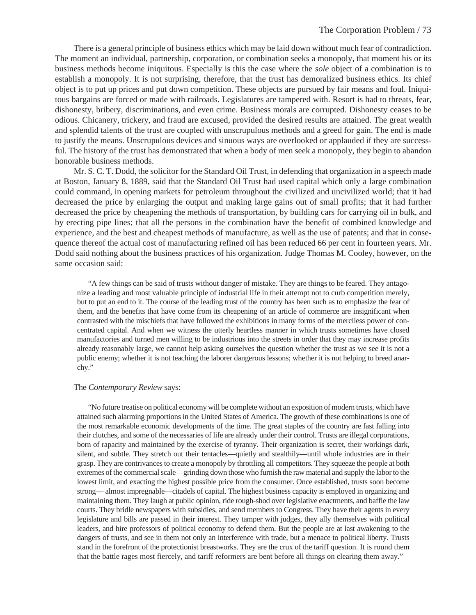There is a general principle of business ethics which may be laid down without much fear of contradiction. The moment an individual, partnership, corporation, or combination seeks a monopoly, that moment his or its business methods become iniquitous. Especially is this the case where the *sole* object of a combination is to establish a monopoly. It is not surprising, therefore, that the trust has demoralized business ethics. Its chief object is to put up prices and put down competition. These objects are pursued by fair means and foul. Iniquitous bargains are forced or made with railroads. Legislatures are tampered with. Resort is had to threats, fear, dishonesty, bribery, discriminations, and even crime. Business morals are corrupted. Dishonesty ceases to be odious. Chicanery, trickery, and fraud are excused, provided the desired results are attained. The great wealth and splendid talents of the trust are coupled with unscrupulous methods and a greed for gain. The end is made to justify the means. Unscrupulous devices and sinuous ways are overlooked or applauded if they are successful. The history of the trust has demonstrated that when a body of men seek a monopoly, they begin to abandon honorable business methods.

Mr. S. C. T. Dodd, the solicitor for the Standard Oil Trust, in defending that organization in a speech made at Boston, January 8, 1889, said that the Standard Oil Trust had used capital which only a large combination could command, in opening markets for petroleum throughout the civilized and uncivilized world; that it had decreased the price by enlarging the output and making large gains out of small profits; that it had further decreased the price by cheapening the methods of transportation, by building cars for carrying oil in bulk, and by erecting pipe lines; that all the persons in the combination have the benefit of combined knowledge and experience, and the best and cheapest methods of manufacture, as well as the use of patents; and that in consequence thereof the actual cost of manufacturing refined oil has been reduced 66 per cent in fourteen years. Mr. Dodd said nothing about the business practices of his organization. Judge Thomas M. Cooley, however, on the same occasion said:

"A few things can be said of trusts without danger of mistake. They are things to be feared. They antagonize a leading and most valuable principle of industrial life in their attempt not to curb competition merely, but to put an end to it. The course of the leading trust of the country has been such as to emphasize the fear of them, and the benefits that have come from its cheapening of an article of commerce are insignificant when contrasted with the mischiefs that have followed the exhibitions in many forms of the merciless power of concentrated capital. And when we witness the utterly heartless manner in which trusts sometimes have closed manufactories and turned men willing to be industrious into the streets in order that they may increase profits already reasonably large, we cannot help asking ourselves the question whether the trust as we see it is not a public enemy; whether it is not teaching the laborer dangerous lessons; whether it is not helping to breed anarchy."

### The *Contemporary Review* says:

"No future treatise on political economy will be complete without an exposition of modern trusts, which have attained such alarming proportions in the United States of America. The growth of these combinations is one of the most remarkable economic developments of the time. The great staples of the country are fast falling into their clutches, and some of the necessaries of life are already under their control. Trusts are illegal corporations, born of rapacity and maintained by the exercise of tyranny. Their organization is secret, their workings dark, silent, and subtle. They stretch out their tentacles—quietly and stealthily—until whole industries are in their grasp. They are contrivances to create a monopoly by throttling all competitors. They squeeze the people at both extremes of the commercial scale—grinding down those who furnish the raw material and supply the labor to the lowest limit, and exacting the highest possible price from the consumer. Once established, trusts soon become strong— almost impregnable—citadels of capital. The highest business capacity is employed in organizing and maintaining them. They laugh at public opinion, ride rough-shod over legislative enactments, and baffle the law courts. They bridle newspapers with subsidies, and send members to Congress. They have their agents in every legislature and bills are passed in their interest. They tamper with judges, they ally themselves with political leaders, and hire professors of political economy to defend them. But the people are at last awakening to the dangers of trusts, and see in them not only an interference with trade, but a menace to political liberty. Trusts stand in the forefront of the protectionist breastworks. They are the crux of the tariff question. It is round them that the battle rages most fiercely, and tariff reformers are bent before all things on clearing them away."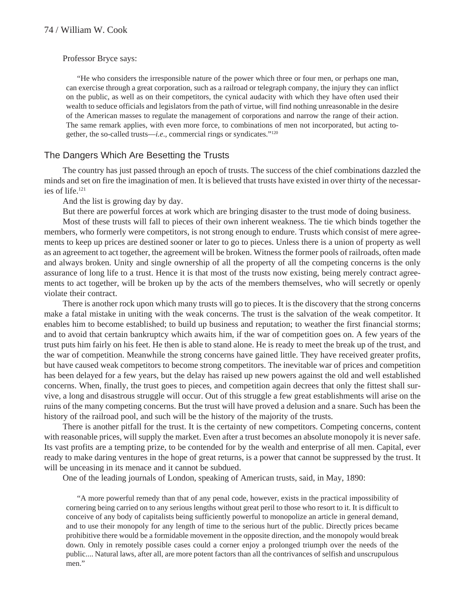#### Professor Bryce says:

"He who considers the irresponsible nature of the power which three or four men, or perhaps one man, can exercise through a great corporation, such as a railroad or telegraph company, the injury they can inflict on the public, as well as on their competitors, the cynical audacity with which they have often used their wealth to seduce officials and legislators from the path of virtue, will find nothing unreasonable in the desire of the American masses to regulate the management of corporations and narrow the range of their action. The same remark applies, with even more force, to combinations of men not incorporated, but acting together, the so-called trusts—*i.e*., commercial rings or syndicates."120

# The Dangers Which Are Besetting the Trusts

The country has just passed through an epoch of trusts. The success of the chief combinations dazzled the minds and set on fire the imagination of men. It is believed that trusts have existed in over thirty of the necessaries of life.121

And the list is growing day by day.

But there are powerful forces at work which are bringing disaster to the trust mode of doing business.

Most of these trusts will fall to pieces of their own inherent weakness. The tie which binds together the members, who formerly were competitors, is not strong enough to endure. Trusts which consist of mere agreements to keep up prices are destined sooner or later to go to pieces. Unless there is a union of property as well as an agreement to act together, the agreement will be broken. Witness the former pools of railroads, often made and always broken. Unity and single ownership of all the property of all the competing concerns is the only assurance of long life to a trust. Hence it is that most of the trusts now existing, being merely contract agreements to act together, will be broken up by the acts of the members themselves, who will secretly or openly violate their contract.

There is another rock upon which many trusts will go to pieces. It is the discovery that the strong concerns make a fatal mistake in uniting with the weak concerns. The trust is the salvation of the weak competitor. It enables him to become established; to build up business and reputation; to weather the first financial storms; and to avoid that certain bankruptcy which awaits him, if the war of competition goes on. A few years of the trust puts him fairly on his feet. He then is able to stand alone. He is ready to meet the break up of the trust, and the war of competition. Meanwhile the strong concerns have gained little. They have received greater profits, but have caused weak competitors to become strong competitors. The inevitable war of prices and competition has been delayed for a few years, but the delay has raised up new powers against the old and well established concerns. When, finally, the trust goes to pieces, and competition again decrees that only the fittest shall survive, a long and disastrous struggle will occur. Out of this struggle a few great establishments will arise on the ruins of the many competing concerns. But the trust will have proved a delusion and a snare. Such has been the history of the railroad pool, and such will be the history of the majority of the trusts.

There is another pitfall for the trust. It is the certainty of new competitors. Competing concerns, content with reasonable prices, will supply the market. Even after a trust becomes an absolute monopoly it is never safe. Its vast profits are a tempting prize, to be contended for by the wealth and enterprise of all men. Capital, ever ready to make daring ventures in the hope of great returns, is a power that cannot be suppressed by the trust. It will be unceasing in its menace and it cannot be subdued.

One of the leading journals of London, speaking of American trusts, said, in May, 1890:

"A more powerful remedy than that of any penal code, however, exists in the practical impossibility of cornering being carried on to any serious lengths without great peril to those who resort to it. It is difficult to conceive of any body of capitalists being sufficiently powerful to monopolize an article in general demand, and to use their monopoly for any length of time to the serious hurt of the public. Directly prices became prohibitive there would be a formidable movement in the opposite direction, and the monopoly would break down. Only in remotely possible cases could a corner enjoy a prolonged triumph over the needs of the public.... Natural laws, after all, are more potent factors than all the contrivances of selfish and unscrupulous men."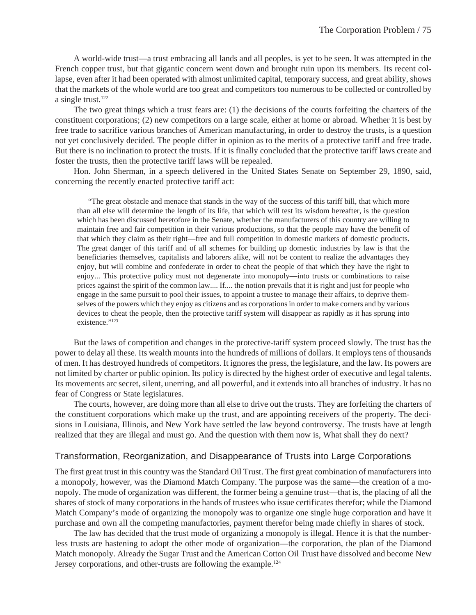A world-wide trust—a trust embracing all lands and all peoples, is yet to be seen. It was attempted in the French copper trust, but that gigantic concern went down and brought ruin upon its members. Its recent collapse, even after it had been operated with almost unlimited capital, temporary success, and great ability, shows that the markets of the whole world are too great and competitors too numerous to be collected or controlled by a single trust. $122$ 

The two great things which a trust fears are: (1) the decisions of the courts forfeiting the charters of the constituent corporations; (2) new competitors on a large scale, either at home or abroad. Whether it is best by free trade to sacrifice various branches of American manufacturing, in order to destroy the trusts, is a question not yet conclusively decided. The people differ in opinion as to the merits of a protective tariff and free trade. But there is no inclination to protect the trusts. If it is finally concluded that the protective tariff laws create and foster the trusts, then the protective tariff laws will be repealed.

Hon. John Sherman, in a speech delivered in the United States Senate on September 29, 1890, said, concerning the recently enacted protective tariff act:

"The great obstacle and menace that stands in the way of the success of this tariff bill, that which more than all else will determine the length of its life, that which will test its wisdom hereafter, is the question which has been discussed heretofore in the Senate, whether the manufacturers of this country are willing to maintain free and fair competition in their various productions, so that the people may have the benefit of that which they claim as their right—free and full competition in domestic markets of domestic products. The great danger of this tariff and of all schemes for building up domestic industries by law is that the beneficiaries themselves, capitalists and laborers alike, will not be content to realize the advantages they enjoy, but will combine and confederate in order to cheat the people of that which they have the right to enjoy... This protective policy must not degenerate into monopoly—into trusts or combinations to raise prices against the spirit of the common law.... If.... the notion prevails that it is right and just for people who engage in the same pursuit to pool their issues, to appoint a trustee to manage their affairs, to deprive themselves of the powers which they enjoy as citizens and as corporations in order to make corners and by various devices to cheat the people, then the protective tariff system will disappear as rapidly as it has sprung into existence."<sup>123</sup>

But the laws of competition and changes in the protective-tariff system proceed slowly. The trust has the power to delay all these. Its wealth mounts into the hundreds of millions of dollars. It employs tens of thousands of men. It has destroyed hundreds of competitors. It ignores the press, the legislature, and the law. Its powers are not limited by charter or public opinion. Its policy is directed by the highest order of executive and legal talents. Its movements arc secret, silent, unerring, and all powerful, and it extends into all branches of industry. It has no fear of Congress or State legislatures.

The courts, however, are doing more than all else to drive out the trusts. They are forfeiting the charters of the constituent corporations which make up the trust, and are appointing receivers of the property. The decisions in Louisiana, Illinois, and New York have settled the law beyond controversy. The trusts have at length realized that they are illegal and must go. And the question with them now is, What shall they do next?

# Transformation, Reorganization, and Disappearance of Trusts into Large Corporations

The first great trust in this country was the Standard Oil Trust. The first great combination of manufacturers into a monopoly, however, was the Diamond Match Company. The purpose was the same—the creation of a monopoly. The mode of organization was different, the former being a genuine trust—that is, the placing of all the shares of stock of many corporations in the hands of trustees who issue certificates therefor; while the Diamond Match Company's mode of organizing the monopoly was to organize one single huge corporation and have it purchase and own all the competing manufactories, payment therefor being made chiefly in shares of stock.

The law has decided that the trust mode of organizing a monopoly is illegal. Hence it is that the numberless trusts are hastening to adopt the other mode of organization—the corporation, the plan of the Diamond Match monopoly. Already the Sugar Trust and the American Cotton Oil Trust have dissolved and become New Jersey corporations, and other-trusts are following the example.<sup>124</sup>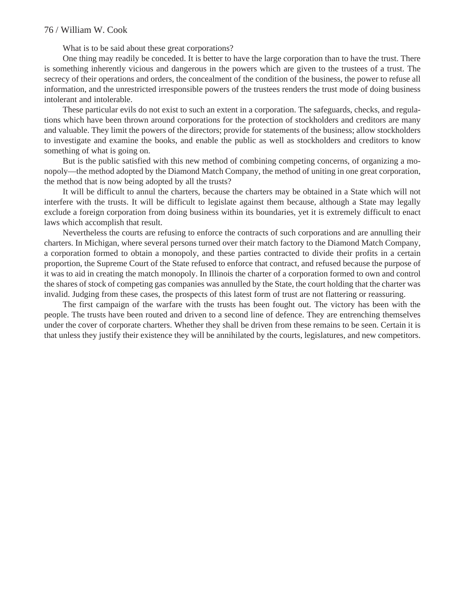What is to be said about these great corporations?

One thing may readily be conceded. It is better to have the large corporation than to have the trust. There is something inherently vicious and dangerous in the powers which are given to the trustees of a trust. The secrecy of their operations and orders, the concealment of the condition of the business, the power to refuse all information, and the unrestricted irresponsible powers of the trustees renders the trust mode of doing business intolerant and intolerable.

These particular evils do not exist to such an extent in a corporation. The safeguards, checks, and regulations which have been thrown around corporations for the protection of stockholders and creditors are many and valuable. They limit the powers of the directors; provide for statements of the business; allow stockholders to investigate and examine the books, and enable the public as well as stockholders and creditors to know something of what is going on.

But is the public satisfied with this new method of combining competing concerns, of organizing a monopoly—the method adopted by the Diamond Match Company, the method of uniting in one great corporation, the method that is now being adopted by all the trusts?

It will be difficult to annul the charters, because the charters may be obtained in a State which will not interfere with the trusts. It will be difficult to legislate against them because, although a State may legally exclude a foreign corporation from doing business within its boundaries, yet it is extremely difficult to enact laws which accomplish that result.

Nevertheless the courts are refusing to enforce the contracts of such corporations and are annulling their charters. In Michigan, where several persons turned over their match factory to the Diamond Match Company, a corporation formed to obtain a monopoly, and these parties contracted to divide their profits in a certain proportion, the Supreme Court of the State refused to enforce that contract, and refused because the purpose of it was to aid in creating the match monopoly. In Illinois the charter of a corporation formed to own and control the shares of stock of competing gas companies was annulled by the State, the court holding that the charter was invalid. Judging from these cases, the prospects of this latest form of trust are not flattering or reassuring.

The first campaign of the warfare with the trusts has been fought out. The victory has been with the people. The trusts have been routed and driven to a second line of defence. They are entrenching themselves under the cover of corporate charters. Whether they shall be driven from these remains to be seen. Certain it is that unless they justify their existence they will be annihilated by the courts, legislatures, and new competitors.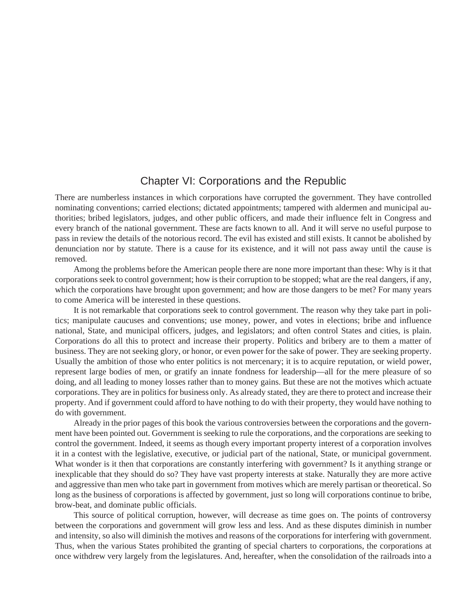# Chapter VI: Corporations and the Republic

There are numberless instances in which corporations have corrupted the government. They have controlled nominating conventions; carried elections; dictated appointments; tampered with aldermen and municipal authorities; bribed legislators, judges, and other public officers, and made their influence felt in Congress and every branch of the national government. These are facts known to all. And it will serve no useful purpose to pass in review the details of the notorious record. The evil has existed and still exists. It cannot be abolished by denunciation nor by statute. There is a cause for its existence, and it will not pass away until the cause is removed.

Among the problems before the American people there are none more important than these: Why is it that corporations seek to control government; how is their corruption to be stopped; what are the real dangers, if any, which the corporations have brought upon government; and how are those dangers to be met? For many years to come America will be interested in these questions.

It is not remarkable that corporations seek to control government. The reason why they take part in politics; manipulate caucuses and conventions; use money, power, and votes in elections; bribe and influence national, State, and municipal officers, judges, and legislators; and often control States and cities, is plain. Corporations do all this to protect and increase their property. Politics and bribery are to them a matter of business. They are not seeking glory, or honor, or even power for the sake of power. They are seeking property. Usually the ambition of those who enter politics is not mercenary; it is to acquire reputation, or wield power, represent large bodies of men, or gratify an innate fondness for leadership—all for the mere pleasure of so doing, and all leading to money losses rather than to money gains. But these are not the motives which actuate corporations. They are in politics for business only. As already stated, they are there to protect and increase their property. And if government could afford to have nothing to do with their property, they would have nothing to do with government.

Already in the prior pages of this book the various controversies between the corporations and the government have been pointed out. Government is seeking to rule the corporations, and the corporations are seeking to control the government. Indeed, it seems as though every important property interest of a corporation involves it in a contest with the legislative, executive, or judicial part of the national, State, or municipal government. What wonder is it then that corporations are constantly interfering with government? Is it anything strange or inexplicable that they should do so? They have vast property interests at stake. Naturally they are more active and aggressive than men who take part in government from motives which are merely partisan or theoretical. So long as the business of corporations is affected by government, just so long will corporations continue to bribe, brow-beat, and dominate public officials.

This source of political corruption, however, will decrease as time goes on. The points of controversy between the corporations and government will grow less and less. And as these disputes diminish in number and intensity, so also will diminish the motives and reasons of the corporations for interfering with government. Thus, when the various States prohibited the granting of special charters to corporations, the corporations at once withdrew very largely from the legislatures. And, hereafter, when the consolidation of the railroads into a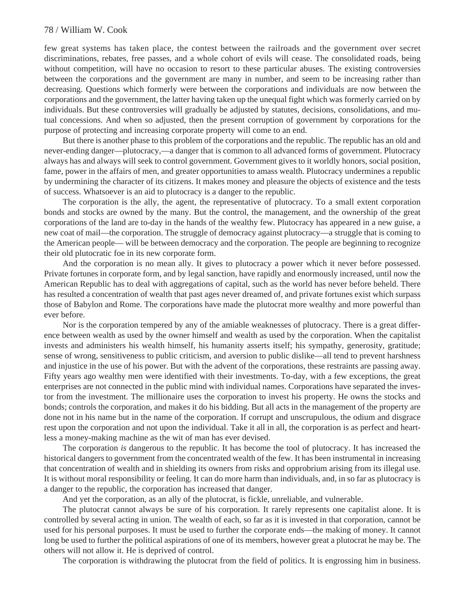few great systems has taken place, the contest between the railroads and the government over secret discriminations, rebates, free passes, and a whole cohort of evils will cease. The consolidated roads, being without competition, will have no occasion to resort to these particular abuses. The existing controversies between the corporations and the government are many in number, and seem to be increasing rather than decreasing. Questions which formerly were between the corporations and individuals are now between the corporations and the government, the latter having taken up the unequal fight which was formerly carried on by individuals. But these controversies will gradually be adjusted by statutes, decisions, consolidations, and mutual concessions. And when so adjusted, then the present corruption of government by corporations for the purpose of protecting and increasing corporate property will come to an end.

But there is another phase to this problem of the corporations and the republic. The republic has an old and never-ending danger—plutocracy,—a danger that is common to all advanced forms of government. Plutocracy always has and always will seek to control government. Government gives to it worldly honors, social position, fame, power in the affairs of men, and greater opportunities to amass wealth. Plutocracy undermines a republic by undermining the character of its citizens. It makes money and pleasure the objects of existence and the tests of success. Whatsoever is an aid to plutocracy is a danger to the republic.

The corporation is the ally, the agent, the representative of plutocracy. To a small extent corporation bonds and stocks are owned by the many. But the control, the management, and the ownership of the great corporations of the land are to-day in the hands of the wealthy few. Plutocracy has appeared in a new guise, a new coat of mail—the corporation. The struggle of democracy against plutocracy—a struggle that is coming to the American people— will be between democracy and the corporation. The people are beginning to recognize their old plutocratic foe in its new corporate form.

And the corporation is no mean ally. It gives to plutocracy a power which it never before possessed. Private fortunes in corporate form, and by legal sanction, have rapidly and enormously increased, until now the American Republic has to deal with aggregations of capital, such as the world has never before beheld. There has resulted a concentration of wealth that past ages never dreamed of, and private fortunes exist which surpass those of Babylon and Rome. The corporations have made the plutocrat more wealthy and more powerful than ever before.

Nor is the corporation tempered by any of the amiable weaknesses of plutocracy. There is a great difference between wealth as used by the owner himself and wealth as used by the corporation. When the capitalist invests and administers his wealth himself, his humanity asserts itself; his sympathy, generosity, gratitude; sense of wrong, sensitiveness to public criticism, and aversion to public dislike—all tend to prevent harshness and injustice in the use of his power. But with the advent of the corporations, these restraints are passing away. Fifty years ago wealthy men were identified with their investments. To-day, with a few exceptions, the great enterprises are not connected in the public mind with individual names. Corporations have separated the investor from the investment. The millionaire uses the corporation to invest his property. He owns the stocks and bonds; controls the corporation, and makes it do his bidding. But all acts in the management of the property are done not in his name but in the name of the corporation. If corrupt and unscrupulous, the odium and disgrace rest upon the corporation and not upon the individual. Take it all in all, the corporation is as perfect and heartless a money-making machine as the wit of man has ever devised.

The corporation *is* dangerous to the republic. It has become the tool of plutocracy. It has increased the historical dangers to government from the concentrated wealth of the few. It has been instrumental in increasing that concentration of wealth and in shielding its owners from risks and opprobrium arising from its illegal use. It is without moral responsibility or feeling. It can do more harm than individuals, and, in so far as plutocracy is a danger to the republic, the corporation has increased that danger.

And yet the corporation, as an ally of the plutocrat, is fickle, unreliable, and vulnerable.

The plutocrat cannot always be sure of his corporation. It rarely represents one capitalist alone. It is controlled by several acting in union. The wealth of each, so far as it is invested in that corporation, cannot be used for his personal purposes. It must be used to further the corporate ends—the making of money. It cannot long be used to further the political aspirations of one of its members, however great a plutocrat he may be. The others will not allow it. He is deprived of control.

The corporation is withdrawing the plutocrat from the field of politics. It is engrossing him in business.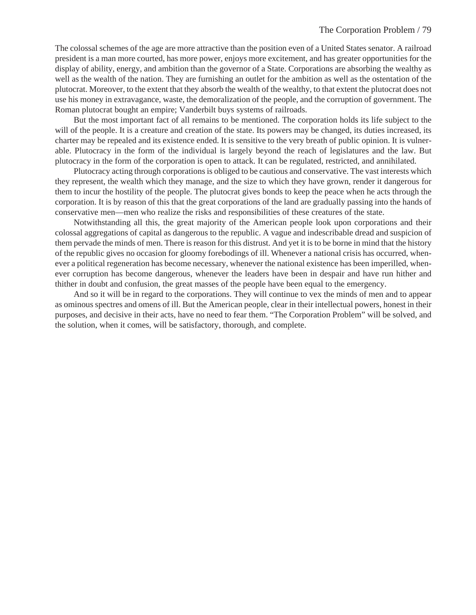The colossal schemes of the age are more attractive than the position even of a United States senator. A railroad president is a man more courted, has more power, enjoys more excitement, and has greater opportunities for the display of ability, energy, and ambition than the governor of a State. Corporations are absorbing the wealthy as well as the wealth of the nation. They are furnishing an outlet for the ambition as well as the ostentation of the plutocrat. Moreover, to the extent that they absorb the wealth of the wealthy, to that extent the plutocrat does not use his money in extravagance, waste, the demoralization of the people, and the corruption of government. The Roman plutocrat bought an empire; Vanderbilt buys systems of railroads.

But the most important fact of all remains to be mentioned. The corporation holds its life subject to the will of the people. It is a creature and creation of the state. Its powers may be changed, its duties increased, its charter may be repealed and its existence ended. It is sensitive to the very breath of public opinion. It is vulnerable. Plutocracy in the form of the individual is largely beyond the reach of legislatures and the law. But plutocracy in the form of the corporation is open to attack. It can be regulated, restricted, and annihilated.

Plutocracy acting through corporations is obliged to be cautious and conservative. The vast interests which they represent, the wealth which they manage, and the size to which they have grown, render it dangerous for them to incur the hostility of the people. The plutocrat gives bonds to keep the peace when he acts through the corporation. It is by reason of this that the great corporations of the land are gradually passing into the hands of conservative men—men who realize the risks and responsibilities of these creatures of the state.

Notwithstanding all this, the great majority of the American people look upon corporations and their colossal aggregations of capital as dangerous to the republic. A vague and indescribable dread and suspicion of them pervade the minds of men. There is reason for this distrust. And yet it is to be borne in mind that the history of the republic gives no occasion for gloomy forebodings of ill. Whenever a national crisis has occurred, whenever a political regeneration has become necessary, whenever the national existence has been imperilled, whenever corruption has become dangerous, whenever the leaders have been in despair and have run hither and thither in doubt and confusion, the great masses of the people have been equal to the emergency.

And so it will be in regard to the corporations. They will continue to vex the minds of men and to appear as ominous spectres and omens of ill. But the American people, clear in their intellectual powers, honest in their purposes, and decisive in their acts, have no need to fear them. "The Corporation Problem" will be solved, and the solution, when it comes, will be satisfactory, thorough, and complete.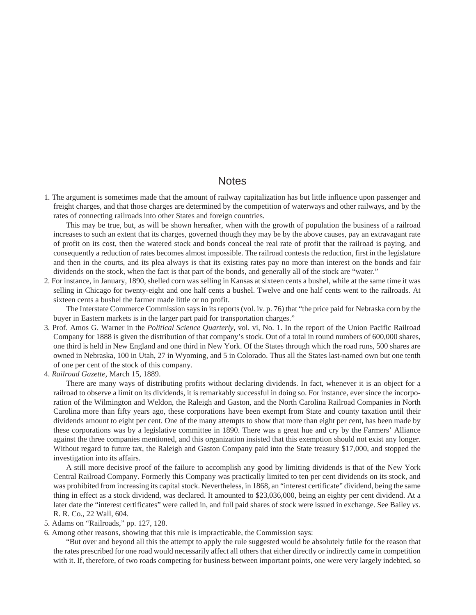# **Notes**

1. The argument is sometimes made that the amount of railway capitalization has but little influence upon passenger and freight charges, and that those charges are determined by the competition of waterways and other railways, and by the rates of connecting railroads into other States and foreign countries.

This may be true, but, as will be shown hereafter, when with the growth of population the business of a railroad increases to such an extent that its charges, governed though they may be by the above causes, pay an extravagant rate of profit on its cost, then the watered stock and bonds conceal the real rate of profit that the railroad is paying, and consequently a reduction of rates becomes almost impossible. The railroad contests the reduction, first in the legislature and then in the courts, and its plea always is that its existing rates pay no more than interest on the bonds and fair dividends on the stock, when the fact is that part of the bonds, and generally all of the stock are "water."

2. For instance, in January, 1890, shelled corn was selling in Kansas at sixteen cents a bushel, while at the same time it was selling in Chicago for twenty-eight and one half cents a bushel. Twelve and one half cents went to the railroads. At sixteen cents a bushel the farmer made little or no profit.

The Interstate Commerce Commission says in its reports (vol. iv. p. 76) that "the price paid for Nebraska corn by the buyer in Eastern markets is in the larger part paid for transportation charges."

- 3. Prof. Amos G. Warner in the *Political Science Quarterly,* vol. vi, No. 1. In the report of the Union Pacific Railroad Company for 1888 is given the distribution of that company's stock. Out of a total in round numbers of 600,000 shares, one third is held in New England and one third in New York. Of the States through which the road runs, 500 shares are owned in Nebraska, 100 in Utah, 27 in Wyoming, and 5 in Colorado. Thus all the States last-named own but one tenth of one per cent of the stock of this company.
- 4. *Railroad Gazette,* March 15, 1889.

There are many ways of distributing profits without declaring dividends. In fact, whenever it is an object for a railroad to observe a limit on its dividends, it is remarkably successful in doing so. For instance, ever since the incorporation of the Wilmington and Weldon, the Raleigh and Gaston, and the North Carolina Railroad Companies in North Carolina more than fifty years ago, these corporations have been exempt from State and county taxation until their dividends amount to eight per cent. One of the many attempts to show that more than eight per cent, has been made by these corporations was by a legislative committee in 1890. There was a great hue and cry by the Farmers' Alliance against the three companies mentioned, and this organization insisted that this exemption should not exist any longer. Without regard to future tax, the Raleigh and Gaston Company paid into the State treasury \$17,000, and stopped the investigation into its affairs.

A still more decisive proof of the failure to accomplish any good by limiting dividends is that of the New York Central Railroad Company. Formerly this Company was practically limited to ten per cent dividends on its stock, and was prohibited from increasing its capital stock. Nevertheless, in 1868, an "interest certificate" dividend, being the same thing in effect as a stock dividend, was declared. It amounted to \$23,036,000, being an eighty per cent dividend. At a later date the "interest certificates" were called in, and full paid shares of stock were issued in exchange. See Bailey *vs.* R. R. Co., 22 Wall, 604.

#### 5. Adams on "Railroads," pp. 127, 128.

6. Among other reasons, showing that this rule is impracticable, the Commission says:

"But over and beyond all this the attempt to apply the rule suggested would be absolutely futile for the reason that the rates prescribed for one road would necessarily affect all others that either directly or indirectly came in competition with it. If, therefore, of two roads competing for business between important points, one were very largely indebted, so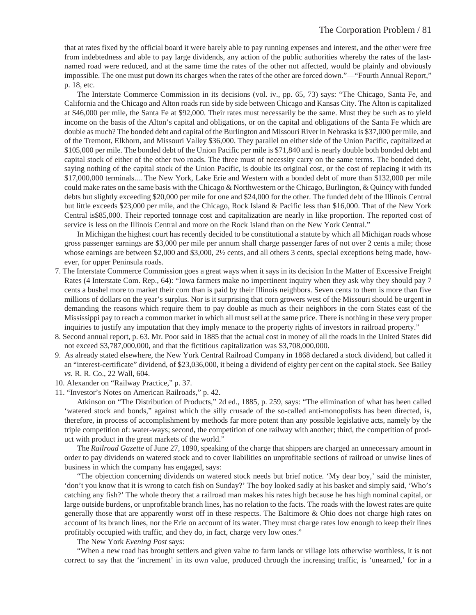that at rates fixed by the official board it were barely able to pay running expenses and interest, and the other were free from indebtedness and able to pay large dividends, any action of the public authorities whereby the rates of the lastnamed road were reduced, and at the same time the rates of the other not affected, would be plainly and obviously impossible. The one must put down its charges when the rates of the other are forced down."—"Fourth Annual Report," p. 18, etc.

The Interstate Commerce Commission in its decisions (vol. iv., pp. 65, 73) says: "The Chicago, Santa Fe, and California and the Chicago and Alton roads run side by side between Chicago and Kansas City. The Alton is capitalized at \$46,000 per mile, the Santa Fe at \$92,000. Their rates must necessarily be the same. Must they be such as to yield income on the basis of the Alton's capital and obligations, or on the capital and obligations of the Santa Fe which are double as much? The bonded debt and capital of the Burlington and Missouri River in Nebraska is \$37,000 per mile, and of the Tremont, Elkhorn, and Missouri Valley \$36,000. They parallel on either side of the Union Pacific, capitalized at \$105,000 per mile. The bonded debt of the Union Pacific per mile is \$71,840 and is nearly double both bonded debt and capital stock of either of the other two roads. The three must of necessity carry on the same terms. The bonded debt, saying nothing of the capital stock of the Union Pacific, is double its original cost, or the cost of replacing it with its \$17,000,000 terminals.... The New York, Lake Erie and Western with a bonded debt of more than \$132,000 per mile could make rates on the same basis with the Chicago & Northwestern or the Chicago, Burlington, & Quincy with funded debts but slightly exceeding \$20,000 per mile for one and \$24,000 for the other. The funded debt of the Illinois Central but little exceeds \$23,000 per mile, and the Chicago, Rock Island & Pacific less than \$16,000. That of the New York Central is\$85,000. Their reported tonnage cost and capitalization are nearly in like proportion. The reported cost of service is less on the Illinois Central and more on the Rock Island than on the New York Central."

In Michigan the highest court has recently decided to be constitutional a statute by which all Michigan roads whose gross passenger earnings are \$3,000 per mile per annum shall charge passenger fares of not over 2 cents a mile; those whose earnings are between \$2,000 and \$3,000, 2½ cents, and all others 3 cents, special exceptions being made, however, for upper Peninsula roads.

- 7. The Interstate Commerce Commission goes a great ways when it says in its decision In the Matter of Excessive Freight Rates (4 Interstate Com. Rep., 64): "Iowa farmers make no impertinent inquiry when they ask why they should pay 7 cents a bushel more to market their corn than is paid by their Illinois neighbors. Seven cents to them is more than five millions of dollars on the year's surplus. Nor is it surprising that corn growers west of the Missouri should be urgent in demanding the reasons which require them to pay double as much as their neighbors in the corn States east of the Mississippi pay to reach a common market in which all must sell at the same price. There is nothing in these very proper inquiries to justify any imputation that they imply menace to the property rights of investors in railroad property."
- 8. Second annual report, p. 63. Mr. Poor said in 1885 that the actual cost in money of all the roads in the United States did not exceed \$3,787,000,000, and that the fictitious capitalization was \$3,708,000,000.
- 9. As already stated elsewhere, the New York Central Railroad Company in 1868 declared a stock dividend, but called it an "interest-certificate" dividend, of \$23,036,000, it being a dividend of eighty per cent on the capital stock. See Bailey *vs.* R. R. Co., 22 Wall, 604.
- 10. Alexander on "Railway Practice," p. 37.
- 11. "Investor's Notes on American Railroads," p. 42.

Atkinson on "The Distribution of Products," 2d ed., 1885, p. 259, says: "The elimination of what has been called 'watered stock and bonds," against which the silly crusade of the so-called anti-monopolists has been directed, is, therefore, in process of accomplishment by methods far more potent than any possible legislative acts, namely by the triple competition of: water-ways; second, the competition of one railway with another; third, the competition of product with product in the great markets of the world."

The *Railroad Gazette* of June 27, 1890, speaking of the charge that shippers are charged an unnecessary amount in order to pay dividends on watered stock and to cover liabilities on unprofitable sections of railroad or unwise lines of business in which the company has engaged, says:

"The objection concerning dividends on watered stock needs but brief notice. 'My dear boy,' said the minister, 'don't you know that it is wrong to catch fish on Sunday?' The boy looked sadly at his basket and simply said, 'Who's catching any fish?' The whole theory that a railroad man makes his rates high because he has high nominal capital, or large outside burdens, or unprofitable branch lines, has no relation to the facts. The roads with the lowest rates are quite generally those that are apparently worst off in these respects. The Baltimore & Ohio does not charge high rates on account of its branch lines, nor the Erie on account of its water. They must charge rates low enough to keep their lines profitably occupied with traffic, and they do, in fact, charge very low ones."

The New York *Evening Post* says:

"When a new road has brought settlers and given value to farm lands or village lots otherwise worthless, it is not correct to say that the 'increment' in its own value, produced through the increasing traffic, is 'unearned,' for in a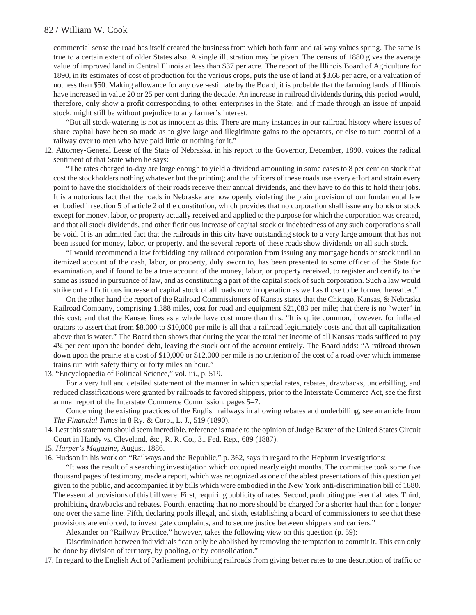commercial sense the road has itself created the business from which both farm and railway values spring. The same is true to a certain extent of older States also. A single illustration may be given. The census of 1880 gives the average value of improved land in Central Illinois at less than \$37 per acre. The report of the Illinois Board of Agriculture for 1890, in its estimates of cost of production for the various crops, puts the use of land at \$3.68 per acre, or a valuation of not less than \$50. Making allowance for any over-estimate by the Board, it is probable that the farming lands of Illinois have increased in value 20 or 25 per cent during the decade. An increase in railroad dividends during this period would, therefore, only show a profit corresponding to other enterprises in the State; and if made through an issue of unpaid stock, might still be without prejudice to any farmer's interest.

"But all stock-watering is not as innocent as this. There are many instances in our railroad history where issues of share capital have been so made as to give large and illegitimate gains to the operators, or else to turn control of a railway over to men who have paid little or nothing for it."

12. Attorney-General Leese of the State of Nebraska, in his report to the Governor, December, 1890, voices the radical sentiment of that State when he says:

"The rates charged to-day are large enough to yield a dividend amounting in some cases to 8 per cent on stock that cost the stockholders nothing whatever but the printing; and the officers of these roads use every effort and strain every point to have the stockholders of their roads receive their annual dividends, and they have to do this to hold their jobs. It is a notorious fact that the roads in Nebraska are now openly violating the plain provision of our fundamental law embodied in section 5 of article 2 of the constitution, which provides that no corporation shall issue any bonds or stock except for money, labor, or property actually received and applied to the purpose for which the corporation was created, and that all stock dividends, and other fictitious increase of capital stock or indebtedness of any such corporations shall be void. It is an admitted fact that the railroads in this city have outstanding stock to a very large amount that has not been issued for money, labor, or property, and the several reports of these roads show dividends on all such stock.

"I would recommend a law forbidding any railroad corporation from issuing any mortgage bonds or stock until an itemized account of the cash, labor, or property, duly sworn to, has been presented to some officer of the State for examination, and if found to be a true account of the money, labor, or property received, to register and certify to the same as issued in pursuance of law, and as constituting a part of the capital stock of such corporation. Such a law would strike out all fictitious increase of capital stock of all roads now in operation as well as those to be formed hereafter."

On the other hand the report of the Railroad Commissioners of Kansas states that the Chicago, Kansas, & Nebraska Railroad Company, comprising 1,388 miles, cost for road and equipment \$21,083 per mile; that there is no "water" in this cost; and that the Kansas lines as a whole have cost more than this. "It is quite common, however, for inflated orators to assert that from \$8,000 to \$10,000 per mile is all that a railroad legitimately costs and that all capitalization above that is water." The Board then shows that during the year the total net income of all Kansas roads sufficed to pay 4¼ per cent upon the bonded debt, leaving the stock out of the account entirely. The Board adds: "A railroad thrown down upon the prairie at a cost of \$10,000 or \$12,000 per mile is no criterion of the cost of a road over which immense trains run with safety thirty or forty miles an hour."

13. "Encyclopaedia of Political Science," vol. iii., p. 519.

For a very full and detailed statement of the manner in which special rates, rebates, drawbacks, underbilling, and reduced classifications were granted by railroads to favored shippers, prior to the Interstate Commerce Act, see the first annual report of the Interstate Commerce Commission, pages 5–7.

Concerning the existing practices of the English railways in allowing rebates and underbilling, see an article from *The Financial Times* in 8 Ry. & Corp., L. J., 519 (1890).

- 14. Lest this statement should seem incredible, reference is made to the opinion of Judge Baxter of the United States Circuit Court in Handy *vs.* Cleveland, &c., R. R. Co., 31 Fed. Rep., 689 (1887).
- 15. *Harper's Magazine,* August, 1886.

16. Hudson in his work on "Railways and the Republic," p. 362, says in regard to the Hepburn investigations:

"It was the result of a searching investigation which occupied nearly eight months. The committee took some five thousand pages of testimony, made a report, which was recognized as one of the ablest presentations of this question yet given to the public, and accompanied it by bills which were embodied in the New York anti-discrimination bill of 1880. The essential provisions of this bill were: First, requiring publicity of rates. Second, prohibiting preferential rates. Third, prohibiting drawbacks and rebates. Fourth, enacting that no more should be charged for a shorter haul than for a longer one over the same line. Fifth, declaring pools illegal, and sixth, establishing a board of commissioners to see that these provisions are enforced, to investigate complaints, and to secure justice between shippers and carriers."

Alexander on "Railway Practice," however, takes the following view on this question (p. 59):

Discrimination between individuals "can only be abolished by removing the temptation to commit it. This can only be done by division of territory, by pooling, or by consolidation."

17. In regard to the English Act of Parliament prohibiting railroads from giving better rates to one description of traffic or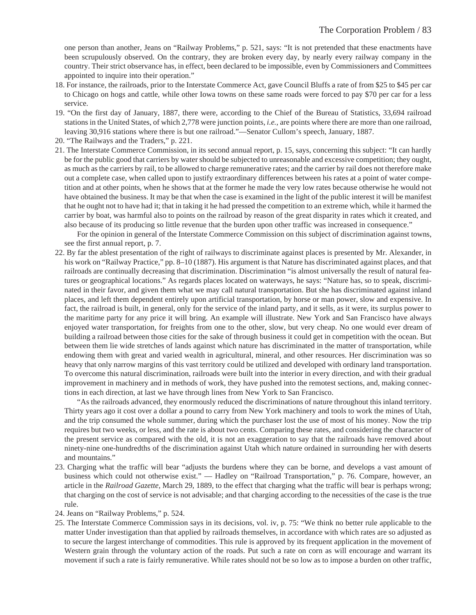one person than another, Jeans on "Railway Problems," p. 521, says: "It is not pretended that these enactments have been scrupulously observed. On the contrary, they are broken every day, by nearly every railway company in the country. Their strict observance has, in effect, been declared to be impossible, even by Commissioners and Committees appointed to inquire into their operation."

- 18. For instance, the railroads, prior to the Interstate Commerce Act, gave Council Bluffs a rate of from \$25 to \$45 per car to Chicago on hogs and cattle, while other Iowa towns on these same roads were forced to pay \$70 per car for a less service.
- 19. "On the first day of January, 1887, there were, according to the Chief of the Bureau of Statistics, 33,694 railroad stations in the United States, of which 2,778 were junction points, *i.e.,* are points where there are more than one railroad, leaving 30,916 stations where there is but one railroad."—Senator Cullom's speech, January, 1887.
- 20. "The Railways and the Traders," p. 221.
- 21. The Interstate Commerce Commission, in its second annual report, p. 15, says, concerning this subject: "It can hardly be for the public good that carriers by water should be subjected to unreasonable and excessive competition; they ought, as much as the carriers by rail, to be allowed to charge remunerative rates; and the carrier by rail does not therefore make out a complete case, when called upon to justify extraordinary differences between his rates at a point of water competition and at other points, when he shows that at the former he made the very low rates because otherwise he would not have obtained the business. It may be that when the case is examined in the light of the public interest it will be manifest that he ought not to have had it; that in taking it he had pressed the competition to an extreme which, while it harmed the carrier by boat, was harmful also to points on the railroad by reason of the great disparity in rates which it created, and also because of its producing so little revenue that the burden upon other traffic was increased in consequence."

For the opinion in general of the Interstate Commerce Commission on this subject of discrimination against towns, see the first annual report, p. 7.

22. By far the ablest presentation of the right of railways to discriminate against places is presented by Mr. Alexander, in his work on "Railway Practice," pp. 8–10 (1887). His argument is that Nature has discriminated against places, and that railroads are continually decreasing that discrimination. Discrimination "is almost universally the result of natural features or geographical locations." As regards places located on waterways, he says: "Nature has, so to speak, discriminated in their favor, and given them what we may call natural transportation. But she has discriminated against inland places, and left them dependent entirely upon artificial transportation, by horse or man power, slow and expensive. In fact, the railroad is built, in general, only for the service of the inland party, and it sells, as it were, its surplus power to the maritime party for any price it will bring. An example will illustrate. New York and San Francisco have always enjoyed water transportation, for freights from one to the other, slow, but very cheap. No one would ever dream of building a railroad between those cities for the sake of through business it could get in competition with the ocean. But between them lie wide stretches of lands against which nature has discriminated in the matter of transportation, while endowing them with great and varied wealth in agricultural, mineral, and other resources. Her discrimination was so heavy that only narrow margins of this vast territory could be utilized and developed with ordinary land transportation. To overcome this natural discrimination, railroads were built into the interior in every direction, and with their gradual improvement in machinery and in methods of work, they have pushed into the remotest sections, and, making connections in each direction, at last we have through lines from New York to San Francisco.

"As the railroads advanced, they enormously reduced the discriminations of nature throughout this inland territory. Thirty years ago it cost over a dollar a pound to carry from New York machinery and tools to work the mines of Utah, and the trip consumed the whole summer, during which the purchaser lost the use of most of his money. Now the trip requires but two weeks, or less, and the rate is about two cents. Comparing these rates, and considering the character of the present service as compared with the old, it is not an exaggeration to say that the railroads have removed about ninety-nine one-hundredths of the discrimination against Utah which nature ordained in surrounding her with deserts and mountains."

- 23. Charging what the traffic will bear "adjusts the burdens where they can be borne, and develops a vast amount of business which could not otherwise exist." — Hadley on "Railroad Transportation," p. 76. Compare, however, an article in the *Railroad Gazette,* March 29, 1889, to the effect that charging what the traffic will bear is perhaps wrong; that charging on the cost of service is not advisable; and that charging according to the necessities of the case is the true rule.
- 24. Jeans on "Railway Problems," p. 524.
- 25. The Interstate Commerce Commission says in its decisions, vol. iv, p. 75: "We think no better rule applicable to the matter Under investigation than that applied by railroads themselves, in accordance with which rates are so adjusted as to secure the largest interchange of commodities. This rule is approved by its frequent application in the movement of Western grain through the voluntary action of the roads. Put such a rate on corn as will encourage and warrant its movement if such a rate is fairly remunerative. While rates should not be so low as to impose a burden on other traffic,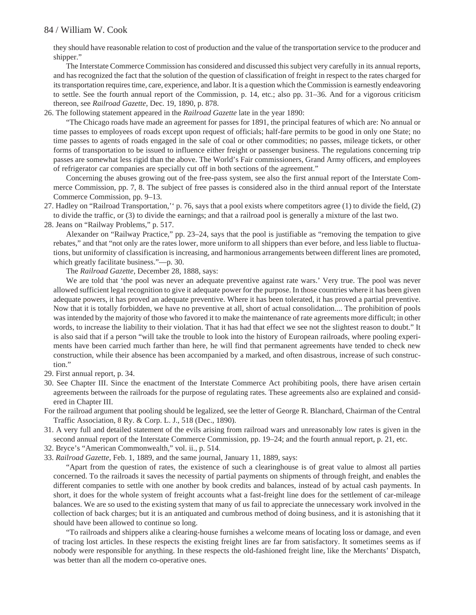they should have reasonable relation to cost of production and the value of the transportation service to the producer and shipper."

The Interstate Commerce Commission has considered and discussed this subject very carefully in its annual reports, and has recognized the fact that the solution of the question of classification of freight in respect to the rates charged for its transportation requires time, care, experience, and labor. It is a question which the Commission is earnestly endeavoring to settle. See the fourth annual report of the Commission, p. 14, etc.; also pp. 31–36. And for a vigorous criticism thereon, see *Railroad Gazette,* Dec. 19, 1890, p. 878.

26. The following statement appeared in the *Railroad Gazette* late in the year 1890:

"The Chicago roads have made an agreement for passes for 1891, the principal features of which are: No annual or time passes to employees of roads except upon request of officials; half-fare permits to be good in only one State; no time passes to agents of roads engaged in the sale of coal or other commodities; no passes, mileage tickets, or other forms of transportation to be issued to influence either freight or passenger business. The regulations concerning trip passes are somewhat less rigid than the above. The World's Fair commissioners, Grand Army officers, and employees of refrigerator car companies are specially cut off in both sections of the agreement."

Concerning the abuses growing out of the free-pass system, see also the first annual report of the Interstate Commerce Commission, pp. 7, 8. The subject of free passes is considered also in the third annual report of the Interstate Commerce Commission, pp. 9–13.

27. Hadley on "Railroad Transportation,'' p. 76, says that a pool exists where competitors agree (1) to divide the field, (2) to divide the traffic, or (3) to divide the earnings; and that a railroad pool is generally a mixture of the last two.

28. Jeans on "Railway Problems," p. 517.

Alexander on "Railway Practice," pp. 23–24, says that the pool is justifiable as "removing the tempation to give rebates," and that "not only are the rates lower, more uniform to all shippers than ever before, and less liable to fluctuations, but uniformity of classification is increasing, and harmonious arrangements between different lines are promoted, which greatly facilitate business."—p. 30.

The *Railroad Gazette,* December 28, 1888, says:

We are told that 'the pool was never an adequate preventive against rate wars.' Very true. The pool was never allowed sufficient legal recognition to give it adequate power for the purpose. In those countries where it has been given adequate powers, it has proved an adequate preventive. Where it has been tolerated, it has proved a partial preventive. Now that it is totally forbidden, we have no preventive at all, short of actual consolidation.... The prohibition of pools was intended by the majority of those who favored it to make the maintenance of rate agreements more difficult; in other words, to increase the liability to their violation. That it has had that effect we see not the slightest reason to doubt." It is also said that if a person "will take the trouble to look into the history of European railroads, where pooling experiments have been carried much farther than here, he will find that permanent agreements have tended to check new construction, while their absence has been accompanied by a marked, and often disastrous, increase of such construction."

- 29. First annual report, p. 34.
- 30. See Chapter III. Since the enactment of the Interstate Commerce Act prohibiting pools, there have arisen certain agreements between the railroads for the purpose of regulating rates. These agreements also are explained and considered in Chapter III.
- For the railroad argument that pooling should be legalized, see the letter of George R. Blanchard, Chairman of the Central Traffic Association, 8 Ry. & Corp. L. J., 518 (Dec., 1890).
- 31. A very full and detailed statement of the evils arising from railroad wars and unreasonably low rates is given in the second annual report of the Interstate Commerce Commission, pp. 19–24; and the fourth annual report, p. 21, etc.
- 32. Bryce's "American Commonwealth," vol. ii., p. 514.
- 33. *Railroad Gazette,* Feb. 1, 1889, and the same journal, January 11, 1889, says:

"Apart from the question of rates, the existence of such a clearinghouse is of great value to almost all parties concerned. To the railroads it saves the necessity of partial payments on shipments of through freight, and enables the different companies to settle with one another by book credits and balances, instead of by actual cash payments. In short, it does for the whole system of freight accounts what a fast-freight line does for the settlement of car-mileage balances. We are so used to the existing system that many of us fail to appreciate the unnecessary work involved in the collection of back charges; but it is an antiquated and cumbrous method of doing business, and it is astonishing that it should have been allowed to continue so long.

"To railroads and shippers alike a clearing-house furnishes a welcome means of locating loss or damage, and even of tracing lost articles. In these respects the existing freight lines are far from satisfactory. It sometimes seems as if nobody were responsible for anything. In these respects the old-fashioned freight line, like the Merchants' Dispatch, was better than all the modern co-operative ones.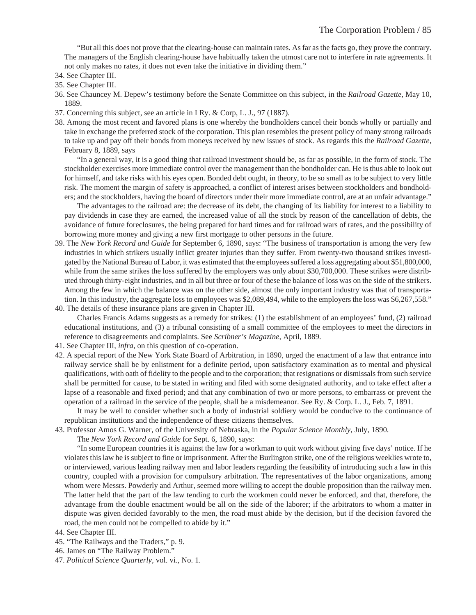"But all this does not prove that the clearing-house can maintain rates. As far as the facts go, they prove the contrary. The managers of the English clearing-house have habitually taken the utmost care not to interfere in rate agreements. It not only makes no rates, it does not even take the initiative in dividing them."

- 34. See Chapter III.
- 35. See Chapter III.
- 36. See Chauncey M. Depew's testimony before the Senate Committee on this subject, in the *Railroad Gazette,* May 10, 1889.
- 37. Concerning this subject, see an article in I Ry. & Corp, L. J., 97 (1887).
- 38. Among the most recent and favored plans is one whereby the bondholders cancel their bonds wholly or partially and take in exchange the preferred stock of the corporation. This plan resembles the present policy of many strong railroads to take up and pay off their bonds from moneys received by new issues of stock. As regards this the *Railroad Gazette,* February 8, 1889, says

"In a general way, it is a good thing that railroad investment should be, as far as possible, in the form of stock. The stockholder exercises more immediate control over the management than the bondholder can. He is thus able to look out for himself, and take risks with his eyes open. Bonded debt ought, in theory, to be so small as to be subject to very little risk. The moment the margin of safety is approached, a conflict of interest arises between stockholders and bondholders; and the stockholders, having the board of directors under their more immediate control, are at an unfair advantage."

The advantages to the railroad are: the decrease of its debt, the changing of its liability for interest to a liability to pay dividends in case they are earned, the increased value of all the stock by reason of the cancellation of debts, the avoidance of future foreclosures, the being prepared for hard times and for railroad wars of rates, and the possibility of borrowing more money and giving a new first mortgage to other persons in the future.

- 39. The *New York Record and Guide* for September 6, 1890, says: "The business of transportation is among the very few industries in which strikers usually inflict greater injuries than they suffer. From twenty-two thousand strikes investigated by the National Bureau of Labor, it was estimated that the employees suffered a loss aggregating about \$51,800,000, while from the same strikes the loss suffered by the employers was only about \$30,700,000. These strikes were distributed through thirty-eight industries, and in all but three or four of these the balance of loss was on the side of the strikers. Among the few in which the balance was on the other side, almost the only important industry was that of transportation. In this industry, the aggregate loss to employees was \$2,089,494, while to the employers the loss was \$6,267,558." 40. The details of these insurance plans are given in Chapter III.
- Charles Francis Adams suggests as a remedy for strikes: (1) the establishment of an employees' fund, (2) railroad educational institutions, and (3) a tribunal consisting of a small committee of the employees to meet the directors in reference to disagreements and complaints. See *Scribner's Magazine,* April, 1889.
- 41. See Chapter III, *infra,* on this question of co-operation.
- 42. A special report of the New York State Board of Arbitration, in 1890, urged the enactment of a law that entrance into railway service shall be by enlistment for a definite period, upon satisfactory examination as to mental and physical qualifications, with oath of fidelity to the people and to the corporation; that resignations or dismissals from such service shall be permitted for cause, to be stated in writing and filed with some designated authority, and to take effect after a lapse of a reasonable and fixed period; and that any combination of two or more persons, to embarrass or prevent the operation of a railroad in the service of the people, shall be a misdemeanor. See Ry. & Corp. L. J., Feb. 7, 1891.

It may be well to consider whether such a body of industrial soldiery would be conducive to the continuance of republican institutions and the independence of these citizens themselves.

43. Professor Amos G. Warner, of the University of Nebraska, in the *Popular Science Monthly,* July, 1890.

The *New York Record and Guide* for Sept. 6, 1890, says:

"In some European countries it is against the law for a workman to quit work without giving five days' notice. If he violates this law he is subject to fine or imprisonment. After the Burlington strike, one of the religious weeklies wrote to, or interviewed, various leading railway men and labor leaders regarding the feasibility of introducing such a law in this country, coupled with a provision for compulsory arbitration. The representatives of the labor organizations, among whom were Messrs. Powderly and Arthur, seemed more willing to accept the double proposition than the railway men. The latter held that the part of the law tending to curb the workmen could never be enforced, and that, therefore, the advantage from the double enactment would be all on the side of the laborer; if the arbitrators to whom a matter in dispute was given decided favorably to the men, the road must abide by the decision, but if the decision favored the road, the men could not be compelled to abide by it."

- 44. See Chapter III.
- 45. "The Railways and the Traders," p. 9.
- 46. James on "The Railway Problem."
- 47. *Political Science Quarterly,* vol. vi., No. 1.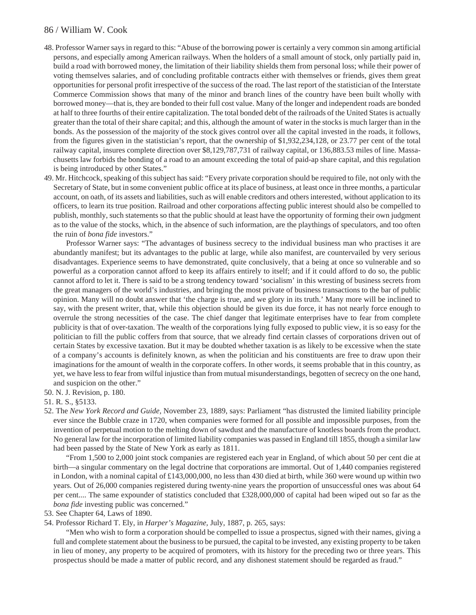- 48. Professor Warner says in regard to this: "Abuse of the borrowing power is certainly a very common sin among artificial persons, and especially among American railways. When the holders of a small amount of stock, only partially paid in, build a road with borrowed money, the limitation of their liability shields them from personal loss; while their power of voting themselves salaries, and of concluding profitable contracts either with themselves or friends, gives them great opportunities for personal profit irrespective of the success of the road. The last report of the statistician of the Interstate Commerce Commission shows that many of the minor and branch lines of the country have been built wholly with borrowed money—that is, they are bonded to their full cost value. Many of the longer and independent roads are bonded at half to three fourths of their entire capitalization. The total bonded debt of the railroads of the United States is actually greater than the total of their share capital; and this, although the amount of water in the stocks is much larger than in the bonds. As the possession of the majority of the stock gives control over all the capital invested in the roads, it follows, from the figures given in the statistician's report, that the ownership of \$1,932,234,128, or 23.77 per cent of the total railway capital, insures complete direction over \$8,129,787,731 of railway capital, or 136,883.53 miles of line. Massachusetts law forbids the bonding of a road to an amount exceeding the total of paid-ap share capital, and this regulation is being introduced by other States."
- 49. Mr. Hitchcock, speaking of this subject has said: "Every private corporation should be required to file, not only with the Secretary of State, but in some convenient public office at its place of business, at least once in three months, a particular account, on oath, of its assets and liabilities, such as will enable creditors and others interested, without application to its officers, to learn its true position. Railroad and other corporations affecting public interest should also be compelled to publish, monthly, such statements so that the public should at least have the opportunity of forming their own judgment as to the value of the stocks, which, in the absence of such information, are the playthings of speculators, and too often the ruin of *bona fide* investors."

Professor Warner says: "The advantages of business secrecy to the individual business man who practises it are abundantly manifest; but its advantages to the public at large, while also manifest, are countervailed by very serious disadvantages. Experience seems to have demonstrated, quite conclusively, that a being at once so vulnerable and so powerful as a corporation cannot afford to keep its affairs entirely to itself; and if it could afford to do so, the public cannot afford to let it. There is said to be a strong tendency toward 'socialism' in this wresting of business secrets from the great managers of the world's industries, and bringing the most private of business transactions to the bar of public opinion. Many will no doubt answer that 'the charge is true, and we glory in its truth.' Many more will be inclined to say, with the present writer, that, while this objection should be given its due force, it has not nearly force enough to overrule the strong necessities of the case. The chief danger that legitimate enterprises have to fear from complete publicity is that of over-taxation. The wealth of the corporations lying fully exposed to public view, it is so easy for the politician to fill the public coffers from that source, that we already find certain classes of corporations driven out of certain States by excessive taxation. But it may be doubted whether taxation is as likely to be excessive when the state of a company's accounts is definitely known, as when the politician and his constituents are free to draw upon their imaginations for the amount of wealth in the corporate coffers. In other words, it seems probable that in this country, as yet, we have less to fear from wilful injustice than from mutual misunderstandings, begotten of secrecy on the one hand, and suspicion on the other."

50. N. J. Revision, p. 180.

#### 51. R. S., §5133.

52. The *New York Record and Guide,* November 23, 1889, says: Parliament "has distrusted the limited liability principle ever since the Bubble craze in 1720, when companies were formed for all possible and impossible purposes, from the invention of perpetual motion to the melting down of sawdust and the manufacture of knotless boards from the product. No general law for the incorporation of limited liability companies was passed in England till 1855, though a similar law had been passed by the State of New York as early as 1811.

"From 1,500 to 2,000 joint stock companies are registered each year in England, of which about 50 per cent die at birth—a singular commentary on the legal doctrine that corporations are immortal. Out of 1,440 companies registered in London, with a nominal capital of £143,000,000, no less than 430 died at birth, while 360 were wound up within two years. Out of 26,000 companies registered during twenty-nine years the proportion of unsuccessful ones was about 64 per cent.... The same expounder of statistics concluded that £328,000,000 of capital had been wiped out so far as the *bona fide* investing public was concerned."

53. See Chapter 64, Laws of 1890.

#### 54. Professor Richard T. Ely, in *Harper's Magazine,* July, 1887, p. 265, says:

"Men who wish to form a corporation should be compelled to issue a prospectus, signed with their names, giving a full and complete statement about the business to be pursued, the capital to be invested, any existing property to be taken in lieu of money, any property to be acquired of promoters, with its history for the preceding two or three years. This prospectus should be made a matter of public record, and any dishonest statement should be regarded as fraud."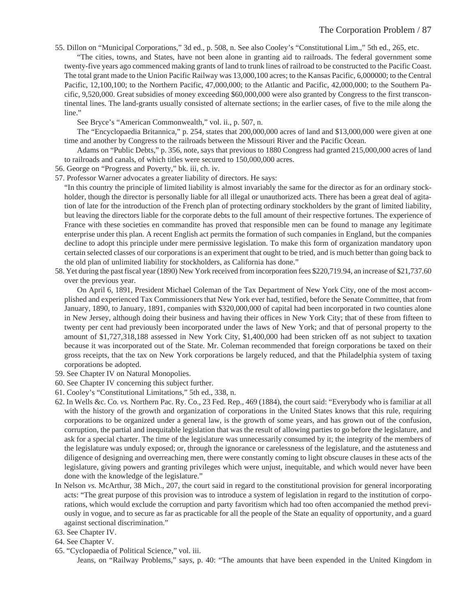55. Dillon on "Municipal Corporations," 3d ed., p. 508, n. See also Cooley's "Constitutional Lim.," 5th ed., 265, etc. "The cities, towns, and States, have not been alone in granting aid to railroads. The federal government some twenty-five years ago commenced making grants of land to trunk lines of railroad to be constructed to the Pacific Coast. The total grant made to the Union Pacific Railway was 13,000,100 acres; to the Kansas Pacific, 6,000000; to the Central Pacific, 12,100,100; to the Northern Pacific, 47,000,000; to the Atlantic and Pacific, 42,000,000; to the Southern Pacific, 9,520,000. Great subsidies of money exceeding \$60,000,000 were also granted by Congress to the first transcontinental lines. The land-grants usually consisted of alternate sections; in the earlier cases, of five to the mile along the

See Bryce's "American Commonwealth," vol. ii., p. 507, n.

The "Encyclopaedia Britannica," p. 254, states that 200,000,000 acres of land and \$13,000,000 were given at one time and another by Congress to the railroads between the Missouri River and the Pacific Ocean.

Adams on "Public Debts," p. 356, note, says that previous to 1880 Congress had granted 215,000,000 acres of land to railroads and canals, of which titles were secured to 150,000,000 acres.

56. George on "Progress and Poverty," bk. iii, ch. iv.

line."

57. Professor Warner advocates a greater liability of directors. He says:

"In this country the principle of limited liability is almost invariably the same for the director as for an ordinary stockholder, though the director is personally liable for all illegal or unauthorized acts. There has been a great deal of agitation of late for the introduction of the French plan of protecting ordinary stockholders by the grant of limited liability, but leaving the directors liable for the corporate debts to the full amount of their respective fortunes. The experience of France with these societies en commandite has proved that responsible men can be found to manage any legitimate enterprise under this plan. A recent English act permits the formation of such companies in England, but the companies decline to adopt this principle under mere permissive legislation. To make this form of organization mandatory upon certain selected classes of our corporations is an experiment that ought to be tried, and is much better than going back to the old plan of unlimited liability for stockholders, as California has done."

58. Yet during the past fiscal year (1890) New York received from incorporation fees \$220,719.94, an increase of \$21,737.60 over the previous year.

On April 6, 1891, President Michael Coleman of the Tax Department of New York City, one of the most accomplished and experienced Tax Commissioners that New York ever had, testified, before the Senate Committee, that from January, 1890, to January, 1891, companies with \$320,000,000 of capital had been incorporated in two counties alone in New Jersey, although doing their business and having their offices in New York City; that of these from fifteen to twenty per cent had previously been incorporated under the laws of New York; and that of personal property to the amount of \$1,727,318,188 assessed in New York City, \$1,400,000 had been stricken off as not subject to taxation because it was incorporated out of the State. Mr. Coleman recommended that foreign corporations be taxed on their gross receipts, that the tax on New York corporations be largely reduced, and that the Philadelphia system of taxing corporations be adopted.

- 59. See Chapter IV on Natural Monopolies.
- 60. See Chapter IV concerning this subject further.
- 61. Cooley's "Constitutional Limitations," 5th ed., 338, n.
- 62. In Wells &c. Co. *vs.* Northern Pac. Ry. Co., 23 Fed. Rep., 469 (1884), the court said: "Everybody who is familiar at all with the history of the growth and organization of corporations in the United States knows that this rule, requiring corporations to be organized under a general law, is the growth of some years, and has grown out of the confusion, corruption, the partial and inequitable legislation that was the result of allowing parties to go before the legislature, and ask for a special charter. The time of the legislature was unnecessarily consumed by it; the integrity of the members of the legislature was unduly exposed; or, through the ignorance or carelessness of the legislature, and the astuteness and diligence of designing and overreaching men, there were constantly coming to light obscure clauses in these acts of the legislature, giving powers and granting privileges which were unjust, inequitable, and which would never have been done with the knowledge of the legislature."
- In Nelson *vs.* McArthur, 38 Mich., 207, the court said in regard to the constitutional provision for general incorporating acts: "The great purpose of this provision was to introduce a system of legislation in regard to the institution of corporations, which would exclude the corruption and party favoritism which had too often accompanied the method previously in vogue, and to secure as far as practicable for all the people of the State an equality of opportunity, and a guard against sectional discrimination."
- 63. See Chapter IV.
- 64. See Chapter V.
- 65. "Cyclopaedia of Political Science," vol. iii.

Jeans, on "Railway Problems," says, p. 40: "The amounts that have been expended in the United Kingdom in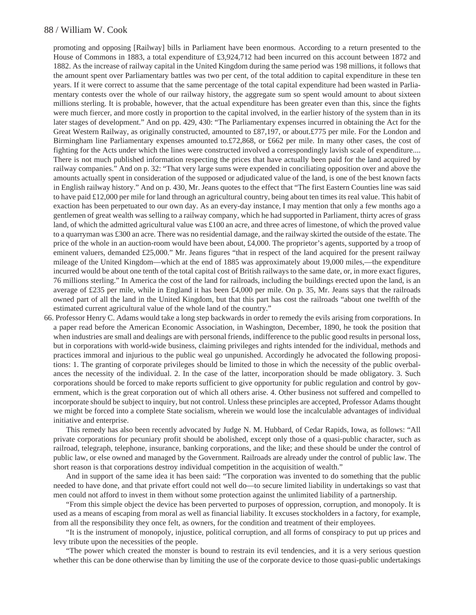promoting and opposing [Railway] bills in Parliament have been enormous. According to a return presented to the House of Commons in 1883, a total expenditure of £3,924,712 had been incurred on this account between 1872 and 1882. As the increase of railway capital in the United Kingdom during the same period was 198 millions, it follows that the amount spent over Parliamentary battles was two per cent, of the total addition to capital expenditure in these ten years. If it were correct to assume that the same percentage of the total capital expenditure had been wasted in Parliamentary contests over the whole of our railway history, the aggregate sum so spent would amount to about sixteen millions sterling. It is probable, however, that the actual expenditure has been greater even than this, since the fights were much fiercer, and more costly in proportion to the capital involved, in the earlier history of the system than in its later stages of development." And on pp. 429, 430: "The Parliamentary expenses incurred in obtaining the Act for the Great Western Railway, as originally constructed, amounted to £87,197, or about.£775 per mile. For the London and Birmingham line Parliamentary expenses amounted to.£72,868, or £662 per mile. In many other cases, the cost of fighting for the Acts under which the lines were constructed involved a correspondingly lavish scale of expenditure.... There is not much published information respecting the prices that have actually been paid for the land acquired by railway companies." And on p. 32: "That very large sums were expended in conciliating opposition over and above the amounts actually spent in consideration of the supposed or adjudicated value of the land, is one of the best known facts in English railway history." And on p. 430, Mr. Jeans quotes to the effect that "The first Eastern Counties line was said to have paid £12,000 per mile for land through an agricultural country, being about ten times its real value. This habit of exaction has been perpetuated to our own day. As an every-day instance, I may mention that only a few months ago a gentlemen of great wealth was selling to a railway company, which he had supported in Parliament, thirty acres of grass land, of which the admitted agricultural value was  $\pounds 100$  an acre, and three acres of limestone, of which the proved value to a quarryman was £300 an acre. There was no residential damage, and the railway skirted the outside of the estate. The price of the whole in an auction-room would have been about, £4,000. The proprietor's agents, supported by a troop of eminent valuers, demanded £25,000." Mr. Jeans figures "that in respect of the land acquired for the present railway mileage of the United Kingdom—which at the end of 1885 was approximately about 19,000 miles,—the expenditure incurred would be about one tenth of the total capital cost of British railways to the same date, or, in more exact figures, 76 millions sterling." In America the cost of the land for railroads, including the buildings erected upon the land, is an average of £235 per mile, while in England it has been £4,000 per mile. On p. 35, Mr. Jeans says that the railroads owned part of all the land in the United Kingdom, but that this part has cost the railroads "about one twelfth of the estimated current agricultural value of the whole land of the country."

66. Professor Henry C. Adams would take a long step backwards in order to remedy the evils arising from corporations. In a paper read before the American Economic Association, in Washington, December, 1890, he took the position that when industries are small and dealings are with personal friends, indifference to the public good results in personal loss, but in corporations with world-wide business, claiming privileges and rights intended for the individual, methods and practices immoral and injurious to the public weal go unpunished. Accordingly he advocated the following propositions: 1. The granting of corporate privileges should be limited to those in which the necessity of the public overbalances the necessity of the individual. 2. In the case of the latter, incorporation should be made obligatory. 3. Such corporations should be forced to make reports sufficient to give opportunity for public regulation and control by government, which is the great corporation out of which all others arise. 4. Other business not suffered and compelled to incorporate should be subject to inquiry, but not control. Unless these principles are accepted, Professor Adams thought we might be forced into a complete State socialism, wherein we would lose the incalculable advantages of individual initiative and enterprise.

This remedy has also been recently advocated by Judge N. M. Hubbard, of Cedar Rapids, Iowa, as follows: "All private corporations for pecuniary profit should be abolished, except only those of a quasi-public character, such as railroad, telegraph, telephone, insurance, banking corporations, and the like; and these should be under the control of public law, or else owned and managed by the Government. Railroads are already under the control of public law. The short reason is that corporations destroy individual competition in the acquisition of wealth."

And in support of the same idea it has been said: "The corporation was invented to do something that the public needed to have done, and that private effort could not well do—to secure limited liability in undertakings so vast that men could not afford to invest in them without some protection against the unlimited liability of a partnership.

"From this simple object the device has been perverted to purposes of oppression, corruption, and monopoly. It is used as a means of escaping from moral as well as financial liability. It excuses stockholders in a factory, for example, from all the responsibility they once felt, as owners, for the condition and treatment of their employees.

"It is the instrument of monopoly, injustice, political corruption, and all forms of conspiracy to put up prices and levy tribute upon the necessities of the people.

"The power which created the monster is bound to restrain its evil tendencies, and it is a very serious question whether this can be done otherwise than by limiting the use of the corporate device to those quasi-public undertakings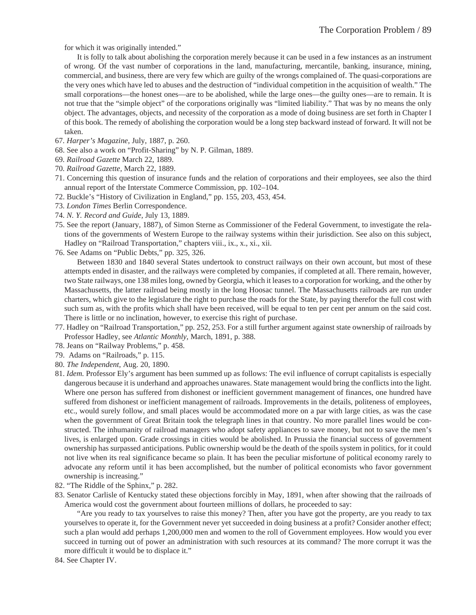for which it was originally intended."

It is folly to talk about abolishing the corporation merely because it can be used in a few instances as an instrument of wrong. Of the vast number of corporations in the land, manufacturing, mercantile, banking, insurance, mining, commercial, and business, there are very few which are guilty of the wrongs complained of. The quasi-corporations are the very ones which have led to abuses and the destruction of "individual competition in the acquisition of wealth." The small corporations—the honest ones—are to be abolished, while the large ones—the guilty ones—are to remain. It is not true that the "simple object" of the corporations originally was "limited liability." That was by no means the only object. The advantages, objects, and necessity of the corporation as a mode of doing business are set forth in Chapter I of this book. The remedy of abolishing the corporation would be a long step backward instead of forward. It will not be taken.

- 67. *Harper's Magazine,* July, 1887, p. 260.
- 68. See also a work on "Profit-Sharing" by N. P. Gilman, 1889.
- 69. *Railroad Gazette* March 22, 1889.
- 70. *Railroad Gazette,* March 22, 1889.
- 71. Concerning this question of insurance funds and the relation of corporations and their employees, see also the third annual report of the Interstate Commerce Commission, pp. 102–104.
- 72. Buckle's "History of Civilization in England," pp. 155, 203, 453, 454.
- 73. *London Times* Berlin Correspondence.
- 74. *N. Y. Record and Guide,* July 13, 1889.
- 75. See the report (January, 1887), of Simon Sterne as Commissioner of the Federal Government, to investigate the relations of the governments of Western Europe to the railway systems within their jurisdiction. See also on this subject, Hadley on "Railroad Transportation," chapters viii., ix., x., xi., xii.
- 76. See Adams on "Public Debts," pp. 325, 326.

Between 1830 and 1840 several States undertook to construct railways on their own account, but most of these attempts ended in disaster, and the railways were completed by companies, if completed at all. There remain, however, two State railways, one 138 miles long, owned by Georgia, which it leases to a corporation for working, and the other by Massachusetts, the latter railroad being mostly in the long Hoosac tunnel. The Massachusetts railroads are run under charters, which give to the legislature the right to purchase the roads for the State, by paying therefor the full cost with such sum as, with the profits which shall have been received, will be equal to ten per cent per annum on the said cost. There is little or no inclination, however, to exercise this right of purchase.

- 77. Hadley on "Railroad Transportation," pp. 252, 253. For a still further argument against state ownership of railroads by Professor Hadley, see *Atlantic Monthly,* March, 1891, p. 388.
- 78. Jeans on "Railway Problems," p. 458.
- 79. Adams on "Railroads," p. 115.
- 80. *The Independent,* Aug. 20, 1890.
- 81. *Idem.* Professor Ely's argument has been summed up as follows: The evil influence of corrupt capitalists is especially dangerous because it is underhand and approaches unawares. State management would bring the conflicts into the light. Where one person has suffered from dishonest or inefficient government management of finances, one hundred have suffered from dishonest or inefficient management of railroads. Improvements in the details, politeness of employees, etc., would surely follow, and small places would be accommodated more on a par with large cities, as was the case when the government of Great Britain took the telegraph lines in that country. No more parallel lines would be constructed. The inhumanity of railroad managers who adopt safety appliances to save money, but not to save the men's lives, is enlarged upon. Grade crossings in cities would be abolished. In Prussia the financial success of government ownership has surpassed anticipations. Public ownership would be the death of the spoils system in politics, for it could not live when its real significance became so plain. It has been the peculiar misfortune of political economy rarely to advocate any reform until it has been accomplished, but the number of political economists who favor government ownership is increasing."
- 82. "The Riddle of the Sphinx," p. 282.
- 83. Senator Carlisle of Kentucky stated these objections forcibly in May, 1891, when after showing that the railroads of America would cost the government about fourteen millions of dollars, he proceeded to say:

"Are you ready to tax yourselves to raise this money? Then, after you have got the property, are you ready to tax yourselves to operate it, for the Government never yet succeeded in doing business at a profit? Consider another effect; such a plan would add perhaps 1,200,000 men and women to the roll of Government employees. How would you ever succeed in turning out of power an administration with such resources at its command? The more corrupt it was the more difficult it would be to displace it."

84. See Chapter IV.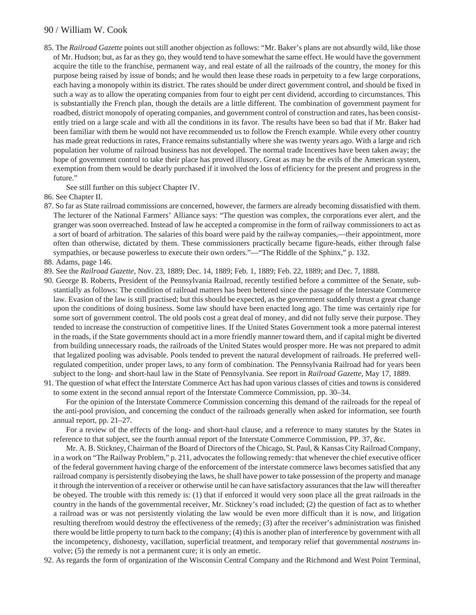85. The *Railroad Gazette* points out still another objection as follows: "Mr. Baker's plans are not absurdly wild, like those of Mr. Hudson; but, as far as they go, they would tend to have somewhat the same effect. He would have the government acquire the title to the franchise, permanent way, and real estate of all the railroads of the country, the money for this purpose being raised by issue of bonds; and he would then lease these roads in perpetuity to a few large corporations, each having a monopoly within its district. The rates should be under direct government control, and should be fixed in such a way as to allow the operating companies from four to eight per cent dividend, according to circumstances. This is substantially the French plan, though the details are a little different. The combination of government payment for roadbed, district monopoly of operating companies, and government control of construction and rates, has been consistently tried on a large scale and with all the conditions in its favor. The results have been so bad that if Mr. Baker had been familiar with them he would not have recommended us to follow the French example. While every other country has made great reductions in rates, France remains substantially where she was twenty years ago. With a large and rich population her volume of railroad business has not developed. The normal trade Incentives have been taken away; the hope of government control to take their place has proved illusory. Great as may be the evils of the American system, exemption from them would be dearly purchased if it involved the loss of efficiency for the present and progress in the future."

See still further on this subject Chapter IV.

- 86. See Chapter II.
- 87. So far as State railroad commissions are concerned, however, the farmers are already becoming dissatisfied with them. The lecturer of the National Farmers' Alliance says: "The question was complex, the corporations ever alert, and the granger was soon overreached. Instead of law he accepted a compromise in the form of railway commissioners to act as a sort of board of arbitration. The salaries of this board were paid by the railway companies,—their appointment, more often than otherwise, dictated by them. These commissioners practically became figure-heads, either through false sympathies, or because powerless to execute their own orders."—"The Riddle of the Sphinx," p. 132.
- 88. Adams, page 146.
- 89. See the *Railroad Gazette,* Nov. 23, 1889; Dec. 14, 1889; Feb. 1, 1889; Feb. 22, 1889; and Dec. 7, 1888.
- 90. George B. Roberts, President of the Pennsylvania Railroad, recently testified before a committee of the Senate, substantially as follows: The condition of railroad matters has been bettered since the passage of the Interstate Commerce law. Evasion of the law is still practised; but this should be expected, as the government suddenly thrust a great change upon the conditions of doing business. Some law should have been enacted long ago. The time was certainly ripe for some sort of government control. The old pools cost a great deal of money, and did not fully serve their purpose. They tended to increase the construction of competitive lines. If the United States Government took a more paternal interest in the roads, if the State governments should act in a more friendly manner toward them, and if capital might be diverted from building unnecessary roads, the railroads of the United States would prosper more. He was not prepared to admit that legalized pooling was advisable. Pools tended to prevent the natural development of railroads. He preferred wellregulated competition, under proper laws, to any form of combination. The Pennsylvania Railroad had for years been subject to the long- and short-haul law in the State of Pennsylvania. See report in *Railroad Gazette,* May 17, 1889.
- 91. The question of what effect the Interstate Commerce Act has had upon various classes of cities and towns is considered to some extent in the second annual report of the Interstate Commerce Commission, pp. 30–34.

For the opinion of the Interstate Commerce Commission concerning this demand of the railroads for the repeal of the anti-pool provision, and concerning the conduct of the railroads generally when asked for information, see fourth annual report, pp. 21–27.

For a review of the effects of the long- and short-haul clause, and a reference to many statutes by the States in reference to that subject, see the fourth annual report of the Interstate Commerce Commission, PP. 37, &c.

Mr. A. B. Stickney, Chairman of the Board of Directors of the Chicago, St. Paul, & Kansas City Railroad Company, in a work on "The Railway Problem," p. 211, advocates the following remedy: that whenever the chief executive officer of the federal government having charge of the enforcement of the interstate commerce laws becomes satisfied that any railroad company is persistently disobeying the laws, he shall have power to take possession of the property and manage it through the intervention of a receiver or otherwise until he can have satisfactory assurances that the law will thereafter be obeyed. The trouble with this remedy is: (1) that if enforced it would very soon place all the great railroads in the country in the hands of the governmental receiver, Mr. Stickney's road included; (2) the question of fact as to whether a railroad was or was not persistently violating the law would be even more difficult than it is now, and litigation resulting therefrom would destroy the effectiveness of the remedy; (3) after the receiver's administration was finished there would be little property to turn back to the company; (4) this is another plan of interference by government with all the incompetency, dishonesty, vacillation, superficial treatment, and temporary relief that governmental *nostrums* involve; (5) the remedy is not a permanent cure; it is only an emetic.

92. As regards the form of organization of the Wisconsin Central Company and the Richmond and West Point Terminal,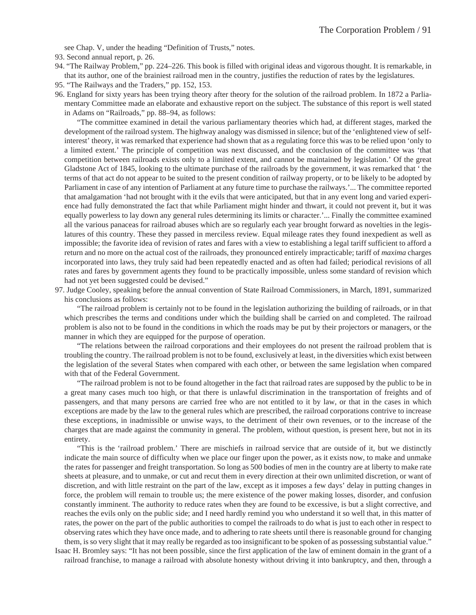see Chap. V, under the heading "Definition of Trusts," notes.

- 93. Second annual report, p. 26.
- 94. "The Railway Problem," pp. 224–226. This book is filled with original ideas and vigorous thought. It is remarkable, in that its author, one of the brainiest railroad men in the country, justifies the reduction of rates by the legislatures.
- 95. "The Railways and the Traders," pp. 152, 153.
- 96. England for sixty years has been trying theory after theory for the solution of the railroad problem. In 1872 a Parliamentary Committee made an elaborate and exhaustive report on the subject. The substance of this report is well stated in Adams on "Railroads," pp. 88–94, as follows:

"The committee examined in detail the various parliamentary theories which had, at different stages, marked the development of the railroad system. The highway analogy was dismissed in silence; but of the 'enlightened view of selfinterest' theory, it was remarked that experience had shown that as a regulating force this was to be relied upon 'only to a limited extent.' The principle of competition was next discussed, and the conclusion of the committee was 'that competition between railroads exists only to a limited extent, and cannot be maintained by legislation.' Of the great Gladstone Act of 1845, looking to the ultimate purchase of the railroads by the government, it was remarked that ' the terms of that act do not appear to be suited to the present condition of railway property, or to be likely to be adopted by Parliament in case of any intention of Parliament at any future time to purchase the railways.'... The committee reported that amalgamation 'had not brought with it the evils that were anticipated, but that in any event long and varied experience had fully demonstrated the fact that while Parliament might hinder and thwart, it could not prevent it, but it was equally powerless to lay down any general rules determining its limits or character.'... Finally the committee examined all the various panaceas for railroad abuses which are so regularly each year brought forward as novelties in the legislatures of this country. These they passed in merciless review. Equal mileage rates they found inexpedient as well as impossible; the favorite idea of revision of rates and fares with a view to establishing a legal tariff sufficient to afford a return and no more on the actual cost of the railroads, they pronounced entirely impracticable; tariff of *maxima* charges incorporated into laws, they truly said had been repeatedly enacted and as often had failed; periodical revisions of all rates and fares by government agents they found to be practically impossible, unless some standard of revision which had not yet been suggested could be devised."

97. Judge Cooley, speaking before the annual convention of State Railroad Commissioners, in March, 1891, summarized his conclusions as follows:

"The railroad problem is certainly not to be found in the legislation authorizing the building of railroads, or in that which prescribes the terms and conditions under which the building shall be carried on and completed. The railroad problem is also not to be found in the conditions in which the roads may be put by their projectors or managers, or the manner in which they are equipped for the purpose of operation.

"The relations between the railroad corporations and their employees do not present the railroad problem that is troubling the country. The railroad problem is not to be found, exclusively at least, in the diversities which exist between the legislation of the several States when compared with each other, or between the same legislation when compared with that of the Federal Government.

"The railroad problem is not to be found altogether in the fact that railroad rates are supposed by the public to be in a great many cases much too high, or that there is unlawful discrimination in the transportation of freights and of passengers, and that many persons are carried free who are not entitled to it by law, or that in the cases in which exceptions are made by the law to the general rules which are prescribed, the railroad corporations contrive to increase these exceptions, in inadmissible or unwise ways, to the detriment of their own revenues, or to the increase of the charges that are made against the community in general. The problem, without question, is present here, but not in its entirety.

"This is the 'railroad problem.' There are mischiefs in railroad service that are outside of it, but we distinctly indicate the main source of difficulty when we place our finger upon the power, as it exists now, to make and unmake the rates for passenger and freight transportation. So long as 500 bodies of men in the country are at liberty to make rate sheets at pleasure, and to unmake, or cut and recut them in every direction at their own unlimited discretion, or want of discretion, and with little restraint on the part of the law, except as it imposes a few days' delay in putting changes in force, the problem will remain to trouble us; the mere existence of the power making losses, disorder, and confusion constantly imminent. The authority to reduce rates when they are found to be excessive, is but a slight corrective, and reaches the evils only on the public side; and I need hardly remind you who understand it so well that, in this matter of rates, the power on the part of the public authorities to compel the railroads to do what is just to each other in respect to observing rates which they have once made, and to adhering to rate sheets until there is reasonable ground for changing them, is so very slight that it may really be regarded as too insignificant to be spoken of as possessing substantial value."

Isaac H. Bromley says: "It has not been possible, since the first application of the law of eminent domain in the grant of a railroad franchise, to manage a railroad with absolute honesty without driving it into bankruptcy, and then, through a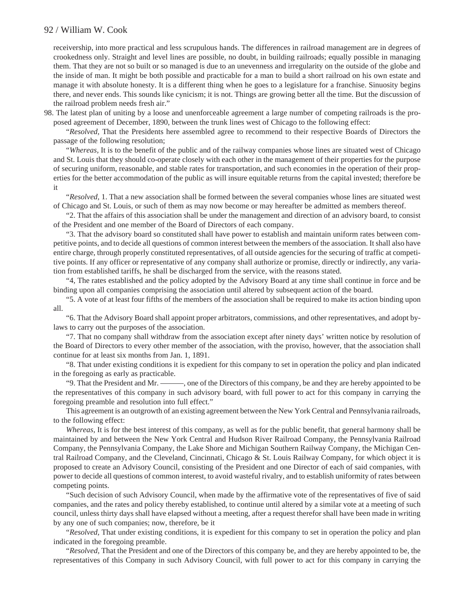receivership, into more practical and less scrupulous hands. The differences in railroad management are in degrees of crookedness only. Straight and level lines are possible, no doubt, in building railroads; equally possible in managing them. That they are not so built or so managed is due to an unevenness and irregularity on the outside of the globe and the inside of man. It might be both possible and practicable for a man to build a short railroad on his own estate and manage it with absolute honesty. It is a different thing when he goes to a legislature for a franchise. Sinuosity begins there, and never ends. This sounds like cynicism; it is not. Things are growing better all the time. But the discussion of the railroad problem needs fresh air."

98. The latest plan of uniting by a loose and unenforceable agreement a large number of competing railroads is the proposed agreement of December, 1890, between the trunk lines west of Chicago to the following effect:

"*Resolved,* That the Presidents here assembled agree to recommend to their respective Boards of Directors the passage of the following resolution;

"*Whereas,* It is to the benefit of the public and of the railway companies whose lines are situated west of Chicago and St. Louis that they should co-operate closely with each other in the management of their properties for the purpose of securing uniform, reasonable, and stable rates for transportation, and such economies in the operation of their properties for the better accommodation of the public as will insure equitable returns from the capital invested; therefore be it

"*Resolved,* 1. That a new association shall be formed between the several companies whose lines are situated west of Chicago and St. Louis, or such of them as may now become or may hereafter be admitted as members thereof.

"2. That the affairs of this association shall be under the management and direction of an advisory board, to consist of the President and one member of the Board of Directors of each company.

"3. That the advisory board so constituted shall have power to establish and maintain uniform rates between competitive points, and to decide all questions of common interest between the members of the association. It shall also have entire charge, through properly constituted representatives, of all outside agencies for the securing of traffic at competitive points. If any officer or representative of any company shall authorize or promise, directly or indirectly, any variation from established tariffs, he shall be discharged from the service, with the reasons stated.

"4, The rates established and the policy adopted by the Advisory Board at any time shall continue in force and be binding upon all companies comprising the association until altered by subsequent action of the board.

"5. A vote of at least four fifths of the members of the association shall be required to make its action binding upon all.

"6. That the Advisory Board shall appoint proper arbitrators, commissions, and other representatives, and adopt bylaws to carry out the purposes of the association.

"7. That no company shall withdraw from the association except after ninety days' written notice by resolution of the Board of Directors to every other member of the association, with the proviso, however, that the association shall continue for at least six months from Jan. 1, 1891.

"8. That under existing conditions it is expedient for this company to set in operation the policy and plan indicated in the foregoing as early as practicable.

"9. That the President and Mr. ———, one of the Directors of this company, be and they are hereby appointed to be the representatives of this company in such advisory board, with full power to act for this company in carrying the foregoing preamble and resolution into full effect."

This agreement is an outgrowth of an existing agreement between the New York Central and Pennsylvania railroads, to the following effect:

*Whereas,* It is for the best interest of this company, as well as for the public benefit, that general harmony shall be maintained by and between the New York Central and Hudson River Railroad Company, the Pennsylvania Railroad Company, the Pennsylvania Company, the Lake Shore and Michigan Southern Railway Company, the Michigan Central Railroad Company, and the Cleveland, Cincinnati, Chicago & St. Louis Railway Company, for which object it is proposed to create an Advisory Council, consisting of the President and one Director of each of said companies, with power to decide all questions of common interest, to avoid wasteful rivalry, and to establish uniformity of rates between competing points.

"Such decision of such Advisory Council, when made by the affirmative vote of the representatives of five of said companies, and the rates and policy thereby established, to continue until altered by a similar vote at a meeting of such council, unless thirty days shall have elapsed without a meeting, after a request therefor shall have been made in writing by any one of such companies; now, therefore, be it

"*Resolved,* That under existing conditions, it is expedient for this company to set in operation the policy and plan indicated in the foregoing preamble.

"*Resolved,* That the President and one of the Directors of this company be, and they are hereby appointed to be, the representatives of this Company in such Advisory Council, with full power to act for this company in carrying the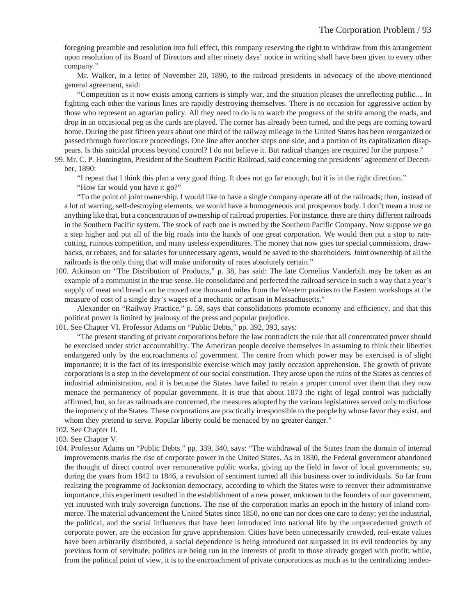foregoing preamble and resolution into full effect, this company reserving the right to withdraw from this arrangement upon resolution of its Board of Directors and after ninety days' notice in writing shall have been given to every other company."

Mr. Walker, in a letter of November 20, 1890, to the railroad presidents in advocacy of the above-mentioned general agreement, said:

"Competition as it now exists among carriers is simply war, and the situation pleases the unreflecting public.... In fighting each other the various lines are rapidly destroying themselves. There is no occasion for aggressive action by those who represent an agrarian policy. All they need to do is to watch the progress of the strife among the roads, and drop in an occasional peg as the cards are played. The corner has already been turned, and the pegs are coming toward home. During the past fifteen years about one third of the railway mileage in the United States has been reorganized or passed through foreclosure proceedings. One line after another steps one side, and a portion of its capitalization disappears. Is this suicidal process beyond control? I do not believe it. But radical changes are required for the purpose."

99. Mr. C. P. Huntington, President of the Southern Pacific Railroad, said concerning the presidents' agreement of December, 1890:

"I repeat that I think this plan a very good thing. It does not go far enough, but it is in the right direction." "How far would you have it go?"

"To the point of joint ownership. I would like to have a single company operate all of the railroads; then, instead of a lot of warring, self-destroying elements, we would have a homogeneous and prosperous body. I don't mean a trust or anything like that, but a concentration of ownership of railroad properties. For instance, there are thirty different railroads in the Southern Pacific system. The stock of each one is owned by the Southern Pacific Company. Now suppose we go a step higher and put all of the big roads into the hands of one great corporation. We would then put a stop to ratecutting, ruinous competition, and many useless expenditures. The money that now goes tor special commissions, drawbacks, or rebates, and for salaries for unnecessary agents, would be saved to the shareholders. Joint ownership of all the railroads is the only thing that will make uniformity of rates absolutely certain."

100. Atkinson on "The Distribution of Products," p. 38, has said: The late Cornelius Vanderbilt may be taken as an example of a communist in the true sense. He consolidated and perfected the railroad service in such a way that a year's supply of meat and bread can be moved one thousand miles from the Western prairies to the Eastern workshops at the measure of cost of a single day's wages of a mechanic or artisan in Massachusetts."

Alexander on "Railway Practice," p. 59, says that consolidations promote economy and efficiency, and that this political power is limited by jealousy of the press and popular prejudice.

101. See Chapter VI. Professor Adams on "Public Debts," pp. 392, 393, says:

"The present standing of private corporations before the law contradicts the rule that all concentrated power should be exercised under strict accountability. The American people deceive themselves in assuming to think their liberties endangered only by the encroachments of government. The centre from which power may be exercised is of slight importance; it is the fact of its irresponsible exercise which may justly occasion apprehension. The growth of private corporations is a step in the development of our social constitution. They arose upon the ruins of the States as centres of industrial administration, and it is because the States have failed to retain a proper control over them that they now menace the permanency of popular government. It is true that about 1873 the right of legal control was judicially affirmed, but, so far as railroads are concerned, the measures adopted by the various legislatures served only to disclose the impotency of the States. These corporations are practically irresponsible to the people by whose favor they exist, and whom they pretend to serve. Popular liberty could be menaced by no greater danger."

102. See Chapter II.

103. See Chapter V.

104. Professor Adams on "Public Debts," pp. 339, 340, says: "The withdrawal of the States from the domain of internal improvements marks the rise of corporate power in the United States. As in 1830, the Federal government abandoned the thought of direct control over remunerative public works, giving up the field in favor of local governments; so, during the years from 1842 to 1846, a revulsion of sentiment turned all this business over to individuals. So far from realizing the programme of Jacksonian democracy, according to which the States were to recover their administrative importance, this experiment resulted in the establishment of a new power, unknown to the founders of our government, yet intrusted with truly sovereign functions. The rise of the corporation marks an epoch in the history of inland commerce. The material advancement the United States since 1850, no one can nor does one care to deny; yet the industrial, the political, and the social influences that have been introduced into national life by the unprecedented growth of corporate power, are the occasion for grave apprehension. Cities have been unnecessarily crowded, real-estate values have been arbitrarily distributed, a social dependence is being introduced not surpassed in its evil tendencies by any previous form of servitude, politics are being run in the interests of profit to those already gorged with profit; while, from the political point of view, it is to the encroachment of private corporations as much as to the centralizing tenden-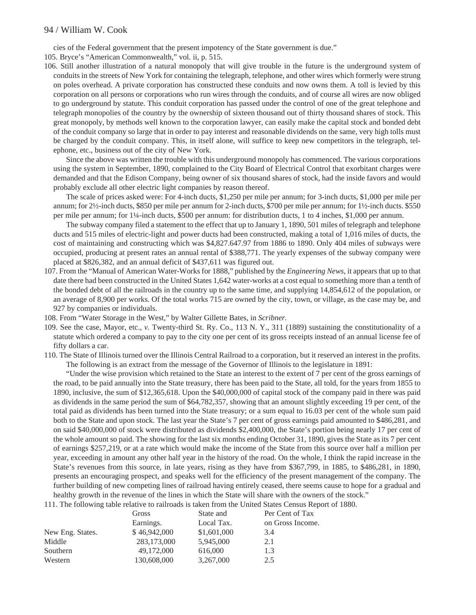cies of the Federal government that the present impotency of the State government is due."

105. Bryce's "American Commonwealth," vol. ii, p. 515.

106. Still another illustration of a natural monopoly that will give trouble in the future is the underground system of conduits in the streets of New York for containing the telegraph, telephone, and other wires which formerly were strung on poles overhead. A private corporation has constructed these conduits and now owns them. A toll is levied by this corporation on all persons or corporations who run wires through the conduits, and of course all wires are now obliged to go underground by statute. This conduit corporation has passed under the control of one of the great telephone and telegraph monopolies of the country by the ownership of sixteen thousand out of thirty thousand shares of stock. This great monopoly, by methods well known to the corporation lawyer, can easily make the capital stock and bonded debt of the conduit company so large that in order to pay interest and reasonable dividends on the same, very high tolls must be charged by the conduit company. This, in itself alone, will suffice to keep new competitors in the telegraph, telephone, etc., business out of the city of New York.

Since the above was written the trouble with this underground monopoly has commenced. The various corporations using the system in September, 1890, complained to the City Board of Electrical Control that exorbitant charges were demanded and that the Edison Company, being owner of six thousand shares of stock, had the inside favors and would probably exclude all other electric light companies by reason thereof.

The scale of prices asked were: For 4-inch ducts, \$1,250 per mile per annum; for 3-inch ducts, \$1,000 per mile per annum; for 2½-inch ducts, \$850 per mile per annum for 2-inch ducts, \$700 per mile per annum; for 1½-inch ducts. \$550 per mile per annum; for 1¼-inch ducts, \$500 per annum: for distribution ducts, 1 to 4 inches, \$1,000 per annum.

The subway company filed a statement to the effect that up to January 1, 1890, 501 miles of telegraph and telephone ducts and 515 miles of electric-light and power ducts had been constructed, making a total of 1,016 miles of ducts, the cost of maintaining and constructing which was \$4,827.647.97 from 1886 to 1890. Only 404 miles of subways were occupied, producing at present rates an annual rental of \$388,771. The yearly expenses of the subway company were placed at \$826,382, and an annual deficit of \$437,611 was figured out.

- 107. From the "Manual of American Water-Works for 1888," published by the *Engineering News,* it appears that up to that date there had been constructed in the United States 1,642 water-works at a cost equal to something more than a tenth of the bonded debt of all the railroads in the country up to the same time, and supplying 14,854,612 of the population, or an average of 8,900 per works. Of the total works 715 are owned by the city, town, or village, as the case may be, and 927 by companies or individuals.
- 108. From "Water Storage in the West," by Walter Gillette Bates, in *Scribner.*
- 109. See the case, Mayor, etc., *v.* Twenty-third St. Ry. Co., 113 N. Y., 311 (1889) sustaining the constitutionality of a statute which ordered a company to pay to the city one per cent of its gross receipts instead of an annual license fee of fifty dollars a car.
- 110. The State of Illinois turned over the Illinois Central Railroad to a corporation, but it reserved an interest in the profits. The following is an extract from the message of the Governor of Illinois to the legislature in 1891:

"Under the wise provision which retained to the State an interest to the extent of 7 per cent of the gross earnings of the road, to be paid annually into the State treasury, there has been paid to the State, all told, for the years from 1855 to 1890, inclusive, the sum of \$12,365,618. Upon the \$40,000,000 of capital stock of the company paid in there was paid as dividends in the same period the sum of \$64,782,357, showing that an amount slightly exceeding 19 per cent, of the total paid as dividends has been turned into the State treasury; or a sum equal to 16.03 per cent of the whole sum paid both to the State and upon stock. The last year the State's 7 per cent of gross earnings paid amounted to \$486,281, and on said \$40,000,000 of stock were distributed as dividends \$2,400,000, the State's portion being nearly 17 per cent of the whole amount so paid. The showing for the last six months ending October 31, 1890, gives the State as its 7 per cent of earnings \$257,219, or at a rate which would make the income of the State from this source over half a million per year, exceeding in amount any other half year in the history of the road. On the whole, I think the rapid increase in the State's revenues from this source, in late years, rising as they have from \$367,799, in 1885, to \$486,281, in 1890, presents an encouraging prospect, and speaks well for the efficiency of the present management of the company. The further building of new competing lines of railroad having entirely ceased, there seems cause to hope for a gradual and healthy growth in the revenue of the lines in which the State will share with the owners of the stock."

111. The following table relative to railroads is taken from the United States Census Report of 1880.

|                  | Gross        | State and   | Per Cent of Tax  |
|------------------|--------------|-------------|------------------|
|                  | Earnings.    | Local Tax.  | on Gross Income. |
| New Eng. States. | \$46,942,000 | \$1,601,000 | 3.4              |
| Middle           | 283,173,000  | 5.945,000   | 2.1              |
| Southern         | 49,172,000   | 616,000     | 1.3              |
| Western          | 130,608,000  | 3,267,000   | 2.5              |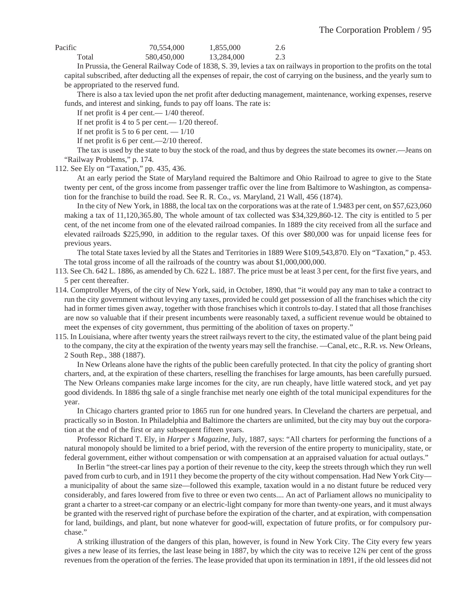| Pacific | 70,554,000  | 1,855,000  | 2.6 |
|---------|-------------|------------|-----|
| Total   | 580,450,000 | 13,284,000 | 2.3 |

In Prussia, the General Railway Code of 1838, S. 39, levies a tax on railways in proportion to the profits on the total capital subscribed, after deducting all the expenses of repair, the cost of carrying on the business, and the yearly sum to be appropriated to the reserved fund.

There is also a tax levied upon the net profit after deducting management, maintenance, working expenses, reserve funds, and interest and sinking, funds to pay off loans. The rate is:

If net profit is 4 per cent.— 1/40 thereof.

If net profit is 4 to 5 per cent.— 1/20 thereof.

If net profit is 5 to 6 per cent.  $-1/10$ 

If net profit is 6 per cent.—2/10 thereof.

The tax is used by the state to buy the stock of the road, and thus by degrees the state becomes its owner.—Jeans on "Railway Problems," p. 174.

112. See Ely on "Taxation," pp. 435, 436.

At an early period the State of Maryland required the Baltimore and Ohio Railroad to agree to give to the State twenty per cent, of the gross income from passenger traffic over the line from Baltimore to Washington, as compensation for the franchise to build the road. See R. R. Co., *vs.* Maryland, 21 Wall, 456 (1874).

In the city of New York, in 1888, the local tax on the corporations was at the rate of 1.9483 per cent, on \$57,623,060 making a tax of 11,120,365.80, The whole amount of tax collected was \$34,329,860-12. The city is entitled to 5 per cent, of the net income from one of the elevated railroad companies. In 1889 the city received from all the surface and elevated railroads \$225,990, in addition to the regular taxes. Of this over \$80,000 was for unpaid license fees for previous years.

The total State taxes levied by all the States and Territories in 1889 Were \$109,543,870. Ely on "Taxation," p. 453. The total gross income of all the railroads of the country was about \$1,000,000,000.

- 113. See Ch. 642 L. 1886, as amended by Ch. 622 L. 1887. The price must be at least 3 per cent, for the first five years, and 5 per cent thereafter.
- 114. Comptroller Myers, of the city of New York, said, in October, 1890, that "it would pay any man to take a contract to run the city government without levying any taxes, provided he could get possession of all the franchises which the city had in former times given away, together with those franchises which it controls to-day. I stated that all those franchises are now so valuable that if their present incumbents were reasonably taxed, a sufficient revenue would be obtained to meet the expenses of city government, thus permitting of the abolition of taxes on property."
- 115. In Louisiana, where after twenty years the street railways revert to the city, the estimated value of the plant being paid to the company, the city at the expiration of the twenty years may sell the franchise. —Canal, etc., R.R. *vs.* New Orleans, 2 South Rep., 388 (1887).

In New Orleans alone have the rights of the public been carefully protected. In that city the policy of granting short charters, and, at the expiration of these charters, reselling the franchises for large amounts, has been carefully pursued. The New Orleans companies make large incomes for the city, are run cheaply, have little watered stock, and yet pay good dividends. In 1886 thg sale of a single franchise met nearly one eighth of the total municipal expenditures for the year.

In Chicago charters granted prior to 1865 run for one hundred years. In Cleveland the charters are perpetual, and practically so in Boston. In Philadelphia and Baltimore the charters are unlimited, but the city may buy out the corporation at the end of the first or any subsequent fifteen years.

Professor Richard T. Ely, in *Harper s Magazine,* July, 1887, says: "All charters for performing the functions of a natural monopoly should be limited to a brief period, with the reversion of the entire property to municipality, state, or federal government, either without compensation or with compensation at an appraised valuation for actual outlays."

In Berlin "the street-car lines pay a portion of their revenue to the city, keep the streets through which they run well paved from curb to curb, and in 1911 they become the property of the city without compensation. Had New York City a municipality of about the same size—followed this example, taxation would in a no distant future be reduced very considerably, and fares lowered from five to three or even two cents.... An act of Parliament allows no municipality to grant a charter to a street-car company or an electric-light company for more than twenty-one years, and it must always be granted with the reserved right of purchase before the expiration of the charter, and at expiration, with compensation for land, buildings, and plant, but none whatever for good-will, expectation of future profits, or for compulsory purchase."

A striking illustration of the dangers of this plan, however, is found in New York City. The City every few years gives a new lease of its ferries, the last lease being in 1887, by which the city was to receive 12¾ per cent of the gross revenues from the operation of the ferries. The lease provided that upon its termination in 1891, if the old lessees did not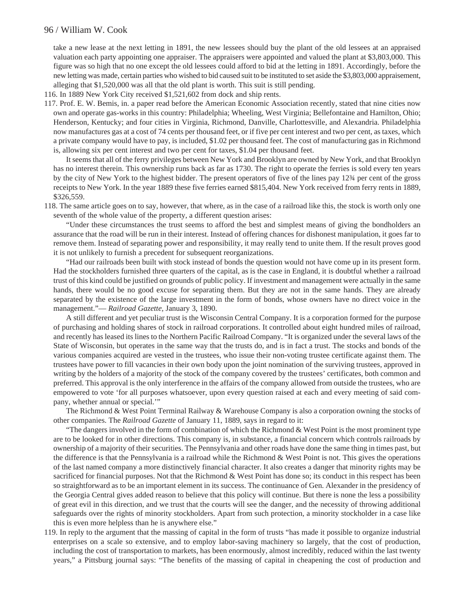take a new lease at the next letting in 1891, the new lessees should buy the plant of the old lessees at an appraised valuation each party appointing one appraiser. The appraisers were appointed and valued the plant at \$3,803,000. This figure was so high that no one except the old lessees could afford to bid at the letting in 1891. Accordingly, before the new letting was made, certain parties who wished to bid caused suit to be instituted to set aside the \$3,803,000 appraisement, alleging that \$1,520,000 was all that the old plant is worth. This suit is still pending.

- 116. In 1889 New York City received \$1,521,602 from dock and ship rents.
- 117. Prof. E. W. Bemis, in. a paper read before the American Economic Association recently, stated that nine cities now own and operate gas-works in this country: Philadelphia; Wheeling, West Virginia; Bellefontaine and Hamilton, Ohio; Henderson, Kentucky; and four cities in Virginia, Richmond, Danville, Charlottesville, and Alexandria. Philadelphia now manufactures gas at a cost of 74 cents per thousand feet, or if five per cent interest and two per cent, as taxes, which a private company would have to pay, is included, \$1.02 per thousand feet. The cost of manufacturing gas in Richmond is, allowing six per cent interest and two per cent for taxes, \$1.04 per thousand feet.

It seems that all of the ferry privileges between New York and Brooklyn are owned by New York, and that Brooklyn has no interest therein. This ownership runs back as far as 1730. The right to operate the ferries is sold every ten years by the city of New York to the highest bidder. The present operators of five of the lines pay 12¾ per cent of the gross receipts to New York. In the year 1889 these five ferries earned \$815,404. New York received from ferry rents in 1889, \$326,559.

118. The same article goes on to say, however, that where, as in the case of a railroad like this, the stock is worth only one seventh of the whole value of the property, a different question arises:

"Under these circumstances the trust seems to afford the best and simplest means of giving the bondholders an assurance that the road will be run in their interest. Instead of offering chances for dishonest manipulation, it goes far to remove them. Instead of separating power and responsibility, it may really tend to unite them. If the result proves good it is not unlikely to furnish a precedent for subsequent reorganizations.

"Had our railroads been built with stock instead of bonds the question would not have come up in its present form. Had the stockholders furnished three quarters of the capital, as is the case in England, it is doubtful whether a railroad trust of this kind could be justified on grounds of public policy. If investment and management were actually in the same hands, there would be no good excuse for separating them. But they are not in the same hands. They are already separated by the existence of the large investment in the form of bonds, whose owners have no direct voice in the management."— *Railroad Gazette,* January 3, 1890.

A still different and yet peculiar trust is the Wisconsin Central Company. It is a corporation formed for the purpose of purchasing and holding shares of stock in railroad corporations. It controlled about eight hundred miles of railroad, and recently has leased its lines to the Northern Pacific Railroad Company. "It is organized under the several laws of the State of Wisconsin, but operates in the same way that the trusts do, and is in fact a trust. The stocks and bonds of the various companies acquired are vested in the trustees, who issue their non-voting trustee certificate against them. The trustees have power to fill vacancies in their own body upon the joint nomination of the surviving trustees, approved in writing by the holders of a majority of the stock of the company covered by the trustees' certificates, both common and preferred. This approval is the only interference in the affairs of the company allowed from outside the trustees, who are empowered to vote 'for all purposes whatsoever, upon every question raised at each and every meeting of said company, whether annual or special.'"

The Richmond & West Point Terminal Railway & Warehouse Company is also a corporation owning the stocks of other companies. The *Railroad Gazette* of January 11, 1889, says in regard to it:

"The dangers involved in the form of combination of which the Richmond & West Point is the most prominent type are to be looked for in other directions. This company is, in substance, a financial concern which controls railroads by ownership of a majority of their securities. The Pennsylvania and other roads have done the same thing in times past, but the difference is that the Pennsylvania is a railroad while the Richmond & West Point is not. This gives the operations of the last named company a more distinctively financial character. It also creates a danger that minority rights may be sacrificed for financial purposes. Not that the Richmond & West Point has done so; its conduct in this respect has been so straightforward as to be an important element in its success. The continuance of Gen. Alexander in the presidency of the Georgia Central gives added reason to believe that this policy will continue. But there is none the less a possibility of great evil in this direction, and we trust that the courts will see the danger, and the necessity of throwing additional safeguards over the rights of minority stockholders. Apart from such protection, a minority stockholder in a case like this is even more helpless than he is anywhere else."

119. In reply to the argument that the massing of capital in the form of trusts "has made it possible to organize industrial enterprises on a scale so extensive, and to employ labor-saving machinery so largely, that the cost of production, including the cost of transportation to markets, has been enormously, almost incredibly, reduced within the last twenty years," a Pittsburg journal says: "The benefits of the massing of capital in cheapening the cost of production and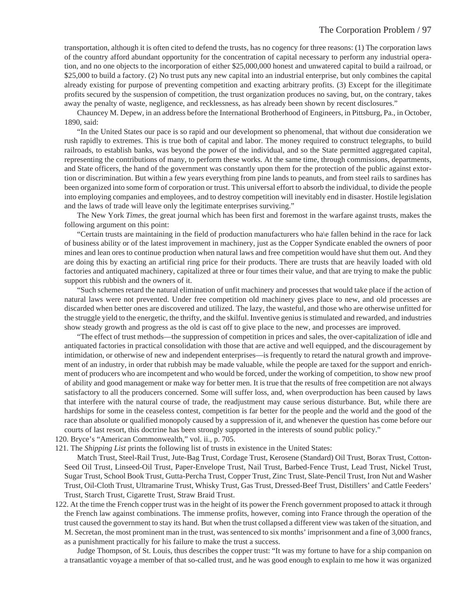transportation, although it is often cited to defend the trusts, has no cogency for three reasons: (1) The corporation laws of the country afford abundant opportunity for the concentration of capital necessary to perform any industrial operation, and no one objects to the incorporation of either \$25,000,000 honest and unwatered capital to build a railroad, or \$25,000 to build a factory. (2) No trust puts any new capital into an industrial enterprise, but only combines the capital already existing for purpose of preventing competition and exacting arbitrary profits. (3) Except for the illegitimate profits secured by the suspension of competition, the trust organization produces no saving, but, on the contrary, takes away the penalty of waste, negligence, and recklessness, as has already been shown by recent disclosures."

Chauncey M. Depew, in an address before the International Brotherhood of Engineers, in Pittsburg, Pa., in October, 1890, said:

"In the United States our pace is so rapid and our development so phenomenal, that without due consideration we rush rapidly to extremes. This is true both of capital and labor. The money required to construct telegraphs, to build railroads, to establish banks, was beyond the power of the individual, and so the State permitted aggregated capital, representing the contributions of many, to perform these works. At the same time, through commissions, departments, and State officers, the hand of the government was constantly upon them for the protection of the public against extortion or discrimination. But within a few years everything from pine lands to peanuts, and from steel rails to sardines has been organized into some form of corporation or trust. This universal effort to absorb the individual, to divide the people into employing companies and employees, and to destroy competition will inevitably end in disaster. Hostile legislation and the laws of trade will leave only the legitimate enterprises surviving."

The New York *Times,* the great journal which has been first and foremost in the warfare against trusts, makes the following argument on this point:

"Certain trusts are maintaining in the field of production manufacturers who ha\e fallen behind in the race for lack of business ability or of the latest improvement in machinery, just as the Copper Syndicate enabled the owners of poor mines and lean ores to continue production when natural laws and free competition would have shut them out. And they are doing this by exacting an artificial ring price for their products. There are trusts that are heavily loaded with old factories and antiquated machinery, capitalized at three or four times their value, and that are trying to make the public support this rubbish and the owners of it.

"Such schemes retard the natural elimination of unfit machinery and processes that would take place if the action of natural laws were not prevented. Under free competition old machinery gives place to new, and old processes are discarded when better ones are discovered and utilized. The lazy, the wasteful, and those who are otherwise unfitted for the struggle yield to the energetic, the thrifty, and the skilful. Inventive genius is stimulated and rewarded, and industries show steady growth and progress as the old is cast off to give place to the new, and processes are improved.

"The effect of trust methods—the suppression of competition in prices and sales, the over-capitalization of idle and antiquated factories in practical consolidation with those that are active and well equipped, and the discouragement by intimidation, or otherwise of new and independent enterprises—is frequently to retard the natural growth and improvement of an industry, in order that rubbish may be made valuable, while the people are taxed for the support and enrichment of producers who are incompetent and who would be forced, under the working of competition, to show new proof of ability and good management or make way for better men. It is true that the results of free competition are not always satisfactory to all the producers concerned. Some will suffer loss, and, when overproduction has been caused by laws that interfere with the natural course of trade, the readjustment may cause serious disturbance. But, while there are hardships for some in the ceaseless contest, competition is far better for the people and the world and the good of the race than absolute or qualified monopoly caused by a suppression of it, and whenever the question has come before our courts of last resort, this doctrine has been strongly supported in the interests of sound public policy."

120. Bryce's "American Commonwealth," vol. ii., p. 705.

121. The *Shipping List* prints the following list of trusts in existence in the United States:

Match Trust, Steel-Rail Trust, Jute-Bag Trust, Cordage Trust, Kerosene (Standard) Oil Trust, Borax Trust, Cotton-Seed Oil Trust, Linseed-Oil Trust, Paper-Envelope Trust, Nail Trust, Barbed-Fence Trust, Lead Trust, Nickel Trust, Sugar Trust, School Book Trust, Gutta-Percha Trust, Copper Trust, Zinc Trust, Slate-Pencil Trust, Iron Nut and Washer Trust, Oil-Cloth Trust, Ultramarine Trust, Whisky Trust, Gas Trust, Dressed-Beef Trust, Distillers' and Cattle Feeders' Trust, Starch Trust, Cigarette Trust, Straw Braid Trust.

122. At the time the French copper trust was in the height of its power the French government proposed to attack it through the French law against combinations. The immense profits, however, coming into France through the operation of the trust caused the government to stay its hand. But when the trust collapsed a different view was taken of the situation, and M. Secretan, the most prominent man in the trust, was sentenced to six months' imprisonment and a fine of 3,000 francs, as a punishment practically for his failure to make the trust a success.

Judge Thompson, of St. Louis, thus describes the copper trust: "It was my fortune to have for a ship companion on a transatlantic voyage a member of that so-called trust, and he was good enough to explain to me how it was organized